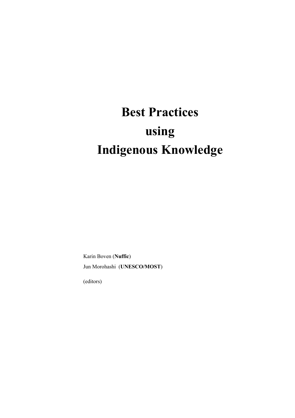## **Best Practices using Indigenous Knowledge**

Karin Boven (**Nuffic**) Jun Morohashi (**UNESCO/MOST**)

(editors)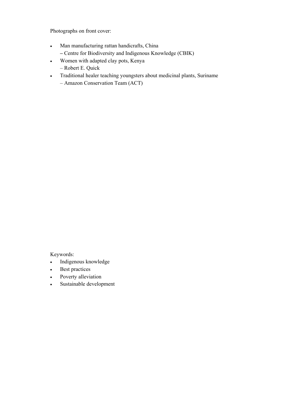Photographs on front cover:

- Man manufacturing rattan handicrafts, China **–** Centre for Biodiversity and Indigenous Knowledge (CBIK)
- Women with adapted clay pots, Kenya – Robert E. Quick
- Traditional healer teaching youngsters about medicinal plants, Suriname – Amazon Conservation Team (ACT)

Keywords:

- Indigenous knowledge
- Best practices
- Poverty alleviation
- Sustainable development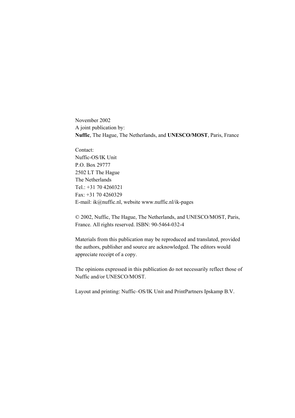November 2002 A joint publication by: **Nuffic**, The Hague, The Netherlands, and **UNESCO/MOST**, Paris, France

Contact: Nuffic-OS/IK Unit P.O. Box 29777 2502 LT The Hague The Netherlands Tel.: +31 70 4260321 Fax: +31 70 4260329 E-mail: ik@nuffic.nl, website www.nuffic.nl/ik-pages

© 2002, Nuffic, The Hague, The Netherlands, and UNESCO/MOST, Paris, France. All rights reserved. ISBN: 90-5464-032-4

Materials from this publication may be reproduced and translated, provided the authors, publisher and source are acknowledged. The editors would appreciate receipt of a copy.

The opinions expressed in this publication do not necessarily reflect those of Nuffic and/or UNESCO/MOST.

Layout and printing: Nuffic–OS/IK Unit and PrintPartners Ipskamp B.V.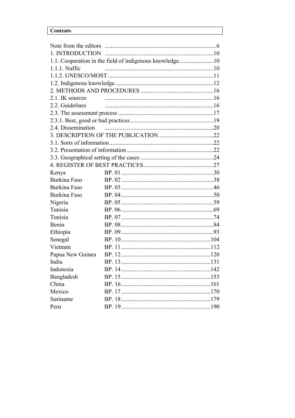#### **Contents**

| 1.1. Cooperation in the field of indigenous knowledge10 |  |  |  |  |
|---------------------------------------------------------|--|--|--|--|
| 1.1.1. Nuffic                                           |  |  |  |  |
|                                                         |  |  |  |  |
|                                                         |  |  |  |  |
|                                                         |  |  |  |  |
| 2.1. IK sources                                         |  |  |  |  |
| 2.2. Guidelines                                         |  |  |  |  |
|                                                         |  |  |  |  |
|                                                         |  |  |  |  |
| 2.4. Dissemination                                      |  |  |  |  |
|                                                         |  |  |  |  |
|                                                         |  |  |  |  |
|                                                         |  |  |  |  |
|                                                         |  |  |  |  |
|                                                         |  |  |  |  |
| Kenya                                                   |  |  |  |  |
| Burkina Faso                                            |  |  |  |  |
| Burkina Faso                                            |  |  |  |  |
| Burkina Faso                                            |  |  |  |  |
| Nigeria                                                 |  |  |  |  |
| Tunisia                                                 |  |  |  |  |
| Tunisia                                                 |  |  |  |  |
| Benin                                                   |  |  |  |  |
| Ethiopia                                                |  |  |  |  |
| Senegal                                                 |  |  |  |  |
| Vietnam                                                 |  |  |  |  |
| Papua New Guinea                                        |  |  |  |  |
| India                                                   |  |  |  |  |
| Indonesia                                               |  |  |  |  |
| Bangladesh                                              |  |  |  |  |
| China                                                   |  |  |  |  |
| Mexico                                                  |  |  |  |  |
| Suriname                                                |  |  |  |  |
| Peru                                                    |  |  |  |  |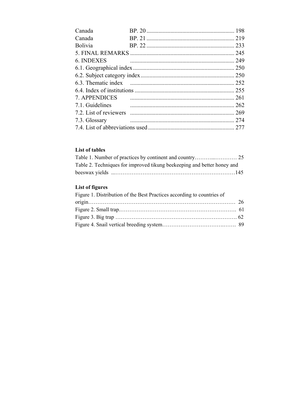| Canada          |  |     |
|-----------------|--|-----|
| Canada          |  | 219 |
| <b>Bolivia</b>  |  | 233 |
|                 |  |     |
| 6. INDEXES      |  | 249 |
|                 |  | 250 |
|                 |  |     |
|                 |  | 252 |
|                 |  |     |
| 7. APPENDICES   |  | 261 |
| 7.1. Guidelines |  | 262 |
|                 |  | 269 |
| 7.3. Glossary   |  | 274 |
|                 |  |     |

#### **List of tables**

| Table 2. Techniques for improved tikung beekeeping and better honey and |  |
|-------------------------------------------------------------------------|--|
|                                                                         |  |

#### **List of figures**

| Figure 1. Distribution of the Best Practices according to countries of |  |  |
|------------------------------------------------------------------------|--|--|
|                                                                        |  |  |
|                                                                        |  |  |
|                                                                        |  |  |
|                                                                        |  |  |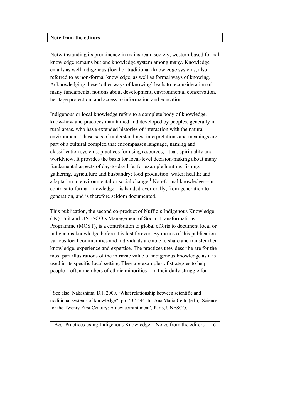#### **Note from the editors**

 $\overline{\phantom{a}}$ 

Notwithstanding its prominence in mainstream society, western-based formal knowledge remains but one knowledge system among many. Knowledge entails as well indigenous (local or traditional) knowledge systems, also referred to as non-formal knowledge, as well as formal ways of knowing. Acknowledging these 'other ways of knowing' leads to reconsideration of many fundamental notions about development, environmental conservation, heritage protection, and access to information and education.

Indigenous or local knowledge refers to a complete body of knowledge, know-how and practices maintained and developed by peoples, generally in rural areas, who have extended histories of interaction with the natural environment. These sets of understandings, interpretations and meanings are part of a cultural complex that encompasses language, naming and classification systems, practices for using resources, ritual, spirituality and worldview. It provides the basis for local-level decision-making about many fundamental aspects of day-to-day life: for example hunting, fishing, gathering, agriculture and husbandry; food production; water; health; and adaptation to environmental or social change.<sup>1</sup> Non-formal knowledge—in contrast to formal knowledge—is handed over orally, from generation to generation, and is therefore seldom documented.

This publication, the second co-product of Nuffic's Indigenous Knowledge (IK) Unit and UNESCO's Management of Social Transformations Programme (MOST), is a contribution to global efforts to document local or indigenous knowledge before it is lost forever. By means of this publication various local communities and individuals are able to share and transfer their knowledge, experience and expertise. The practices they describe are for the most part illustrations of the intrinsic value of indigenous knowledge as it is used in its specific local setting. They are examples of strategies to help people—often members of ethnic minorities—in their daily struggle for

<sup>&</sup>lt;sup>1</sup> See also: Nakashima, D.J. 2000. 'What relationship between scientific and traditional systems of knowledge?' pp. 432-444. In: Ana Maria Cetto (ed.), 'Science for the Twenty-First Century: A new commitment'*,* Paris, UNESCO.

Best Practices using Indigenous Knowledge – Notes from the editors 6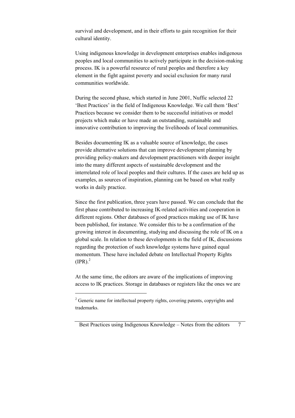survival and development, and in their efforts to gain recognition for their cultural identity.

Using indigenous knowledge in development enterprises enables indigenous peoples and local communities to actively participate in the decision-making process. IK is a powerful resource of rural peoples and therefore a key element in the fight against poverty and social exclusion for many rural communities worldwide.

During the second phase, which started in June 2001, Nuffic selected 22 'Best Practices' in the field of Indigenous Knowledge. We call them 'Best' Practices because we consider them to be successful initiatives or model projects which make or have made an outstanding, sustainable and innovative contribution to improving the livelihoods of local communities.

Besides documenting IK as a valuable source of knowledge, the cases provide alternative solutions that can improve development planning by providing policy-makers and development practitioners with deeper insight into the many different aspects of sustainable development and the interrelated role of local peoples and their cultures. If the cases are held up as examples, as sources of inspiration, planning can be based on what really works in daily practice.

Since the first publication, three years have passed. We can conclude that the first phase contributed to increasing IK-related activities and cooperation in different regions. Other databases of good practices making use of IK have been published, for instance. We consider this to be a confirmation of the growing interest in documenting, studying and discussing the role of IK on a global scale. In relation to these developments in the field of IK, discussions regarding the protection of such knowledge systems have gained equal momentum. These have included debate on Intellectual Property Rights  $(IPR).<sup>2</sup>$ 

At the same time, the editors are aware of the implications of improving access to IK practices. Storage in databases or registers like the ones we are

 $\overline{a}$ 

 $2^2$  Generic name for intellectual property rights, covering patents, copyrights and trademarks.

Best Practices using Indigenous Knowledge – Notes from the editors 7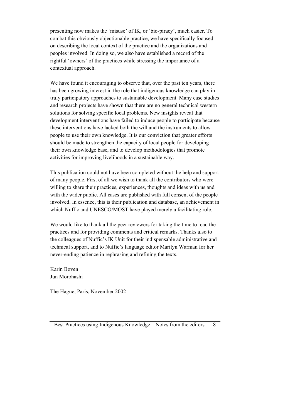presenting now makes the 'misuse' of IK, or 'bio-piracy', much easier. To combat this obviously objectionable practice, we have specifically focused on describing the local context of the practice and the organizations and peoples involved. In doing so, we also have established a record of the rightful 'owners' of the practices while stressing the importance of a contextual approach.

We have found it encouraging to observe that, over the past ten years, there has been growing interest in the role that indigenous knowledge can play in truly participatory approaches to sustainable development. Many case studies and research projects have shown that there are no general technical western solutions for solving specific local problems. New insights reveal that development interventions have failed to induce people to participate because these interventions have lacked both the will and the instruments to allow people to use their own knowledge. It is our conviction that greater efforts should be made to strengthen the capacity of local people for developing their own knowledge base, and to develop methodologies that promote activities for improving livelihoods in a sustainable way.

This publication could not have been completed without the help and support of many people. First of all we wish to thank all the contributors who were willing to share their practices, experiences, thoughts and ideas with us and with the wider public. All cases are published with full consent of the people involved. In essence, this is their publication and database, an achievement in which Nuffic and UNESCO/MOST have played merely a facilitating role.

We would like to thank all the peer reviewers for taking the time to read the practices and for providing comments and critical remarks. Thanks also to the colleagues of Nuffic's IK Unit for their indispensable administrative and technical support, and to Nuffic's language editor Marilyn Warman for her never-ending patience in rephrasing and refining the texts.

Karin Boven Jun Morohashi

The Hague, Paris, November 2002

Best Practices using Indigenous Knowledge – Notes from the editors 8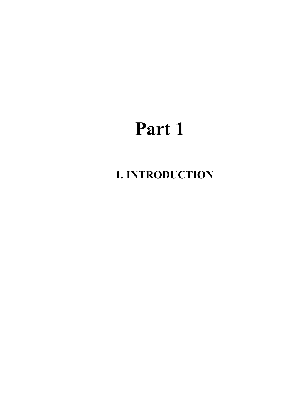# **Part 1**

**1. INTRODUCTION**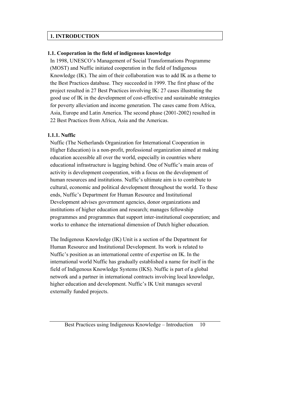#### **1. INTRODUCTION**

#### **1.1. Cooperation in the field of indigenous knowledge**

In 1998, UNESCO's Management of Social Transformations Programme (MOST) and Nuffic initiated cooperation in the field of Indigenous Knowledge (IK). The aim of their collaboration was to add IK as a theme to the Best Practices database. They succeeded in 1999. The first phase of the project resulted in 27 Best Practices involving IK: 27 cases illustrating the good use of IK in the development of cost-effective and sustainable strategies for poverty alleviation and income generation. The cases came from Africa, Asia, Europe and Latin America. The second phase (2001-2002) resulted in 22 Best Practices from Africa, Asia and the Americas.

#### **1.1.1. Nuffic**

Nuffic (The Netherlands Organization for International Cooperation in Higher Education) is a non-profit, professional organization aimed at making education accessible all over the world, especially in countries where educational infrastructure is lagging behind. One of Nuffic's main areas of activity is development cooperation, with a focus on the development of human resources and institutions. Nuffic's ultimate aim is to contribute to cultural, economic and political development throughout the world. To these ends, Nuffic's Department for Human Resource and Institutional Development advises government agencies, donor organizations and institutions of higher education and research; manages fellowship programmes and programmes that support inter-institutional cooperation; and works to enhance the international dimension of Dutch higher education.

The Indigenous Knowledge (IK) Unit is a section of the Department for Human Resource and Institutional Development. Its work is related to Nuffic's position as an international centre of expertise on IK. In the international world Nuffic has gradually established a name for itself in the field of Indigenous Knowledge Systems (IKS). Nuffic is part of a global network and a partner in international contracts involving local knowledge, higher education and development. Nuffic's IK Unit manages several externally funded projects.

Best Practices using Indigenous Knowledge – Introduction 10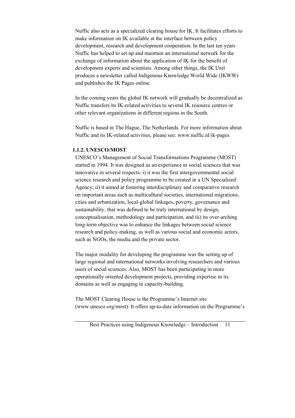Nuffic also acts as a specialized clearing house for IK. It facilitates efforts to make information on IK available at the interface between policy development, research and development cooperation. In the last ten years Nuffic has helped to set up and maintain an international network for the exchange of information about the application of IK for the benefit of development experts and scientists. Among other things, the IK Unit produces a newsletter called Indigenous Knowledge World Wide (IKWW) and publishes the IK Pages online.

In the coming years the global IK network will gradually be decentralized as Nuffic transfers its IK-related activities to several IK resource centres or other relevant organizations in different regions in the South.

Nuffic is based in The Hague, The Netherlands. For more information about Nuffic and its IK-related activities, please see: www.nuffic.nl/ik-pages

#### **1.1.2. UNESCO/MOST**

UNESCO's Management of Social Transformations Programme (MOST) started in 1994. It was designed as an experience in social sciences that was innovative in several respects: i) it was the first intergovernmental social science research and policy programme to be created in a UN Specialized Agency; ii) it aimed at fostering interdisciplinary and comparative research on important areas such as multicultural societies, international migrations, cities and urbanization, local-global linkages, poverty, governance and sustainability, that was defined to be truly international by design, conceptualisation, methodology and participation, and iii) its over-arching long-term objective was to enhance the linkages between social science research and policy-making, as well as various social and economic actors, such as NGOs, the media and the private sector.

The major modality for developing the programme was the setting up of large regional and international networks involving researchers and various users of social sciences. Also, MOST has been participating in more operationally oriented development projects, providing expertise in its domains as well as engaging in capacity-building.

The MOST Clearing House is the Programme's Internet site (www.unesco.org/most). It offers up-to-date information on the Programme's

Best Practices using Indigenous Knowledge – Introduction 11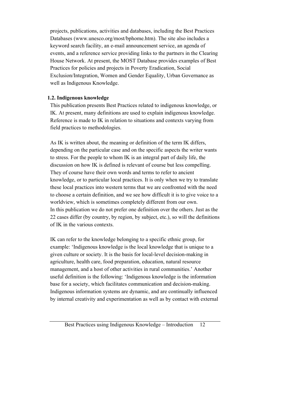projects, publications, activities and databases, including the Best Practices Databases (www.unesco.org/most/bphome.htm). The site also includes a keyword search facility, an e-mail announcement service, an agenda of events, and a reference service providing links to the partners in the Clearing House Network. At present, the MOST Database provides examples of Best Practices for policies and projects in Poverty Eradication, Social Exclusion/Integration, Women and Gender Equality, Urban Governance as well as Indigenous Knowledge.

#### **1.2. Indigenous knowledge**

This publication presents Best Practices related to indigenous knowledge, or IK. At present, many definitions are used to explain indigenous knowledge. Reference is made to IK in relation to situations and contexts varying from field practices to methodologies.

As IK is written about, the meaning or definition of the term IK differs, depending on the particular case and on the specific aspects the writer wants to stress. For the people to whom IK is an integral part of daily life, the discussion on how IK is defined is relevant of course but less compelling. They of course have their own words and terms to refer to ancient knowledge, or to particular local practices. It is only when we try to translate these local practices into western terms that we are confronted with the need to choose a certain definition, and we see how difficult it is to give voice to a worldview, which is sometimes completely different from our own. In this publication we do not prefer one definition over the others. Just as the 22 cases differ (by country, by region, by subject, etc.), so will the definitions of IK in the various contexts.

IK can refer to the knowledge belonging to a specific ethnic group, for example: 'Indigenous knowledge is the local knowledge that is unique to a given culture or society. It is the basis for local-level decision-making in agriculture, health care, food preparation, education, natural resource management, and a host of other activities in rural communities.' Another useful definition is the following: 'Indigenous knowledge is the information base for a society, which facilitates communication and decision-making. Indigenous information systems are dynamic, and are continually influenced by internal creativity and experimentation as well as by contact with external

Best Practices using Indigenous Knowledge – Introduction 12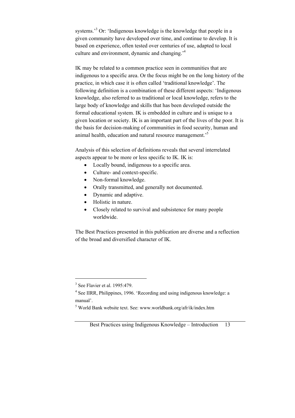systems.<sup>3</sup> Or: 'Indigenous knowledge is the knowledge that people in a given community have developed over time, and continue to develop. It is based on experience, often tested over centuries of use, adapted to local culture and environment, dynamic and changing.'4

IK may be related to a common practice seen in communities that are indigenous to a specific area. Or the focus might be on the long history of the practice, in which case it is often called 'traditional knowledge'. The following definition is a combination of these different aspects: 'Indigenous knowledge, also referred to as traditional or local knowledge, refers to the large body of knowledge and skills that has been developed outside the formal educational system. IK is embedded in culture and is unique to a given location or society. IK is an important part of the lives of the poor. It is the basis for decision-making of communities in food security, human and animal health, education and natural resource management.'5

Analysis of this selection of definitions reveals that several interrelated aspects appear to be more or less specific to IK. IK is:

- Locally bound, indigenous to a specific area.
- Culture- and context-specific.
- Non-formal knowledge.
- Orally transmitted, and generally not documented.
- Dynamic and adaptive.
- Holistic in nature.
- Closely related to survival and subsistence for many people worldwide.

The Best Practices presented in this publication are diverse and a reflection of the broad and diversified character of IK.

 $\overline{a}$ 

 $3$  See Flavier et al. 1995:479.

<sup>&</sup>lt;sup>4</sup> See IIRR, Philippines, 1996. 'Recording and using indigenous knowledge: a manual'.

<sup>5</sup> World Bank website text. See: www.worldbank.org/afr/ik/index.htm

Best Practices using Indigenous Knowledge – Introduction 13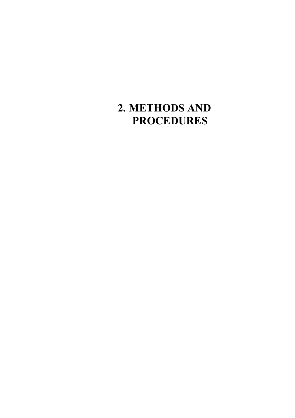### **2. METHODS AND PROCEDURES**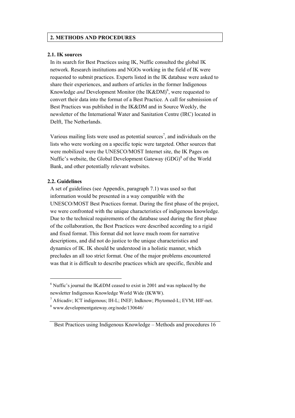#### **2. METHODS AND PROCEDURES**

#### **2.1. IK sources**

In its search for Best Practices using IK, Nuffic consulted the global IK network. Research institutions and NGOs working in the field of IK were requested to submit practices. Experts listed in the IK database were asked to share their experiences, and authors of articles in the former Indigenous Knowledge *and* Development Monitor (the IK&DM)<sup>6</sup>, were requested to convert their data into the format of a Best Practice. A call for submission of Best Practices was published in the IK&DM and in Source Weekly, the newsletter of the International Water and Sanitation Centre (IRC) located in Delft, The Netherlands.

Various mailing lists were used as potential sources<sup>7</sup>, and individuals on the lists who were working on a specific topic were targeted. Other sources that were mobilized were the UNESCO/MOST Internet site, the IK Pages on Nuffic's website, the Global Development Gateway  $(GDG)^8$  of the World Bank, and other potentially relevant websites.

#### **2.2. Guidelines**

 $\overline{\phantom{a}}$ 

A set of guidelines (see Appendix, paragraph 7.1) was used so that information would be presented in a way compatible with the UNESCO/MOST Best Practices format. During the first phase of the project, we were confronted with the unique characteristics of indigenous knowledge. Due to the technical requirements of the database used during the first phase of the collaboration, the Best Practices were described according to a rigid and fixed format. This format did not leave much room for narrative descriptions, and did not do justice to the unique characteristics and dynamics of IK. IK should be understood in a holistic manner, which precludes an all too strict format. One of the major problems encountered was that it is difficult to describe practices which are specific, flexible and

<sup>6</sup> Nuffic's journal the IK*&*DM ceased to exist in 2001 and was replaced by the newsletter Indigenous Knowledge World Wide (IKWW).

<sup>&</sup>lt;sup>7</sup> Africadiv; ICT indigenous; IH-L; INEF; Indknow; Phytomed-L; EVM; HIF-net.

<sup>8</sup> www.developmentgateway.org/node/130646/

Best Practices using Indigenous Knowledge – Methods and procedures 16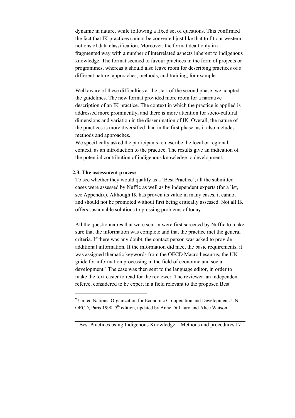dynamic in nature, while following a fixed set of questions. This confirmed the fact that IK practices cannot be converted just like that to fit our western notions of data classification. Moreover, the format dealt only in a fragmented way with a number of interrelated aspects inherent to indigenous knowledge. The format seemed to favour practices in the form of projects or programmes, whereas it should also leave room for describing practices of a different nature: approaches, methods, and training, for example.

Well aware of these difficulties at the start of the second phase, we adapted the guidelines. The new format provided more room for a narrative description of an IK practice. The context in which the practice is applied is addressed more prominently, and there is more attention for socio-cultural dimensions and variation in the dissemination of IK. Overall, the nature of the practices is more diversified than in the first phase, as it also includes methods and approaches.

We specifically asked the participants to describe the local or regional context, as an introduction to the practice. The results give an indication of the potential contribution of indigenous knowledge to development.

#### **2.3. The assessment process**

 $\overline{a}$ 

To see whether they would qualify as a 'Best Practice', all the submitted cases were assessed by Nuffic as well as by independent experts (for a list, see Appendix). Although IK has proven its value in many cases, it cannot and should not be promoted without first being critically assessed. Not all IK offers sustainable solutions to pressing problems of today.

All the questionnaires that were sent in were first screened by Nuffic to make sure that the information was complete and that the practice met the general criteria. If there was any doubt, the contact person was asked to provide additional information. If the information did meet the basic requirements, it was assigned thematic keywords from the OECD Macrothesaurus, the UN guide for information processing in the field of economic and social development.<sup>9</sup> The case was then sent to the language editor, in order to make the text easier to read for the reviewer. The reviewer–an independent referee, considered to be expert in a field relevant to the proposed Best

<sup>&</sup>lt;sup>9</sup> United Nations–Organization for Economic Co-operation and Development. UN-OECD, Paris 1998, 5<sup>th</sup> edition, updated by Anne Di Lauro and Alice Watson.

Best Practices using Indigenous Knowledge – Methods and procedures 17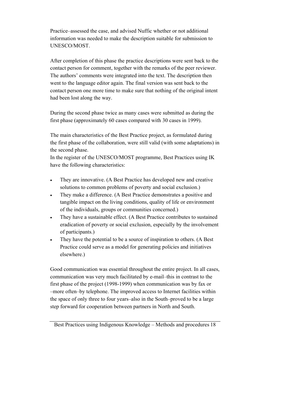Practice–assessed the case, and advised Nuffic whether or not additional information was needed to make the description suitable for submission to UNESCO/MOST.

After completion of this phase the practice descriptions were sent back to the contact person for comment, together with the remarks of the peer reviewer. The authors' comments were integrated into the text. The description then went to the language editor again. The final version was sent back to the contact person one more time to make sure that nothing of the original intent had been lost along the way.

During the second phase twice as many cases were submitted as during the first phase (approximately 60 cases compared with 30 cases in 1999).

The main characteristics of the Best Practice project, as formulated during the first phase of the collaboration, were still valid (with some adaptations) in the second phase.

In the register of the UNESCO/MOST programme, Best Practices using IK have the following characteristics:

- They are innovative. (A Best Practice has developed new and creative solutions to common problems of poverty and social exclusion.)
- They make a difference. (A Best Practice demonstrates a positive and tangible impact on the living conditions, quality of life or environment of the individuals, groups or communities concerned.)
- They have a sustainable effect. (A Best Practice contributes to sustained eradication of poverty or social exclusion, especially by the involvement of participants.)
- They have the potential to be a source of inspiration to others. (A Best Practice could serve as a model for generating policies and initiatives elsewhere.)

Good communication was essential throughout the entire project. In all cases, communication was very much facilitated by e-mail–this in contrast to the first phase of the project (1998-1999) when communication was by fax or –more often–by telephone. The improved access to Internet facilities within the space of only three to four years–also in the South–proved to be a large step forward for cooperation between partners in North and South.

Best Practices using Indigenous Knowledge – Methods and procedures 18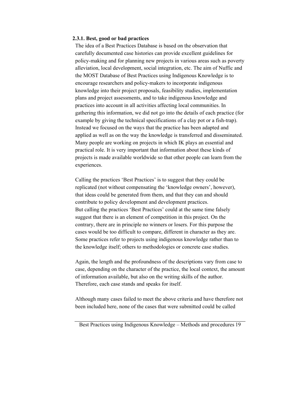#### **2.3.1. Best, good or bad practices**

The idea of a Best Practices Database is based on the observation that carefully documented case histories can provide excellent guidelines for policy-making and for planning new projects in various areas such as poverty alleviation, local development, social integration, etc. The aim of Nuffic and the MOST Database of Best Practices using Indigenous Knowledge is to encourage researchers and policy-makers to incorporate indigenous knowledge into their project proposals, feasibility studies, implementation plans and project assessments, and to take indigenous knowledge and practices into account in all activities affecting local communities. In gathering this information, we did not go into the details of each practice (for example by giving the technical specifications of a clay pot or a fish-trap). Instead we focused on the ways that the practice has been adapted and applied as well as on the way the knowledge is transferred and disseminated. Many people are working on projects in which IK plays an essential and practical role. It is very important that information about these kinds of projects is made available worldwide so that other people can learn from the experiences.

Calling the practices 'Best Practices' is to suggest that they could be replicated (not without compensating the 'knowledge owners', however), that ideas could be generated from them, and that they can and should contribute to policy development and development practices. But calling the practices 'Best Practices' could at the same time falsely suggest that there is an element of competition in this project. On the contrary, there are in principle no winners or losers. For this purpose the cases would be too difficult to compare, different in character as they are. Some practices refer to projects using indigenous knowledge rather than to the knowledge itself; others to methodologies or concrete case studies.

Again, the length and the profoundness of the descriptions vary from case to case, depending on the character of the practice, the local context, the amount of information available, but also on the writing skills of the author. Therefore, each case stands and speaks for itself.

Although many cases failed to meet the above criteria and have therefore not been included here, none of the cases that were submitted could be called

Best Practices using Indigenous Knowledge – Methods and procedures 19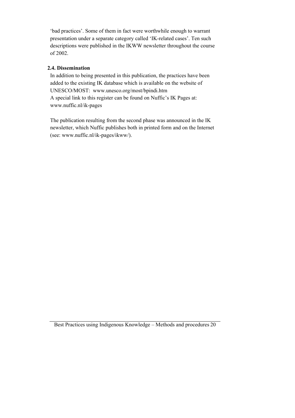'bad practices'. Some of them in fact were worthwhile enough to warrant presentation under a separate category called 'IK-related cases'. Ten such descriptions were published in the IKWW newsletter throughout the course of 2002.

#### **2.4. Dissemination**

In addition to being presented in this publication, the practices have been added to the existing IK database which is available on the website of UNESCO/MOST: www.unesco.org/most/bpindi.htm A special link to this register can be found on Nuffic's IK Pages at: www.nuffic.nl/ik-pages

The publication resulting from the second phase was announced in the IK newsletter, which Nuffic publishes both in printed form and on the Internet (see: www.nuffic.nl/ik-pages/ikww/).

Best Practices using Indigenous Knowledge – Methods and procedures 20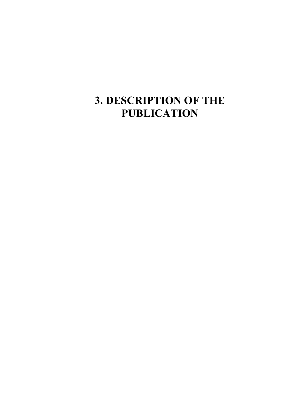### **3. DESCRIPTION OF THE PUBLICATION**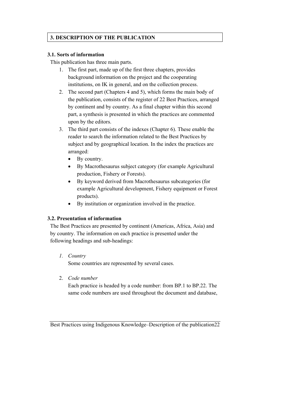#### **3. DESCRIPTION OF THE PUBLICATION**

#### **3.1. Sorts of information**

This publication has three main parts.

- 1. The first part, made up of the first three chapters, provides background information on the project and the cooperating institutions, on IK in general, and on the collection process.
- 2. The second part (Chapters 4 and 5), which forms the main body of the publication, consists of the register of 22 Best Practices, arranged by continent and by country. As a final chapter within this second part, a synthesis is presented in which the practices are commented upon by the editors.
- 3. The third part consists of the indexes (Chapter 6). These enable the reader to search the information related to the Best Practices by subject and by geographical location. In the index the practices are arranged:
	- By country.
	- By Macrothesaurus subject category (for example Agricultural production, Fishery or Forests).
	- By keyword derived from Macrothesaurus subcategories (for example Agricultural development, Fishery equipment or Forest products).
	- By institution or organization involved in the practice.

#### **3.2. Presentation of information**

The Best Practices are presented by continent (Americas, Africa, Asia) and by country. The information on each practice is presented under the following headings and sub-headings:

*1. Country* 

Some countries are represented by several cases.

2. *Code number*

Each practice is headed by a code number: from BP.1 to BP.22. The same code numbers are used throughout the document and database,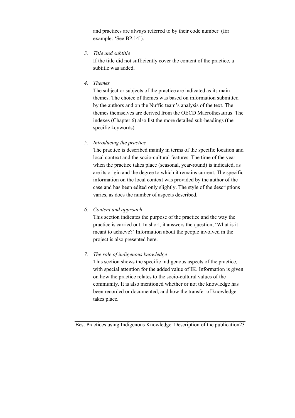and practices are always referred to by their code number (for example: 'See BP.14').

*3. Title and subtitle* 

If the title did not sufficiently cover the content of the practice, a subtitle was added.

*4. Themes* 

The subject or subjects of the practice are indicated as its main themes. The choice of themes was based on information submitted by the authors and on the Nuffic team's analysis of the text. The themes themselves are derived from the OECD Macrothesaurus. The indexes (Chapter 6) also list the more detailed sub-headings (the specific keywords).

#### *5. Introducing the practice*

The practice is described mainly in terms of the specific location and local context and the socio-cultural features. The time of the year when the practice takes place (seasonal, year-round) is indicated, as are its origin and the degree to which it remains current. The specific information on the local context was provided by the author of the case and has been edited only slightly. The style of the descriptions varies, as does the number of aspects described.

#### *6. Content and approach*

This section indicates the purpose of the practice and the way the practice is carried out. In short, it answers the question, 'What is it meant to achieve?' Information about the people involved in the project is also presented here.

#### *7. The role of indigenous knowledge*

This section shows the specific indigenous aspects of the practice, with special attention for the added value of IK. Information is given on how the practice relates to the socio-cultural values of the community. It is also mentioned whether or not the knowledge has been recorded or documented, and how the transfer of knowledge takes place.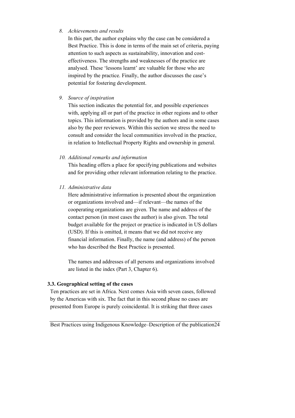#### *8. Achievements and results*

In this part, the author explains why the case can be considered a Best Practice. This is done in terms of the main set of criteria, paying attention to such aspects as sustainability, innovation and costeffectiveness. The strengths and weaknesses of the practice are analysed. These 'lessons learnt' are valuable for those who are inspired by the practice. Finally, the author discusses the case's potential for fostering development.

*9. Source of inspiration* 

This section indicates the potential for, and possible experiences with, applying all or part of the practice in other regions and to other topics. This information is provided by the authors and in some cases also by the peer reviewers. Within this section we stress the need to consult and consider the local communities involved in the practice, in relation to Intellectual Property Rights and ownership in general.

*10. Additional remarks and information* 

This heading offers a place for specifying publications and websites and for providing other relevant information relating to the practice.

*11. Administrative data* 

Here administrative information is presented about the organization or organizations involved and—if relevant—the names of the cooperating organizations are given. The name and address of the contact person (in most cases the author) is also given. The total budget available for the project or practice is indicated in US dollars (USD). If this is omitted, it means that we did not receive any financial information. Finally, the name (and address) of the person who has described the Best Practice is presented.

The names and addresses of all persons and organizations involved are listed in the index (Part 3, Chapter 6).

#### **3.3. Geographical setting of the cases**

Ten practices are set in Africa. Next comes Asia with seven cases, followed by the Americas with six. The fact that in this second phase no cases are presented from Europe is purely coincidental. It is striking that three cases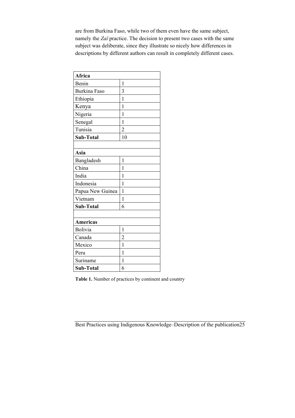are from Burkina Faso, while two of them even have the same subject, namely the *Zaï* practice. The decision to present two cases with the same subject was deliberate, since they illustrate so nicely how differences in descriptions by different authors can result in completely different cases.

| Africa              |                |  |
|---------------------|----------------|--|
| Benin               | $\mathbf{1}$   |  |
| <b>Burkina Faso</b> | 3              |  |
| Ethiopia            | $\mathbf{1}$   |  |
| Kenya               | $\mathbf{1}$   |  |
| Nigeria             | $\mathbf{1}$   |  |
| Senegal             | $\mathbf{1}$   |  |
| Tunisia             | $\overline{c}$ |  |
| Sub-Total           | 10             |  |
|                     |                |  |
| Asia                |                |  |
| Bangladesh          | 1              |  |
| China               | $\mathbf{1}$   |  |
| India               | $\mathbf{1}$   |  |
| Indonesia           | 1              |  |
| Papua New Guinea    | $\mathbf{1}$   |  |
| Vietnam             | $\mathbf{1}$   |  |
| Sub-Total           | 6              |  |
|                     |                |  |
| <b>Americas</b>     |                |  |
| Bolivia             | $\mathbf{1}$   |  |
| Canada              | $\overline{c}$ |  |
| Mexico              | $\mathbf{1}$   |  |
| Peru                | 1              |  |
| Suriname            | $\mathbf{1}$   |  |
| Sub-Total           | 6              |  |

**Table 1.** Number of practices by continent and country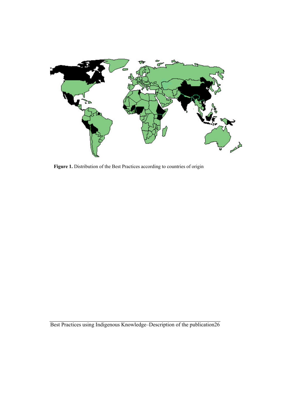

Figure 1. Distribution of the Best Practices according to countries of origin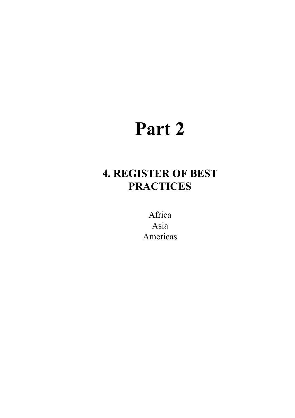# **Part 2**

### **4. REGISTER OF BEST PRACTICES**

Africa Asia Americas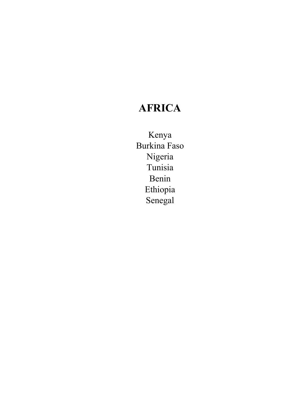### **AFRICA**

Kenya Burkina Faso Nigeria Tunisia Benin Ethiopia Senegal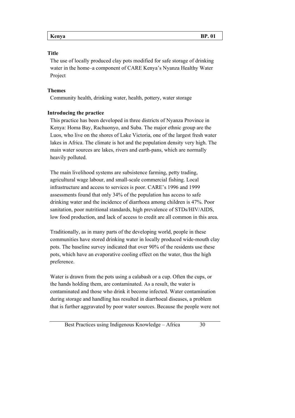#### **Title**

The use of locally produced clay pots modified for safe storage of drinking water in the home–a component of CARE Kenya's Nyanza Healthy Water Project

#### **Themes**

Community health, drinking water, health, pottery, water storage

#### **Introducing the practice**

This practice has been developed in three districts of Nyanza Province in Kenya: Homa Bay, Rachuonyo, and Suba. The major ethnic group are the Luos, who live on the shores of Lake Victoria, one of the largest fresh water lakes in Africa. The climate is hot and the population density very high. The main water sources are lakes, rivers and earth-pans, which are normally heavily polluted.

The main livelihood systems are subsistence farming, petty trading, agricultural wage labour, and small-scale commercial fishing. Local infrastructure and access to services is poor. CARE's 1996 and 1999 assessments found that only 34% of the population has access to safe drinking water and the incidence of diarrhoea among children is 47%. Poor sanitation, poor nutritional standards, high prevalence of STDs/HIV/AIDS, low food production, and lack of access to credit are all common in this area.

Traditionally, as in many parts of the developing world, people in these communities have stored drinking water in locally produced wide-mouth clay pots. The baseline survey indicated that over 90% of the residents use these pots, which have an evaporative cooling effect on the water, thus the high preference.

Water is drawn from the pots using a calabash or a cup. Often the cups, or the hands holding them, are contaminated. As a result, the water is contaminated and those who drink it become infected. Water contamination during storage and handling has resulted in diarrhoeal diseases, a problem that is further aggravated by poor water sources. Because the people were not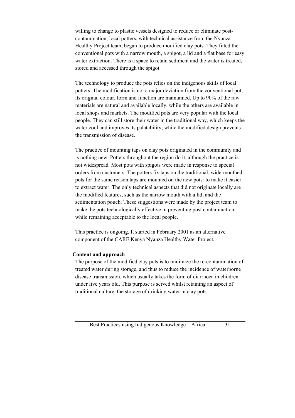willing to change to plastic vessels designed to reduce or eliminate postcontamination, local potters, with technical assistance from the Nyanza Healthy Project team, began to produce modified clay pots. They fitted the conventional pots with a narrow mouth, a spigot, a lid and a flat base for easy water extraction. There is a space to retain sediment and the water is treated, stored and accessed through the spigot.

The technology to produce the pots relies on the indigenous skills of local potters. The modification is not a major deviation from the conventional pot; its original colour, form and function are maintained. Up to 90% of the raw materials are natural and available locally, while the others are available in local shops and markets. The modified pots are very popular with the local people. They can still store their water in the traditional way, which keeps the water cool and improves its palatability, while the modified design prevents the transmission of disease.

The practice of mounting taps on clay pots originated in the community and is nothing new. Potters throughout the region do it, although the practice is not widespread. Most pots with spigots were made in response to special orders from customers. The potters fix taps on the traditional, wide-mouthed pots for the same reason taps are mounted on the new pots: to make it easier to extract water. The only technical aspects that did not originate locally are the modified features, such as the narrow mouth with a lid, and the sedimentation pouch. These suggestions were made by the project team to make the pots technologically effective in preventing post contamination, while remaining acceptable to the local people.

This practice is ongoing. It started in February 2001 as an alternative component of the CARE Kenya Nyanza Healthy Water Project.

#### **Content and approach**

The purpose of the modified clay pots is to minimize the re-contamination of treated water during storage, and thus to reduce the incidence of waterborne disease transmission, which usually takes the form of diarrhoea in children under five years old. This purpose is served whilst retaining an aspect of traditional culture–the storage of drinking water in clay pots.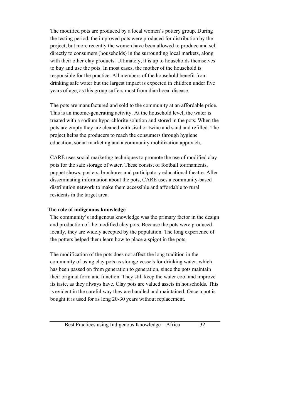The modified pots are produced by a local women's pottery group. During the testing period, the improved pots were produced for distribution by the project, but more recently the women have been allowed to produce and sell directly to consumers (households) in the surrounding local markets, along with their other clay products. Ultimately, it is up to households themselves to buy and use the pots. In most cases, the mother of the household is responsible for the practice. All members of the household benefit from drinking safe water but the largest impact is expected in children under five years of age, as this group suffers most from diarrhoeal disease.

The pots are manufactured and sold to the community at an affordable price. This is an income-generating activity. At the household level, the water is treated with a sodium hypo-chlorite solution and stored in the pots. When the pots are empty they are cleaned with sisal or twine and sand and refilled. The project helps the producers to reach the consumers through hygiene education, social marketing and a community mobilization approach.

CARE uses social marketing techniques to promote the use of modified clay pots for the safe storage of water. These consist of football tournaments, puppet shows, posters, brochures and participatory educational theatre. After disseminating information about the pots, CARE uses a community-based distribution network to make them accessible and affordable to rural residents in the target area.

#### **The role of indigenous knowledge**

The community's indigenous knowledge was the primary factor in the design and production of the modified clay pots. Because the pots were produced locally, they are widely accepted by the population. The long experience of the potters helped them learn how to place a spigot in the pots.

The modification of the pots does not affect the long tradition in the community of using clay pots as storage vessels for drinking water, which has been passed on from generation to generation, since the pots maintain their original form and function. They still keep the water cool and improve its taste, as they always have. Clay pots are valued assets in households. This is evident in the careful way they are handled and maintained. Once a pot is bought it is used for as long 20-30 years without replacement.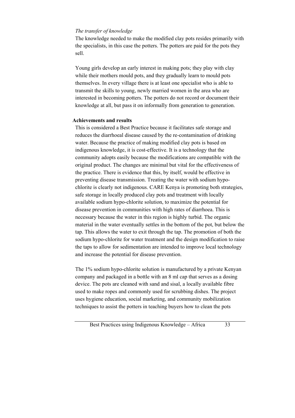#### *The transfer of knowledge*

The knowledge needed to make the modified clay pots resides primarily with the specialists, in this case the potters. The potters are paid for the pots they sell.

Young girls develop an early interest in making pots; they play with clay while their mothers mould pots, and they gradually learn to mould pots themselves. In every village there is at least one specialist who is able to transmit the skills to young, newly married women in the area who are interested in becoming potters. The potters do not record or document their knowledge at all, but pass it on informally from generation to generation.

#### **Achievements and results**

This is considered a Best Practice because it facilitates safe storage and reduces the diarrhoeal disease caused by the re-contamination of drinking water. Because the practice of making modified clay pots is based on indigenous knowledge, it is cost-effective. It is a technology that the community adopts easily because the modifications are compatible with the original product. The changes are minimal but vital for the effectiveness of the practice. There is evidence that this, by itself, would be effective in preventing disease transmission. Treating the water with sodium hypochlorite is clearly not indigenous. CARE Kenya is promoting both strategies, safe storage in locally produced clay pots and treatment with locally available sodium hypo-chlorite solution, to maximize the potential for disease prevention in communities with high rates of diarrhoea. This is necessary because the water in this region is highly turbid. The organic material in the water eventually settles in the bottom of the pot, but below the tap. This allows the water to exit through the tap. The promotion of both the sodium hypo-chlorite for water treatment and the design modification to raise the taps to allow for sedimentation are intended to improve local technology and increase the potential for disease prevention.

The 1% sodium hypo-chlorite solution is manufactured by a private Kenyan company and packaged in a bottle with an 8 ml cap that serves as a dosing device. The pots are cleaned with sand and sisal, a locally available fibre used to make ropes and commonly used for scrubbing dishes. The project uses hygiene education, social marketing, and community mobilization techniques to assist the potters in teaching buyers how to clean the pots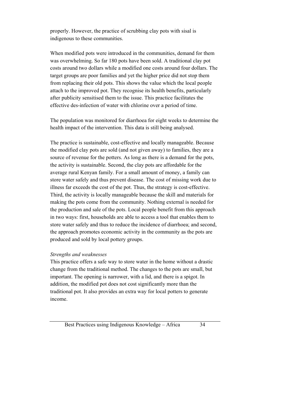properly. However, the practice of scrubbing clay pots with sisal is indigenous to these communities.

When modified pots were introduced in the communities, demand for them was overwhelming. So far 180 pots have been sold. A traditional clay pot costs around two dollars while a modified one costs around four dollars. The target groups are poor families and yet the higher price did not stop them from replacing their old pots. This shows the value which the local people attach to the improved pot. They recognise its health benefits, particularly after publicity sensitised them to the issue. This practice facilitates the effective des-infection of water with chlorine over a period of time.

The population was monitored for diarrhoea for eight weeks to determine the health impact of the intervention. This data is still being analysed.

The practice is sustainable, cost-effective and locally manageable. Because the modified clay pots are sold (and not given away) to families, they are a source of revenue for the potters. As long as there is a demand for the pots, the activity is sustainable. Second, the clay pots are affordable for the average rural Kenyan family. For a small amount of money, a family can store water safely and thus prevent disease. The cost of missing work due to illness far exceeds the cost of the pot. Thus, the strategy is cost-effective. Third, the activity is locally manageable because the skill and materials for making the pots come from the community. Nothing external is needed for the production and sale of the pots. Local people benefit from this approach in two ways: first, households are able to access a tool that enables them to store water safely and thus to reduce the incidence of diarrhoea; and second, the approach promotes economic activity in the community as the pots are produced and sold by local pottery groups.

#### *Strengths and weaknesses*

This practice offers a safe way to store water in the home without a drastic change from the traditional method. The changes to the pots are small, but important. The opening is narrower, with a lid, and there is a spigot. In addition, the modified pot does not cost significantly more than the traditional pot. It also provides an extra way for local potters to generate income.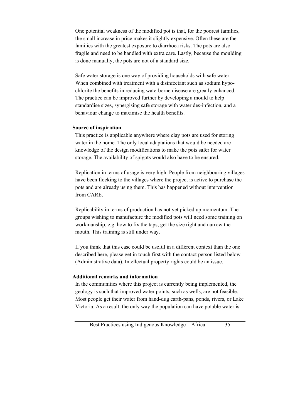One potential weakness of the modified pot is that, for the poorest families, the small increase in price makes it slightly expensive. Often these are the families with the greatest exposure to diarrhoea risks. The pots are also fragile and need to be handled with extra care. Lastly, because the moulding is done manually, the pots are not of a standard size.

Safe water storage is one way of providing households with safe water. When combined with treatment with a disinfectant such as sodium hypochlorite the benefits in reducing waterborne disease are greatly enhanced. The practice can be improved further by developing a mould to help standardise sizes, synergising safe storage with water des-infection, and a behaviour change to maximise the health benefits.

#### **Source of inspiration**

This practice is applicable anywhere where clay pots are used for storing water in the home. The only local adaptations that would be needed are knowledge of the design modifications to make the pots safer for water storage. The availability of spigots would also have to be ensured.

Replication in terms of usage is very high. People from neighbouring villages have been flocking to the villages where the project is active to purchase the pots and are already using them. This has happened without intervention from CARE.

Replicability in terms of production has not yet picked up momentum. The groups wishing to manufacture the modified pots will need some training on workmanship, e.g. how to fix the taps, get the size right and narrow the mouth. This training is still under way.

If you think that this case could be useful in a different context than the one described here, please get in touch first with the contact person listed below (Administrative data). Intellectual property rights could be an issue.

#### **Additional remarks and information**

In the communities where this project is currently being implemented, the geology is such that improved water points, such as wells, are not feasible. Most people get their water from hand-dug earth-pans, ponds, rivers, or Lake Victoria. As a result, the only way the population can have potable water is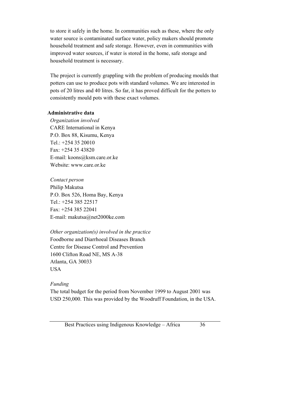to store it safely in the home. In communities such as these, where the only water source is contaminated surface water, policy makers should promote household treatment and safe storage. However, even in communities with improved water sources, if water is stored in the home, safe storage and household treatment is necessary.

The project is currently grappling with the problem of producing moulds that potters can use to produce pots with standard volumes. We are interested in pots of 20 litres and 40 litres. So far, it has proved difficult for the potters to consistently mould pots with these exact volumes.

#### **Administrative data**

*Organization involved*  CARE International in Kenya P.O. Box 88, Kisumu, Kenya Tel.: +254 35 20010 Fax: +254 35 43820 E-mail: koons@ksm.care.or.ke Website: www.care.or.ke

*Contact person*  Philip Makutsa P.O. Box 526, Homa Bay, Kenya Tel.: +254 385 22517 Fax: +254 385 22041 E-mail: makutsa@net2000ke.com

*Other organization(s) involved in the practice*  Foodborne and Diarrhoeal Diseases Branch Centre for Disease Control and Prevention 1600 Clifton Road NE, MS A-38 Atlanta, GA 30033 USA

#### *Funding*

The total budget for the period from November 1999 to August 2001 was USD 250,000. This was provided by the Woodruff Foundation, in the USA.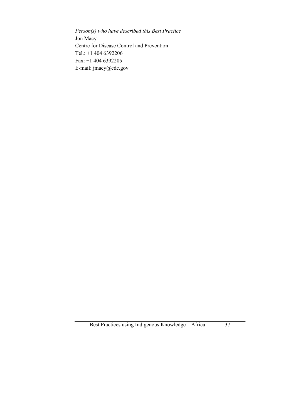*Person(s) who have described this Best Practice*  Jon Macy Centre for Disease Control and Prevention Tel.: +1 404 6392206 Fax: +1 404 6392205 E-mail: jmacy@cdc.gov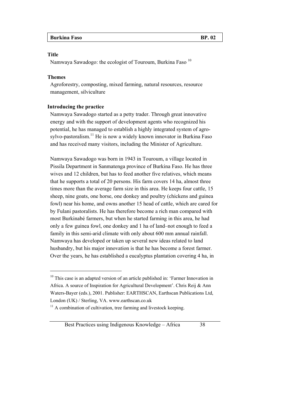| <b>Burkina Faso</b> | <b>BP.02</b> |
|---------------------|--------------|
|---------------------|--------------|

#### **Title**

Namwaya Sawadogo: the ecologist of Touroum, Burkina Faso<sup>10</sup>

#### **Themes**

l

Agroforestry, composting, mixed farming, natural resources, resource management, silviculture

## **Introducing the practice**

Namwaya Sawadogo started as a petty trader. Through great innovative energy and with the support of development agents who recognized his potential, he has managed to establish a highly integrated system of agrosylvo-pastoralism.<sup>11</sup> He is now a widely known innovator in Burkina Faso and has received many visitors, including the Minister of Agriculture.

Namwaya Sawadogo was born in 1943 in Touroum, a village located in Pissila Department in Sanmatenga province of Burkina Faso. He has three wives and 12 children, but has to feed another five relatives, which means that he supports a total of 20 persons. His farm covers 14 ha, almost three times more than the average farm size in this area. He keeps four cattle, 15 sheep, nine goats, one horse, one donkey and poultry (chickens and guinea fowl) near his home, and owns another 15 head of cattle, which are cared for by Fulani pastoralists. He has therefore become a rich man compared with most Burkinabé farmers, but when he started farming in this area, he had only a few guinea fowl, one donkey and 1 ha of land–not enough to feed a family in this semi-arid climate with only about 600 mm annual rainfall. Namwaya has developed or taken up several new ideas related to land husbandry, but his major innovation is that he has become a forest farmer. Over the years, he has established a eucalyptus plantation covering 4 ha, in

 $10$  This case is an adapted version of an article published in: 'Farmer Innovation in Africa. A source of Inspiration for Agricultural Development'. Chris Reij & Ann Waters-Bayer (eds.), 2001. Publisher: EARTHSCAN, Earthscan Publications Ltd, London (UK) / Sterling, VA. www.earthscan.co.uk

 $11$  A combination of cultivation, tree farming and livestock keeping.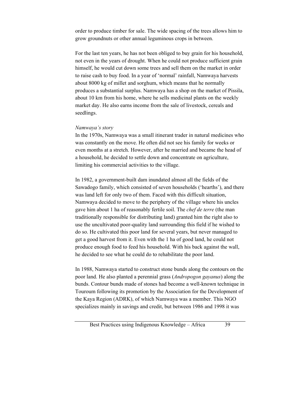order to produce timber for sale. The wide spacing of the trees allows him to grow groundnuts or other annual leguminous crops in between.

For the last ten years, he has not been obliged to buy grain for his household, not even in the years of drought. When he could not produce sufficient grain himself, he would cut down some trees and sell them on the market in order to raise cash to buy food. In a year of 'normal' rainfall, Namwaya harvests about 8000 kg of millet and sorghum, which means that he normally produces a substantial surplus. Namwaya has a shop on the market of Pissila, about 10 km from his home, where he sells medicinal plants on the weekly market day. He also earns income from the sale of livestock, cereals and seedlings.

## *Namwaya's story*

In the 1970s, Namwaya was a small itinerant trader in natural medicines who was constantly on the move. He often did not see his family for weeks or even months at a stretch. However, after he married and became the head of a household, he decided to settle down and concentrate on agriculture, limiting his commercial activities to the village.

In 1982, a government-built dam inundated almost all the fields of the Sawadogo family, which consisted of seven households ('hearths'), and there was land left for only two of them. Faced with this difficult situation, Namwaya decided to move to the periphery of the village where his uncles gave him about 1 ha of reasonably fertile soil. The *chef de terre* (the man traditionally responsible for distributing land) granted him the right also to use the uncultivated poor-quality land surrounding this field if he wished to do so. He cultivated this poor land for several years, but never managed to get a good harvest from it. Even with the 1 ha of good land, he could not produce enough food to feed his household. With his back against the wall, he decided to see what he could do to rehabilitate the poor land.

In 1988, Namwaya started to construct stone bunds along the contours on the poor land. He also planted a perennial grass (*Andropogon gayanus*) along the bunds. Contour bunds made of stones had become a well-known technique in Touroum following its promotion by the Association for the Development of the Kaya Region (ADRK), of which Namwaya was a member. This NGO specializes mainly in savings and credit, but between 1986 and 1998 it was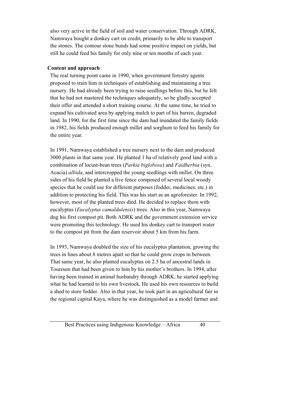also very active in the field of soil and water conservation. Through ADRK, Namwaya bought a donkey cart on credit, primarily to be able to transport the stones. The contour stone bunds had some positive impact on yields, but still he could feed his family for only nine or ten months of each year.

## **Content and approach**

The real turning point came in 1990, when government forestry agents proposed to train him in techniques of establishing and maintaining a tree nursery. He had already been trying to raise seedlings before this, but he felt that he had not mastered the techniques adequately, so he gladly accepted their offer and attended a short training course. At the same time, he tried to expand his cultivated area by applying mulch to part of his barren, degraded land. In 1990, for the first time since the dam had inundated the family fields in 1982, his fields produced enough millet and sorghum to feed his family for the entire year.

In 1991, Namwaya established a tree nursery next to the dam and produced 3000 plants in that same year. He planted 1 ha of relatively good land with a combination of locust-bean trees (*Parkia biglobosa*) and *Faidherbia* (syn. Acacia) *albida*, and intercropped the young seedlings with millet. On three sides of his field he planted a live fence composed of several local woody species that he could use for different purposes (fodder, medicines, etc.) in addition to protecting his field. This was his start as an agroforester. In 1992, however, most of the planted trees died. He decided to replace them with eucalyptus (*Eucalyptus camaldulensis*) trees. Also in this year, Namwaya dug his first compost pit. Both ADRK and the government extension service were promoting this technology. He used his donkey cart to transport water to the compost pit from the dam reservoir about 5 km from his farm.

In 1993, Namwaya doubled the size of his eucalyptus plantation, growing the trees in lines about 8 metres apart so that he could grow crops in between. That same year, he also planted eucalyptus on 2.5 ha of ancestral lands in Touroum that had been given to him by his mother's brothers. In 1994, after having been trained in animal husbandry through ADRK, he started applying what he had learned to his own livestock. He used his own resources to build a shed to store fodder. Also in that year, he took part in an agricultural fair in the regional capital Kaya, where he was distinguished as a model farmer and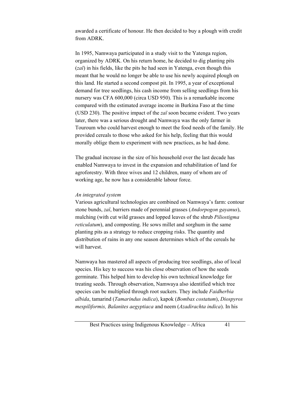awarded a certificate of honour. He then decided to buy a plough with credit from ADRK.

In 1995, Namwaya participated in a study visit to the Yatenga region, organized by ADRK. On his return home, he decided to dig planting pits (*zaï*) in his fields, like the pits he had seen in Yatenga, even though this meant that he would no longer be able to use his newly acquired plough on this land. He started a second compost pit. In 1995, a year of exceptional demand for tree seedlings, his cash income from selling seedlings from his nursery was CFA 600,000 (circa USD 950). This is a remarkable income compared with the estimated average income in Burkina Faso at the time (USD 230). The positive impact of the *zaï* soon became evident. Two years later, there was a serious drought and Namwaya was the only farmer in Touroum who could harvest enough to meet the food needs of the family. He provided cereals to those who asked for his help, feeling that this would morally oblige them to experiment with new practices, as he had done.

The gradual increase in the size of his household over the last decade has enabled Namwaya to invest in the expansion and rehabilitation of land for agroforestry. With three wives and 12 children, many of whom are of working age, he now has a considerable labour force.

#### *An integrated system*

Various agricultural technologies are combined on Namwaya's farm: contour stone bunds, *zaï*, barriers made of perennial grasses (*Andorpogon gayanus*), mulching (with cut wild grasses and lopped leaves of the shrub *Piliostigma reticulatum*), and composting. He sows millet and sorghum in the same planting pits as a strategy to reduce cropping risks. The quantity and distribution of rains in any one season determines which of the cereals he will harvest.

Namwaya has mastered all aspects of producing tree seedlings, also of local species. His key to success was his close observation of how the seeds germinate. This helped him to develop his own technical knowledge for treating seeds. Through observation, Namwaya also identified which tree species can be multiplied through root suckers. They include *Faidherbia albida*, tamarind (*Tamarindus indica*), kapok (*Bombax costatum*), *Diospyros mespiliformis, Balanites aegyptiaca* and neem (*Azadirachta indica*). In his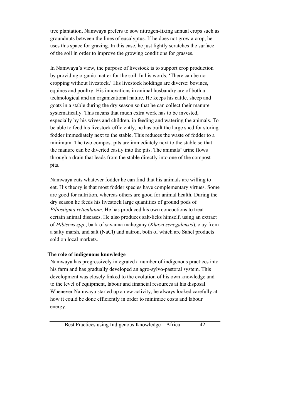tree plantation, Namwaya prefers to sow nitrogen-fixing annual crops such as groundnuts between the lines of eucalyptus. If he does not grow a crop, he uses this space for grazing. In this case, he just lightly scratches the surface of the soil in order to improve the growing conditions for grasses.

In Namwaya's view, the purpose of livestock is to support crop production by providing organic matter for the soil. In his words, 'There can be no cropping without livestock.' His livestock holdings are diverse: bovines, equines and poultry. His innovations in animal husbandry are of both a technological and an organizational nature. He keeps his cattle, sheep and goats in a stable during the dry season so that he can collect their manure systematically. This means that much extra work has to be invested, especially by his wives and children, in feeding and watering the animals. To be able to feed his livestock efficiently, he has built the large shed for storing fodder immediately next to the stable. This reduces the waste of fodder to a minimum. The two compost pits are immediately next to the stable so that the manure can be diverted easily into the pits. The animals' urine flows through a drain that leads from the stable directly into one of the compost pits.

Namwaya cuts whatever fodder he can find that his animals are willing to eat. His theory is that most fodder species have complementary virtues. Some are good for nutrition, whereas others are good for animal health. During the dry season he feeds his livestock large quantities of ground pods of *Piliostigma reticulatum*. He has produced his own concoctions to treat certain animal diseases. He also produces salt-licks himself, using an extract of *Hibiscus spp*., bark of savanna mahogany (*Khaya senegalensis*), clay from a salty marsh, and salt (NaCl) and natron, both of which are Sahel products sold on local markets.

## **The role of indigenous knowledge**

Namwaya has progressively integrated a number of indigenous practices into his farm and has gradually developed an agro-sylvo-pastoral system. This development was closely linked to the evolution of his own knowledge and to the level of equipment, labour and financial resources at his disposal. Whenever Namwaya started up a new activity, he always looked carefully at how it could be done efficiently in order to minimize costs and labour energy.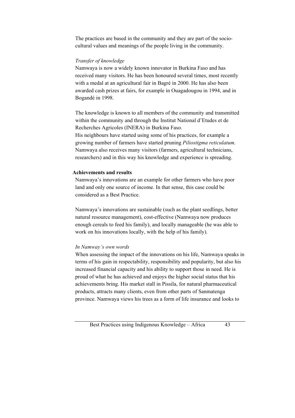The practices are based in the community and they are part of the sociocultural values and meanings of the people living in the community.

# *Transfer of knowledge*

Namwaya is now a widely known innovator in Burkina Faso and has received many visitors. He has been honoured several times, most recently with a medal at an agricultural fair in Bagré in 2000. He has also been awarded cash prizes at fairs, for example in Ouagadougou in 1994, and in Bogandé in 1998.

The knowledge is known to all members of the community and transmitted within the community and through the Institut National d'Etudes et de Recherches Agricoles (INERA) in Burkina Faso.

His neighbours have started using some of his practices, for example a growing number of farmers have started pruning *Piliostigma reticulatum*. Namwaya also receives many visitors (farmers, agricultural technicians, researchers) and in this way his knowledge and experience is spreading.

# **Achievements and results**

Namwaya's innovations are an example for other farmers who have poor land and only one source of income. In that sense, this case could be considered as a Best Practice.

Namwaya's innovations are sustainable (such as the plant seedlings, better natural resource management), cost-effective (Namwaya now produces enough cereals to feed his family), and locally manageable (he was able to work on his innovations locally, with the help of his family).

# *In Namway's own words*

When assessing the impact of the innovations on his life, Namwaya speaks in terms of his gain in respectability, responsibility and popularity, but also his increased financial capacity and his ability to support those in need. He is proud of what he has achieved and enjoys the higher social status that his achievements bring. His market stall in Pissila, for natural pharmaceutical products, attracts many clients, even from other parts of Sanmatenga province. Namwaya views his trees as a form of life insurance and looks to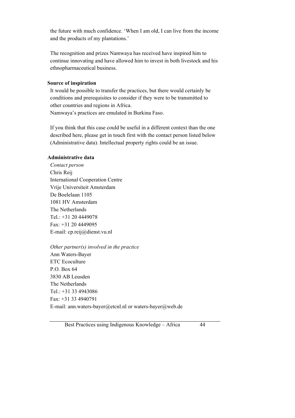the future with much confidence. 'When I am old, I can live from the income and the products of my plantations.'

The recognition and prizes Namwaya has received have inspired him to continue innovating and have allowed him to invest in both livestock and his ethnopharmaceutical business.

## **Source of inspiration**

It would be possible to transfer the practices, but there would certainly be conditions and prerequisites to consider if they were to be transmitted to other countries and regions in Africa. Namwaya's practices are emulated in Burkina Faso.

If you think that this case could be useful in a different context than the one described here, please get in touch first with the contact person listed below (Administrative data). Intellectual property rights could be an issue.

#### **Administrative data**

*Contact person*  Chris Reij International Cooperation Centre Vrije Universiteit Amsterdam De Boelelaan 1105 1081 HV Amsterdam The Netherlands Tel.: +31 20 4449078 Fax: +31 20 4449095 E-mail: cp.reij@dienst.vu.nl

*Other partner(s) involved in the practice*  Ann Waters-Bayer ETC Ecoculture P.O. Box 64 3830 AB Leusden The Netherlands  $Tel + 31 33 4943086$ Fax: +31 33 4940791 E-mail: ann.waters-bayer@etcnl.nl or waters-bayer@web.de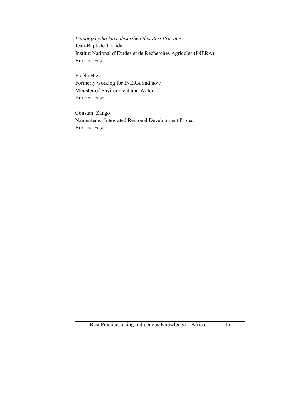*Person(s) who have described this Best Practice*  Jean-Baptiste Taonda Institut National d'Etudes et de Recherches Agricoles (INERA) Burkina Faso

Fidèle Hien Formerly working for INERA and now Minister of Environment and Water Burkina Faso

Constant Zango Namentenga Integrated Regional Development Project Burkina Faso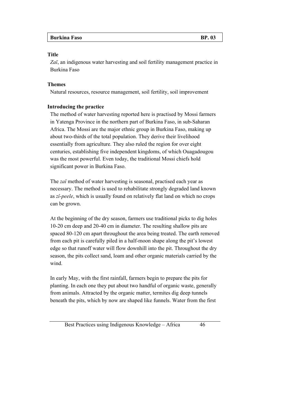| <b>Burkina Faso</b><br><b>BP.03</b> |
|-------------------------------------|
|-------------------------------------|

## **Title**

*Zaï*, an indigenous water harvesting and soil fertility management practice in Burkina Faso

## **Themes**

Natural resources, resource management, soil fertility, soil improvement

## **Introducing the practice**

The method of water harvesting reported here is practised by Mossi farmers in Yatenga Province in the northern part of Burkina Faso, in sub-Saharan Africa. The Mossi are the major ethnic group in Burkina Faso, making up about two-thirds of the total population. They derive their livelihood essentially from agriculture. They also ruled the region for over eight centuries, establishing five independent kingdoms, of which Ouagadougou was the most powerful. Even today, the traditional Mossi chiefs hold significant power in Burkina Faso.

The *zaï* method of water harvesting is seasonal, practised each year as necessary. The method is used to rehabilitate strongly degraded land known as *zî-peele*, which is usually found on relatively flat land on which no crops can be grown.

At the beginning of the dry season, farmers use traditional picks to dig holes 10-20 cm deep and 20-40 cm in diameter. The resulting shallow pits are spaced 80-120 cm apart throughout the area being treated. The earth removed from each pit is carefully piled in a half-moon shape along the pit's lowest edge so that runoff water will flow downhill into the pit. Throughout the dry season, the pits collect sand, loam and other organic materials carried by the wind.

In early May, with the first rainfall, farmers begin to prepare the pits for planting. In each one they put about two handful of organic waste, generally from animals. Attracted by the organic matter, termites dig deep tunnels beneath the pits, which by now are shaped like funnels. Water from the first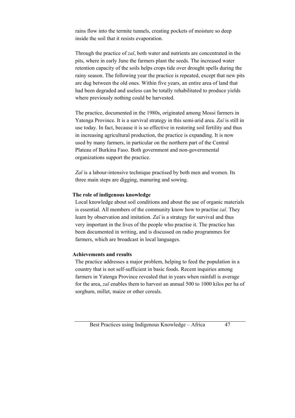rains flow into the termite tunnels, creating pockets of moisture so deep inside the soil that it resists evaporation.

Through the practice of *zaï*, both water and nutrients are concentrated in the pits, where in early June the farmers plant the seeds. The increased water retention capacity of the soils helps crops tide over drought spells during the rainy season. The following year the practice is repeated, except that new pits are dug between the old ones. Within five years, an entire area of land that had been degraded and useless can be totally rehabilitated to produce yields where previously nothing could be harvested.

The practice, documented in the 1980s, originated among Mossi farmers in Yatenga Province. It is a survival strategy in this semi-arid area. *Zaï* is still in use today. In fact, because it is so effective in restoring soil fertility and thus in increasing agricultural production, the practice is expanding. It is now used by many farmers, in particular on the northern part of the Central Plateau of Burkina Faso. Both government and non-governmental organizations support the practice.

*Zaï* is a labour-intensive technique practised by both men and women. Its three main steps are digging, manuring and sowing.

## **The role of indigenous knowledge**

Local knowledge about soil conditions and about the use of organic materials is essential. All members of the community know how to practise *zaï*. They learn by observation and imitation. *Zaï* is a strategy for survival and thus very important in the lives of the people who practise it. The practice has been documented in writing, and is discussed on radio programmes for farmers, which are broadcast in local languages.

#### **Achievements and results**

The practice addresses a major problem, helping to feed the population in a country that is not self-sufficient in basic foods. Recent inquiries among farmers in Yatenga Province revealed that in years when rainfall is average for the area, *zaï* enables them to harvest an annual 500 to 1000 kilos per ha of sorghum, millet, maize or other cereals.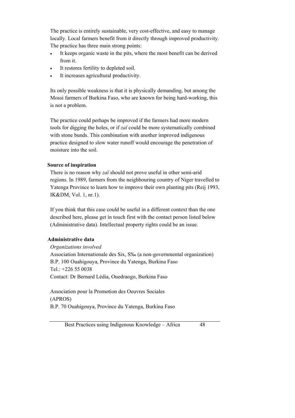The practice is entirely sustainable, very cost-effective, and easy to manage locally. Local farmers benefit from it directly through improved productivity. The practice has three main strong points:

- It keeps organic waste in the pits, where the most benefit can be derived from it.
- It restores fertility to depleted soil.
- It increases agricultural productivity.

Its only possible weakness is that it is physically demanding, but among the Mossi farmers of Burkina Faso, who are known for being hard-working, this is not a problem.

The practice could perhaps be improved if the farmers had more modern tools for digging the holes, or if *zaï* could be more systematically combined with stone bunds. This combination with another improved indigenous practice designed to slow water runoff would encourage the penetration of moisture into the soil.

# **Source of inspiration**

There is no reason why *zaï* should not prove useful in other semi-arid regions. In 1989, farmers from the neighbouring country of Niger travelled to Yatenga Province to learn how to improve their own planting pits (Reij 1993, IK&DM, Vol. 1, nr.1).

If you think that this case could be useful in a different context than the one described here, please get in touch first with the contact person listed below (Administrative data). Intellectual property rights could be an issue.

# **Administrative data**

*Organizations involved*  Association Internationale des Six, S‰ (a non-governmental organization) B.P. 100 Ouahigouya, Province du Yatenga, Burkina Faso Tel.: +226 55 0038 Contact: Dr Bernard Lédia, Ouedraogo, Burkina Faso

Association pour la Promotion des Oeuvres Sociales (APROS) B.P. 70 Ouahigouya, Province du Yatenga, Burkina Faso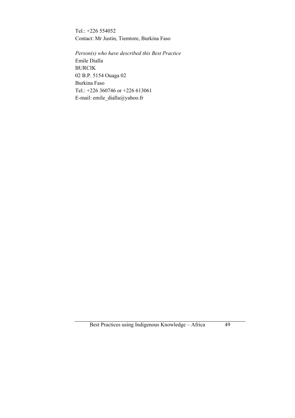Tel.: +226 554052 Contact: Mr Justin, Tiemtore, Burkina Faso

*Person(s) who have described this Best Practice*  Emile Dialla BURCIK 02 B.P. 5154 Ouaga 02 Burkina Faso Tel.: +226 360746 or +226 613061 E-mail: emile\_dialla@yahoo.fr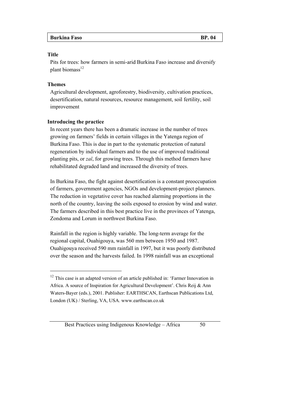| <b>Burkina Faso</b> | <b>BP.04</b> |
|---------------------|--------------|
|---------------------|--------------|

#### **Title**

Pits for trees: how farmers in semi-arid Burkina Faso increase and diversify plant biomass $12$ 

## **Themes**

l

Agricultural development, agroforestry, biodiversity, cultivation practices, desertification, natural resources, resource management, soil fertility, soil improvement

## **Introducing the practice**

In recent years there has been a dramatic increase in the number of trees growing on farmers' fields in certain villages in the Yatenga region of Burkina Faso. This is due in part to the systematic protection of natural regeneration by individual farmers and to the use of improved traditional planting pits, or *zaï*, for growing trees. Through this method farmers have rehabilitated degraded land and increased the diversity of trees.

In Burkina Faso, the fight against desertification is a constant preoccupation of farmers, government agencies, NGOs and development-project planners. The reduction in vegetative cover has reached alarming proportions in the north of the country, leaving the soils exposed to erosion by wind and water. The farmers described in this best practice live in the provinces of Yatenga, Zondoma and Lorum in northwest Burkina Faso.

Rainfall in the region is highly variable. The long-term average for the regional capital, Ouahigouya, was 560 mm between 1950 and 1987. Ouahigouya received 590 mm rainfall in 1997, but it was poorly distributed over the season and the harvests failed. In 1998 rainfall was an exceptional

<sup>&</sup>lt;sup>12</sup> This case is an adapted version of an article published in: 'Farmer Innovation in Africa. A source of Inspiration for Agricultural Development'. Chris Reij & Ann Waters-Bayer (eds.), 2001. Publisher: EARTHSCAN, Earthscan Publications Ltd, London (UK) / Sterling, VA, USA. www.earthscan.co.uk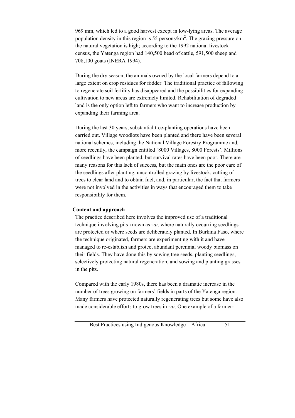969 mm, which led to a good harvest except in low-lying areas. The average population density in this region is 55 persons/ $km<sup>2</sup>$ . The grazing pressure on the natural vegetation is high; according to the 1992 national livestock census, the Yatenga region had 140,500 head of cattle, 591,500 sheep and 708,100 goats (INERA 1994).

During the dry season, the animals owned by the local farmers depend to a large extent on crop residues for fodder. The traditional practice of fallowing to regenerate soil fertility has disappeared and the possibilities for expanding cultivation to new areas are extremely limited. Rehabilitation of degraded land is the only option left to farmers who want to increase production by expanding their farming area.

During the last 30 years, substantial tree-planting operations have been carried out. Village woodlots have been planted and there have been several national schemes, including the National Village Forestry Programme and, more recently, the campaign entitled '8000 Villages, 8000 Forests'. Millions of seedlings have been planted, but survival rates have been poor. There are many reasons for this lack of success, but the main ones are the poor care of the seedlings after planting, uncontrolled grazing by livestock, cutting of trees to clear land and to obtain fuel, and, in particular, the fact that farmers were not involved in the activities in ways that encouraged them to take responsibility for them.

#### **Content and approach**

The practice described here involves the improved use of a traditional technique involving pits known as *zaï*, where naturally occurring seedlings are protected or where seeds are deliberately planted. In Burkina Faso, where the technique originated, farmers are experimenting with it and have managed to re-establish and protect abundant perennial woody biomass on their fields. They have done this by sowing tree seeds, planting seedlings, selectively protecting natural regeneration, and sowing and planting grasses in the pits.

Compared with the early 1980s, there has been a dramatic increase in the number of trees growing on farmers' fields in parts of the Yatenga region. Many farmers have protected naturally regenerating trees but some have also made considerable efforts to grow trees in *zaï*. One example of a farmer-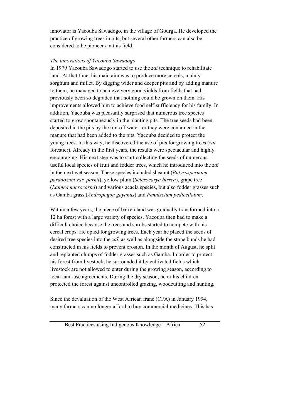innovator is Yacouba Sawadogo, in the village of Gourga. He developed the practice of growing trees in pits, but several other farmers can also be considered to be pioneers in this field.

#### *The innovations of Yacouba Sawadogo*

In 1979 Yacouba Sawadogo started to use the *zaï* technique to rehabilitate land. At that time, his main aim was to produce more cereals, mainly sorghum and millet. By digging wider and deeper pits and by adding manure to them, he managed to achieve very good yields from fields that had previously been so degraded that nothing could be grown on them. His improvements allowed him to achieve food self-sufficiency for his family. In addition, Yacouba was pleasantly surprised that numerous tree species started to grow spontaneously in the planting pits. The tree seeds had been deposited in the pits by the run-off water, or they were contained in the manure that had been added to the pits. Yacouba decided to protect the young trees. In this way, he discovered the use of pits for growing trees (*zaï* forestier). Already in the first years, the results were spectacular and highly encouraging. His next step was to start collecting the seeds of numerous useful local species of fruit and fodder trees, which he introduced into the *zaï* in the next wet season. These species included sheanut (*Butyrospermum paradoxum var. parkii*), yellow plum (*Sclerocarya birrea*), grape tree (*Lannea microcarpa*) and various acacia species, but also fodder grasses such as Gamba grass (*Andropogon gayanus*) and *Pennisetum pedicellatum*.

Within a few years, the piece of barren land was gradually transformed into a 12 ha forest with a large variety of species. Yacouba then had to make a difficult choice because the trees and shrubs started to compete with his cereal crops. He opted for growing trees. Each year he placed the seeds of desired tree species into the *zaï*, as well as alongside the stone bunds he had constructed in his fields to prevent erosion. In the month of August, he split and replanted clumps of fodder grasses such as Gamba. In order to protect his forest from livestock, he surrounded it by cultivated fields which livestock are not allowed to enter during the growing season, according to local land-use agreements. During the dry season, he or his children protected the forest against uncontrolled grazing, woodcutting and hunting.

Since the devaluation of the West African franc (CFA) in January 1994, many farmers can no longer afford to buy commercial medicines. This has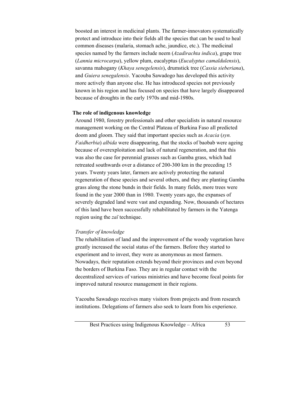boosted an interest in medicinal plants. The farmer-innovators systematically protect and introduce into their fields all the species that can be used to heal common diseases (malaria, stomach ache, jaundice, etc.). The medicinal species named by the farmers include neem (*Azadirachta indica*), grape tree (*Lannia microcarpa*), yellow plum, eucalyptus (*Eucalyptus camaldulensis*), savanna mahogany (*Khaya senegelensis*), drumstick tree (*Cassia sieberiana*), and *Guiera senegalensis*. Yacouba Sawadogo has developed this activity more actively than anyone else. He has introduced species not previously known in his region and has focused on species that have largely disappeared because of droughts in the early 1970s and mid-1980s.

#### **The role of indigenous knowledge**

Around 1980, forestry professionals and other specialists in natural resource management working on the Central Plateau of Burkina Faso all predicted doom and gloom. They said that important species such as *Acacia* (*syn. Faidherbia*) *albida* were disappearing, that the stocks of baobab were ageing because of overexploitation and lack of natural regeneration, and that this was also the case for perennial grasses such as Gamba grass, which had retreated southwards over a distance of 200-300 km in the preceding 15 years. Twenty years later, farmers are actively protecting the natural regeneration of these species and several others, and they are planting Gamba grass along the stone bunds in their fields. In many fields, more trees were found in the year 2000 than in 1980. Twenty years ago, the expanses of severely degraded land were vast and expanding. Now, thousands of hectares of this land have been successfully rehabilitated by farmers in the Yatenga region using the *zaï* technique.

#### *Transfer of knowledge*

The rehabilitation of land and the improvement of the woody vegetation have greatly increased the social status of the farmers. Before they started to experiment and to invest, they were as anonymous as most farmers. Nowadays, their reputation extends beyond their provinces and even beyond the borders of Burkina Faso. They are in regular contact with the decentralized services of various ministries and have become focal points for improved natural resource management in their regions.

Yacouba Sawadogo receives many visitors from projects and from research institutions. Delegations of farmers also seek to learn from his experience.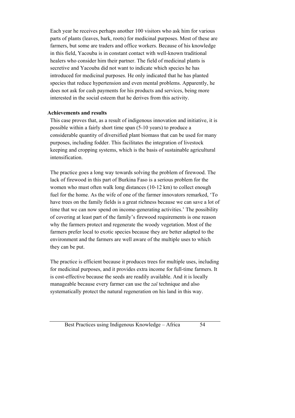Each year he receives perhaps another 100 visitors who ask him for various parts of plants (leaves, bark, roots) for medicinal purposes. Most of these are farmers, but some are traders and office workers. Because of his knowledge in this field, Yacouba is in constant contact with well-known traditional healers who consider him their partner. The field of medicinal plants is secretive and Yacouba did not want to indicate which species he has introduced for medicinal purposes. He only indicated that he has planted species that reduce hypertension and even mental problems. Apparently, he does not ask for cash payments for his products and services, being more interested in the social esteem that he derives from this activity.

#### **Achievements and results**

This case proves that, as a result of indigenous innovation and initiative, it is possible within a fairly short time span (5-10 years) to produce a considerable quantity of diversified plant biomass that can be used for many purposes, including fodder. This facilitates the integration of livestock keeping and cropping systems, which is the basis of sustainable agricultural intensification.

The practice goes a long way towards solving the problem of firewood. The lack of firewood in this part of Burkina Faso is a serious problem for the women who must often walk long distances (10-12 km) to collect enough fuel for the home. As the wife of one of the farmer innovators remarked, 'To have trees on the family fields is a great richness because we can save a lot of time that we can now spend on income-generating activities.' The possibility of covering at least part of the family's firewood requirements is one reason why the farmers protect and regenerate the woody vegetation. Most of the farmers prefer local to exotic species because they are better adapted to the environment and the farmers are well aware of the multiple uses to which they can be put.

The practice is efficient because it produces trees for multiple uses, including for medicinal purposes, and it provides extra income for full-time farmers. It is cost-effective because the seeds are readily available. And it is locally manageable because every farmer can use the *zaï* technique and also systematically protect the natural regeneration on his land in this way.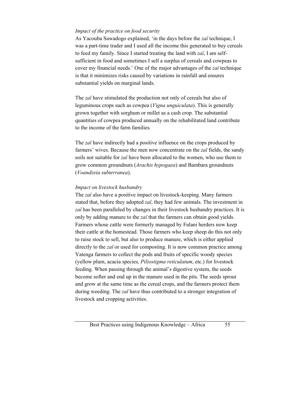## *Impact of the practice on food security*

As Yacouba Sawadogo explained, 'in the days before the *zaï* technique, I was a part-time trader and I used all the income this generated to buy cereals to feed my family. Since I started treating the land with *zaï*, I am selfsufficient in food and sometimes I sell a surplus of cereals and cowpeas to cover my financial needs.' One of the major advantages of the *zaï* technique is that it minimizes risks caused by variations in rainfall and ensures substantial yields on marginal lands.

The *zaï* have stimulated the production not only of cereals but also of leguminous crops such as cowpea (*Vigna unguiculata*). This is generally grown together with sorghum or millet as a cash crop. The substantial quantities of cowpea produced annually on the rehabilitated land contribute to the income of the farm families.

The *zaï* have indirectly had a positive influence on the crops produced by farmers' wives. Because the men now concentrate on the *zaï* fields, the sandy soils not suitable for *zaï* have been allocated to the women, who use them to grow common groundnuts (*Arachis hypogaea*) and Bambara groundnuts (*Voandzeia subterranea*).

#### *Impact on livestock husbandry*

The *zaï* also have a positive impact on livestock-keeping. Many farmers stated that, before they adopted *zaï*, they had few animals. The investment in *zaï* has been paralleled by changes in their livestock husbandry practices. It is only by adding manure to the *zaï* that the farmers can obtain good yields. Farmers whose cattle were formerly managed by Fulani herders now keep their cattle at the homestead. Those farmers who keep sheep do this not only to raise stock to sell, but also to produce manure, which is either applied directly to the *zaï* or used for composting. It is now common practice among Yatenga farmers to collect the pods and fruits of specific woody species (yellow plum, acacia species*, Piliostigma reticulatum*, etc.) for livestock feeding. When passing through the animal's digestive system, the seeds become softer and end up in the manure used in the pits. The seeds sprout and grow at the same time as the cereal crops, and the farmers protect them during weeding. The *zaï* have thus contributed to a stronger integration of livestock and cropping activities.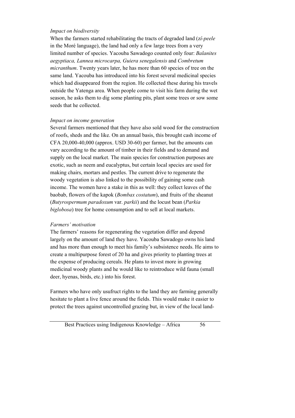#### *Impact on biodiversity*

When the farmers started rehabilitating the tracts of degraded land (z*î-peele* in the Moré language), the land had only a few large trees from a very limited number of species. Yacouba Sawadogo counted only four: *Balanites aegyptiaca, Lannea microcarpa, Guiera senegalensis* and *Combretum micranthum*. Twenty years later, he has more than 60 species of tree on the same land. Yacouba has introduced into his forest several medicinal species which had disappeared from the region. He collected these during his travels outside the Yatenga area. When people come to visit his farm during the wet season, he asks them to dig some planting pits, plant some trees or sow some seeds that he collected.

#### *Impact on income generation*

Several farmers mentioned that they have also sold wood for the construction of roofs, sheds and the like. On an annual basis, this brought cash income of CFA 20,000-40,000 (approx. USD 30-60) per farmer, but the amounts can vary according to the amount of timber in their fields and to demand and supply on the local market. The main species for construction purposes are exotic, such as neem and eucalyptus, but certain local species are used for making chairs, mortars and pestles. The current drive to regenerate the woody vegetation is also linked to the possibility of gaining some cash income. The women have a stake in this as well: they collect leaves of the baobab, flowers of the kapok (*Bombax costatum*), and fruits of the sheanut (*Butyrospermum paradoxum* var. *parkii*) and the locust bean (*Parkia biglobosa*) tree for home consumption and to sell at local markets.

## *Farmers' motivation*

The farmers' reasons for regenerating the vegetation differ and depend largely on the amount of land they have. Yacouba Sawadogo owns his land and has more than enough to meet his family's subsistence needs. He aims to create a multipurpose forest of 20 ha and gives priority to planting trees at the expense of producing cereals. He plans to invest more in growing medicinal woody plants and he would like to reintroduce wild fauna (small deer, hyenas, birds, etc.) into his forest.

Farmers who have only usufruct rights to the land they are farming generally hesitate to plant a live fence around the fields. This would make it easier to protect the trees against uncontrolled grazing but, in view of the local land-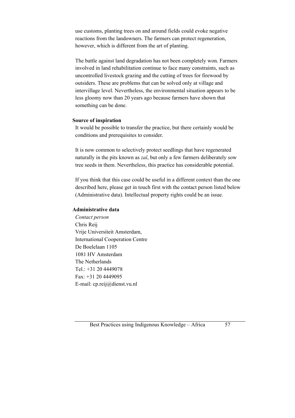use customs, planting trees on and around fields could evoke negative reactions from the landowners. The farmers can protect regeneration, however, which is different from the art of planting.

The battle against land degradation has not been completely won. Farmers involved in land rehabilitation continue to face many constraints, such as uncontrolled livestock grazing and the cutting of trees for firewood by outsiders. These are problems that can be solved only at village and intervillage level. Nevertheless, the environmental situation appears to be less gloomy now than 20 years ago because farmers have shown that something can be done.

#### **Source of inspiration**

It would be possible to transfer the practice, but there certainly would be conditions and prerequisites to consider.

It is now common to selectively protect seedlings that have regenerated naturally in the pits known as *zaï*, but only a few farmers deliberately sow tree seeds in them. Nevertheless, this practice has considerable potential.

If you think that this case could be useful in a different context than the one described here, please get in touch first with the contact person listed below (Administrative data). Intellectual property rights could be an issue.

#### **Administrative data**

*Contact person*  Chris Reij Vrije Universiteit Amsterdam, International Cooperation Centre De Boelelaan 1105 1081 HV Amsterdam The Netherlands Tel.: +31 20 4449078 Fax: +31 20 4449095 E-mail: cp.reij@dienst.vu.nl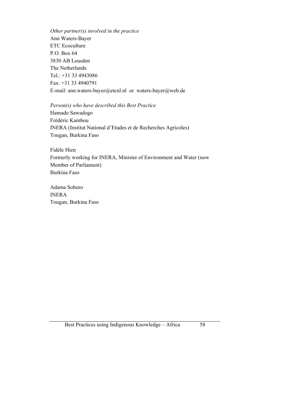*Other partner(s) involved in the practice*  Ann Waters-Bayer ETC Ecoculture P.O. Box 64 3830 AB Leusden The Netherlands Tel.: +31 33 4943086 Fax: +31 33 4940791 E-mail: ann.waters-bayer@etcnl.nl or waters-bayer@web.de

*Person(s) who have described this Best Practice*  Hamado Sawadogo Frédéric Kambou INERA (Institut National d'Etudes et de Recherches Agricoles) Tougan, Burkina Faso

Fidèle Hien Formerly working for INERA, Minister of Environment and Water (now Member of Parliament) Burkina Faso

Adama Sohoro INERA Tougan, Burkina Faso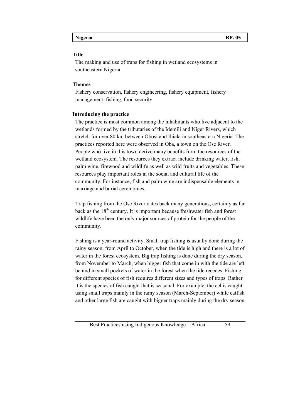#### **Title**

The making and use of traps for fishing in wetland ecosystems in southeastern Nigeria

## **Themes**

Fishery conservation, fishery engineering, fishery equipment, fishery management, fishing, food security

#### **Introducing the practice**

The practice is most common among the inhabitants who live adjacent to the wetlands formed by the tributaries of the Idemili and Niger Rivers, which stretch for over 80 km between Obosi and Ihiala in southeastern Nigeria. The practices reported here were observed in Oba, a town on the Ose River. People who live in this town derive many benefits from the resources of the wetland ecosystem. The resources they extract include drinking water, fish, palm wine, firewood and wildlife as well as wild fruits and vegetables. These resources play important roles in the social and cultural life of the community. For instance, fish and palm wine are indispensable elements in marriage and burial ceremonies.

Trap fishing from the Ose River dates back many generations, certainly as far back as the  $18<sup>th</sup>$  century. It is important because freshwater fish and forest wildlife have been the only major sources of protein for the people of the community.

Fishing is a year-round activity. Small trap fishing is usually done during the rainy season, from April to October, when the tide is high and there is a lot of water in the forest ecosystem. Big trap fishing is done during the dry season, from November to March, when bigger fish that come in with the tide are left behind in small pockets of water in the forest when the tide recedes. Fishing for different species of fish requires different sizes and types of traps. Rather it is the species of fish caught that is seasonal. For example, the eel is caught using small traps mainly in the rainy season (March-September) while catfish and other large fish are caught with bigger traps mainly during the dry season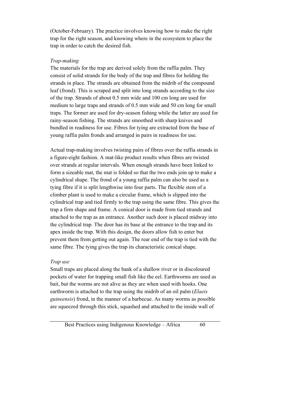(October-February). The practice involves knowing how to make the right trap for the right season, and knowing where in the ecosystem to place the trap in order to catch the desired fish.

## *Trap-making*

The materials for the trap are derived solely from the raffia palm. They consist of solid strands for the body of the trap and fibres for holding the strands in place. The strands are obtained from the midrib of the compound leaf (frond). This is scraped and split into long strands according to the size of the trap. Strands of about 0.5 mm wide and 100 cm long are used for medium to large traps and strands of 0.5 mm wide and 50 cm long for small traps. The former are used for dry-season fishing while the latter are used for rainy-season fishing. The strands are smoothed with sharp knives and bundled in readiness for use. Fibres for tying are extracted from the base of young raffia palm fronds and arranged in pairs in readiness for use.

Actual trap-making involves twisting pairs of fibres over the raffia strands in a figure-eight fashion. A mat-like product results when fibres are twisted over strands at regular intervals. When enough strands have been linked to form a sizeable mat, the mat is folded so that the two ends join up to make a cylindrical shape. The frond of a young raffia palm can also be used as a tying fibre if it is split lengthwise into four parts. The flexible stem of a climber plant is used to make a circular frame, which is slipped into the cylindrical trap and tied firmly to the trap using the same fibre. This gives the trap a firm shape and frame. A conical door is made from tied strands and attached to the trap as an entrance. Another such door is placed midway into the cylindrical trap. The door has its base at the entrance to the trap and its apex inside the trap. With this design, the doors allow fish to enter but prevent them from getting out again. The rear end of the trap is tied with the same fibre. The tying gives the trap its characteristic conical shape.

# *Trap use*

Small traps are placed along the bank of a shallow river or in discoloured pockets of water for trapping small fish like the eel. Earthworms are used as bait, but the worms are not alive as they are when used with hooks. One earthworm is attached to the trap using the midrib of an oil palm (*Elaeis guineensis*) frond, in the manner of a barbecue. As many worms as possible are squeezed through this stick, squashed and attached to the inside wall of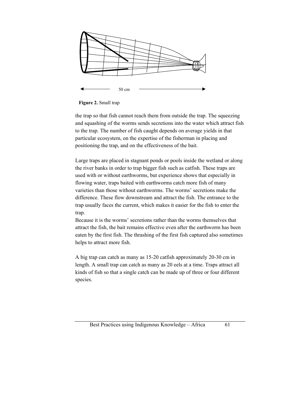

**Figure 2.** Small trap

the trap so that fish cannot reach them from outside the trap. The squeezing and squashing of the worms sends secretions into the water which attract fish to the trap. The number of fish caught depends on average yields in that particular ecosystem, on the expertise of the fisherman in placing and positioning the trap, and on the effectiveness of the bait.

Large traps are placed in stagnant ponds or pools inside the wetland or along the river banks in order to trap bigger fish such as catfish. These traps are used with or without earthworms, but experience shows that especially in flowing water, traps baited with earthworms catch more fish of many varieties than those without earthworms. The worms' secretions make the difference. These flow downstream and attract the fish. The entrance to the trap usually faces the current, which makes it easier for the fish to enter the trap.

Because it is the worms' secretions rather than the worms themselves that attract the fish, the bait remains effective even after the earthworm has been eaten by the first fish. The thrashing of the first fish captured also sometimes helps to attract more fish.

A big trap can catch as many as 15-20 catfish approximately 20-30 cm in length. A small trap can catch as many as 20 eels at a time. Traps attract all kinds of fish so that a single catch can be made up of three or four different species.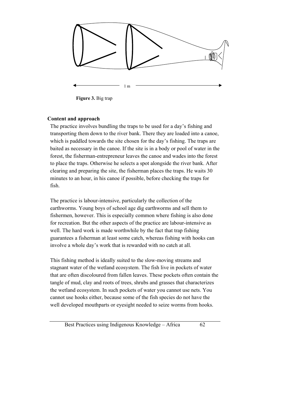

**Figure 3.** Big trap

## **Content and approach**

The practice involves bundling the traps to be used for a day's fishing and transporting them down to the river bank. There they are loaded into a canoe, which is paddled towards the site chosen for the day's fishing. The traps are baited as necessary in the canoe. If the site is in a body or pool of water in the forest, the fisherman-entrepreneur leaves the canoe and wades into the forest to place the traps. Otherwise he selects a spot alongside the river bank. After clearing and preparing the site, the fisherman places the traps. He waits 30 minutes to an hour, in his canoe if possible, before checking the traps for fish.

The practice is labour-intensive, particularly the collection of the earthworms. Young boys of school age dig earthworms and sell them to fishermen, however. This is especially common where fishing is also done for recreation. But the other aspects of the practice are labour-intensive as well. The hard work is made worthwhile by the fact that trap fishing guarantees a fisherman at least some catch, whereas fishing with hooks can involve a whole day's work that is rewarded with no catch at all.

This fishing method is ideally suited to the slow-moving streams and stagnant water of the wetland ecosystem. The fish live in pockets of water that are often discoloured from fallen leaves. These pockets often contain the tangle of mud, clay and roots of trees, shrubs and grasses that characterizes the wetland ecosystem. In such pockets of water you cannot use nets. You cannot use hooks either, because some of the fish species do not have the well developed mouthparts or eyesight needed to seize worms from hooks.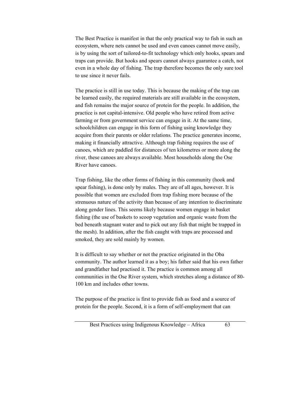The Best Practice is manifest in that the only practical way to fish in such an ecosystem, where nets cannot be used and even canoes cannot move easily, is by using the sort of tailored-to-fit technology which only hooks, spears and traps can provide. But hooks and spears cannot always guarantee a catch, not even in a whole day of fishing. The trap therefore becomes the only sure tool to use since it never fails.

The practice is still in use today. This is because the making of the trap can be learned easily, the required materials are still available in the ecosystem, and fish remains the major source of protein for the people. In addition, the practice is not capital-intensive. Old people who have retired from active farming or from government service can engage in it. At the same time, schoolchildren can engage in this form of fishing using knowledge they acquire from their parents or older relations. The practice generates income, making it financially attractive. Although trap fishing requires the use of canoes, which are paddled for distances of ten kilometres or more along the river, these canoes are always available. Most households along the Ose River have canoes.

Trap fishing, like the other forms of fishing in this community (hook and spear fishing), is done only by males. They are of all ages, however. It is possible that women are excluded from trap fishing more because of the strenuous nature of the activity than because of any intention to discriminate along gender lines. This seems likely because women engage in basket fishing (the use of baskets to scoop vegetation and organic waste from the bed beneath stagnant water and to pick out any fish that might be trapped in the mesh). In addition, after the fish caught with traps are processed and smoked, they are sold mainly by women.

It is difficult to say whether or not the practice originated in the Oba community. The author learned it as a boy; his father said that his own father and grandfather had practised it. The practice is common among all communities in the Ose River system, which stretches along a distance of 80- 100 km and includes other towns.

The purpose of the practice is first to provide fish as food and a source of protein for the people. Second, it is a form of self-employment that can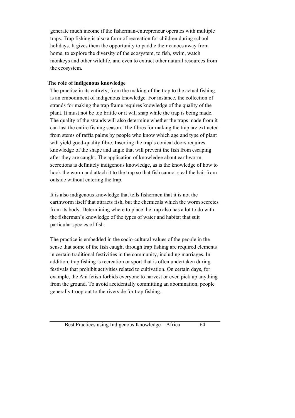generate much income if the fisherman-entrepreneur operates with multiple traps. Trap fishing is also a form of recreation for children during school holidays. It gives them the opportunity to paddle their canoes away from home, to explore the diversity of the ecosystem, to fish, swim, watch monkeys and other wildlife, and even to extract other natural resources from the ecosystem.

## **The role of indigenous knowledge**

The practice in its entirety, from the making of the trap to the actual fishing, is an embodiment of indigenous knowledge. For instance, the collection of strands for making the trap frame requires knowledge of the quality of the plant. It must not be too brittle or it will snap while the trap is being made. The quality of the strands will also determine whether the traps made from it can last the entire fishing season. The fibres for making the trap are extracted from stems of raffia palms by people who know which age and type of plant will yield good-quality fibre. Inserting the trap's conical doors requires knowledge of the shape and angle that will prevent the fish from escaping after they are caught. The application of knowledge about earthworm secretions is definitely indigenous knowledge, as is the knowledge of how to hook the worm and attach it to the trap so that fish cannot steal the bait from outside without entering the trap.

It is also indigenous knowledge that tells fishermen that it is not the earthworm itself that attracts fish, but the chemicals which the worm secretes from its body. Determining where to place the trap also has a lot to do with the fisherman's knowledge of the types of water and habitat that suit particular species of fish.

The practice is embedded in the socio-cultural values of the people in the sense that some of the fish caught through trap fishing are required elements in certain traditional festivities in the community, including marriages. In addition, trap fishing is recreation or sport that is often undertaken during festivals that prohibit activities related to cultivation. On certain days, for example, the Ani fetish forbids everyone to harvest or even pick up anything from the ground. To avoid accidentally committing an abomination, people generally troop out to the riverside for trap fishing.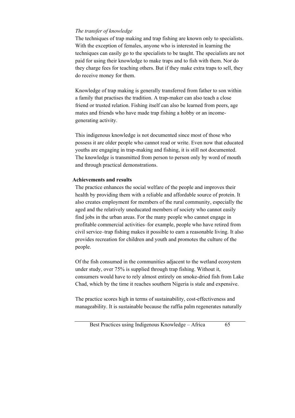## *The transfer of knowledge*

The techniques of trap making and trap fishing are known only to specialists. With the exception of females, anyone who is interested in learning the techniques can easily go to the specialists to be taught. The specialists are not paid for using their knowledge to make traps and to fish with them. Nor do they charge fees for teaching others. But if they make extra traps to sell, they do receive money for them.

Knowledge of trap making is generally transferred from father to son within a family that practises the tradition. A trap-maker can also teach a close friend or trusted relation. Fishing itself can also be learned from peers, age mates and friends who have made trap fishing a hobby or an incomegenerating activity.

This indigenous knowledge is not documented since most of those who possess it are older people who cannot read or write. Even now that educated youths are engaging in trap-making and fishing, it is still not documented. The knowledge is transmitted from person to person only by word of mouth and through practical demonstrations.

#### **Achievements and results**

The practice enhances the social welfare of the people and improves their health by providing them with a reliable and affordable source of protein. It also creates employment for members of the rural community, especially the aged and the relatively uneducated members of society who cannot easily find jobs in the urban areas. For the many people who cannot engage in profitable commercial activities–for example, people who have retired from civil service–trap fishing makes it possible to earn a reasonable living. It also provides recreation for children and youth and promotes the culture of the people.

Of the fish consumed in the communities adjacent to the wetland ecosystem under study, over 75% is supplied through trap fishing. Without it, consumers would have to rely almost entirely on smoke-dried fish from Lake Chad, which by the time it reaches southern Nigeria is stale and expensive.

The practice scores high in terms of sustainability, cost-effectiveness and manageability. It is sustainable because the raffia palm regenerates naturally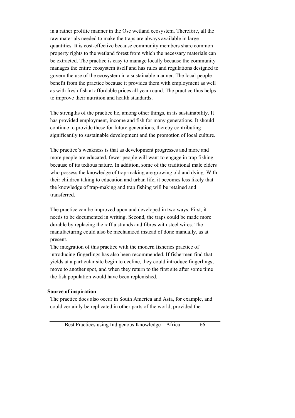in a rather prolific manner in the Ose wetland ecosystem. Therefore, all the raw materials needed to make the traps are always available in large quantities. It is cost-effective because community members share common property rights to the wetland forest from which the necessary materials can be extracted. The practice is easy to manage locally because the community manages the entire ecosystem itself and has rules and regulations designed to govern the use of the ecosystem in a sustainable manner. The local people benefit from the practice because it provides them with employment as well as with fresh fish at affordable prices all year round. The practice thus helps to improve their nutrition and health standards.

The strengths of the practice lie, among other things, in its sustainability. It has provided employment, income and fish for many generations. It should continue to provide these for future generations, thereby contributing significantly to sustainable development and the promotion of local culture.

The practice's weakness is that as development progresses and more and more people are educated, fewer people will want to engage in trap fishing because of its tedious nature. In addition, some of the traditional male elders who possess the knowledge of trap-making are growing old and dying. With their children taking to education and urban life, it becomes less likely that the knowledge of trap-making and trap fishing will be retained and transferred.

The practice can be improved upon and developed in two ways. First, it needs to be documented in writing. Second, the traps could be made more durable by replacing the raffia strands and fibres with steel wires. The manufacturing could also be mechanized instead of done manually, as at present.

The integration of this practice with the modern fisheries practice of introducing fingerlings has also been recommended. If fishermen find that yields at a particular site begin to decline, they could introduce fingerlings, move to another spot, and when they return to the first site after some time the fish population would have been replenished.

## **Source of inspiration**

The practice does also occur in South America and Asia, for example, and could certainly be replicated in other parts of the world, provided the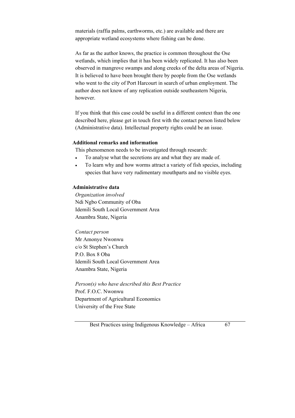materials (raffia palms, earthworms, etc.) are available and there are appropriate wetland ecosystems where fishing can be done.

As far as the author knows, the practice is common throughout the Ose wetlands, which implies that it has been widely replicated. It has also been observed in mangrove swamps and along creeks of the delta areas of Nigeria. It is believed to have been brought there by people from the Ose wetlands who went to the city of Port Harcourt in search of urban employment. The author does not know of any replication outside southeastern Nigeria, however.

If you think that this case could be useful in a different context than the one described here, please get in touch first with the contact person listed below (Administrative data). Intellectual property rights could be an issue.

## **Additional remarks and information**

This phenomenon needs to be investigated through research:

- To analyse what the secretions are and what they are made of.
- To learn why and how worms attract a variety of fish species, including species that have very rudimentary mouthparts and no visible eyes.

## **Administrative data**

*Organization involved*  Ndi Ngbo Community of Oba Idemili South Local Government Area Anambra State, Nigeria

*Contact person*  Mr Amonye Nwonwu c/o St Stephen's Church P.O. Box 8 Oba Idemili South Local Government Area Anambra State, Nigeria

*Person(s) who have described this Best Practice*  Prof. F.O.C. Nwonwu Department of Agricultural Economics University of the Free State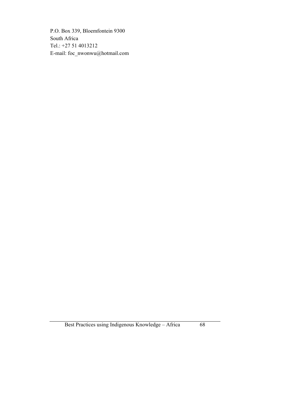P.O. Box 339, Bloemfontein 9300 South Africa Tel.: +27 51 4013212 E-mail: foc\_nwonwu@hotmail.com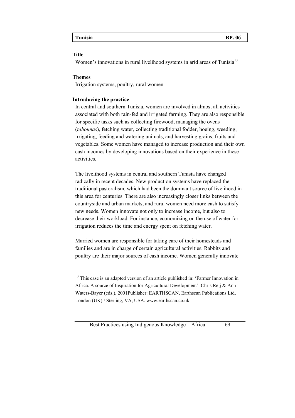| <b>BP.06</b> |
|--------------|
|              |

#### **Title**

Women's innovations in rural livelihood systems in arid areas of Tunisia<sup>13</sup>

#### **Themes**

 $\overline{a}$ 

Irrigation systems, poultry, rural women

#### **Introducing the practice**

In central and southern Tunisia, women are involved in almost all activities associated with both rain-fed and irrigated farming. They are also responsible for specific tasks such as collecting firewood, managing the ovens (*tabounas*), fetching water, collecting traditional fodder, hoeing, weeding, irrigating, feeding and watering animals, and harvesting grains, fruits and vegetables. Some women have managed to increase production and their own cash incomes by developing innovations based on their experience in these activities.

The livelihood systems in central and southern Tunisia have changed radically in recent decades. New production systems have replaced the traditional pastoralism, which had been the dominant source of livelihood in this area for centuries. There are also increasingly closer links between the countryside and urban markets, and rural women need more cash to satisfy new needs. Women innovate not only to increase income, but also to decrease their workload. For instance, economizing on the use of water for irrigation reduces the time and energy spent on fetching water.

Married women are responsible for taking care of their homesteads and families and are in charge of certain agricultural activities. Rabbits and poultry are their major sources of cash income. Women generally innovate

 $13$  This case is an adapted version of an article published in: 'Farmer Innovation in Africa. A source of Inspiration for Agricultural Development'. Chris Reij & Ann Waters-Bayer (eds.), 2001Publisher: EARTHSCAN, Earthscan Publications Ltd, London (UK) / Sterling, VA, USA. www.earthscan.co.uk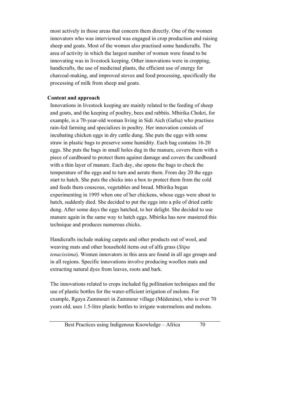most actively in those areas that concern them directly. One of the women innovators who was interviewed was engaged in crop production and raising sheep and goats. Most of the women also practised some handicrafts. The area of activity in which the largest number of women were found to be innovating was in livestock keeping. Other innovations were in cropping, handicrafts, the use of medicinal plants, the efficient use of energy for charcoal-making, and improved stoves and food processing, specifically the processing of milk from sheep and goats.

#### **Content and approach**

Innovations in livestock keeping are mainly related to the feeding of sheep and goats, and the keeping of poultry, bees and rabbits. Mbirika Chokri, for example, is a 70-year-old woman living in Sidi Aich (Gafsa) who practises rain-fed farming and specializes in poultry. Her innovation consists of incubating chicken eggs in dry cattle dung. She puts the eggs with some straw in plastic bags to preserve some humidity. Each bag contains 16-20 eggs. She puts the bags in small holes dug in the manure, covers them with a piece of cardboard to protect them against damage and covers the cardboard with a thin layer of manure. Each day, she opens the bags to check the temperature of the eggs and to turn and aerate them. From day 20 the eggs start to hatch. She puts the chicks into a box to protect them from the cold and feeds them couscous, vegetables and bread. Mbirika began experimenting in 1995 when one of her chickens, whose eggs were about to hatch, suddenly died. She decided to put the eggs into a pile of dried cattle dung. After some days the eggs hatched, to her delight. She decided to use manure again in the same way to hatch eggs. Mbirika has now mastered this technique and produces numerous chicks.

Handicrafts include making carpets and other products out of wool, and weaving mats and other household items out of alfa grass (*Stipa tenacissima*). Women innovators in this area are found in all age groups and in all regions. Specific innovations involve producing woollen mats and extracting natural dyes from leaves, roots and bark.

The innovations related to crops included fig pollination techniques and the use of plastic bottles for the water-efficient irrigation of melons. For example, Rgaya Zammouri in Zammour village (Médenine), who is over 70 years old, uses 1.5-litre plastic bottles to irrigate watermelons and melons.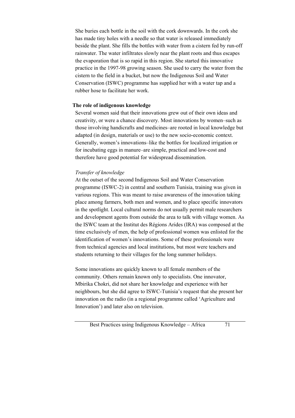She buries each bottle in the soil with the cork downwards. In the cork she has made tiny holes with a needle so that water is released immediately beside the plant. She fills the bottles with water from a cistern fed by run-off rainwater. The water infiltrates slowly near the plant roots and thus escapes the evaporation that is so rapid in this region. She started this innovative practice in the 1997-98 growing season. She used to carry the water from the cistern to the field in a bucket, but now the Indigenous Soil and Water Conservation (ISWC) programme has supplied her with a water tap and a rubber hose to facilitate her work.

#### **The role of indigenous knowledge**

Several women said that their innovations grew out of their own ideas and creativity, or were a chance discovery. Most innovations by women–such as those involving handicrafts and medicines–are rooted in local knowledge but adapted (in design, materials or use) to the new socio-economic context. Generally, women's innovations–like the bottles for localized irrigation or for incubating eggs in manure–are simple, practical and low-cost and therefore have good potential for widespread dissemination.

#### *Transfer of knowledge*

At the outset of the second Indigenous Soil and Water Conservation programme (ISWC-2) in central and southern Tunisia, training was given in various regions. This was meant to raise awareness of the innovation taking place among farmers, both men and women, and to place specific innovators in the spotlight. Local cultural norms do not usually permit male researchers and development agents from outside the area to talk with village women. As the ISWC team at the Institut des Régions Arides (IRA) was composed at the time exclusively of men, the help of professional women was enlisted for the identification of women's innovations. Some of these professionals were from technical agencies and local institutions, but most were teachers and students returning to their villages for the long summer holidays.

Some innovations are quickly known to all female members of the community. Others remain known only to specialists. One innovator, Mbirika Chokri, did not share her knowledge and experience with her neighbours, but she did agree to ISWC-Tunisia's request that she present her innovation on the radio (in a regional programme called 'Agriculture and Innovation') and later also on television.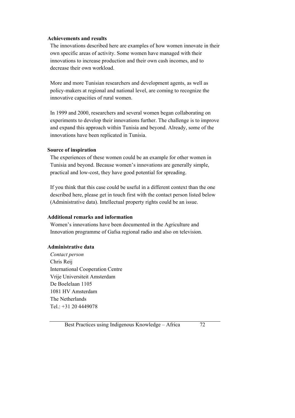## **Achievements and results**

The innovations described here are examples of how women innovate in their own specific areas of activity. Some women have managed with their innovations to increase production and their own cash incomes, and to decrease their own workload.

More and more Tunisian researchers and development agents, as well as policy-makers at regional and national level, are coming to recognize the innovative capacities of rural women.

In 1999 and 2000, researchers and several women began collaborating on experiments to develop their innovations further. The challenge is to improve and expand this approach within Tunisia and beyond. Already, some of the innovations have been replicated in Tunisia.

#### **Source of inspiration**

The experiences of these women could be an example for other women in Tunisia and beyond. Because women's innovations are generally simple, practical and low-cost, they have good potential for spreading.

If you think that this case could be useful in a different context than the one described here, please get in touch first with the contact person listed below (Administrative data). Intellectual property rights could be an issue.

## **Additional remarks and information**

Women's innovations have been documented in the Agriculture and Innovation programme of Gafsa regional radio and also on television.

## **Administrative data**

*Contact person*  Chris Reij International Cooperation Centre Vrije Universiteit Amsterdam De Boelelaan 1105 1081 HV Amsterdam The Netherlands Tel.: +31 20 4449078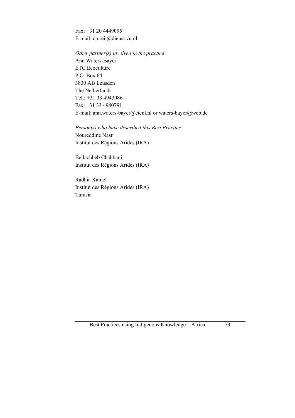Fax: +31 20 4449095 E-mail: cp.reij@dienst.vu.nl

# *Other partner(s) involved in the practice*  Ann Waters-Bayer

ETC Ecoculture P.O. Box 64 3830 AB Leusden The Netherlands Tel.: +31 33 4943086 Fax: +31 33 4940791 E-mail: ann.waters-bayer@etcnl.nl or waters-bayer@web.de

*Person(s) who have described this Best Practice*  Noureddine Nasr Institut des Régions Arides (IRA)

Bellachheb Chahbani Institut des Régions Arides (IRA)

Radhia Kamel Institut des Régions Arides (IRA) Tunisia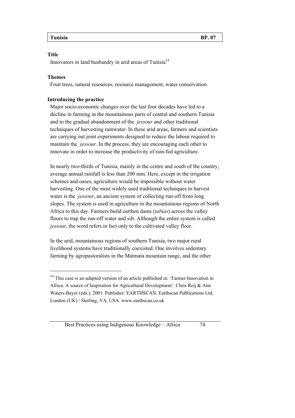| <b>BP.07</b> |
|--------------|
|              |

### **Title**

Innovators in land husbandry in arid areas of Tunisia $14$ 

### **Themes**

l

Fruit trees, natural resources, resource management, water conservation

### **Introducing the practice**

Major socio-economic changes over the last four decades have led to a decline in farming in the mountainous parts of central and southern Tunisia and to the gradual abandonment of the *jessour* and other traditional techniques of harvesting rainwater. In these arid areas, farmers and scientists are carrying out joint experiments designed to reduce the labour required to maintain the *jessour*. In the process, they are encouraging each other to innovate in order to increase the productivity of rain-fed agriculture.

In nearly two-thirds of Tunisia, mainly in the centre and south of the country, average annual rainfall is less than 200 mm. Here, except in the irrigation schemes and oases, agriculture would be impossible without water harvesting. One of the most widely used traditional techniques to harvest water is the *jessour*, an ancient system of collecting run-off from long slopes. The system is used in agriculture in the mountainous regions of North Africa to this day. Farmers build earthen dams (*tabias*) across the valley floors to trap the run-off water and silt. Although the entire system is called *jessour*, the word refers in fact only to the cultivated valley floor.

In the arid, mountainous regions of southern Tunisia, two major rural livelihood systems have traditionally coexisted. One involves sedentary farming by agropastoralists in the Matmata mountain range, and the other

 $14$  This case is an adapted version of an article published in: 'Farmer Innovation in Africa. A source of Inspiration for Agricultural Development'. Chris Reij & Ann Waters-Bayer (eds.), 2001. Publisher: EARTHSCAN, Earthscan Publications Ltd, London (UK) / Sterling, VA, USA. www.earthscan.co.uk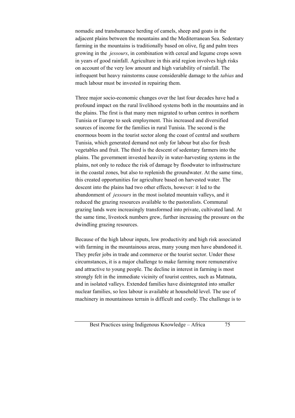nomadic and transhumance herding of camels, sheep and goats in the adjacent plains between the mountains and the Mediterranean Sea. Sedentary farming in the mountains is traditionally based on olive, fig and palm trees growing in the *jessours*, in combination with cereal and legume crops sown in years of good rainfall. Agriculture in this arid region involves high risks on account of the very low amount and high variability of rainfall. The infrequent but heavy rainstorms cause considerable damage to the *tabias* and much labour must be invested in repairing them.

Three major socio-economic changes over the last four decades have had a profound impact on the rural livelihood systems both in the mountains and in the plains. The first is that many men migrated to urban centres in northern Tunisia or Europe to seek employment. This increased and diversified sources of income for the families in rural Tunisia. The second is the enormous boom in the tourist sector along the coast of central and southern Tunisia, which generated demand not only for labour but also for fresh vegetables and fruit. The third is the descent of sedentary farmers into the plains. The government invested heavily in water-harvesting systems in the plains, not only to reduce the risk of damage by floodwater to infrastructure in the coastal zones, but also to replenish the groundwater. At the same time, this created opportunities for agriculture based on harvested water. The descent into the plains had two other effects, however: it led to the abandonment of *jessours* in the most isolated mountain valleys, and it reduced the grazing resources available to the pastoralists. Communal grazing lands were increasingly transformed into private, cultivated land. At the same time, livestock numbers grew, further increasing the pressure on the dwindling grazing resources.

Because of the high labour inputs, low productivity and high risk associated with farming in the mountainous areas, many young men have abandoned it. They prefer jobs in trade and commerce or the tourist sector. Under these circumstances, it is a major challenge to make farming more remunerative and attractive to young people. The decline in interest in farming is most strongly felt in the immediate vicinity of tourist centres, such as Matmata, and in isolated valleys. Extended families have disintegrated into smaller nuclear families, so less labour is available at household level. The use of machinery in mountainous terrain is difficult and costly. The challenge is to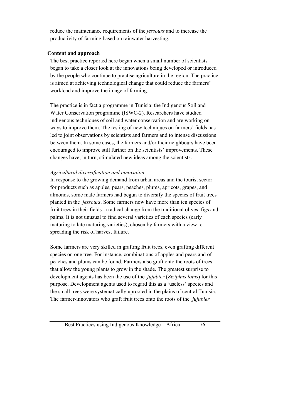reduce the maintenance requirements of the *jessours* and to increase the productivity of farming based on rainwater harvesting.

### **Content and approach**

The best practice reported here began when a small number of scientists began to take a closer look at the innovations being developed or introduced by the people who continue to practise agriculture in the region. The practice is aimed at achieving technological change that could reduce the farmers' workload and improve the image of farming.

The practice is in fact a programme in Tunisia: the Indigenous Soil and Water Conservation programme (ISWC-2). Researchers have studied indigenous techniques of soil and water conservation and are working on ways to improve them. The testing of new techniques on farmers' fields has led to joint observations by scientists and farmers and to intense discussions between them. In some cases, the farmers and/or their neighbours have been encouraged to improve still further on the scientists' improvements. These changes have, in turn, stimulated new ideas among the scientists.

# *Agricultural diversification and innovation*

In response to the growing demand from urban areas and the tourist sector for products such as apples, pears, peaches, plums, apricots, grapes, and almonds, some male farmers had begun to diversify the species of fruit trees planted in the *jessours*. Some farmers now have more than ten species of fruit trees in their fields–a radical change from the traditional olives, figs and palms. It is not unusual to find several varieties of each species (early maturing to late maturing varieties), chosen by farmers with a view to spreading the risk of harvest failure.

Some farmers are very skilled in grafting fruit trees, even grafting different species on one tree. For instance, combinations of apples and pears and of peaches and plums can be found. Farmers also graft onto the roots of trees that allow the young plants to grow in the shade. The greatest surprise to development agents has been the use of the *jujubier* (*Ziziphus lotus*) for this purpose. Development agents used to regard this as a 'useless' species and the small trees were systematically uprooted in the plains of central Tunisia. The farmer-innovators who graft fruit trees onto the roots of the *jujubier*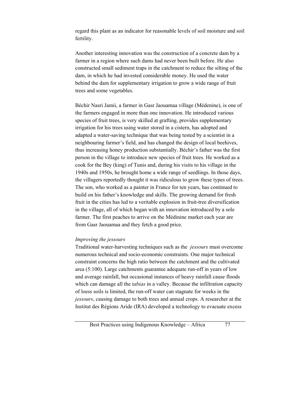regard this plant as an indicator for reasonable levels of soil moisture and soil fertility.

Another interesting innovation was the construction of a concrete dam by a farmer in a region where such dams had never been built before. He also constructed small sediment traps in the catchment to reduce the silting of the dam, in which he had invested considerable money. He used the water behind the dam for supplementary irrigation to grow a wide range of fruit trees and some vegetables.

Béchir Nasri Jamii, a farmer in Gasr Jaouamaa village (Médenine), is one of the farmers engaged in more than one innovation. He introduced various species of fruit trees, is very skilled at grafting, provides supplementary irrigation for his trees using water stored in a cistern, has adopted and adapted a water-saving technique that was being tested by a scientist in a neighbouring farmer's field, and has changed the design of local beehives, thus increasing honey production substantially. Béchir's father was the first person in the village to introduce new species of fruit trees. He worked as a cook for the Bey (king) of Tunis and, during his visits to his village in the 1940s and 1950s, he brought home a wide range of seedlings. In those days, the villagers reportedly thought it was ridiculous to grow these types of trees. The son, who worked as a painter in France for ten years, has continued to build on his father's knowledge and skills. The growing demand for fresh fruit in the cities has led to a veritable explosion in fruit-tree diversification in the village, all of which began with an innovation introduced by a sole farmer. The first peaches to arrive on the Médinine market each year are from Gasr Jaouamaa and they fetch a good price.

### *Improving the jessours*

Traditional water-harvesting techniques such as the *jessours* must overcome numerous technical and socio-economic constraints. One major technical constraint concerns the high ratio between the catchment and the cultivated area (5:100). Large catchments guarantee adequate run-off in years of low and average rainfall, but occasional instances of heavy rainfall cause floods which can damage all the *tabias* in a valley. Because the infiltration capacity of loess soils is limited, the run-off water can stagnate for weeks in the *jessours*, causing damage to both trees and annual crops. A researcher at the Institut des Régions Aride (IRA) developed a technology to evacuate excess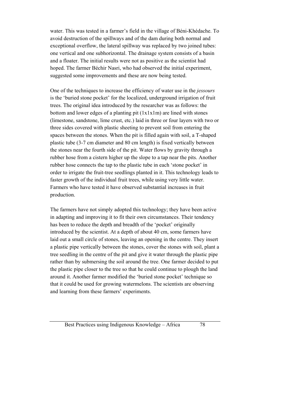water. This was tested in a farmer's field in the village of Béni-Khédache. To avoid destruction of the spillways and of the dam during both normal and exceptional overflow, the lateral spillway was replaced by two joined tubes: one vertical and one subhorizontal. The drainage system consists of a basin and a floater. The initial results were not as positive as the scientist had hoped. The farmer Béchir Nasri, who had observed the initial experiment, suggested some improvements and these are now being tested.

One of the techniques to increase the efficiency of water use in the *jessours* is the 'buried stone pocket' for the localized, underground irrigation of fruit trees. The original idea introduced by the researcher was as follows: the bottom and lower edges of a planting pit  $(1x1x1m)$  are lined with stones (limestone, sandstone, lime crust, etc.) laid in three or four layers with two or three sides covered with plastic sheeting to prevent soil from entering the spaces between the stones. When the pit is filled again with soil, a T-shaped plastic tube (3-7 cm diameter and 80 cm length) is fixed vertically between the stones near the fourth side of the pit. Water flows by gravity through a rubber hose from a cistern higher up the slope to a tap near the pits. Another rubber hose connects the tap to the plastic tube in each 'stone pocket' in order to irrigate the fruit-tree seedlings planted in it. This technology leads to faster growth of the individual fruit trees, while using very little water. Farmers who have tested it have observed substantial increases in fruit production.

The farmers have not simply adopted this technology; they have been active in adapting and improving it to fit their own circumstances. Their tendency has been to reduce the depth and breadth of the 'pocket' originally introduced by the scientist. At a depth of about 40 cm, some farmers have laid out a small circle of stones, leaving an opening in the centre. They insert a plastic pipe vertically between the stones, cover the stones with soil, plant a tree seedling in the centre of the pit and give it water through the plastic pipe rather than by submersing the soil around the tree. One farmer decided to put the plastic pipe closer to the tree so that he could continue to plough the land around it. Another farmer modified the 'buried stone pocket' technique so that it could be used for growing watermelons. The scientists are observing and learning from these farmers' experiments.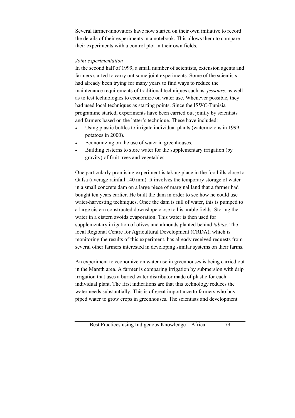Several farmer-innovators have now started on their own initiative to record the details of their experiments in a notebook. This allows them to compare their experiments with a control plot in their own fields.

### *Joint experimentation*

In the second half of 1999, a small number of scientists, extension agents and farmers started to carry out some joint experiments. Some of the scientists had already been trying for many years to find ways to reduce the maintenance requirements of traditional techniques such as *jessours*, as well as to test technologies to economize on water use. Whenever possible, they had used local techniques as starting points. Since the ISWC-Tunisia programme started, experiments have been carried out jointly by scientists and farmers based on the latter's technique. These have included:

- Using plastic bottles to irrigate individual plants (watermelons in 1999, potatoes in 2000).
- Economizing on the use of water in greenhouses.
- Building cisterns to store water for the supplementary irrigation (by gravity) of fruit trees and vegetables.

One particularly promising experiment is taking place in the foothills close to Gafsa (average rainfall 140 mm). It involves the temporary storage of water in a small concrete dam on a large piece of marginal land that a farmer had bought ten years earlier. He built the dam in order to see how he could use water-harvesting techniques. Once the dam is full of water, this is pumped to a large cistern constructed downslope close to his arable fields. Storing the water in a cistern avoids evaporation. This water is then used for supplementary irrigation of olives and almonds planted behind *tabias*. The local Regional Centre for Agricultural Development (CRDA), which is monitoring the results of this experiment, has already received requests from several other farmers interested in developing similar systems on their farms.

An experiment to economize on water use in greenhouses is being carried out in the Mareth area. A farmer is comparing irrigation by submersion with drip irrigation that uses a buried water distributor made of plastic for each individual plant. The first indications are that this technology reduces the water needs substantially. This is of great importance to farmers who buy piped water to grow crops in greenhouses. The scientists and development

Best Practices using Indigenous Knowledge – Africa 79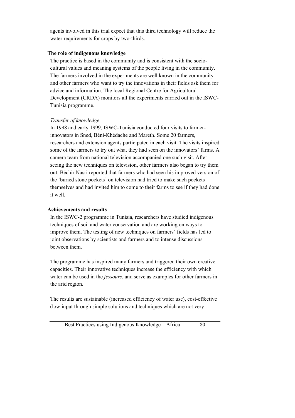agents involved in this trial expect that this third technology will reduce the water requirements for crops by two-thirds.

### **The role of indigenous knowledge**

The practice is based in the community and is consistent with the sociocultural values and meaning systems of the people living in the community. The farmers involved in the experiments are well known in the community and other farmers who want to try the innovations in their fields ask them for advice and information. The local Regional Centre for Agricultural Development (CRDA) monitors all the experiments carried out in the ISWC-Tunisia programme.

# *Transfer of knowledge*

In 1998 and early 1999, ISWC-Tunisia conducted four visits to farmerinnovators in Sned, Béni-Khédache and Mareth. Some 20 farmers, researchers and extension agents participated in each visit. The visits inspired some of the farmers to try out what they had seen on the innovators' farms. A camera team from national television accompanied one such visit. After seeing the new techniques on television, other farmers also began to try them out. Béchir Nasri reported that farmers who had seen his improved version of the 'buried stone pockets' on television had tried to make such pockets themselves and had invited him to come to their farms to see if they had done it well.

### **Achievements and results**

In the ISWC-2 programme in Tunisia, researchers have studied indigenous techniques of soil and water conservation and are working on ways to improve them. The testing of new techniques on farmers' fields has led to joint observations by scientists and farmers and to intense discussions between them.

The programme has inspired many farmers and triggered their own creative capacities. Their innovative techniques increase the efficiency with which water can be used in the *jessours*, and serve as examples for other farmers in the arid region.

The results are sustainable (increased efficiency of water use), cost-effective (low input through simple solutions and techniques which are not very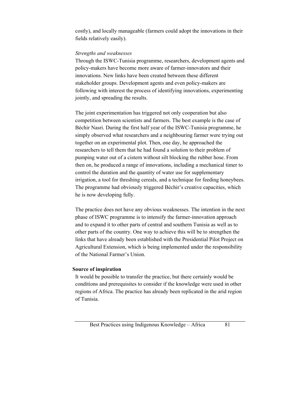costly), and locally manageable (farmers could adopt the innovations in their fields relatively easily).

# *Strengths and weaknesses*

Through the ISWC-Tunisia programme, researchers, development agents and policy-makers have become more aware of farmer-innovators and their innovations. New links have been created between these different stakeholder groups. Development agents and even policy-makers are following with interest the process of identifying innovations, experimenting jointly, and spreading the results.

The joint experimentation has triggered not only cooperation but also competition between scientists and farmers. The best example is the case of Béchir Nasri. During the first half year of the ISWC-Tunisia programme, he simply observed what researchers and a neighbouring farmer were trying out together on an experimental plot. Then, one day, he approached the researchers to tell them that he had found a solution to their problem of pumping water out of a cistern without silt blocking the rubber hose. From then on, he produced a range of innovations, including a mechanical timer to control the duration and the quantity of water use for supplementary irrigation, a tool for threshing cereals, and a technique for feeding honeybees. The programme had obviously triggered Béchir's creative capacities, which he is now developing fully.

The practice does not have any obvious weaknesses. The intention in the next phase of ISWC programme is to intensify the farmer-innovation approach and to expand it to other parts of central and southern Tunisia as well as to other parts of the country. One way to achieve this will be to strengthen the links that have already been established with the Presidential Pilot Project on Agricultural Extension, which is being implemented under the responsibility of the National Farmer's Union.

# **Source of inspiration**

It would be possible to transfer the practice, but there certainly would be conditions and prerequisites to consider if the knowledge were used in other regions of Africa. The practice has already been replicated in the arid region of Tunisia.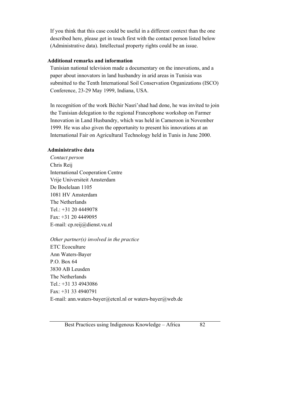If you think that this case could be useful in a different context than the one described here, please get in touch first with the contact person listed below (Administrative data). Intellectual property rights could be an issue.

# **Additional remarks and information**

Tunisian national television made a documentary on the innovations, and a paper about innovators in land husbandry in arid areas in Tunisia was submitted to the Tenth International Soil Conservation Organizations (ISCO) Conference, 23-29 May 1999, Indiana, USA.

In recognition of the work Béchir Nasri'shad had done, he was invited to join the Tunisian delegation to the regional Francophone workshop on Farmer Innovation in Land Husbandry, which was held in Cameroon in November 1999. He was also given the opportunity to present his innovations at an International Fair on Agricultural Technology held in Tunis in June 2000.

# **Administrative data**

*Contact person*  Chris Reij International Cooperation Centre Vrije Universiteit Amsterdam De Boelelaan 1105 1081 HV Amsterdam The Netherlands Tel.: +31 20 4449078 Fax: +31 20 4449095 E-mail: cp.reij@dienst.vu.nl

*Other partner(s) involved in the practice*  ETC Ecoculture Ann Waters-Bayer P.O. Box 64 3830 AB Leusden The Netherlands Tel.: +31 33 4943086 Fax: +31 33 4940791 E-mail: ann.waters-bayer@etcnl.nl or waters-bayer@web.de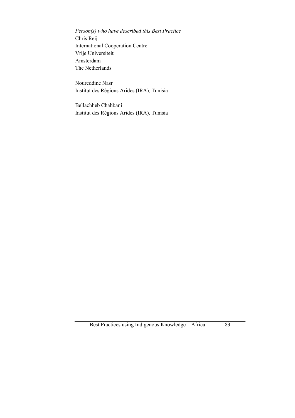*Person(s) who have described this Best Practice*  Chris Reij International Cooperation Centre Vrije Universiteit Amsterdam The Netherlands

Noureddine Nasr Institut des Régions Arides (IRA), Tunisia

Bellachheb Chahbani Institut des Régions Arides (IRA), Tunisia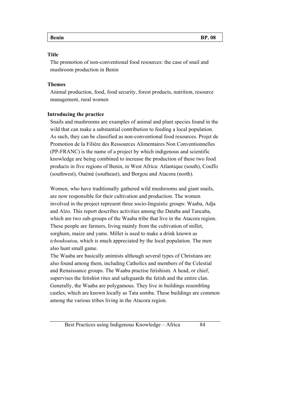| ۰, |  |
|----|--|

#### **Title**

The promotion of non-conventional food resources: the case of snail and mushroom production in Benin

# **Themes**

Animal production, food, food security, forest products, nutrition, resource management, rural women

#### **Introducing the practice**

Snails and mushrooms are examples of animal and plant species found in the wild that can make a substantial contribution to feeding a local population. As such, they can be classified as non-conventional food resources. Projet de Promotion de la Filière des Ressources Alimentaires Non Conventionnelles (PP-FRANC) is the name of a project by which indigenous and scientific knowledge are being combined to increase the production of these two food products in five regions of Benin, in West Africa: Atlantique (south), Couffo (southwest), Ouémé (southeast), and Borgou and Atacora (north).

Women, who have traditionally gathered wild mushrooms and giant snails, are now responsible for their cultivation and production. The women involved in the project represent three socio-linguistic groups: Waaba, Adja and Aïzo. This report describes activities among the Databa and Tancaba, which are two sub-groups of the Waaba tribe that live in the Atacora region. These people are farmers, living mainly from the cultivation of millet, sorghum, maize and yams. Millet is used to make a drink known as *tchoukoutou*, which is much appreciated by the local population. The men also hunt small game.

The Waaba are basically animists although several types of Christians are also found among them, including Catholics and members of the Celestial and Renaissance groups. The Waaba practise fetishism. A head, or chief, supervises the fetishist rites and safeguards the fetish and the entire clan. Generally, the Waaba are polygamous. They live in buildings resembling castles, which are known locally as Tata somba. These buildings are common among the various tribes living in the Atacora region.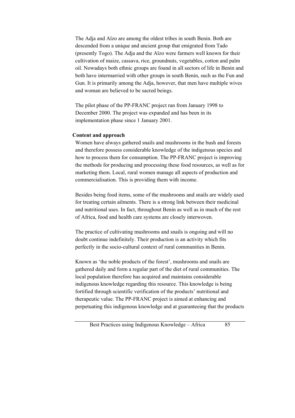The Adja and Aïzo are among the oldest tribes in south Benin. Both are descended from a unique and ancient group that emigrated from Tado (presently Togo). The Adja and the Aïzo were farmers well known for their cultivation of maize, cassava, rice, groundnuts, vegetables, cotton and palm oil. Nowadays both ethnic groups are found in all sectors of life in Benin and both have intermarried with other groups in south Benin, such as the Fun and Gun. It is primarily among the Adja, however, that men have multiple wives and woman are believed to be sacred beings.

The pilot phase of the PP-FRANC project ran from January 1998 to December 2000. The project was expanded and has been in its implementation phase since 1 January 2001.

### **Content and approach**

Women have always gathered snails and mushrooms in the bush and forests and therefore possess considerable knowledge of the indigenous species and how to process them for consumption. The PP-FRANC project is improving the methods for producing and processing these food resources, as well as for marketing them. Local, rural women manage all aspects of production and commercialisation. This is providing them with income.

Besides being food items, some of the mushrooms and snails are widely used for treating certain ailments. There is a strong link between their medicinal and nutritional uses. In fact, throughout Benin as well as in much of the rest of Africa, food and health care systems are closely interwoven.

The practice of cultivating mushrooms and snails is ongoing and will no doubt continue indefinitely. Their production is an activity which fits perfectly in the socio-cultural context of rural communities in Benin.

Known as 'the noble products of the forest', mushrooms and snails are gathered daily and form a regular part of the diet of rural communities. The local population therefore has acquired and maintains considerable indigenous knowledge regarding this resource. This knowledge is being fortified through scientific verification of the products' nutritional and therapeutic value. The PP-FRANC project is aimed at enhancing and perpetuating this indigenous knowledge and at guaranteeing that the products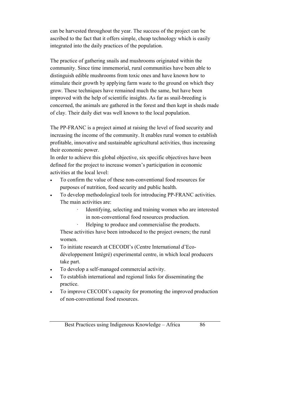can be harvested throughout the year. The success of the project can be ascribed to the fact that it offers simple, cheap technology which is easily integrated into the daily practices of the population.

The practice of gathering snails and mushrooms originated within the community. Since time immemorial, rural communities have been able to distinguish edible mushrooms from toxic ones and have known how to stimulate their growth by applying farm waste to the ground on which they grow. These techniques have remained much the same, but have been improved with the help of scientific insights. As far as snail-breeding is concerned, the animals are gathered in the forest and then kept in sheds made of clay. Their daily diet was well known to the local population.

The PP-FRANC is a project aimed at raising the level of food security and increasing the income of the community. It enables rural women to establish profitable, innovative and sustainable agricultural activities, thus increasing their economic power.

In order to achieve this global objective, six specific objectives have been defined for the project to increase women's participation in economic activities at the local level:

- To confirm the value of these non-conventional food resources for purposes of nutrition, food security and public health.
- To develop methodological tools for introducing PP-FRANC activities. The main activities are:
	- · Identifying, selecting and training women who are interested in non-conventional food resources production.
	- · Helping to produce and commercialise the products.

These activities have been introduced to the project owners; the rural women.

- To initiate research at CECODI's (Centre International d'Ecodéveloppement Intégré) experimental centre, in which local producers take part.
- To develop a self-managed commercial activity.
- To establish international and regional links for disseminating the practice.
- To improve CECODI's capacity for promoting the improved production of non-conventional food resources.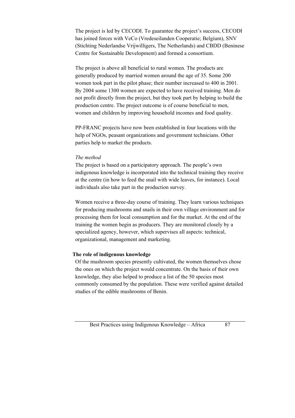The project is led by CECODI. To guarantee the project's success, CECODI has joined forces with VeCo (Vredeseilanden Cooperatie; Belgium), SNV (Stichting Nederlandse Vrijwilligers, The Netherlands) and CBDD (Beninese Centre for Sustainable Development) and formed a consortium.

The project is above all beneficial to rural women. The products are generally produced by married women around the age of 35. Some 200 women took part in the pilot phase; their number increased to 400 in 2001. By 2004 some 1300 women are expected to have received training. Men do not profit directly from the project, but they took part by helping to build the production centre. The project outcome is of course beneficial to men, women and children by improving household incomes and food quality.

PP-FRANC projects have now been established in four locations with the help of NGOs, peasant organizations and government technicians. Other parties help to market the products.

### *The method*

The project is based on a participatory approach. The people's own indigenous knowledge is incorporated into the technical training they receive at the centre (in how to feed the snail with wide leaves, for instance). Local individuals also take part in the production survey.

Women receive a three-day course of training. They learn various techniques for producing mushrooms and snails in their own village environment and for processing them for local consumption and for the market. At the end of the training the women begin as producers. They are monitored closely by a specialized agency, however, which supervises all aspects: technical, organizational, management and marketing.

# **The role of indigenous knowledge**

Of the mushroom species presently cultivated, the women themselves chose the ones on which the project would concentrate. On the basis of their own knowledge, they also helped to produce a list of the 50 species most commonly consumed by the population. These were verified against detailed studies of the edible mushrooms of Benin.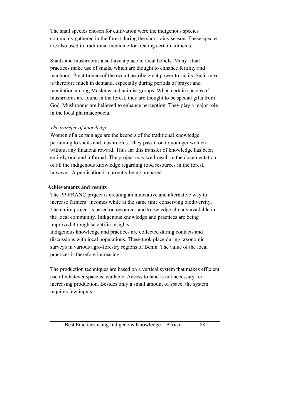The snail species chosen for cultivation were the indigenous species commonly gathered in the forest during the short rainy season. These species are also used in traditional medicine for treating certain ailments.

Snails and mushrooms also have a place in local beliefs. Many ritual practices make use of snails, which are thought to enhance fertility and manhood. Practitioners of the occult ascribe great power to snails. Snail meat is therefore much in demand, especially during periods of prayer and meditation among Moslems and animist groups. When certain species of mushrooms are found in the forest, they are thought to be special gifts from God. Mushrooms are believed to enhance perception. They play a major role in the local pharmacopoeia.

# *The transfer of knowledge*

Women of a certain age are the keepers of the traditional knowledge pertaining to snails and mushrooms. They pass it on to younger women without any financial reward. Thus far this transfer of knowledge has been entirely oral and informal. The project may well result in the documentation of all the indigenous knowledge regarding food resources in the forest, however. A publication is currently being prepared.

### **Achievements and results**

The PP-FRANC project is creating an innovative and alternative way to increase farmers' incomes while at the same time conserving biodiversity. The entire project is based on resources and knowledge already available in the local community. Indigenous knowledge and practices are being improved through scientific insights.

Indigenous knowledge and practices are collected during contacts and discussions with local populations. These took place during taxonomic surveys in various agro-forestry regions of Benin. The value of the local practices is therefore increasing.

The production techniques are based on a vertical system that makes efficient use of whatever space is available. Access to land is not necessary for increasing production. Besides only a small amount of space, the system requires few inputs.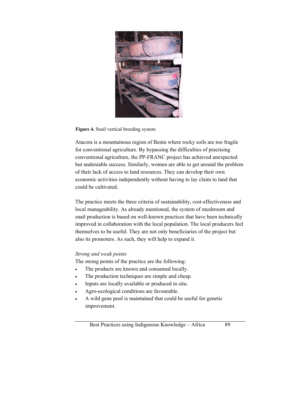

**Figure 4.** Snail vertical breeding system

Atacora is a mountainous region of Benin where rocky soils are too fragile for conventional agriculture. By bypassing the difficulties of practising conventional agriculture, the PP-FRANC project has achieved unexpected but undeniable success. Similarly, women are able to get around the problem of their lack of access to land resources. They can develop their own economic activities independently without having to lay claim to land that could be cultivated.

The practice meets the three criteria of sustainability, cost-effectiveness and local manageability. As already mentioned, the system of mushroom and snail production is based on well-known practices that have been technically improved in collaboration with the local population. The local producers feel themselves to be useful. They are not only beneficiaries of the project but also its promoters. As such, they will help to expand it.

# *Strong and weak points*

The strong points of the practice are the following:

- The products are known and consumed locally.
- The production techniques are simple and cheap.
- Inputs are locally available or produced in situ.
- Agro-ecological conditions are favourable.
- A wild gene pool is maintained that could be useful for genetic improvement.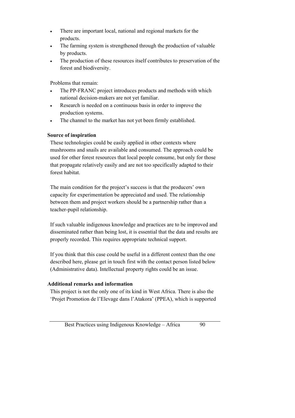- There are important local, national and regional markets for the products.
- The farming system is strengthened through the production of valuable by products.
- The production of these resources itself contributes to preservation of the forest and biodiversity.

Problems that remain:

- The PP-FRANC project introduces products and methods with which national decision-makers are not yet familiar.
- Research is needed on a continuous basis in order to improve the production systems.
- The channel to the market has not yet been firmly established.

# **Source of inspiration**

These technologies could be easily applied in other contexts where mushrooms and snails are available and consumed. The approach could be used for other forest resources that local people consume, but only for those that propagate relatively easily and are not too specifically adapted to their forest habitat.

The main condition for the project's success is that the producers' own capacity for experimentation be appreciated and used. The relationship between them and project workers should be a partnership rather than a teacher-pupil relationship.

If such valuable indigenous knowledge and practices are to be improved and disseminated rather than being lost, it is essential that the data and results are properly recorded. This requires appropriate technical support.

If you think that this case could be useful in a different context than the one described here, please get in touch first with the contact person listed below (Administrative data). Intellectual property rights could be an issue.

# **Additional remarks and information**

This project is not the only one of its kind in West Africa. There is also the 'Projet Promotion de l'Elevage dans l'Atakora' (PPEA), which is supported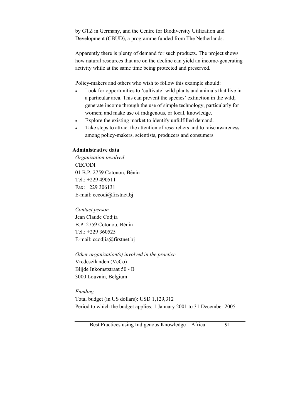by GTZ in Germany, and the Centre for Biodiversity Utilization and Development (CBUD), a programme funded from The Netherlands.

Apparently there is plenty of demand for such products. The project shows how natural resources that are on the decline can yield an income-generating activity while at the same time being protected and preserved.

Policy-makers and others who wish to follow this example should:

- Look for opportunities to 'cultivate' wild plants and animals that live in a particular area. This can prevent the species' extinction in the wild; generate income through the use of simple technology, particularly for women; and make use of indigenous, or local, knowledge.
- Explore the existing market to identify unfulfilled demand.
- Take steps to attract the attention of researchers and to raise awareness among policy-makers, scientists, producers and consumers.

# **Administrative data**

*Organization involved*  **CECODI** 01 B.P. 2759 Cotonou, Bénin Tel.: +229 490511 Fax: +229 306131 E-mail: cecodi@firstnet.bj

*Contact person*  Jean Claude Codjia B.P. 2759 Cotonou, Bénin Tel.: +229 360525

E-mail: ccodjia@firstnet.bj

*Other organization(s) involved in the practice*  Vredeseilanden (VeCo) Blijde Inkomststraat 50 - B 3000 Louvain, Belgium

# *Funding*

Total budget (in US dollars): USD 1,129,312 Period to which the budget applies: 1 January 2001 to 31 December 2005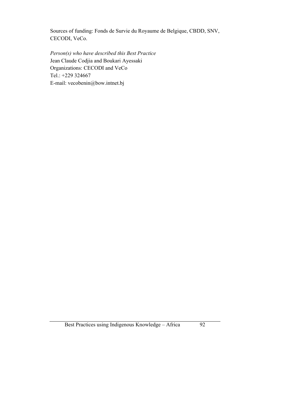Sources of funding: Fonds de Survie du Royaume de Belgique, CBDD, SNV, CECODI, VeCo.

*Person(s) who have described this Best Practice*  Jean Claude Codjia and Boukari Ayessaki Organizations: CECODI and VeCo Tel.: +229 324667 E-mail: vecobenin@bow.intnet.bj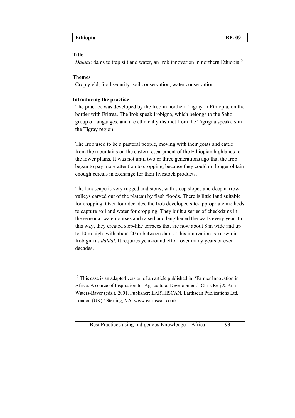#### **Title**

*Daldal*: dams to trap silt and water, an Irob innovation in northern Ethiopia<sup>15</sup>

#### **Themes**

 $\overline{a}$ 

Crop yield, food security, soil conservation, water conservation

#### **Introducing the practice**

The practice was developed by the Irob in northern Tigray in Ethiopia, on the border with Eritrea. The Irob speak Irobigna, which belongs to the Saho group of languages, and are ethnically distinct from the Tigrigna speakers in the Tigray region.

The Irob used to be a pastoral people, moving with their goats and cattle from the mountains on the eastern escarpment of the Ethiopian highlands to the lower plains. It was not until two or three generations ago that the Irob began to pay more attention to cropping, because they could no longer obtain enough cereals in exchange for their livestock products.

The landscape is very rugged and stony, with steep slopes and deep narrow valleys carved out of the plateau by flash floods. There is little land suitable for cropping. Over four decades, the Irob developed site-appropriate methods to capture soil and water for cropping. They built a series of checkdams in the seasonal watercourses and raised and lengthened the walls every year. In this way, they created step-like terraces that are now about 8 m wide and up to 10 m high, with about 20 m between dams. This innovation is known in Irobigna as *daldal*. It requires year-round effort over many years or even decades.

<sup>&</sup>lt;sup>15</sup> This case is an adapted version of an article published in: 'Farmer Innovation in Africa. A source of Inspiration for Agricultural Development'. Chris Reij & Ann Waters-Bayer (eds.), 2001. Publisher: EARTHSCAN, Earthscan Publications Ltd, London (UK) / Sterling, VA. www.earthscan.co.uk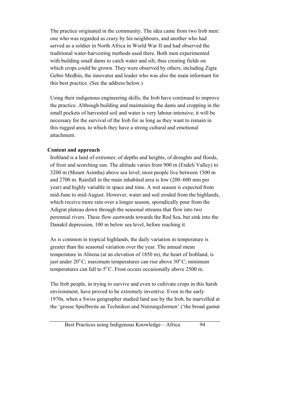The practice originated in the community. The idea came from two Irob men: one who was regarded as crazy by his neighbours, and another who had served as a soldier in North Africa in World War II and had observed the traditional water-harvesting methods used there. Both men experimented with building small dams to catch water and silt, thus creating fields on which crops could be grown. They were observed by others, including Zigta Gebre Medhin, the innovator and leader who was also the main informant for this best practice. (See the address below.)

Using their indigenous engineering skills, the Irob have continued to improve the practice. Although building and maintaining the dams and cropping in the small pockets of harvested soil and water is very labour-intensive, it will be necessary for the survival of the Irob for as long as they want to remain in this rugged area, to which they have a strong cultural and emotional attachment.

### **Content and approach**

Irobland is a land of extremes: of depths and heights, of droughts and floods, of frost and scorching sun. The altitude varies from 900 m (Endeli Valley) to 3200 m (Mount Asimba) above sea level; most people live between 1500 m and 2700 m. Rainfall in the main inhabited area is low (200–600 mm per year) and highly variable in space and time. A wet season is expected from mid-June to mid-August. However, water and soil eroded from the highlands, which receive more rain over a longer season, sporadically pour from the Adigrat plateau down through the seasonal streams that flow into two perennial rivers. These flow eastwards towards the Red Sea, but sink into the Danakil depression, 100 m below sea level, before reaching it.

As is common in tropical highlands, the daily variation in temperature is greater than the seasonal variation over the year. The annual mean temperature in Alitena (at an elevation of 1850 m), the heart of Irobland, is just under  $20^{\circ}$ C; maximum temperatures can rise above  $30^{\circ}$ C; minimum temperatures can fall to  $5^{\circ}$ C. Frost occurs occasionally above 2500 m.

The Irob people, in trying to survive and even to cultivate crops in this harsh environment, have proved to be extremely inventive. Even in the early 1970s, when a Swiss geographer studied land use by the Irob, he marvelled at the 'grosse Spielbreite an Techniken und Nutzungsformen' ('the broad gamut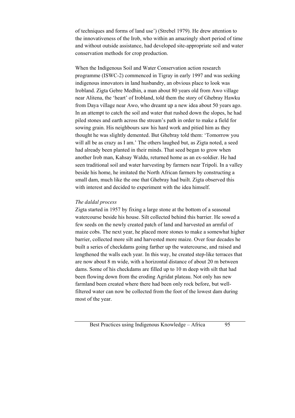of techniques and forms of land use') (Strebel 1979). He drew attention to the innovativeness of the Irob, who within an amazingly short period of time and without outside assistance, had developed site-appropriate soil and water conservation methods for crop production.

When the Indigenous Soil and Water Conservation action research programme (ISWC-2) commenced in Tigray in early 1997 and was seeking indigenous innovators in land husbandry, an obvious place to look was Irobland. Zigta Gebre Medhin, a man about 80 years old from Awo village near Alitena, the 'heart' of Irobland, told them the story of Ghebray Hawku from Daya village near Awo, who dreamt up a new idea about 50 years ago. In an attempt to catch the soil and water that rushed down the slopes, he had piled stones and earth across the stream's path in order to make a field for sowing grain. His neighbours saw his hard work and pitied him as they thought he was slightly demented. But Ghebray told them: 'Tomorrow you will all be as crazy as I am.' The others laughed but, as Zigta noted, a seed had already been planted in their minds. That seed began to grow when another Irob man, Kahsay Waldu, returned home as an ex-soldier. He had seen traditional soil and water harvesting by farmers near Tripoli. In a valley beside his home, he imitated the North African farmers by constructing a small dam, much like the one that Ghebray had built. Zigta observed this with interest and decided to experiment with the idea himself.

### *The daldal process*

Zigta started in 1957 by fixing a large stone at the bottom of a seasonal watercourse beside his house. Silt collected behind this barrier. He sowed a few seeds on the newly created patch of land and harvested an armful of maize cobs. The next year, he placed more stones to make a somewhat higher barrier, collected more silt and harvested more maize. Over four decades he built a series of checkdams going farther up the watercourse, and raised and lengthened the walls each year. In this way, he created step-like terraces that are now about 8 m wide, with a horizontal distance of about 20 m between dams. Some of his checkdams are filled up to 10 m deep with silt that had been flowing down from the eroding Agridat plateau. Not only has new farmland been created where there had been only rock before, but wellfiltered water can now be collected from the foot of the lowest dam during most of the year.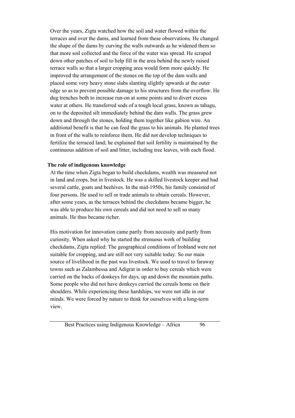Over the years, Zigta watched how the soil and water flowed within the terraces and over the dams, and learned from these observations. He changed the shape of the dams by curving the walls outwards as he widened them so that more soil collected and the force of the water was spread. He scraped down other patches of soil to help fill in the area behind the newly raised terrace walls so that a larger cropping area would form more quickly. He improved the arrangement of the stones on the top of the dam walls and placed some very heavy stone slabs slanting slightly upwards at the outer edge so as to prevent possible damage to his structures from the overflow. He dug trenches both to increase run-on at some points and to divert excess water at others. He transferred sods of a tough local grass, known as tahagu, on to the deposited silt immediately behind the dam walls. The grass grew down and through the stones, holding them together like gabion wire. An additional benefit is that he can feed the grass to his animals. He planted trees in front of the walls to reinforce them. He did not develop techniques to fertilize the terraced land; he explained that soil fertility is maintained by the continuous addition of soil and litter, including tree leaves, with each flood.

### **The role of indigenous knowledge**

At the time when Zigta began to build checkdams, wealth was measured not in land and crops, but in livestock. He was a skilled livestock keeper and had several cattle, goats and beehives. In the mid-1950s, his family consisted of four persons. He used to sell or trade animals to obtain cereals. However, after some years, as the terraces behind the checkdams became bigger, he was able to produce his own cereals and did not need to sell so many animals. He thus became richer.

His motivation for innovation came partly from necessity and partly from curiosity. When asked why he started the strenuous work of building checkdams, Zigta replied: The geographical conditions of Irobland were not suitable for cropping, and are still not very suitable today. So our main source of livelihood in the past was livestock. We used to travel to faraway towns such as Zalambessa and Adigrat in order to buy cereals which were carried on the backs of donkeys for days, up and down the mountain paths. Some people who did not have donkeys carried the cereals home on their shoulders. While experiencing these hardships, we were not idle in our minds. We were forced by nature to think for ourselves with a long-term view.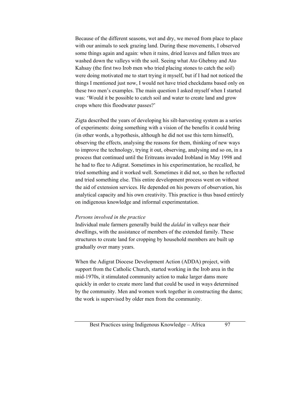Because of the different seasons, wet and dry, we moved from place to place with our animals to seek grazing land. During these movements, I observed some things again and again: when it rains, dried leaves and fallen trees are washed down the valleys with the soil. Seeing what Ato Ghebray and Ato Kahsay (the first two Irob men who tried placing stones to catch the soil) were doing motivated me to start trying it myself, but if I had not noticed the things I mentioned just now, I would not have tried checkdams based only on these two men's examples. The main question I asked myself when I started was: 'Would it be possible to catch soil and water to create land and grow crops where this floodwater passes?'

Zigta described the years of developing his silt-harvesting system as a series of experiments: doing something with a vision of the benefits it could bring (in other words, a hypothesis, although he did not use this term himself), observing the effects, analysing the reasons for them, thinking of new ways to improve the technology, trying it out, observing, analysing and so on, in a process that continued until the Eritreans invaded Irobland in May 1998 and he had to flee to Adigrat. Sometimes in his experimentation, he recalled, he tried something and it worked well. Sometimes it did not, so then he reflected and tried something else. This entire development process went on without the aid of extension services. He depended on his powers of observation, his analytical capacity and his own creativity. This practice is thus based entirely on indigenous knowledge and informal experimentation.

# *Persons involved in the practice*

Individual male farmers generally build the *daldal* in valleys near their dwellings, with the assistance of members of the extended family. These structures to create land for cropping by household members are built up gradually over many years.

When the Adigrat Diocese Development Action (ADDA) project, with support from the Catholic Church, started working in the Irob area in the mid-1970s, it stimulated community action to make larger dams more quickly in order to create more land that could be used in ways determined by the community. Men and women work together in constructing the dams; the work is supervised by older men from the community.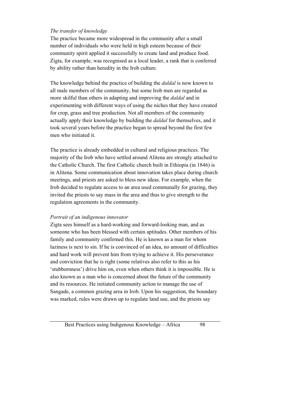# *The transfer of knowledge*

The practice became more widespread in the community after a small number of individuals who were held in high esteem because of their community spirit applied it successfully to create land and produce food. Zigta, for example, was recognised as a local leader, a rank that is conferred by ability rather than heredity in the Irob culture.

The knowledge behind the practice of building the *daldal* is now known to all male members of the community, but some Irob men are regarded as more skilful than others in adapting and improving the *daldal* and in experimenting with different ways of using the niches that they have created for crop, grass and tree production. Not all members of the community actually apply their knowledge by building the *daldal* for themselves, and it took several years before the practice began to spread beyond the first few men who initiated it.

The practice is already embedded in cultural and religious practices. The majority of the Irob who have settled around Alitena are strongly attached to the Catholic Church. The first Catholic church built in Ethiopia (in 1846) is in Alitena. Some communication about innovation takes place during church meetings, and priests are asked to bless new ideas. For example, when the Irob decided to regulate access to an area used communally for grazing, they invited the priests to say mass in the area and thus to give strength to the regulation agreements in the community.

# *Portrait of an indigenous innovator*

Zigta sees himself as a hard-working and forward-looking man, and as someone who has been blessed with certain aptitudes. Other members of his family and community confirmed this. He is known as a man for whom laziness is next to sin. If he is convinced of an idea, no amount of difficulties and hard work will prevent him from trying to achieve it. His perseverance and conviction that he is right (some relatives also refer to this as his 'stubbornness') drive him on, even when others think it is impossible. He is also known as a man who is concerned about the future of the community and its resources. He initiated community action to manage the use of Sangade, a common grazing area in Irob. Upon his suggestion, the boundary was marked, rules were drawn up to regulate land use, and the priests say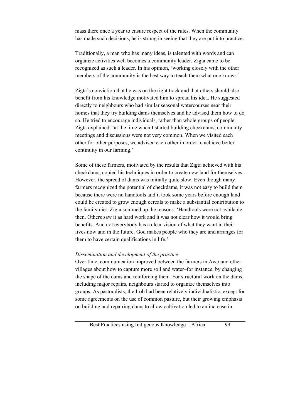mass there once a year to ensure respect of the rules. When the community has made such decisions, he is strong in seeing that they are put into practice.

Traditionally, a man who has many ideas, is talented with words and can organize activities well becomes a community leader. Zigta came to be recognized as such a leader. In his opinion, 'working closely with the other members of the community is the best way to teach them what one knows.'

Zigta's conviction that he was on the right track and that others should also benefit from his knowledge motivated him to spread his idea. He suggested directly to neighbours who had similar seasonal watercourses near their homes that they try building dams themselves and he advised them how to do so. He tried to encourage individuals, rather than whole groups of people. Zigta explained: 'at the time when I started building checkdams, community meetings and discussions were not very common. When we visited each other for other purposes, we advised each other in order to achieve better continuity in our farming.'

Some of these farmers, motivated by the results that Zigta achieved with his checkdams, copied his techniques in order to create new land for themselves. However, the spread of dams was initially quite slow. Even though many farmers recognized the potential of checkdams, it was not easy to build them because there were no handtools and it took some years before enough land could be created to grow enough cereals to make a substantial contribution to the family diet. Zigta summed up the reasons: 'Handtools were not available then. Others saw it as hard work and it was not clear how it would bring benefits. And not everybody has a clear vision of what they want in their lives now and in the future. God makes people who they are and arranges for them to have certain qualifications in life.'

### *Dissemination and development of the practice*

Over time, communication improved between the farmers in Awo and other villages about how to capture more soil and water–for instance, by changing the shape of the dams and reinforcing them. For structural work on the dams, including major repairs, neighbours started to organize themselves into groups. As pastoralists, the Irob had been relatively individualistic, except for some agreements on the use of common pasture, but their growing emphasis on building and repairing dams to allow cultivation led to an increase in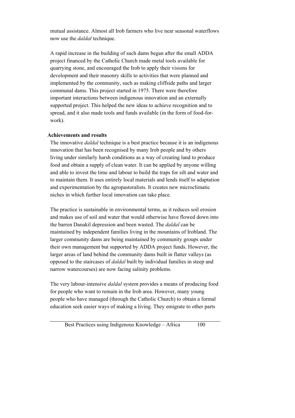mutual assistance. Almost all Irob farmers who live near seasonal waterflows now use the *daldal* technique.

A rapid increase in the building of such dams began after the small ADDA project financed by the Catholic Church made metal tools available for quarrying stone, and encouraged the Irob to apply their visions for development and their masonry skills to activities that were planned and implemented by the community, such as making cliffside paths and larger communal dams. This project started in 1975. There were therefore important interactions between indigenous innovation and an externally supported project. This helped the new ideas to achieve recognition and to spread, and it also made tools and funds available (in the form of food-forwork).

# **Achievements and results**

The innovative *daldal* technique is a best practice because it is an indigenous innovation that has been recognised by many Irob people and by others living under similarly harsh conditions as a way of creating land to produce food and obtain a supply of clean water. It can be applied by anyone willing and able to invest the time and labour to build the traps for silt and water and to maintain them. It uses entirely local materials and lends itself to adaptation and experimentation by the agropastoralists. It creates new microclimatic niches in which further local innovation can take place.

The practice is sustainable in environmental terms, as it reduces soil erosion and makes use of soil and water that would otherwise have flowed down into the barren Danakil depression and been wasted. The *daldal* can be maintained by independent families living in the mountains of Irobland. The larger community dams are being maintained by community groups under their own management but supported by ADDA project funds. However, the larger areas of land behind the community dams built in flatter valleys (as opposed to the staircases of *daldal* built by individual families in steep and narrow watercourses) are now facing salinity problems.

The very labour-intensive *daldal* system provides a means of producing food for people who want to remain in the Irob area. However, many young people who have managed (through the Catholic Church) to obtain a formal education seek easier ways of making a living. They emigrate to other parts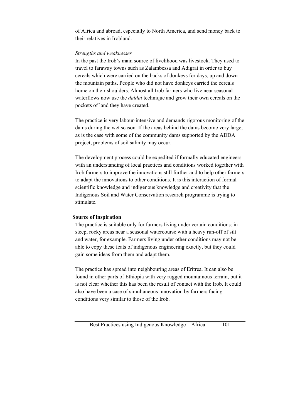of Africa and abroad, especially to North America, and send money back to their relatives in Irobland.

### *Strengths and weaknesses*

In the past the Irob's main source of livelihood was livestock. They used to travel to faraway towns such as Zalambessa and Adigrat in order to buy cereals which were carried on the backs of donkeys for days, up and down the mountain paths. People who did not have donkeys carried the cereals home on their shoulders. Almost all Irob farmers who live near seasonal waterflows now use the *daldal* technique and grow their own cereals on the pockets of land they have created.

The practice is very labour-intensive and demands rigorous monitoring of the dams during the wet season. If the areas behind the dams become very large, as is the case with some of the community dams supported by the ADDA project, problems of soil salinity may occur.

The development process could be expedited if formally educated engineers with an understanding of local practices and conditions worked together with Irob farmers to improve the innovations still further and to help other farmers to adapt the innovations to other conditions. It is this interaction of formal scientific knowledge and indigenous knowledge and creativity that the Indigenous Soil and Water Conservation research programme is trying to stimulate.

# **Source of inspiration**

The practice is suitable only for farmers living under certain conditions: in steep, rocky areas near a seasonal watercourse with a heavy run-off of silt and water, for example. Farmers living under other conditions may not be able to copy these feats of indigenous engineering exactly, but they could gain some ideas from them and adapt them.

The practice has spread into neighbouring areas of Eritrea. It can also be found in other parts of Ethiopia with very rugged mountainous terrain, but it is not clear whether this has been the result of contact with the Irob. It could also have been a case of simultaneous innovation by farmers facing conditions very similar to those of the Irob.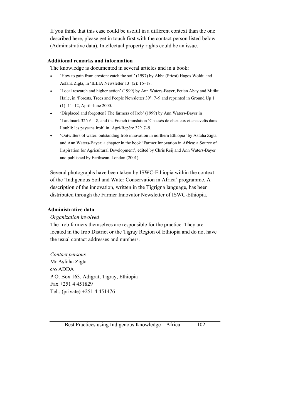If you think that this case could be useful in a different context than the one described here, please get in touch first with the contact person listed below (Administrative data). Intellectual property rights could be an issue.

# **Additional remarks and information**

The knowledge is documented in several articles and in a book:

- 'How to gain from erosion: catch the soil' (1997) by Abba (Priest) Hagos Woldu and Asfaha Zigta, in 'ILEIA Newsletter 13' (2): 16–18.
- 'Local research and higher action' (1999) by Ann Waters-Bayer, Fetien Abay and Mitiku Haile, in 'Forests, Trees and People Newsletter 39': 7–9 and reprinted in Ground Up 1 (1): 11–12, April–June 2000.
- 'Displaced and forgotten? The farmers of Irob' (1999) by Ann Waters-Bayer in 'Landmark 32': 6 – 8, and the French translation 'Chassés de chez eux et ensevelis dans l'oubli: les paysans Irob' in 'Agri-Repère 32': 7–9.
- 'Outwitters of water: outstanding Irob innovation in northern Ethiopia' by Asfaha Zigta and Ann Waters-Bayer: a chapter in the book 'Farmer Innovation in Africa: a Source of Inspiration for Agricultural Development', edited by Chris Reij and Ann Waters-Bayer and published by Earthscan, London (2001).

Several photographs have been taken by ISWC-Ethiopia within the context of the 'Indigenous Soil and Water Conservation in Africa' programme. A description of the innovation, written in the Tigrigna language, has been distributed through the Farmer Innovator Newsletter of ISWC-Ethiopia.

# **Administrative data**

*Organization involved* 

The Irob farmers themselves are responsible for the practice. They are located in the Irob District or the Tigray Region of Ethiopia and do not have the usual contact addresses and numbers.

*Contact persons*  Mr Asfaha Zigta c/o ADDA P.O. Box 163, Adigrat, Tigray, Ethiopia Fax +251 4 451829 Tel.: (private) +251 4 451476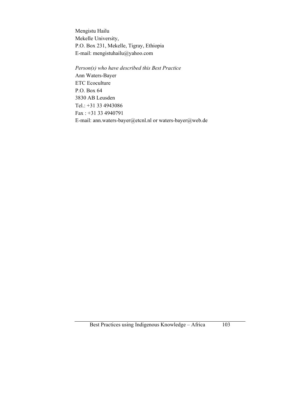Mengistu Hailu Mekelle University, P.O. Box 231, Mekelle, Tigray, Ethiopia E-mail: mengistuhailu@yahoo.com

# *Person(s) who have described this Best Practice*  Ann Waters-Bayer ETC Ecoculture P.O. Box 64 3830 AB Leusden Tel.: +31 33 4943086 Fax : +31 33 4940791 E-mail: ann.waters-bayer@etcnl.nl or waters-bayer@web.de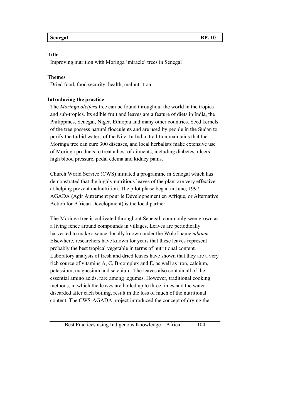### **Title**

Improving nutrition with Moringa 'miracle' trees in Senegal

# **Themes**

Dried food, food security, health, malnutrition

# **Introducing the practice**

The *Moringa oleifera* tree can be found throughout the world in the tropics and sub-tropics. Its edible fruit and leaves are a feature of diets in India, the Philippines, Senegal, Niger, Ethiopia and many other countries. Seed kernels of the tree possess natural flocculents and are used by people in the Sudan to purify the turbid waters of the Nile. In India, tradition maintains that the Moringa tree can cure 300 diseases, and local herbalists make extensive use of Moringa products to treat a host of ailments, including diabetes, ulcers, high blood pressure, pedal edema and kidney pains.

Church World Service (CWS) initiated a programme in Senegal which has demonstrated that the highly nutritious leaves of the plant are very effective at helping prevent malnutrition. The pilot phase began in June, 1997. AGADA (Agir Autrement pour le Développement en Afrique, or Alternative Action for African Development) is the local partner.

The Moringa tree is cultivated throughout Senegal, commonly seen grown as a living fence around compounds in villages. Leaves are periodically harvested to make a sauce, locally known under the Wolof name *mboum*. Elsewhere, researchers have known for years that these leaves represent probably the best tropical vegetable in terms of nutritional content. Laboratory analysis of fresh and dried leaves have shown that they are a very rich source of vitamins A, C, B-complex and E, as well as iron, calcium, potassium, magnesium and selenium. The leaves also contain all of the essential amino acids, rare among legumes. However, traditional cooking methods, in which the leaves are boiled up to three times and the water discarded after each boiling, result in the loss of much of the nutritional content. The CWS-AGADA project introduced the concept of drying the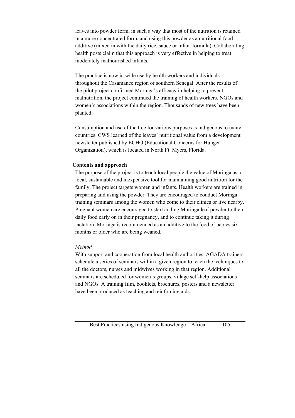leaves into powder form, in such a way that most of the nutrition is retained in a more concentrated form, and using this powder as a nutritional food additive (mixed in with the daily rice, sauce or infant formula). Collaborating health posts claim that this approach is very effective in helping to treat moderately malnourished infants.

The practice is now in wide use by health workers and individuals throughout the Casamance region of southern Senegal. After the results of the pilot project confirmed Moringa's efficacy in helping to prevent malnutrition, the project continued the training of health workers, NGOs and women's associations within the region. Thousands of new trees have been planted.

Consumption and use of the tree for various purposes is indigenous to many countries. CWS learned of the leaves' nutritional value from a development newsletter published by ECHO (Educational Concerns for Hunger Organization), which is located in North Ft. Myers, Florida.

# **Contents and approach**

The purpose of the project is to teach local people the value of Moringa as a local, sustainable and inexpensive tool for maintaining good nutrition for the family. The project targets women and infants. Health workers are trained in preparing and using the powder. They are encouraged to conduct Moringa training seminars among the women who come to their clinics or live nearby. Pregnant women are encouraged to start adding Moringa leaf powder to their daily food early on in their pregnancy, and to continue taking it during lactation. Moringa is recommended as an additive to the food of babies six months or older who are being weaned.

### *Method*

With support and cooperation from local health authorities, AGADA trainers schedule a series of seminars within a given region to teach the techniques to all the doctors, nurses and midwives working in that region. Additional seminars are scheduled for women's groups, village self-help associations and NGOs. A training film, booklets, brochures, posters and a newsletter have been produced as teaching and reinforcing aids.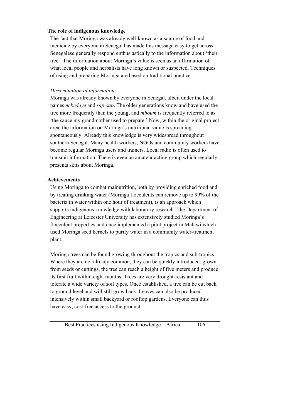### **The role of indigenous knowledge**

The fact that Moringa was already well-known as a source of food and medicine by everyone in Senegal has made this message easy to get across. Senegalese generally respond enthusiastically to the information about 'their tree.' The information about Moringa's value is seen as an affirmation of what local people and herbalists have long known or suspected. Techniques of using and preparing Moringa are based on traditional practice.

# *Dissemination of information*

Moringa was already known by everyone in Senegal, albeit under the local names *nebedaye* and *sap-sap*. The older generations know and have used the tree more frequently than the young, and *mboum* is frequently referred to as 'the sauce my grandmother used to prepare.' Now, within the original project area, the information on Moringa's nutritional value is spreading spontaneously. Already this knowledge is very widespread throughout southern Senegal. Many health workers, NGOs and community workers have become regular Moringa users and trainers. Local radio is often used to transmit information. There is even an amateur acting group which regularly presents skits about Moringa.

### **Achievements**

Using Moringa to combat malnutrition, both by providing enriched food and by treating drinking water (Moringa flocculents can remove up to 99% of the bacteria in water within one hour of treatment), is an approach which supports indigenous knowledge with laboratory research. The Department of Engineering at Leicester University has extensively studied Moringa's flocculent properties and once implemented a pilot project in Malawi which used Moringa seed kernels to purify water in a community water-treatment plant.

Moringa trees can be found growing throughout the tropics and sub-tropics. Where they are not already common, they can be quickly introduced: grown from seeds or cuttings, the tree can reach a height of five meters and produce its first fruit within eight months. Trees are very drought-resistant and tolerate a wide variety of soil types. Once established, a tree can be cut back to ground level and will still grow back. Leaves can also be produced intensively within small backyard or rooftop gardens. Everyone can thus have easy, cost-free access to the product.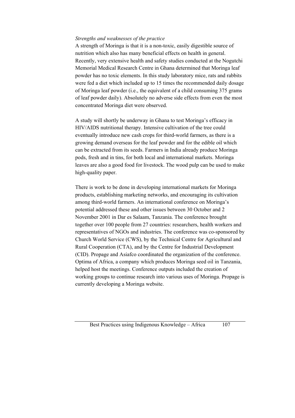### *Strengths and weaknesses of the practice*

A strength of Moringa is that it is a non-toxic, easily digestible source of nutrition which also has many beneficial effects on health in general. Recently, very extensive health and safety studies conducted at the Nogutchi Memorial Medical Research Centre in Ghana determined that Moringa leaf powder has no toxic elements. In this study laboratory mice, rats and rabbits were fed a diet which included up to 15 times the recommended daily dosage of Moringa leaf powder (i.e., the equivalent of a child consuming 375 grams of leaf powder daily). Absolutely no adverse side effects from even the most concentrated Moringa diet were observed.

A study will shortly be underway in Ghana to test Moringa's efficacy in HIV/AIDS nutritional therapy. Intensive cultivation of the tree could eventually introduce new cash crops for third-world farmers, as there is a growing demand overseas for the leaf powder and for the edible oil which can be extracted from its seeds. Farmers in India already produce Moringa pods, fresh and in tins, for both local and international markets. Moringa leaves are also a good food for livestock. The wood pulp can be used to make high-quality paper.

There is work to be done in developing international markets for Moringa products, establishing marketing networks, and encouraging its cultivation among third-world farmers. An international conference on Moringa's potential addressed these and other issues between 30 October and 2 November 2001 in Dar es Salaam, Tanzania. The conference brought together over 100 people from 27 countries: researchers, health workers and representatives of NGOs and industries. The conference was co-sponsored by Church World Service (CWS), by the Technical Centre for Agricultural and Rural Cooperation (CTA), and by the Centre for Industrial Development (CID). Propage and Asiafco coordinated the organization of the conference. Optima of Africa, a company which produces Moringa seed oil in Tanzania, helped host the meetings. Conference outputs included the creation of working groups to continue research into various uses of Moringa. Propage is currently developing a Moringa website.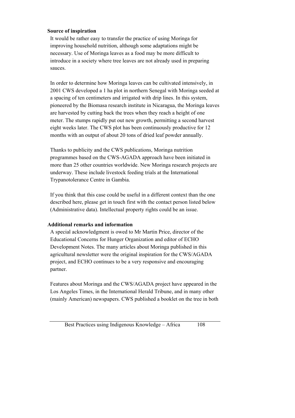# **Source of inspiration**

It would be rather easy to transfer the practice of using Moringa for improving household nutrition, although some adaptations might be necessary. Use of Moringa leaves as a food may be more difficult to introduce in a society where tree leaves are not already used in preparing sauces.

In order to determine how Moringa leaves can be cultivated intensively, in 2001 CWS developed a 1 ha plot in northern Senegal with Moringa seeded at a spacing of ten centimeters and irrigated with drip lines. In this system, pioneered by the Biomasa research institute in Nicaragua, the Moringa leaves are harvested by cutting back the trees when they reach a height of one meter. The stumps rapidly put out new growth, permitting a second harvest eight weeks later. The CWS plot has been continuously productive for 12 months with an output of about 20 tons of dried leaf powder annually.

Thanks to publicity and the CWS publications, Moringa nutrition programmes based on the CWS-AGADA approach have been initiated in more than 25 other countries worldwide. New Moringa research projects are underway. These include livestock feeding trials at the International Trypanotolerance Centre in Gambia.

If you think that this case could be useful in a different context than the one described here, please get in touch first with the contact person listed below (Administrative data). Intellectual property rights could be an issue.

# **Additional remarks and information**

A special acknowledgment is owed to Mr Martin Price, director of the Educational Concerns for Hunger Organization and editor of ECHO Development Notes. The many articles about Moringa published in this agricultural newsletter were the original inspiration for the CWS/AGADA project, and ECHO continues to be a very responsive and encouraging partner.

Features about Moringa and the CWS/AGADA project have appeared in the Los Angeles Times, in the International Herald Tribune, and in many other (mainly American) newspapers. CWS published a booklet on the tree in both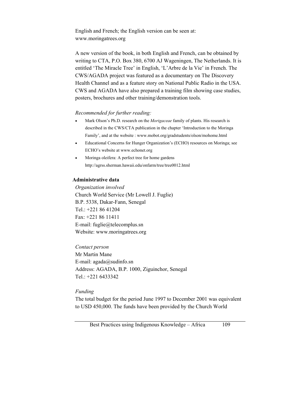English and French; the English version can be seen at: www.moringatrees.org

A new version of the book, in both English and French, can be obtained by writing to CTA, P.O. Box 380, 6700 AJ Wageningen, The Netherlands. It is entitled 'The Miracle Tree' in English, 'L'Arbre de la Vie' in French. The CWS/AGADA project was featured as a documentary on The Discovery Health Channel and as a feature story on National Public Radio in the USA. CWS and AGADA have also prepared a training film showing case studies, posters, brochures and other training/demonstration tools.

#### *Recommended for further reading:*

- Mark Olson's Ph.D. research on the *Morigaceae* family of plants. His research is described in the CWS/CTA publication in the chapter 'Introduction to the Moringa Family', and at the website : www.mobot.org/gradstudents/olson/mohome.html
- Educational Concerns for Hunger Organization's (ECHO) resources on Moringa; see ECHO's website at www.echonet.org
- Moringa oleifera: A perfect tree for home gardens http://agrss.sherman.hawaii.edu/onfarm/tree/tree0012.html

#### **Administrative data**

*Organization involved*  Church World Service (Mr Lowell J. Fuglie) B.P. 5338, Dakar-Fann, Senegal Tel.: +221 86 41204 Fax: +221 86 11411 E-mail: fuglie@telecomplus.sn Website: www.moringatrees.org

#### *Contact person*

Mr Martin Mane E-mail:  $a$ gada@sudinfo.sn Address: AGADA, B.P. 1000, Ziguinchor, Senegal Tel.: +221 6433342

#### *Funding*

The total budget for the period June 1997 to December 2001 was equivalent to USD 450,000. The funds have been provided by the Church World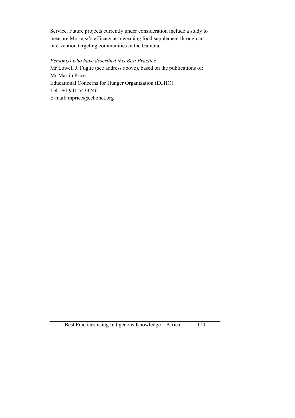Service. Future projects currently under consideration include a study to measure Moringa's efficacy as a weaning food supplement through an intervention targeting communities in the Gambia.

## *Person(s) who have described this Best Practice*

Mr Lowell J. Fuglie (see address above), based on the publications of: Mr Martin Price Educational Concerns for Hunger Organization (ECHO) Tel.: +1 941 5433246 E-mail: mprice@echonet.org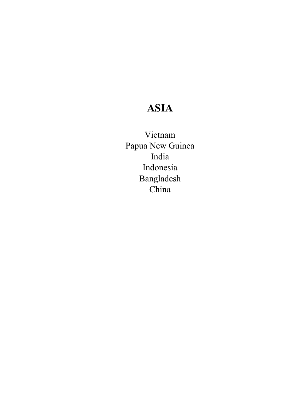# **ASIA**

Vietnam Papua New Guinea India Indonesia Bangladesh China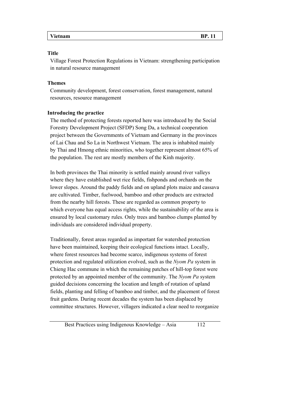| <b>BP.</b> 11 |
|---------------|
|               |

#### **Title**

Village Forest Protection Regulations in Vietnam: strengthening participation in natural resource management

# **Themes**

Community development, forest conservation, forest management, natural resources, resource management

#### **Introducing the practice**

The method of protecting forests reported here was introduced by the Social Forestry Development Project (SFDP) Song Da, a technical cooperation project between the Governments of Vietnam and Germany in the provinces of Lai Chau and So La in Northwest Vietnam. The area is inhabited mainly by Thai and Hmong ethnic minorities, who together represent almost 65% of the population. The rest are mostly members of the Kinh majority.

In both provinces the Thai minority is settled mainly around river valleys where they have established wet rice fields, fishponds and orchards on the lower slopes. Around the paddy fields and on upland plots maize and cassava are cultivated. Timber, fuelwood, bamboo and other products are extracted from the nearby hill forests. These are regarded as common property to which everyone has equal access rights, while the sustainability of the area is ensured by local customary rules. Only trees and bamboo clumps planted by individuals are considered individual property.

Traditionally, forest areas regarded as important for watershed protection have been maintained, keeping their ecological functions intact. Locally, where forest resources had become scarce, indigenous systems of forest protection and regulated utilization evolved, such as the *Nyom Pa* system in Chieng Hac commune in which the remaining patches of hill-top forest were protected by an appointed member of the community. The *Nyom Pa* system guided decisions concerning the location and length of rotation of upland fields, planting and felling of bamboo and timber, and the placement of forest fruit gardens. During recent decades the system has been displaced by committee structures. However, villagers indicated a clear need to reorganize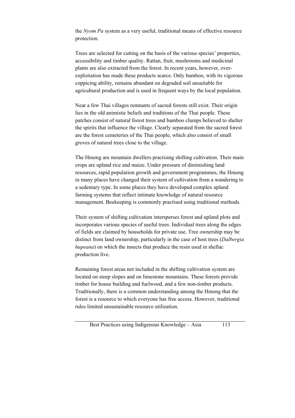the *Nyom Pa* system as a very useful, traditional means of effective resource protection.

Trees are selected for cutting on the basis of the various species' properties, accessibility and timber quality. Rattan, fruit, mushrooms and medicinal plants are also extracted from the forest. In recent years, however, overexploitation has made these products scarce. Only bamboo, with its vigorous coppicing ability, remains abundant on degraded soil unsuitable for agricultural production and is used in frequent ways by the local population.

Near a few Thai villages remnants of sacred forests still exist. Their origin lies in the old animistic beliefs and traditions of the Thai people. These patches consist of natural forest trees and bamboo clumps believed to shelter the spirits that influence the village. Clearly separated from the sacred forest are the forest cemeteries of the Thai people, which also consist of small groves of natural trees close to the village.

The Hmong are mountain dwellers practising shifting cultivation. Their main crops are upland rice and maize. Under pressure of diminishing land resources, rapid population growth and government programmes, the Hmong in many places have changed their system of cultivation from a wandering to a sedentary type. In some places they have developed complex upland farming systems that reflect intimate knowledge of natural resource management. Beekeeping is commonly practised using traditional methods.

Their system of shifting cultivation intersperses forest and upland plots and incorporates various species of useful trees. Individual trees along the edges of fields are claimed by households for private use. Tree ownership may be distinct from land ownership, particularly in the case of host trees (*Dalbergia hupeana*) on which the insects that produce the resin used in shellac production live.

Remaining forest areas not included in the shifting cultivation system are located on steep slopes and on limestone mountains. These forests provide timber for house building and fuelwood, and a few non-timber products. Traditionally, there is a common understanding among the Hmong that the forest is a resource to which everyone has free access. However, traditional rules limited unsustainable resource utilization.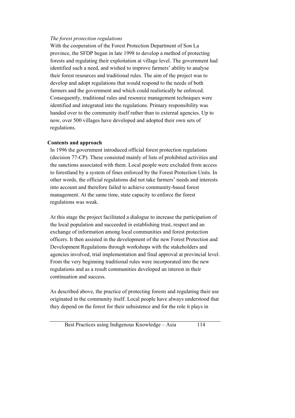## *The forest protection regulations*

With the cooperation of the Forest Protection Department of Son La province, the SFDP began in late 1998 to develop a method of protecting forests and regulating their exploitation at village level. The government had identified such a need, and wished to improve farmers' ability to analyse their forest resources and traditional rules. The aim of the project was to develop and adopt regulations that would respond to the needs of both farmers and the government and which could realistically be enforced. Consequently, traditional rules and resource management techniques were identified and integrated into the regulations. Primary responsibility was handed over to the community itself rather than to external agencies. Up to now, over 500 villages have developed and adopted their own sets of regulations.

## **Contents and approach**

In 1996 the government introduced official forest protection regulations (decision 77-CP). These consisted mainly of lists of prohibited activities and the sanctions associated with them. Local people were excluded from access to forestland by a system of fines enforced by the Forest Protection Units. In other words, the official regulations did not take farmers' needs and interests into account and therefore failed to achieve community-based forest management. At the same time, state capacity to enforce the forest regulations was weak.

At this stage the project facilitated a dialogue to increase the participation of the local population and succeeded in establishing trust, respect and an exchange of information among local communities and forest protection officers. It then assisted in the development of the new Forest Protection and Development Regulations through workshops with the stakeholders and agencies involved, trial implementation and final approval at provincial level. From the very beginning traditional rules were incorporated into the new regulations and as a result communities developed an interest in their continuation and success.

As described above, the practice of protecting forests and regulating their use originated in the community itself. Local people have always understood that they depend on the forest for their subsistence and for the role it plays in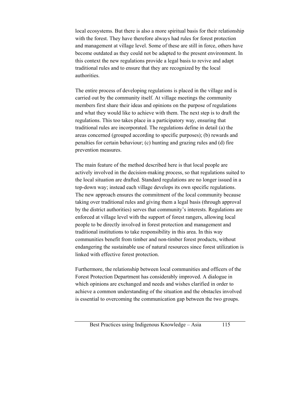local ecosystems. But there is also a more spiritual basis for their relationship with the forest. They have therefore always had rules for forest protection and management at village level. Some of these are still in force, others have become outdated as they could not be adapted to the present environment. In this context the new regulations provide a legal basis to revive and adapt traditional rules and to ensure that they are recognized by the local authorities.

The entire process of developing regulations is placed in the village and is carried out by the community itself. At village meetings the community members first share their ideas and opinions on the purpose of regulations and what they would like to achieve with them. The next step is to draft the regulations. This too takes place in a participatory way, ensuring that traditional rules are incorporated. The regulations define in detail (a) the areas concerned (grouped according to specific purposes); (b) rewards and penalties for certain behaviour; (c) hunting and grazing rules and (d) fire prevention measures.

The main feature of the method described here is that local people are actively involved in the decision-making process, so that regulations suited to the local situation are drafted. Standard regulations are no longer issued in a top-down way; instead each village develops its own specific regulations. The new approach ensures the commitment of the local community because taking over traditional rules and giving them a legal basis (through approval by the district authorities) serves that community's interests. Regulations are enforced at village level with the support of forest rangers, allowing local people to be directly involved in forest protection and management and traditional institutions to take responsibility in this area. In this way communities benefit from timber and non-timber forest products, without endangering the sustainable use of natural resources since forest utilization is linked with effective forest protection.

Furthermore, the relationship between local communities and officers of the Forest Protection Department has considerably improved. A dialogue in which opinions are exchanged and needs and wishes clarified in order to achieve a common understanding of the situation and the obstacles involved is essential to overcoming the communication gap between the two groups.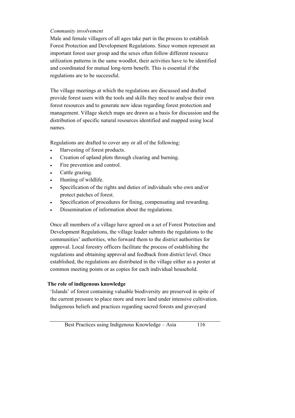## *Community involvement*

Male and female villagers of all ages take part in the process to establish Forest Protection and Development Regulations. Since women represent an important forest user group and the sexes often follow different resource utilization patterns in the same woodlot, their activities have to be identified and coordinated for mutual long-term benefit. This is essential if the regulations are to be successful.

The village meetings at which the regulations are discussed and drafted provide forest users with the tools and skills they need to analyse their own forest resources and to generate new ideas regarding forest protection and management. Village sketch maps are drawn as a basis for discussion and the distribution of specific natural resources identified and mapped using local names.

Regulations are drafted to cover any or all of the following:

- Harvesting of forest products.
- Creation of upland plots through clearing and burning.
- Fire prevention and control.
- Cattle grazing.
- Hunting of wildlife.
- Specification of the rights and duties of individuals who own and/or protect patches of forest.
- Specification of procedures for fining, compensating and rewarding.
- Dissemination of information about the regulations.

Once all members of a village have agreed on a set of Forest Protection and Development Regulations, the village leader submits the regulations to the communities' authorities, who forward them to the district authorities for approval. Local forestry officers facilitate the process of establishing the regulations and obtaining approval and feedback from district level. Once established, the regulations are distributed in the village either as a poster at common meeting points or as copies for each individual household.

## **The role of indigenous knowledge**

'Islands' of forest containing valuable biodiversity are preserved in spite of the current pressure to place more and more land under intensive cultivation. Indigenous beliefs and practices regarding sacred forests and graveyard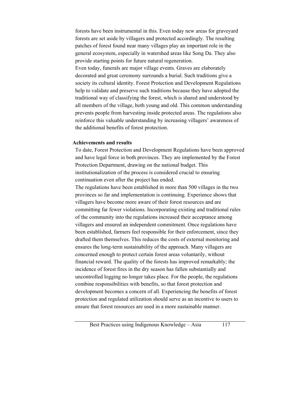forests have been instrumental in this. Even today new areas for graveyard forests are set aside by villagers and protected accordingly. The resulting patches of forest found near many villages play an important role in the general ecosystem, especially in watershed areas like Song Da. They also provide starting points for future natural regeneration. Even today, funerals are major village events. Graves are elaborately decorated and great ceremony surrounds a burial. Such traditions give a society its cultural identity. Forest Protection and Development Regulations help to validate and preserve such traditions because they have adopted the traditional way of classifying the forest, which is shared and understood by all members of the village, both young and old. This common understanding prevents people from harvesting inside protected areas. The regulations also reinforce this valuable understanding by increasing villagers' awareness of the additional benefits of forest protection.

#### **Achievements and results**

To date, Forest Protection and Development Regulations have been approved and have legal force in both provinces. They are implemented by the Forest Protection Department, drawing on the national budget. This institutionalization of the process is considered crucial to ensuring continuation even after the project has ended.

The regulations have been established in more than 500 villages in the two provinces so far and implementation is continuing. Experience shows that villagers have become more aware of their forest resources and are committing far fewer violations. Incorporating existing and traditional rules of the community into the regulations increased their acceptance among villagers and ensured an independent commitment. Once regulations have been established, farmers feel responsible for their enforcement, since they drafted them themselves. This reduces the costs of external monitoring and ensures the long-term sustainability of the approach. Many villagers are concerned enough to protect certain forest areas voluntarily, without financial reward. The quality of the forests has improved remarkably; the incidence of forest fires in the dry season has fallen substantially and uncontrolled logging no longer takes place. For the people, the regulations combine responsibilities with benefits, so that forest protection and development becomes a concern of all. Experiencing the benefits of forest protection and regulated utilization should serve as an incentive to users to ensure that forest resources are used in a more sustainable manner.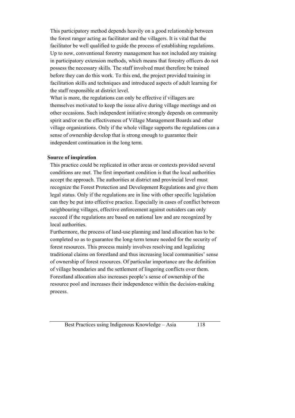This participatory method depends heavily on a good relationship between the forest ranger acting as facilitator and the villagers. It is vital that the facilitator be well qualified to guide the process of establishing regulations. Up to now, conventional forestry management has not included any training in participatory extension methods, which means that forestry officers do not possess the necessary skills. The staff involved must therefore be trained before they can do this work. To this end, the project provided training in facilitation skills and techniques and introduced aspects of adult learning for the staff responsible at district level.

What is more, the regulations can only be effective if villagers are themselves motivated to keep the issue alive during village meetings and on other occasions. Such independent initiative strongly depends on community spirit and/or on the effectiveness of Village Management Boards and other village organizations. Only if the whole village supports the regulations can a sense of ownership develop that is strong enough to guarantee their independent continuation in the long term.

#### **Source of inspiration**

This practice could be replicated in other areas or contexts provided several conditions are met. The first important condition is that the local authorities accept the approach. The authorities at district and provincial level must recognize the Forest Protection and Development Regulations and give them legal status. Only if the regulations are in line with other specific legislation can they be put into effective practice. Especially in cases of conflict between neighbouring villages, effective enforcement against outsiders can only succeed if the regulations are based on national law and are recognized by local authorities.

Furthermore, the process of land-use planning and land allocation has to be completed so as to guarantee the long-term tenure needed for the security of forest resources. This process mainly involves resolving and legalizing traditional claims on forestland and thus increasing local communities' sense of ownership of forest resources. Of particular importance are the definition of village boundaries and the settlement of lingering conflicts over them. Forestland allocation also increases people's sense of ownership of the resource pool and increases their independence within the decision-making process.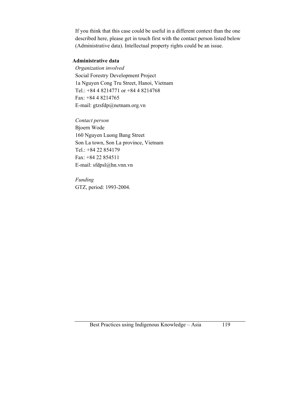If you think that this case could be useful in a different context than the one described here, please get in touch first with the contact person listed below (Administrative data). Intellectual property rights could be an issue.

#### **Administrative data**

*Organization involved*  Social Forestry Development Project 1a Nguyen Cong Tru Street, Hanoi, Vietnam Tel.: +84 4 8214771 or +84 4 8214768 Fax: +84 4 8214765 E-mail: gtzsfdp@netnam.org.vn

*Contact person*  Bjoern Wode 160 Nguyen Luong Bang Street Son La town, Son La province, Vietnam Tel.: +84 22 854179 Fax: +84 22 854511 E-mail: sfdpsl@hn.vnn.vn

*Funding*  GTZ, period: 1993-2004.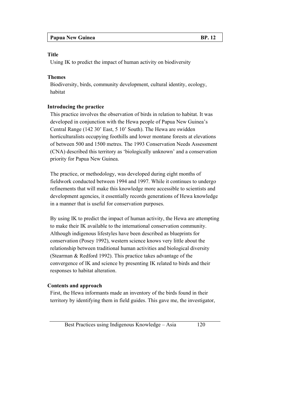| <b>Papua New Guinea</b> | <b>BP.</b> 12 |
|-------------------------|---------------|
|-------------------------|---------------|

#### **Title**

Using IK to predict the impact of human activity on biodiversity

#### **Themes**

Biodiversity, birds, community development, cultural identity, ecology, habitat

## **Introducing the practice**

This practice involves the observation of birds in relation to habitat. It was developed in conjunction with the Hewa people of Papua New Guinea's Central Range (142 30' East, 5 10' South). The Hewa are swidden horticulturalists occupying foothills and lower montane forests at elevations of between 500 and 1500 metres. The 1993 Conservation Needs Assessment (CNA) described this territory as 'biologically unknown' and a conservation priority for Papua New Guinea.

The practice, or methodology, was developed during eight months of fieldwork conducted between 1994 and 1997. While it continues to undergo refinements that will make this knowledge more accessible to scientists and development agencies, it essentially records generations of Hewa knowledge in a manner that is useful for conservation purposes.

By using IK to predict the impact of human activity, the Hewa are attempting to make their IK available to the international conservation community. Although indigenous lifestyles have been described as blueprints for conservation (Posey 1992), western science knows very little about the relationship between traditional human activities and biological diversity (Stearman & Redford 1992). This practice takes advantage of the convergence of IK and science by presenting IK related to birds and their responses to habitat alteration.

#### **Contents and approach**

First, the Hewa informants made an inventory of the birds found in their territory by identifying them in field guides. This gave me, the investigator,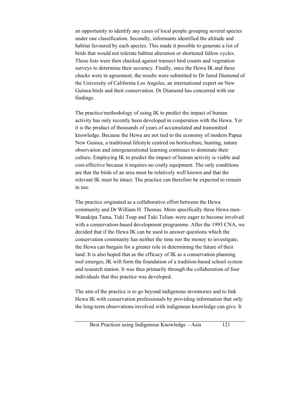an opportunity to identify any cases of local people grouping several species under one classification. Secondly, informants identified the altitude and habitat favoured by each species. This made it possible to generate a list of birds that would not tolerate habitat alteration or shortened fallow cycles. These lists were then checked against transect bird counts and vegetation surveys to determine their accuracy. Finally, once the Hewa IK and these checks were in agreement, the results were submitted to Dr Jared Diamond of the University of California Los Angeles, an international expert on New Guinea birds and their conservation. Dr Diamond has concurred with our findings.

The practice/methodology of using IK to predict the impact of human activity has only recently been developed in cooperation with the Hewa. Yet it is the product of thousands of years of accumulated and transmitted knowledge. Because the Hewa are not tied to the economy of modern Papua New Guinea, a traditional lifestyle centred on horticulture, hunting, nature observation and intergenerational learning continues to dominate their culture. Employing IK to predict the impact of human activity is viable and cost-effective because it requires no costly equipment. The only conditions are that the birds of an area must be relatively well known and that the relevant IK must be intact. The practice can therefore be expected to remain in use.

The practice originated as a collaborative effort between the Hewa community and Dr William H. Thomas. More specifically three Hewa men– Wanakipa Tama, Tuki Toap and Tuki Telian–were eager to become involved with a conservation-based development programme. After the 1993 CNA, we decided that if the Hewa IK can be used to answer questions which the conservation community has neither the time nor the money to investigate, the Hewa can bargain for a greater role in determining the future of their land. It is also hoped that as the efficacy of IK as a conservation planning tool emerges, IK will form the foundation of a tradition-based school system and research station. It was thus primarily through the collaboration of four individuals that this practice was developed.

The aim of the practice is to go beyond indigenous inventories and to link Hewa IK with conservation professionals by providing information that only the long-term observations involved with indigenous knowledge can give. It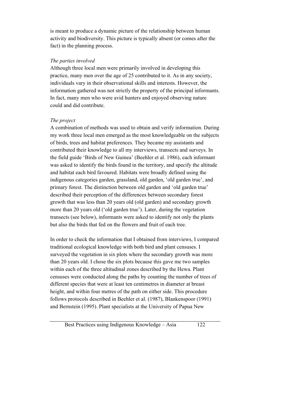is meant to produce a dynamic picture of the relationship between human activity and biodiversity. This picture is typically absent (or comes after the fact) in the planning process.

## *The parties involved*

Although three local men were primarily involved in developing this practice, many men over the age of 25 contributed to it. As in any society, individuals vary in their observational skills and interests. However, the information gathered was not strictly the property of the principal informants. In fact, many men who were avid hunters and enjoyed observing nature could and did contribute.

# *The project*

A combination of methods was used to obtain and verify information. During my work three local men emerged as the most knowledgeable on the subjects of birds, trees and habitat preferences. They became my assistants and contributed their knowledge to all my interviews, transects and surveys. In the field guide 'Birds of New Guinea' (Beehler et al. 1986), each informant was asked to identify the birds found in the territory, and specify the altitude and habitat each bird favoured. Habitats were broadly defined using the indigenous categories garden, grassland, old garden, 'old garden true', and primary forest. The distinction between old garden and 'old garden true' described their perception of the differences between secondary forest growth that was less than 20 years old (old garden) and secondary growth more than 20 years old ('old garden true'). Later, during the vegetation transects (see below), informants were asked to identify not only the plants but also the birds that fed on the flowers and fruit of each tree.

In order to check the information that I obtained from interviews, I compared traditional ecological knowledge with both bird and plant censuses. I surveyed the vegetation in six plots where the secondary growth was more than 20 years old. I chose the six plots because this gave me two samples within each of the three altitudinal zones described by the Hewa. Plant censuses were conducted along the paths by counting the number of trees of different species that were at least ten centimetres in diameter at breast height, and within four metres of the path on either side. This procedure follows protocols described in Beehler et al. (1987), Blankenspoor (1991) and Bernstein (1995). Plant specialists at the University of Papua New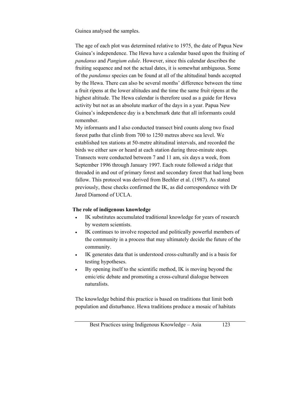Guinea analysed the samples.

The age of each plot was determined relative to 1975, the date of Papua New Guinea's independence. The Hewa have a calendar based upon the fruiting of *pandanus* and *Pangium edule*. However, since this calendar describes the fruiting sequence and not the actual dates, it is somewhat ambiguous. Some of the *pandanus* species can be found at all of the altitudinal bands accepted by the Hewa. There can also be several months' difference between the time a fruit ripens at the lower altitudes and the time the same fruit ripens at the highest altitude. The Hewa calendar is therefore used as a guide for Hewa activity but not as an absolute marker of the days in a year. Papua New Guinea's independence day is a benchmark date that all informants could remember.

My informants and I also conducted transect bird counts along two fixed forest paths that climb from 700 to 1250 metres above sea level. We established ten stations at 50-metre altitudinal intervals, and recorded the birds we either saw or heard at each station during three-minute stops. Transects were conducted between 7 and 11 am, six days a week, from September 1996 through January 1997. Each route followed a ridge that threaded in and out of primary forest and secondary forest that had long been fallow. This protocol was derived from Beehler et al. (1987). As stated previously, these checks confirmed the IK, as did correspondence with Dr Jared Diamond of UCLA.

## **The role of indigenous knowledge**

- IK substitutes accumulated traditional knowledge for years of research by western scientists.
- IK continues to involve respected and politically powerful members of the community in a process that may ultimately decide the future of the community.
- IK generates data that is understood cross-culturally and is a basis for testing hypotheses.
- By opening itself to the scientific method, IK is moving beyond the emic/etic debate and promoting a cross-cultural dialogue between naturalists.

The knowledge behind this practice is based on traditions that limit both population and disturbance. Hewa traditions produce a mosaic of habitats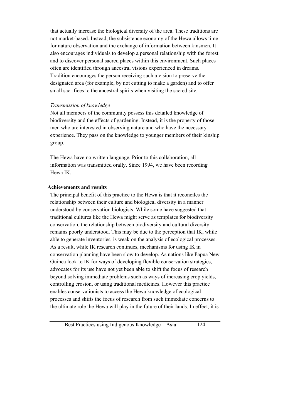that actually increase the biological diversity of the area. These traditions are not market-based. Instead, the subsistence economy of the Hewa allows time for nature observation and the exchange of information between kinsmen. It also encourages individuals to develop a personal relationship with the forest and to discover personal sacred places within this environment. Such places often are identified through ancestral visions experienced in dreams. Tradition encourages the person receiving such a vision to preserve the designated area (for example, by not cutting to make a garden) and to offer small sacrifices to the ancestral spirits when visiting the sacred site.

#### *Transmission of knowledge*

Not all members of the community possess this detailed knowledge of biodiversity and the effects of gardening. Instead, it is the property of those men who are interested in observing nature and who have the necessary experience. They pass on the knowledge to younger members of their kinship group.

The Hewa have no written language. Prior to this collaboration, all information was transmitted orally. Since 1994, we have been recording Hewa IK.

#### **Achievements and results**

The principal benefit of this practice to the Hewa is that it reconciles the relationship between their culture and biological diversity in a manner understood by conservation biologists. While some have suggested that traditional cultures like the Hewa might serve as templates for biodiversity conservation, the relationship between biodiversity and cultural diversity remains poorly understood. This may be due to the perception that IK, while able to generate inventories, is weak on the analysis of ecological processes. As a result, while IK research continues, mechanisms for using IK in conservation planning have been slow to develop. As nations like Papua New Guinea look to IK for ways of developing flexible conservation strategies, advocates for its use have not yet been able to shift the focus of research beyond solving immediate problems such as ways of increasing crop yields, controlling erosion, or using traditional medicines. However this practice enables conservationists to access the Hewa knowledge of ecological processes and shifts the focus of research from such immediate concerns to the ultimate role the Hewa will play in the future of their lands. In effect, it is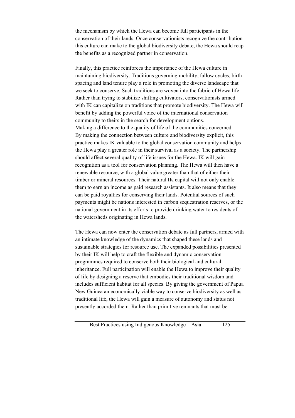the mechanism by which the Hewa can become full participants in the conservation of their lands. Once conservationists recognize the contribution this culture can make to the global biodiversity debate, the Hewa should reap the benefits as a recognized partner in conservation.

Finally, this practice reinforces the importance of the Hewa culture in maintaining biodiversity. Traditions governing mobility, fallow cycles, birth spacing and land tenure play a role in promoting the diverse landscape that we seek to conserve. Such traditions are woven into the fabric of Hewa life. Rather than trying to stabilize shifting cultivators, conservationists armed with IK can capitalize on traditions that promote biodiversity. The Hewa will benefit by adding the powerful voice of the international conservation community to theirs in the search for development options. Making a difference to the quality of life of the communities concerned By making the connection between culture and biodiversity explicit, this practice makes IK valuable to the global conservation community and helps the Hewa play a greater role in their survival as a society. The partnership should affect several quality of life issues for the Hewa. IK will gain recognition as a tool for conservation planning. The Hewa will then have a renewable resource, with a global value greater than that of either their timber or mineral resources. Their natural IK capital will not only enable them to earn an income as paid research assistants. It also means that they can be paid royalties for conserving their lands. Potential sources of such payments might be nations interested in carbon sequestration reserves, or the national government in its efforts to provide drinking water to residents of the watersheds originating in Hewa lands.

The Hewa can now enter the conservation debate as full partners, armed with an intimate knowledge of the dynamics that shaped these lands and sustainable strategies for resource use. The expanded possibilities presented by their IK will help to craft the flexible and dynamic conservation programmes required to conserve both their biological and cultural inheritance. Full participation will enable the Hewa to improve their quality of life by designing a reserve that embodies their traditional wisdom and includes sufficient habitat for all species. By giving the government of Papua New Guinea an economically viable way to conserve biodiversity as well as traditional life, the Hewa will gain a measure of autonomy and status not presently accorded them. Rather than primitive remnants that must be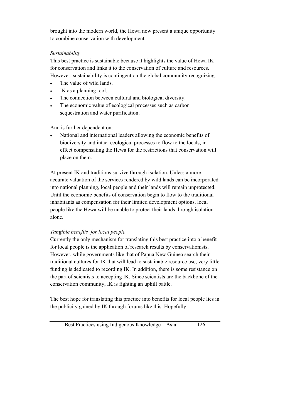brought into the modern world, the Hewa now present a unique opportunity to combine conservation with development.

# *Sustainability*

This best practice is sustainable because it highlights the value of Hewa IK for conservation and links it to the conservation of culture and resources. However, sustainability is contingent on the global community recognizing:

- The value of wild lands.
- IK as a planning tool.
- The connection between cultural and biological diversity.
- The economic value of ecological processes such as carbon sequestration and water purification.

And is further dependent on:

National and international leaders allowing the economic benefits of biodiversity and intact ecological processes to flow to the locals, in effect compensating the Hewa for the restrictions that conservation will place on them.

At present IK and traditions survive through isolation. Unless a more accurate valuation of the services rendered by wild lands can be incorporated into national planning, local people and their lands will remain unprotected. Until the economic benefits of conservation begin to flow to the traditional inhabitants as compensation for their limited development options, local people like the Hewa will be unable to protect their lands through isolation alone.

## *Tangible benefits for local people*

Currently the only mechanism for translating this best practice into a benefit for local people is the application of research results by conservationists. However, while governments like that of Papua New Guinea search their traditional cultures for IK that will lead to sustainable resource use, very little funding is dedicated to recording IK. In addition, there is some resistance on the part of scientists to accepting IK. Since scientists are the backbone of the conservation community, IK is fighting an uphill battle.

The best hope for translating this practice into benefits for local people lies in the publicity gained by IK through forums like this. Hopefully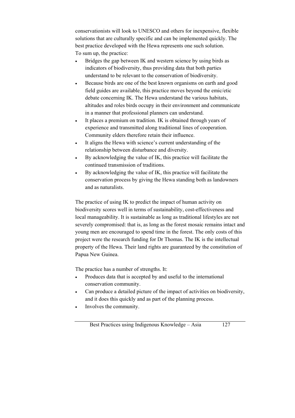conservationists will look to UNESCO and others for inexpensive, flexible solutions that are culturally specific and can be implemented quickly. The best practice developed with the Hewa represents one such solution. To sum up, the practice:

- Bridges the gap between IK and western science by using birds as indicators of biodiversity, thus providing data that both parties understand to be relevant to the conservation of biodiversity.
- Because birds are one of the best known organisms on earth and good field guides are available, this practice moves beyond the emic/etic debate concerning IK. The Hewa understand the various habitats, altitudes and roles birds occupy in their environment and communicate in a manner that professional planners can understand.
- It places a premium on tradition. IK is obtained through years of experience and transmitted along traditional lines of cooperation. Community elders therefore retain their influence.
- It aligns the Hewa with science's current understanding of the relationship between disturbance and diversity.
- By acknowledging the value of IK, this practice will facilitate the continued transmission of traditions.
- By acknowledging the value of IK, this practice will facilitate the conservation process by giving the Hewa standing both as landowners and as naturalists.

The practice of using IK to predict the impact of human activity on biodiversity scores well in terms of sustainability, cost-effectiveness and local manageability. It is sustainable as long as traditional lifestyles are not severely compromised: that is, as long as the forest mosaic remains intact and young men are encouraged to spend time in the forest. The only costs of this project were the research funding for Dr Thomas. The IK is the intellectual property of the Hewa. Their land rights are guaranteed by the constitution of Papua New Guinea.

The practice has a number of strengths. It:

- Produces data that is accepted by and useful to the international conservation community.
- Can produce a detailed picture of the impact of activities on biodiversity, and it does this quickly and as part of the planning process.
- Involves the community.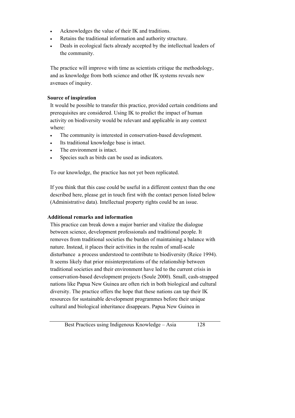- Acknowledges the value of their IK and traditions.
- Retains the traditional information and authority structure.
- Deals in ecological facts already accepted by the intellectual leaders of the community.

The practice will improve with time as scientists critique the methodology, and as knowledge from both science and other IK systems reveals new avenues of inquiry.

## **Source of inspiration**

It would be possible to transfer this practice, provided certain conditions and prerequisites are considered. Using IK to predict the impact of human activity on biodiversity would be relevant and applicable in any context where:

- The community is interested in conservation-based development.
- Its traditional knowledge base is intact.
- The environment is intact.
- Species such as birds can be used as indicators.

To our knowledge, the practice has not yet been replicated.

If you think that this case could be useful in a different context than the one described here, please get in touch first with the contact person listed below (Administrative data). Intellectual property rights could be an issue.

## **Additional remarks and information**

This practice can break down a major barrier and vitalize the dialogue between science, development professionals and traditional people. It removes from traditional societies the burden of maintaining a balance with nature. Instead, it places their activities in the realm of small-scale disturbance a process understood to contribute to biodiversity (Reice 1994). It seems likely that prior misinterpretations of the relationship between traditional societies and their environment have led to the current crisis in conservation-based development projects (Soule 2000). Small, cash-strapped nations like Papua New Guinea are often rich in both biological and cultural diversity. The practice offers the hope that these nations can tap their IK resources for sustainable development programmes before their unique cultural and biological inheritance disappears. Papua New Guinea in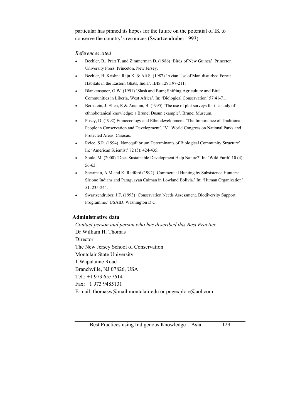particular has pinned its hopes for the future on the potential of IK to conserve the country's resources (Swartzendruber 1993).

#### *References cited*

- Beehler, B., Pratt T. and Zimmerman D. (1986) 'Birds of New Guinea'. Princeton University Press. Princeton, New Jersey.
- Beehler, B. Krishna Raju K. & Ali S. (1987) 'Avian Use of Man-disturbed Forest Habitats in the Eastern Ghats, India'. IBIS 129:197-211.
- Blankenspoor, G.W. (1991) 'Slash and Burn; Shifting Agriculture and Bird Communities in Liberia, West Africa'. In: 'Biological Conservation' 57:41-71.
- Bernstein, J. Ellen, R & Antaran, B. (1995) 'The use of plot surveys for the study of ethnobotanical knowledge; a Brunei Dusun example'. Brunei Museum.
- Posey, D. (1992) Ethnoecology and Ethnodevelopment. 'The Importance of Traditional People in Conservation and Development'. IV<sup>th</sup> World Congress on National Parks and Protected Areas. Caracas.
- Reice, S.R. (1994) 'Nonequilibrium Determinants of Biological Community Structure'. In: 'American Scientist' 82 (5): 424-435.
- Soule, M. (2000) 'Does Sustainable Development Help Nature?' In: 'Wild Earth' 10 (4): 56-63.
- Stearman, A.M and K. Redford (1992) 'Commercial Hunting by Subsistence Hunters: Siriono Indians and Paraguayan Caiman in Lowland Bolivia.' In: 'Human Organization' 51: 235-244.
- Swartzendruber, J.F. (1993) 'Conservation Needs Assessment. Biodiversity Support Programme.' USAID. Washington D.C.

## **Administrative data**

*Contact person and person who has described this Best Practice*  Dr William H. Thomas **Director** The New Jersey School of Conservation Montclair State University 1 Wapalanne Road Branchville, NJ 07826, USA Tel.: +1 973 6557614 Fax: +1 973 9485131 E-mail: thomasw@mail.montclair.edu or pngexplore@aol.com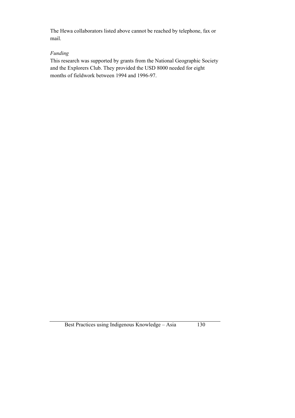The Hewa collaborators listed above cannot be reached by telephone, fax or mail.

# *Funding*

This research was supported by grants from the National Geographic Society and the Explorers Club. They provided the USD 8000 needed for eight months of fieldwork between 1994 and 1996-97.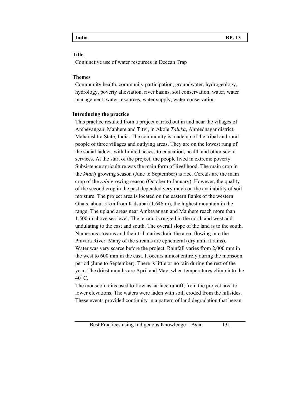#### **Title**

Conjunctive use of water resources in Deccan Trap

#### **Themes**

Community health, community participation, groundwater, hydrogeology, hydrology, poverty alleviation, river basins, soil conservation, water, water management, water resources, water supply, water conservation

#### **Introducing the practice**

This practice resulted from a project carried out in and near the villages of Ambevangan, Manhere and Titvi, in Akole *Taluka*, Ahmednagar district, Maharashtra State, India. The community is made up of the tribal and rural people of three villages and outlying areas. They are on the lowest rung of the social ladder, with limited access to education, health and other social services. At the start of the project, the people lived in extreme poverty. Subsistence agriculture was the main form of livelihood. The main crop in the *kharif* growing season (June to September) is rice. Cereals are the main crop of the *rabi* growing season (October to January). However, the quality of the second crop in the past depended very much on the availability of soil moisture. The project area is located on the eastern flanks of the western Ghats, about 5 km from Kalsubai (1,646 m), the highest mountain in the range. The upland areas near Ambevangan and Manhere reach more than 1,500 m above sea level. The terrain is rugged in the north and west and undulating to the east and south. The overall slope of the land is to the south. Numerous streams and their tributaries drain the area, flowing into the Pravara River. Many of the streams are ephemeral (dry until it rains). Water was very scarce before the project. Rainfall varies from 2,000 mm in the west to 600 mm in the east. It occurs almost entirely during the monsoon period (June to September). There is little or no rain during the rest of the year. The driest months are April and May, when temperatures climb into the  $40^{\circ}$  C.

The monsoon rains used to flow as surface runoff, from the project area to lower elevations. The waters were laden with soil, eroded from the hillsides. These events provided continuity in a pattern of land degradation that began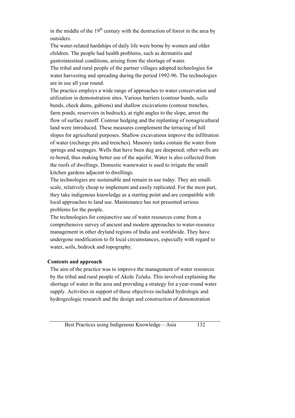in the middle of the  $19<sup>th</sup>$  century with the destruction of forest in the area by outsiders.

The water-related hardships of daily life were borne by women and older children. The people had health problems, such as dermatitis and gastrointestinal conditions, arising from the shortage of water. The tribal and rural people of the partner villages adopted technologies for water harvesting and spreading during the period 1992-96. The technologies are in use all year round.

The practice employs a wide range of approaches to water conservation and utilization in demonstration sites. Various barriers (contour bunds, *nalla* bunds, check dams, gabions) and shallow excavations (contour trenches, farm ponds, reservoirs in bedrock), at right angles to the slope, arrest the flow of surface runoff. Contour hedging and the replanting of nonagricultural land were introduced. These measures complement the terracing of hill slopes for agricultural purposes. Shallow excavations improve the infiltration of water (recharge pits and trenches). Masonry tanks contain the water from springs and seepages. Wells that have been dug are deepened; other wells are re-bored, thus making better use of the aquifer. Water is also collected from the roofs of dwellings. Domestic wastewater is used to irrigate the small kitchen gardens adjacent to dwellings.

The technologies are sustainable and remain in use today. They are smallscale, relatively cheap to implement and easily replicated. For the most part, they take indigenous knowledge as a starting point and are compatible with local approaches to land use. Maintenance has not presented serious problems for the people.

The technologies for conjunctive use of water resources come from a comprehensive survey of ancient and modern approaches to water-resource management in other dryland regions of India and worldwide. They have undergone modification to fit local circumstances, especially with regard to water, soils, bedrock and topography.

## **Contents and approach**

The aim of the practice was to improve the management of water resources by the tribal and rural people of Akole *Taluka*. This involved explaining the shortage of water in the area and providing a strategy for a year-round water supply. Activities in support of these objectives included hydrologic and hydrogeologic research and the design and construction of demonstration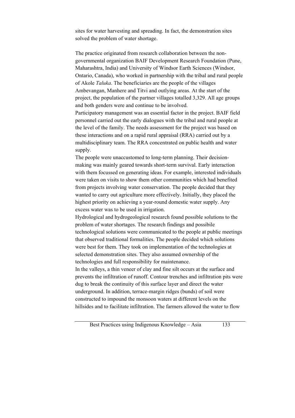sites for water harvesting and spreading. In fact, the demonstration sites solved the problem of water shortage.

The practice originated from research collaboration between the nongovernmental organization BAIF Development Research Foundation (Pune, Maharashtra, India) and University of Windsor Earth Sciences (Windsor, Ontario, Canada), who worked in partnership with the tribal and rural people of Akole *Taluka*. The beneficiaries are the people of the villages Ambevangan, Manhere and Titvi and outlying areas. At the start of the project, the population of the partner villages totalled 3,329. All age groups and both genders were and continue to be involved.

Participatory management was an essential factor in the project. BAIF field personnel carried out the early dialogues with the tribal and rural people at the level of the family. The needs assessment for the project was based on these interactions and on a rapid rural appraisal (RRA) carried out by a multidisciplinary team. The RRA concentrated on public health and water supply.

The people were unaccustomed to long-term planning. Their decisionmaking was mainly geared towards short-term survival. Early interaction with them focussed on generating ideas. For example, interested individuals were taken on visits to show them other communities which had benefited from projects involving water conservation. The people decided that they wanted to carry out agriculture more effectively. Initially, they placed the highest priority on achieving a year-round domestic water supply. Any excess water was to be used in irrigation.

Hydrological and hydrogeological research found possible solutions to the problem of water shortages. The research findings and possibile technological solutions were communicated to the people at public meetings that observed traditional formalities. The people decided which solutions were best for them. They took on implementation of the technologies at selected demonstration sites. They also assumed ownership of the technologies and full responsibility for maintenance.

In the valleys, a thin veneer of clay and fine silt occurs at the surface and prevents the infiltration of runoff. Contour trenches and infiltration pits were dug to break the continuity of this surface layer and direct the water underground. In addition, terrace-margin ridges (bunds) of soil were constructed to impound the monsoon waters at different levels on the hillsides and to facilitate infiltration. The farmers allowed the water to flow

Best Practices using Indigenous Knowledge – Asia 133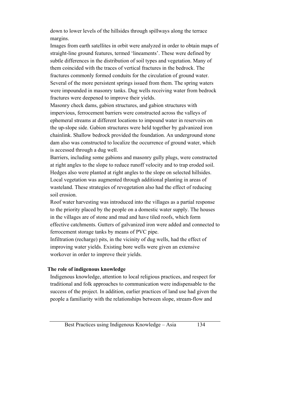down to lower levels of the hillsides through spillways along the terrace margins.

Images from earth satellites in orbit were analyzed in order to obtain maps of straight-line ground features, termed 'lineaments'. These were defined by subtle differences in the distribution of soil types and vegetation. Many of them coincided with the traces of vertical fractures in the bedrock. The fractures commonly formed conduits for the circulation of ground water. Several of the more persistent springs issued from them. The spring waters were impounded in masonry tanks. Dug wells receiving water from bedrock fractures were deepened to improve their yields.

Masonry check dams, gabion structures, and gabion structures with impervious, ferrocement barriers were constructed across the valleys of ephemeral streams at different locations to impound water in reservoirs on the up-slope side. Gabion structures were held together by galvanized iron chainlink. Shallow bedrock provided the foundation. An underground stone dam also was constructed to localize the occurrence of ground water, which is accessed through a dug well.

Barriers, including some gabions and masonry gully plugs, were constructed at right angles to the slope to reduce runoff velocity and to trap eroded soil. Hedges also were planted at right angles to the slope on selected hillsides. Local vegetation was augmented through additional planting in areas of wasteland. These strategies of revegetation also had the effect of reducing soil erosion.

Roof water harvesting was introduced into the villages as a partial response to the priority placed by the people on a domestic water supply. The houses in the villages are of stone and mud and have tiled roofs, which form effective catchments. Gutters of galvanized iron were added and connected to ferrocement storage tanks by means of PVC pipe.

Infiltration (recharge) pits, in the vicinity of dug wells, had the effect of improving water yields. Existing bore wells were given an extensive workover in order to improve their yields.

## **The role of indigenous knowledge**

Indigenous knowledge, attention to local religious practices, and respect for traditional and folk approaches to communication were indispensable to the success of the project. In addition, earlier practices of land use had given the people a familiarity with the relationships between slope, stream-flow and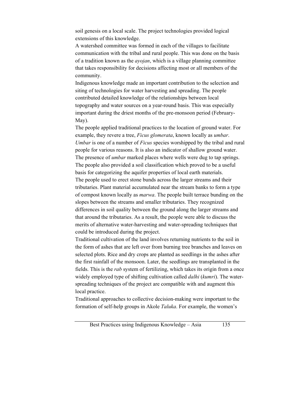soil genesis on a local scale. The project technologies provided logical extensions of this knowledge.

A watershed committee was formed in each of the villages to facilitate communication with the tribal and rural people. This was done on the basis of a tradition known as the *ayojan*, which is a village planning committee that takes responsibility for decisions affecting most or all members of the community.

Indigenous knowledge made an important contribution to the selection and siting of technologies for water harvesting and spreading. The people contributed detailed knowledge of the relationships between local topography and water sources on a year-round basis. This was especially important during the driest months of the pre-monsoon period (February-May).

The people applied traditional practices to the location of ground water. For example, they revere a tree, *Ficus glomerata*, known locally as *umbar*. *Umbar* is one of a number of *Ficus* species worshipped by the tribal and rural people for various reasons. It is also an indicator of shallow ground water. The presence of *umbar* marked places where wells were dug to tap springs. The people also provided a soil classification which proved to be a useful basis for categorizing the aquifer properties of local earth materials. The people used to erect stone bunds across the larger streams and their tributaries. Plant material accumulated near the stream banks to form a type of compost known locally as *marwa*. The people built terrace bunding on the slopes between the streams and smaller tributaries. They recognized differences in soil quality between the ground along the larger streams and that around the tributaries. As a result, the people were able to discuss the merits of alternative water-harvesting and water-spreading techniques that could be introduced during the project.

Traditional cultivation of the land involves returning nutrients to the soil in the form of ashes that are left over from burning tree branches and leaves on selected plots. Rice and dry crops are planted as seedlings in the ashes after the first rainfall of the monsoon. Later, the seedlings are transplanted in the fields. This is the *rab* system of fertilizing, which takes its origin from a once widely employed type of shifting cultivation called *dalhi* (*kumri*). The waterspreading techniques of the project are compatible with and augment this local practice.

Traditional approaches to collective decision-making were important to the formation of self-help groups in Akole *Taluka*. For example, the women's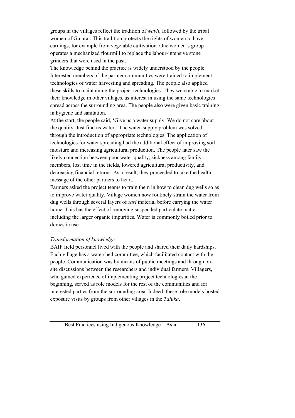groups in the villages reflect the tradition of *wavli*, followed by the tribal women of Gujarat. This tradition protects the rights of women to have earnings, for example from vegetable cultivation. One women's group operates a mechanized flourmill to replace the labour-intensive stone grinders that were used in the past.

The knowledge behind the practice is widely understood by the people. Interested members of the partner communities were trained to implement technologies of water harvesting and spreading. The people also applied these skills to maintaining the project technologies. They were able to market their knowledge in other villages, as interest in using the same technologies spread across the surrounding area. The people also were given basic training in hygiene and sanitation.

At the start, the people said, 'Give us a water supply. We do not care about the quality. Just find us water.' The water-supply problem was solved through the introduction of appropriate technologies. The application of technologies for water spreading had the additional effect of improving soil moisture and increasing agricultural production. The people later saw the likely connection between poor water quality, sickness among family members, lost time in the fields, lowered agricultural productivity, and decreasing financial returns. As a result, they proceeded to take the health message of the other partners to heart.

Farmers asked the project teams to train them in how to clean dug wells so as to improve water quality. Village women now routinely strain the water from dug wells through several layers of *sari* material before carrying the water home. This has the effect of removing suspended particulate matter, including the larger organic impurities. Water is commonly boiled prior to domestic use.

#### *Transformation of knowledge*

BAIF field personnel lived with the people and shared their daily hardships. Each village has a watershed committee, which facilitated contact with the people. Communication was by means of public meetings and through onsite discussions between the researchers and individual farmers. Villagers, who gained experience of implementing project technologies at the beginning, served as role models for the rest of the communities and for interested parties from the surrounding area. Indeed, these role models hosted exposure visits by groups from other villages in the *Taluka*.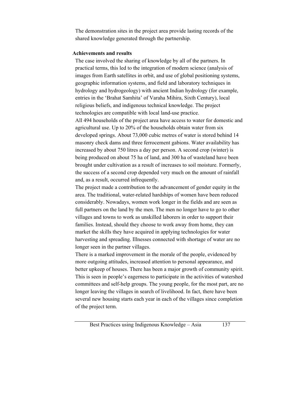The demonstration sites in the project area provide lasting records of the shared knowledge generated through the partnership.

#### **Achievements and results**

The case involved the sharing of knowledge by all of the partners. In practical terms, this led to the integration of modern science (analysis of images from Earth satellites in orbit, and use of global positioning systems, geographic information systems, and field and laboratory techniques in hydrology and hydrogeology) with ancient Indian hydrology (for example, entries in the 'Brahat Samhita' of Varaha Mihira, Sixth Century), local religious beliefs, and indigenous technical knowledge. The project technologies are compatible with local land-use practice. All 494 households of the project area have access to water for domestic and agricultural use. Up to 20% of the households obtain water from six developed springs. About 73,000 cubic metres of water is stored behind 14 masonry check dams and three ferrocement gabions. Water availability has increased by about 750 litres a day per person. A second crop (winter) is being produced on about 75 ha of land, and 300 ha of wasteland have been brought under cultivation as a result of increases to soil moisture. Formerly, the success of a second crop depended very much on the amount of rainfall and, as a result, occurred infrequently.

The project made a contribution to the advancement of gender equity in the area. The traditional, water-related hardships of women have been reduced considerably. Nowadays, women work longer in the fields and are seen as full partners on the land by the men. The men no longer have to go to other villages and towns to work as unskilled laborers in order to support their families. Instead, should they choose to work away from home, they can market the skills they have acquired in applying technologies for water harvesting and spreading. Illnesses connected with shortage of water are no longer seen in the partner villages.

There is a marked improvement in the morale of the people, evidenced by more outgoing attitudes, increased attention to personal appearance, and better upkeep of houses. There has been a major growth of community spirit. This is seen in people's eagerness to participate in the activities of watershed committees and self-help groups. The young people, for the most part, are no longer leaving the villages in search of livelihood. In fact, there have been several new housing starts each year in each of the villages since completion of the project term.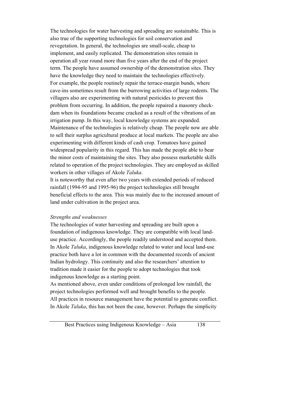The technologies for water harvesting and spreading are sustainable. This is also true of the supporting technologies for soil conservation and revegetation. In general, the technologies are small-scale, cheap to implement, and easily replicated. The demonstration sites remain in operation all year round more than five years after the end of the project term. The people have assumed ownership of the demonstration sites. They have the knowledge they need to maintain the technologies effectively. For example, the people routinely repair the terrace-margin bunds, where cave-ins sometimes result from the burrowing activities of large rodents. The villagers also are experimenting with natural pesticides to prevent this problem from occurring. In addition, the people repaired a masonry checkdam when its foundations became cracked as a result of the vibrations of an irrigation pump. In this way, local knowledge systems are expanded. Maintenance of the technologies is relatively cheap. The people now are able to sell their surplus agricultural produce at local markets. The people are also experimenting with different kinds of cash crop. Tomatoes have gained widespread popularity in this regard. This has made the people able to bear the minor costs of maintaining the sites. They also possess marketable skills related to operation of the project technologies. They are employed as skilled workers in other villages of Akole *Taluka*.

It is noteworthy that even after two years with extended periods of reduced rainfall (1994-95 and 1995-96) the project technologies still brought beneficial effects to the area. This was mainly due to the increased amount of land under cultivation in the project area.

#### *Strengths and weaknesses*

The technologies of water harvesting and spreading are built upon a foundation of indigenous knowledge. They are compatible with local landuse practice. Accordingly, the people readily understood and accepted them. In Akole *Taluka*, indigenous knowledge related to water and local land-use practice both have a lot in common with the documented records of ancient Indian hydrology. This continuity and also the researchers' attention to tradition made it easier for the people to adopt technologies that took indigenous knowledge as a starting point.

As mentioned above, even under conditions of prolonged low rainfall, the project technologies performed well and brought benefits to the people. All practices in resource management have the potential to generate conflict. In Akole *Taluka*, this has not been the case, however. Perhaps the simplicity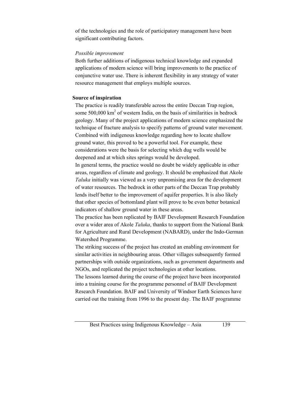of the technologies and the role of participatory management have been significant contributing factors.

## *Possible improvement*

Both further additions of indigenous technical knowledge and expanded applications of modern science will bring improvements to the practice of conjunctive water use. There is inherent flexibility in any strategy of water resource management that employs multiple sources.

## **Source of inspiration**

The practice is readily transferable across the entire Deccan Trap region, some  $500,000 \text{ km}^2$  of western India, on the basis of similarities in bedrock geology. Many of the project applications of modern science emphasized the technique of fracture analysis to specify patterns of ground water movement. Combined with indigenous knowledge regarding how to locate shallow ground water, this proved to be a powerful tool. For example, these considerations were the basis for selecting which dug wells would be deepened and at which sites springs would be developed.

In general terms, the practice would no doubt be widely applicable in other areas, regardless of climate and geology. It should be emphasized that Akole *Taluka* initially was viewed as a very unpromising area for the development of water resources. The bedrock in other parts of the Deccan Trap probably lends itself better to the improvement of aquifer properties. It is also likely that other species of bottomland plant will prove to be even better botanical indicators of shallow ground water in these areas.

The practice has been replicated by BAIF Development Research Foundation over a wider area of Akole *Taluka*, thanks to support from the National Bank for Agriculture and Rural Development (NABARD), under the Indo-German Watershed Programme.

The striking success of the project has created an enabling environment for similar activities in neighbouring areas. Other villages subsequently formed partnerships with outside organizations, such as government departments and NGOs, and replicated the project technologies at other locations.

The lessons learned during the course of the project have been incorporated into a training course for the programme personnel of BAIF Development Research Foundation. BAIF and University of Windsor Earth Sciences have carried out the training from 1996 to the present day. The BAIF programme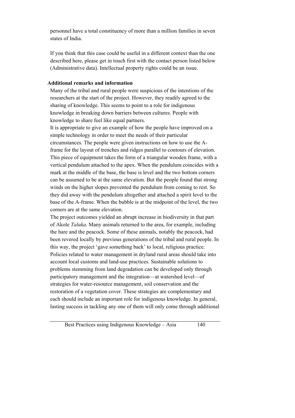personnel have a total constituency of more than a million families in seven states of India.

If you think that this case could be useful in a different context than the one described here, please get in touch first with the contact person listed below (Administrative data). Intellectual property rights could be an issue.

#### **Additional remarks and information**

Many of the tribal and rural people were suspicious of the intentions of the researchers at the start of the project. However, they readily agreed to the sharing of knowledge. This seems to point to a role for indigenous knowledge in breaking down barriers between cultures. People with knowledge to share feel like equal partners.

It is appropriate to give an example of how the people have improved on a simple technology in order to meet the needs of their particular circumstances. The people were given instructions on how to use the Aframe for the layout of trenches and ridges parallel to contours of elevation. This piece of equipment takes the form of a triangular wooden frame, with a vertical pendulum attached to the apex. When the pendulum coincides with a mark at the middle of the base, the base is level and the two bottom corners can be assumed to be at the same elevation. But the people found that strong winds on the higher slopes prevented the pendulum from coming to rest. So they did away with the pendulum altogether and attached a spirit level to the base of the A-frame. When the bubble is at the midpoint of the level, the two corners are at the same elevation.

The project outcomes yielded an abrupt increase in biodiversity in that part of Akole *Taluka*. Many animals returned to the area, for example, including the hare and the peacock. Some of these animals, notably the peacock, had been revered locally by previous generations of the tribal and rural people. In this way, the project 'gave something back' to local, religious practice. Policies related to water management in dryland rural areas should take into account local customs and land-use practices. Sustainable solutions to problems stemming from land degradation can be developed only through participatory management and the integration—at watershed level—of strategies for water-resource management, soil conservation and the restoration of a vegetation cover. These strategies are complementary and each should include an important role for indigenous knowledge. In general, lasting success in tackling any one of them will only come through additional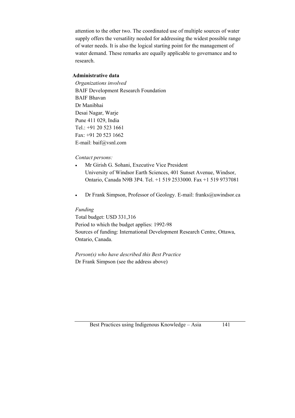attention to the other two. The coordinated use of multiple sources of water supply offers the versatility needed for addressing the widest possible range of water needs. It is also the logical starting point for the management of water demand. These remarks are equally applicable to governance and to research.

## **Administrative data**

*Organizations involved*  BAIF Development Research Foundation BAIF Bhavan Dr Manibhai Desai Nagar, Warje Pune 411 029, India Tel.: +91 20 523 1661 Fax: +91 20 523 1662 E-mail: baif@vsnl.com

## *Contact persons:*

- Mr Girish G. Sohani, Executive Vice President University of Windsor Earth Sciences, 401 Sunset Avenue, Windsor, Ontario, Canada N9B 3P4. Tel. +1 519 2533000. Fax +1 519 9737081
- Dr Frank Simpson, Professor of Geology. E-mail: franks@uwindsor.ca

# *Funding*

Total budget: USD 331,316 Period to which the budget applies: 1992-98 Sources of funding: International Development Research Centre, Ottawa, Ontario, Canada.

*Person(s) who have described this Best Practice*  Dr Frank Simpson (see the address above)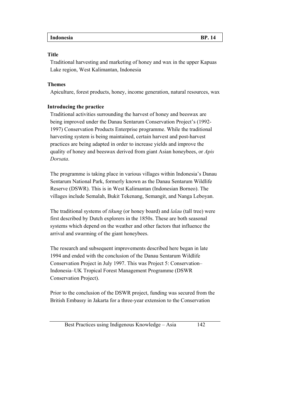| <b>BP.</b> 14 |
|---------------|
|               |

#### **Title**

Traditional harvesting and marketing of honey and wax in the upper Kapuas Lake region, West Kalimantan, Indonesia

# **Themes**

Apiculture, forest products, honey, income generation, natural resources, wax

## **Introducing the practice**

Traditional activities surrounding the harvest of honey and beeswax are being improved under the Danau Sentarum Conservation Project's (1992- 1997) Conservation Products Enterprise programme. While the traditional harvesting system is being maintained, certain harvest and post-harvest practices are being adapted in order to increase yields and improve the quality of honey and beeswax derived from giant Asian honeybees, or *Apis Dorsata*.

The programme is taking place in various villages within Indonesia's Danau Sentarum National Park, formerly known as the Danau Sentarum Wildlife Reserve (DSWR). This is in West Kalimantan (Indonesian Borneo). The villages include Semalah, Bukit Tekenang, Semangit, and Nanga Leboyan.

The traditional systems of *tikung* (or honey board) and *lalau* (tall tree) were first described by Dutch explorers in the 1850s. These are both seasonal systems which depend on the weather and other factors that influence the arrival and swarming of the giant honeybees.

The research and subsequent improvements described here began in late 1994 and ended with the conclusion of the Danau Sentarum Wildlife Conservation Project in July 1997. This was Project 5: Conservation– Indonesia–UK Tropical Forest Management Programme (DSWR Conservation Project).

Prior to the conclusion of the DSWR project, funding was secured from the British Embassy in Jakarta for a three-year extension to the Conservation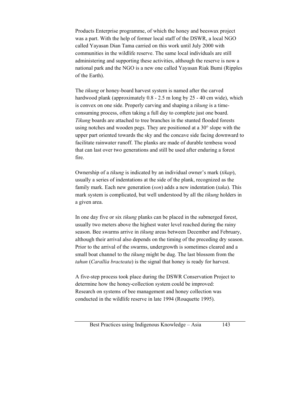Products Enterprise programme, of which the honey and beeswax project was a part. With the help of former local staff of the DSWR, a local NGO called Yayasan Dian Tama carried on this work until July 2000 with communities in the wildlife reserve. The same local individuals are still administering and supporting these activities, although the reserve is now a national park and the NGO is a new one called Yayasan Riak Bumi (Ripples of the Earth).

The *tikung* or honey-board harvest system is named after the carved hardwood plank (approximately 0.8 - 2.5 m long by 25 - 40 cm wide), which is convex on one side. Properly carving and shaping a *tikung* is a timeconsuming process, often taking a full day to complete just one board. *Tikung* boards are attached to tree branches in the stunted flooded forests using notches and wooden pegs. They are positioned at a 30° slope with the upper part oriented towards the sky and the concave side facing downward to facilitate rainwater runoff. The planks are made of durable tembesu wood that can last over two generations and still be used after enduring a forest fire.

Ownership of a *tikung* is indicated by an individual owner's mark (*tikap*), usually a series of indentations at the side of the plank, recognized as the family mark. Each new generation (*son*) adds a new indentation (*taka*). This mark system is complicated, but well understood by all the *tikung* holders in a given area.

In one day five or six *tikung* planks can be placed in the submerged forest, usually two meters above the highest water level reached during the rainy season. Bee swarms arrive in *tikung* areas between December and February, although their arrival also depends on the timing of the preceding dry season. Prior to the arrival of the swarms, undergrowth is sometimes cleared and a small boat channel to the *tikung* might be dug. The last blossom from the *tahun* (*Carallia bracteata*) is the signal that honey is ready for harvest.

A five-step process took place during the DSWR Conservation Project to determine how the honey-collection system could be improved: Research on systems of bee management and honey collection was conducted in the wildlife reserve in late 1994 (Rouquette 1995).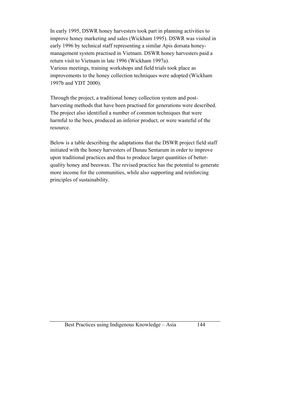In early 1995, DSWR honey harvesters took part in planning activities to improve honey marketing and sales (Wickham 1995). DSWR was visited in early 1996 by technical staff representing a similar Apis dorsata honeymanagement system practised in Vietnam. DSWR honey harvesters paid a return visit to Vietnam in late 1996 (Wickham 1997a). Various meetings, training workshops and field trials took place as improvements to the honey collection techniques were adopted (Wickham 1997b and YDT 2000).

Through the project, a traditional honey collection system and postharvesting methods that have been practised for generations were described. The project also identified a number of common techniques that were harmful to the bees, produced an inferior product, or were wasteful of the resource.

Below is a table describing the adaptations that the DSWR project field staff initiated with the honey harvesters of Danau Sentarum in order to improve upon traditional practices and thus to produce larger quantities of betterquality honey and beeswax. The revised practice has the potential to generate more income for the communities, while also supporting and reinforcing principles of sustainability.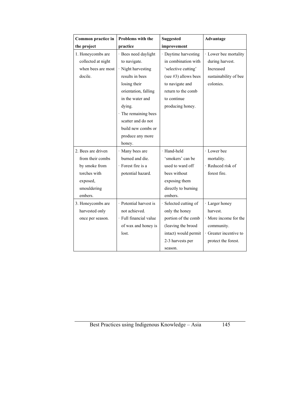| Common practice in | Problems with the      | <b>Suggested</b>     | Advantage              |
|--------------------|------------------------|----------------------|------------------------|
| the project        | practice               | improvement          |                        |
| 1. Honeycombs are  | · Bees need daylight   | · Daytime harvesting | · Lower bee mortality  |
| collected at night | to navigate.           | in combination with  | during harvest.        |
| when bees are most | · Night harvesting     | 'selective cutting'  | Increased              |
| docile.            | results in bees        | (see #3) allows bees | sustainability of bee  |
|                    | losing their           | to navigate and      | colonies.              |
|                    | orientation, falling   | return to the comb   |                        |
|                    | in the water and       | to continue          |                        |
|                    | dying.                 | producing honey.     |                        |
|                    | · The remaining bees   |                      |                        |
|                    | scatter and do not     |                      |                        |
|                    | build new combs or     |                      |                        |
|                    | produce any more       |                      |                        |
|                    | honey.                 |                      |                        |
| 2. Bees are driven | · Many bees are        | · Hand-held          | · Lower bee            |
| from their combs   | burned and die.        | 'smokers' can be     | mortality.             |
| by smoke from      | · Forest fire is a     | used to ward off     | · Reduced risk of      |
| torches with       | potential hazard.      | bees without         | forest fire.           |
| exposed,           |                        | exposing them        |                        |
| smouldering        |                        | directly to burning  |                        |
| embers.            |                        | embers.              |                        |
| 3. Honeycombs are  | · Potential harvest is | Selected cutting of  | · Larger honey         |
| harvested only     | not achieved.          | only the honey       | harvest.               |
| once per season.   | · Full financial value | portion of the comb  | More income for the    |
|                    | of wax and honey is    | (leaving the brood   | community.             |
|                    | lost.                  | intact) would permit | · Greater incentive to |
|                    |                        | 2-3 harvests per     | protect the forest.    |
|                    |                        | season.              |                        |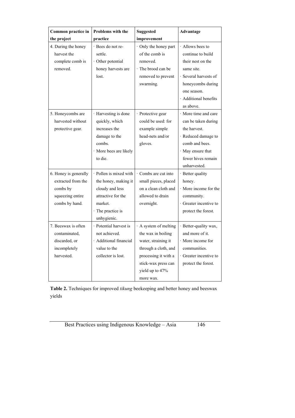| Common practice in                                                                            | Problems with the                                                                                                                      | <b>Suggested</b>                                                                                                                                                          | <b>Advantage</b>                                                                                                                                                |
|-----------------------------------------------------------------------------------------------|----------------------------------------------------------------------------------------------------------------------------------------|---------------------------------------------------------------------------------------------------------------------------------------------------------------------------|-----------------------------------------------------------------------------------------------------------------------------------------------------------------|
| the project                                                                                   | practice                                                                                                                               | improvement                                                                                                                                                               |                                                                                                                                                                 |
| 4. During the honey<br>harvest the<br>complete comb is<br>removed.                            | · Bees do not re-<br>settle.<br>· Other potential<br>honey harvests are<br>lost <sub>1</sub>                                           | · Only the honey part<br>of the comb is<br>removed.<br>$\cdot$ The brood can be<br>removed to prevent<br>swarming.                                                        | · Allows bees to<br>continue to build<br>their nest on the<br>same site.<br>· Several harvests of<br>honeycombs during                                          |
|                                                                                               |                                                                                                                                        |                                                                                                                                                                           | one season.<br>· Additional benefits<br>as above.                                                                                                               |
| 5. Honeycombs are<br>harvested without<br>protective gear.                                    | · Harvesting is done<br>quickly, which<br>increases the<br>damage to the<br>combs.<br>More bees are likely<br>to die.                  | · Protective gear<br>could be used: for<br>example simple<br>head-nets and/or<br>gloves.                                                                                  | · More time and care<br>can be taken during<br>the harvest.<br>· Reduced damage to<br>comb and bees.<br>· May ensure that<br>fewer hives remain<br>unharvested. |
| 6. Honey is generally<br>extracted from the<br>combs by<br>squeezing entire<br>combs by hand. | · Pollen is mixed with<br>the honey, making it<br>cloudy and less<br>attractive for the<br>market.<br>· The practice is<br>unhygienic. | Combs are cut into<br>small pieces, placed<br>on a clean cloth and<br>allowed to drain<br>overnight.                                                                      | · Better quality<br>honey.<br>$\cdot$ More income for the<br>community.<br>· Greater incentive to<br>protect the forest.                                        |
| 7. Beeswax is often<br>contaminated.<br>discarded, or<br>incompletely<br>harvested.           | · Potential harvest is<br>not achieved.<br>· Additional financial<br>value to the<br>collector is lost.                                | · A system of melting<br>the wax in boiling<br>water, straining it<br>through a cloth, and<br>processing it with a<br>stick-wax press can<br>yield up to 47%<br>more wax. | · Better-quality wax,<br>and more of it.<br>· More income for<br>communities.<br>$\cdot$ Greater incentive to<br>protect the forest.                            |

**Table 2.** Techniques for improved *tikung* beekeeping and better honey and beeswax yields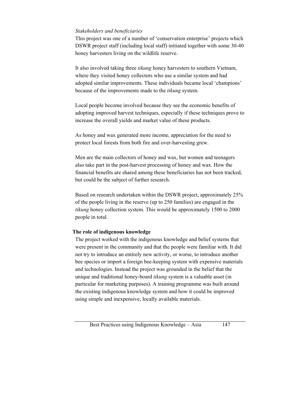# *Stakeholders and beneficiaries*

This project was one of a number of 'conservation enterprise' projects which DSWR project staff (including local staff) initiated together with some 30-40 honey harvesters living on the wildlife reserve.

It also involved taking three *tikung* honey harvesters to southern Vietnam, where they visited honey collectors who use a similar system and had adopted similar improvements. These individuals became local 'champions' because of the improvements made to the *tikung* system.

Local people become involved because they see the economic benefits of adopting improved harvest techniques, especially if these techniques prove to increase the overall yields and market value of these products.

As honey and wax generated more income, appreciation for the need to protect local forests from both fire and over-harvesting grew.

Men are the main collectors of honey and wax, but women and teenagers also take part in the post-harvest processing of honey and wax. How the financial benefits are shared among these beneficiaries has not been tracked, but could be the subject of further research.

Based on research undertaken within the DSWR project, approximately 25% of the people living in the reserve (up to 250 families) are engaged in the *tikung* honey collection system. This would be approximately 1500 to 2000 people in total.

# **The role of indigenous knowledge**

The project worked with the indigenous knowledge and belief systems that were present in the community and that the people were familiar with. It did not try to introduce an entirely new activity, or worse, to introduce another bee species or import a foreign bee-keeping system with expensive materials and technologies. Instead the project was grounded in the belief that the unique and traditional honey-board *tikung* system is a valuable asset (in particular for marketing purposes). A training programme was built around the existing indigenous knowledge system and how it could be improved using simple and inexpensive, locally available materials.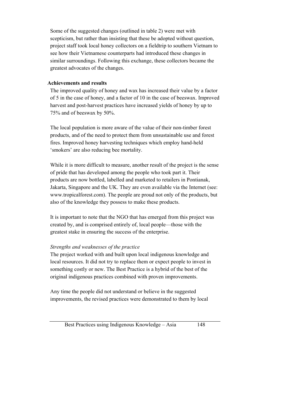Some of the suggested changes (outlined in table 2) were met with scepticism, but rather than insisting that these be adopted without question, project staff took local honey collectors on a fieldtrip to southern Vietnam to see how their Vietnamese counterparts had introduced these changes in similar surroundings. Following this exchange, these collectors became the greatest advocates of the changes.

# **Achievements and results**

The improved quality of honey and wax has increased their value by a factor of 5 in the case of honey, and a factor of 10 in the case of beeswax. Improved harvest and post-harvest practices have increased yields of honey by up to 75% and of beeswax by 50%.

The local population is more aware of the value of their non-timber forest products, and of the need to protect them from unsustainable use and forest fires. Improved honey harvesting techniques which employ hand-held 'smokers' are also reducing bee mortality.

While it is more difficult to measure, another result of the project is the sense of pride that has developed among the people who took part it. Their products are now bottled, labelled and marketed to retailers in Pontianak, Jakarta, Singapore and the UK. They are even available via the Internet (see: www.tropicalforest.com). The people are proud not only of the products, but also of the knowledge they possess to make these products.

It is important to note that the NGO that has emerged from this project was created by, and is comprised entirely of, local people—those with the greatest stake in ensuring the success of the enterprise.

# *Strengths and weaknesses of the practice*

The project worked with and built upon local indigenous knowledge and local resources. It did not try to replace them or expect people to invest in something costly or new. The Best Practice is a hybrid of the best of the original indigenous practices combined with proven improvements.

Any time the people did not understand or believe in the suggested improvements, the revised practices were demonstrated to them by local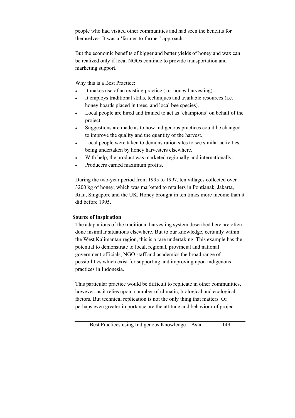people who had visited other communities and had seen the benefits for themselves. It was a 'farmer-to-farmer' approach.

But the economic benefits of bigger and better yields of honey and wax can be realized only if local NGOs continue to provide transportation and marketing support.

Why this is a Best Practice:

- It makes use of an existing practice (i.e. honey harvesting).
- It employs traditional skills, techniques and available resources (i.e. honey boards placed in trees, and local bee species).
- Local people are hired and trained to act as 'champions' on behalf of the project.
- Suggestions are made as to how indigenous practices could be changed to improve the quality and the quantity of the harvest.
- Local people were taken to demonstration sites to see similar activities being undertaken by honey harvesters elsewhere.
- With help, the product was marketed regionally and internationally.
- Producers earned maximum profits.

During the two-year period from 1995 to 1997, ten villages collected over 3200 kg of honey, which was marketed to retailers in Pontianak, Jakarta, Riau, Singapore and the UK. Honey brought in ten times more income than it did before 1995.

# **Source of inspiration**

The adaptations of the traditional harvesting system described here are often done insimilar situations elsewhere. But to our knowledge, certainly within the West Kalimantan region, this is a rare undertaking. This example has the potential to demonstrate to local, regional, provincial and national government officials, NGO staff and academics the broad range of possibilities which exist for supporting and improving upon indigenous practices in Indonesia.

This particular practice would be difficult to replicate in other communities, however, as it relies upon a number of climatic, biological and ecological factors. But technical replication is not the only thing that matters. Of perhaps even greater importance are the attitude and behaviour of project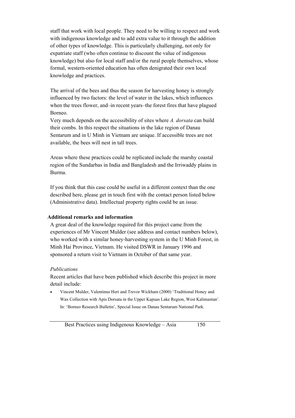staff that work with local people. They need to be willing to respect and work with indigenous knowledge and to add extra value to it through the addition of other types of knowledge. This is particularly challenging, not only for expatriate staff (who often continue to discount the value of indigenous knowledge) but also for local staff and/or the rural people themselves, whose formal, western-oriented education has often denigrated their own local knowledge and practices.

The arrival of the bees and thus the season for harvesting honey is strongly influenced by two factors: the level of water in the lakes, which influences when the trees flower, and–in recent years–the forest fires that have plagued Borneo.

Very much depends on the accessibility of sites where *A. dorsata* can build their combs. In this respect the situations in the lake region of Danau Sentarum and in U Minh in Vietnam are unique. If accessible trees are not available, the bees will nest in tall trees.

Areas where these practices could be replicated include the marshy coastal region of the Sundarbas in India and Bangladesh and the Irriwaddy plains in Burma.

If you think that this case could be useful in a different context than the one described here, please get in touch first with the contact person listed below (Administrative data). Intellectual property rights could be an issue.

#### **Additional remarks and information**

A great deal of the knowledge required for this project came from the experiences of Mr Vincent Mulder (see address and contact numbers below), who worked with a similar honey-harvesting system in the U Minh Forest, in Minh Hai Province, Vietnam. He visited DSWR in January 1996 and sponsored a return visit to Vietnam in October of that same year.

#### *Publications*

Recent articles that have been published which describe this project in more detail include:

• Vincent Mulder, Valentinus Heri and Trevor Wickham (2000) 'Traditional Honey and Wax Collection with Apis Dorsata in the Upper Kapuas Lake Region, West Kalimantan'. In: 'Borneo Research Bulletin', Special Issue on Danau Sentarum National Park.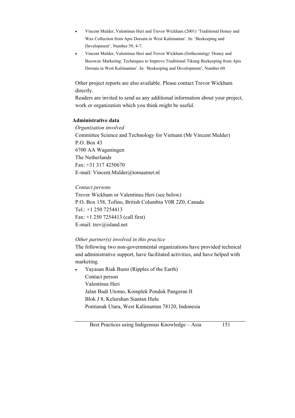- Vincent Mulder, Valentinus Heri and Trevor Wickham (2001) 'Traditional Honey and Wax Collection from Apis Dorsata in West Kalimantan'. In: 'Beekeeping and Development', Number 59, 4-7.
- Vincent Mulder, Valentinus Heri and Trevor Wickham (forthcoming) 'Honey and Beeswax Marketing: Techniques to Improve Traditional Tikung Beekeeping from Apis Dorsata in West Kalimantan'. In: 'Beekeeping and Development', Number 60.

Other project reports are also available. Please contact Trevor Wickham directly.

Readers are invited to send us any additional information about your project, work or organization which you think might be useful.

# **Administrative data**

*Organization involved*  Committee Science and Technology for Vietnam (Mr Vincent Mulder) P.O. Box 43 6700 AA Wageningen The Netherlands Fax: +31 317 4250670 E-mail: Vincent.Mulder@tomaatnet.nl

# *Contact persons*

Trevor Wickham or Valentinus Heri (see below) P.O. Box 158, Tofino, British Columbia V0R 2Z0, Canada Tel.: +1 250 7254413 Fax: +1 250 7254413 (call first) E-mail: trev@island.net

# *Other partner(s) involved in this practice*

The following two non-governmental organizations have provided technical and administrative support, have facilitated activities, and have helped with marketing.

• Yayasan Riak Bumi (Ripples of the Earth) Contact person Valentinus Heri Jalan Budi Utomo, Komplek Pondok Pangeran II Blok J 8, Kelurahan Siantan Hulu Pontianak Utara, West Kalimantan 78120, Indonesia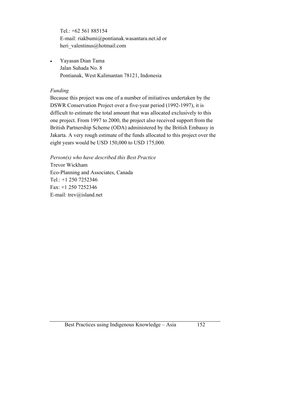Tel.: +62 561 885154 E-mail: riakbumi@pontianak.wasantara.net.id or heri\_valentinus@hotmail.com

• Yayasan Dian Tama Jalan Suhada No. 8 Pontianak, West Kalimantan 78121, Indonesia

# *Funding*

Because this project was one of a number of initiatives undertaken by the DSWR Conservation Project over a five-year period (1992-1997), it is difficult to estimate the total amount that was allocated exclusively to this one project. From 1997 to 2000, the project also received support from the British Partnership Scheme (ODA) administered by the British Embassy in Jakarta. A very rough estimate of the funds allocated to this project over the eight years would be USD 150,000 to USD 175,000.

*Person(s) who have described this Best Practice*  Trevor Wickham Eco-Planning and Associates, Canada Tel.: +1 250 7252346 Fax: +1 250 7252346 E-mail: trev@island.net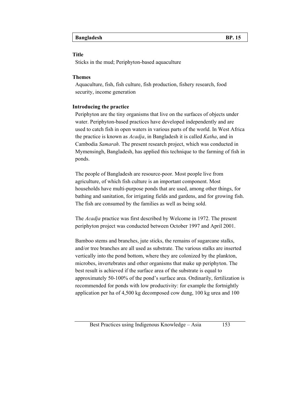#### **Bangladesh BP. 15**

#### **Title**

Sticks in the mud; Periphyton-based aquaculture

#### **Themes**

Aquaculture, fish, fish culture, fish production, fishery research, food security, income generation

# **Introducing the practice**

Periphyton are the tiny organisms that live on the surfaces of objects under water. Periphyton-based practices have developed independently and are used to catch fish in open waters in various parts of the world. In West Africa the practice is known as *Acadja*, in Bangladesh it is called *Katha*, and in Cambodia *Samarah*. The present research project, which was conducted in Mymensingh, Bangladesh, has applied this technique to the farming of fish in ponds.

The people of Bangladesh are resource-poor. Most people live from agriculture, of which fish culture is an important component. Most households have multi-purpose ponds that are used, among other things, for bathing and sanitation, for irrigating fields and gardens, and for growing fish. The fish are consumed by the families as well as being sold.

The *Acadja* practice was first described by Welcome in 1972. The present periphyton project was conducted between October 1997 and April 2001.

Bamboo stems and branches, jute sticks, the remains of sugarcane stalks, and/or tree branches are all used as substrate. The various stalks are inserted vertically into the pond bottom, where they are colonized by the plankton, microbes, invertebrates and other organisms that make up periphyton. The best result is achieved if the surface area of the substrate is equal to approximately 50-100% of the pond's surface area. Ordinarily, fertilization is recommended for ponds with low productivity: for example the fortnightly application per ha of 4,500 kg decomposed cow dung, 100 kg urea and 100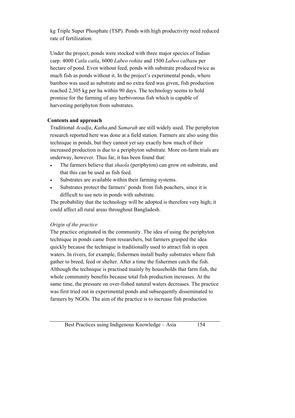kg Triple Super Phosphate (TSP). Ponds with high productivity need reduced rate of fertilization.

Under the project, ponds were stocked with three major species of Indian carp: 4000 *Catla catla*, 6000 *Labeo rohita* and 1500 *Labeo calbasu* per hectare of pond. Even without feed, ponds with substrate produced twice as much fish as ponds without it. In the project's experimental ponds, where bamboo was used as substrate and no extra feed was given, fish production reached 2,305 kg per ha within 90 days. The technology seems to hold promise for the farming of any herbivorous fish which is capable of harvesting periphyton from substrates.

# **Contents and approach**

Traditional *Acadja*, *Katha*,and *Samarah* are still widely used. The periphyton research reported here was done at a field station. Farmers are also using this technique in ponds, but they cannot yet say exactly how much of their increased production is due to a periphyton substrate. More on-farm trials are underway, however. Thus far, it has been found that:

- The farmers believe that *shaola* (periphyton) can grow on substrate, and that this can be used as fish feed.
- Substrates are available within their farming systems.
- Substrates protect the farmers' ponds from fish poachers, since it is difficult to use nets in ponds with substrate.

The probability that the technology will be adopted is therefore very high; it could affect all rural areas throughout Bangladesh.

# *Origin of the practice*

The practice originated in the community. The idea of using the periphyton technique in ponds came from researchers, but farmers grasped the idea quickly because the technique is traditionally used to attract fish in open waters. In rivers, for example, fishermen install bushy substrates where fish gather to breed, feed or shelter. After a time the fishermen catch the fish. Although the technique is practised mainly by households that farm fish, the whole community benefits because total fish production increases. At the same time, the pressure on over-fished natural waters decreases. The practice was first tried out in experimental ponds and subsequently disseminated to farmers by NGOs. The aim of the practice is to increase fish production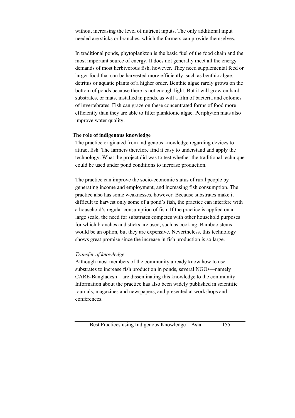without increasing the level of nutrient inputs. The only additional input needed are sticks or branches, which the farmers can provide themselves.

In traditional ponds, phytoplankton is the basic fuel of the food chain and the most important source of energy. It does not generally meet all the energy demands of most herbivorous fish, however. They need supplemental feed or larger food that can be harvested more efficiently, such as benthic algae, detritus or aquatic plants of a higher order. Benthic algae rarely grows on the bottom of ponds because there is not enough light. But it will grow on hard substrates, or mats, installed in ponds, as will a film of bacteria and colonies of invertebrates. Fish can graze on these concentrated forms of food more efficiently than they are able to filter planktonic algae. Periphyton mats also improve water quality.

# **The role of indigenous knowledge**

The practice originated from indigenous knowledge regarding devices to attract fish. The farmers therefore find it easy to understand and apply the technology. What the project did was to test whether the traditional technique could be used under pond conditions to increase production.

The practice can improve the socio-economic status of rural people by generating income and employment, and increasing fish consumption. The practice also has some weaknesses, however. Because substrates make it difficult to harvest only some of a pond's fish, the practice can interfere with a household's regular consumption of fish. If the practice is applied on a large scale, the need for substrates competes with other household purposes for which branches and sticks are used, such as cooking. Bamboo stems would be an option, but they are expensive. Nevertheless, this technology shows great promise since the increase in fish production is so large.

#### *Transfer of knowledge*

Although most members of the community already know how to use substrates to increase fish production in ponds, several NGOs—namely CARE-Bangladesh—are disseminating this knowledge to the community. Information about the practice has also been widely published in scientific journals, magazines and newspapers, and presented at workshops and conferences.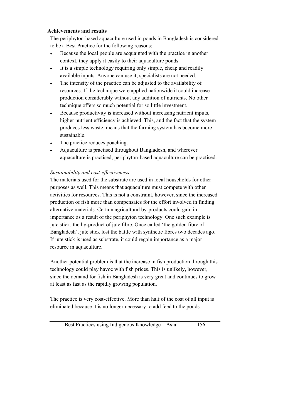# **Achievements and results**

The periphyton-based aquaculture used in ponds in Bangladesh is considered to be a Best Practice for the following reasons:

- Because the local people are acquainted with the practice in another context, they apply it easily to their aquaculture ponds.
- It is a simple technology requiring only simple, cheap and readily available inputs. Anyone can use it; specialists are not needed.
- The intensity of the practice can be adjusted to the availability of resources. If the technique were applied nationwide it could increase production considerably without any addition of nutrients. No other technique offers so much potential for so little investment.
- Because productivity is increased without increasing nutrient inputs, higher nutrient efficiency is achieved. This, and the fact that the system produces less waste, means that the farming system has become more sustainable.
- The practice reduces poaching.
- Aquaculture is practised throughout Bangladesh, and wherever aquaculture is practised, periphyton-based aquaculture can be practised.

# *Sustainability and cost-effectiveness*

The materials used for the substrate are used in local households for other purposes as well. This means that aquaculture must compete with other activities for resources. This is not a constraint, however, since the increased production of fish more than compensates for the effort involved in finding alternative materials. Certain agricultural by-products could gain in importance as a result of the periphyton technology. One such example is jute stick, the by-product of jute fibre. Once called 'the golden fibre of Bangladesh', jute stick lost the battle with synthetic fibres two decades ago. If jute stick is used as substrate, it could regain importance as a major resource in aquaculture.

Another potential problem is that the increase in fish production through this technology could play havoc with fish prices. This is unlikely, however, since the demand for fish in Bangladesh is very great and continues to grow at least as fast as the rapidly growing population.

The practice is very cost-effective. More than half of the cost of all input is eliminated because it is no longer necessary to add feed to the ponds.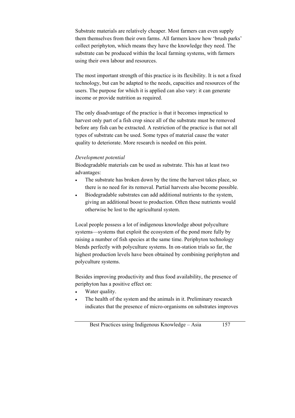Substrate materials are relatively cheaper. Most farmers can even supply them themselves from their own farms. All farmers know how 'brush parks' collect periphyton, which means they have the knowledge they need. The substrate can be produced within the local farming systems, with farmers using their own labour and resources.

The most important strength of this practice is its flexibility. It is not a fixed technology, but can be adapted to the needs, capacities and resources of the users. The purpose for which it is applied can also vary: it can generate income or provide nutrition as required.

The only disadvantage of the practice is that it becomes impractical to harvest only part of a fish crop since all of the substrate must be removed before any fish can be extracted. A restriction of the practice is that not all types of substrate can be used. Some types of material cause the water quality to deteriorate. More research is needed on this point.

# *Development potential*

Biodegradable materials can be used as substrate. This has at least two advantages:

- The substrate has broken down by the time the harvest takes place, so there is no need for its removal. Partial harvests also become possible.
- Biodegradable substrates can add additional nutrients to the system, giving an additional boost to production. Often these nutrients would otherwise be lost to the agricultural system.

Local people possess a lot of indigenous knowledge about polyculture systems—systems that exploit the ecosystem of the pond more fully by raising a number of fish species at the same time. Periphyton technology blends perfectly with polyculture systems. In on-station trials so far, the highest production levels have been obtained by combining periphyton and polyculture systems.

Besides improving productivity and thus food availability, the presence of periphyton has a positive effect on:

- Water quality.
- The health of the system and the animals in it. Preliminary research indicates that the presence of micro-organisms on substrates improves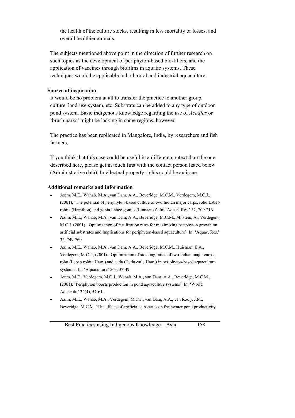the health of the culture stocks, resulting in less mortality or losses, and overall healthier animals.

The subjects mentioned above point in the direction of further research on such topics as the development of periphyton-based bio-filters, and the application of vaccines through biofilms in aquatic systems. These techniques would be applicable in both rural and industrial aquaculture.

# **Source of inspiration**

It would be no problem at all to transfer the practice to another group, culture, land-use system, etc. Substrate can be added to any type of outdoor pond system. Basic indigenous knowledge regarding the use of *Acadjas* or 'brush parks' might be lacking in some regions, however.

The practice has been replicated in Mangalore, India, by researchers and fish farmers.

If you think that this case could be useful in a different context than the one described here, please get in touch first with the contact person listed below (Administrative data). Intellectual property rights could be an issue.

# **Additional remarks and information**

- Azim, M.E., Wahab, M.A., van Dam, A.A., Beveridge, M.C.M., Verdegem, M.C.J., (2001). 'The potential of periphyton-based culture of two Indian major carps, rohu Labeo rohita (Hamilton) and gonia Labeo gonius (Linnaeus)'. In: 'Aquac. Res.' 32, 209-216.
- Azim, M.E., Wahab, M.A., van Dam, A.A., Beveridge, M.C.M., Milstein, A., Verdegem, M.C.J. (2001). 'Optimization of fertilization rates for maximizing periphyton growth on artificial substrates and implications for periphyton-based aquaculture'. In: 'Aquac. Res.' 32, 749-760.
- Azim, M.E., Wahab, M.A., van Dam, A.A., Beveridge, M.C.M., Huisman, E.A., Verdegem, M.C.J., (2001). 'Optimization of stocking ratios of two Indian major carps, rohu (Labeo rohita Ham.) and catla (Catla catla Ham.) in periphyton-based aquaculture systems'. In: 'Aquaculture' 203, 33-49.
- Azim, M.E., Verdegem, M.C.J., Wahab, M.A., van Dam, A.A., Beveridge, M.C.M., (2001). 'Periphyton boosts production in pond aquaculture systems'. In: 'World Aquacult.' 32(4), 57-61.
- Azim, M.E., Wahab, M.A., Verdegem, M.C.J., van Dam, A.A., van Rooij, J.M., Beveridge, M.C.M. 'The effects of artificial substrates on freshwater pond productivity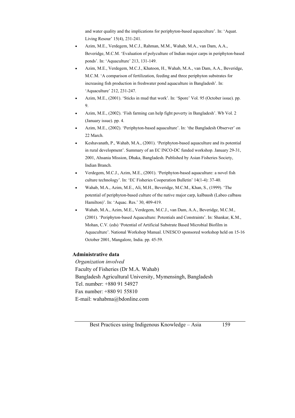and water quality and the implications for periphyton-based aquaculture'. In: 'Aquat. Living Resour' 15(4), 231-241.

- Azim, M.E., Verdegem, M.C.J., Rahman, M.M., Wahab, M.A., van Dam, A.A., Beveridge, M.C.M. 'Evaluation of polyculture of Indian major carps in periphyton-based ponds'. In: 'Aquaculture' 213, 131-149.
- Azim, M.E., Verdegem, M.C.J., Khatoon, H., Wahab, M.A., van Dam, A.A., Beveridge, M.C.M. 'A comparison of fertilization, feeding and three periphyton substrates for increasing fish production in freshwater pond aquaculture in Bangladesh'. In: 'Aquaculture' 212, 231-247.
- Azim, M.E., (2001). 'Sticks in mud that work'. In: 'Spore' Vol. 95 (October issue). pp. 9.
- Azim, M.E., (2002). 'Fish farming can help fight poverty in Bangladesh'. Wb Vol. 2 (January issue). pp. 4.
- Azim, M.E., (2002). 'Periphyton-based aquaculture'. In: 'the Bangladesh Observer' on 22 March.
- Keshavanath, P., Wahab, M.A., (2001). 'Periphyton-based aquaculture and its potential in rural development'. Summary of an EC INCO-DC funded workshop. January 29-31, 2001, Ahsania Mission, Dhaka, Bangladesh. Published by Asian Fisheries Society, Indian Branch.
- Verdegem, M.C.J., Azim, M.E., (2001). 'Periphyton-based aquaculture: a novel fish culture technology'. In: 'EC Fisheries Cooperation Bulletin' 14(1-4): 37-40.
- Wahab, M.A., Azim, M.E., Ali, M.H., Beveridge, M.C.M., Khan, S., (1999). 'The potential of periphyton-based culture of the native major carp, kalbaush (Labeo calbasu Hamilton)'. In: 'Aquac. Res.' 30, 409-419.
- Wahab, M.A., Azim, M.E., Verdegem, M.C.J., van Dam, A.A., Beveridge, M.C.M., (2001). 'Periphyton-based Aquaculture: Potentials and Constraints'. In: Shankar, K.M., Mohan, C.V. (eds) 'Potential of Artificial Substrate Based Microbial Biofilm in Aquaculture'. National Workshop Manual. UNESCO sponsored workshop held on 15-16 October 2001, Mangalore, India. pp. 45-59.

# **Administrative data**

*Organization involved*  Faculty of Fisheries (Dr M.A. Wahab) Bangladesh Agricultural University, Mymensingh, Bangladesh Tel. number: +880 91 54927 Fax number: +880 91 55810 E-mail: wahabma@bdonline.com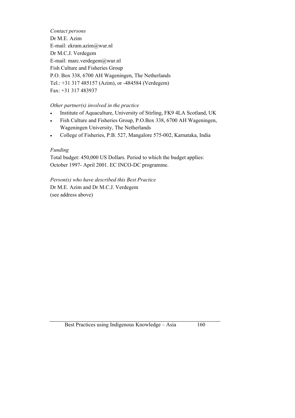*Contact persons*  Dr M.E. Azim E-mail: ekram.azim@wur.nl Dr M.C.J. Verdegem E-mail: marc.verdegem@wur.nl Fish Culture and Fisheries Group P.O. Box 338, 6700 AH Wageningen, The Netherlands Tel.: +31 317 485157 (Azim), or -484584 (Verdegem) Fax: +31 317 483937

# *Other partner(s) involved in the practice*

- Institute of Aquaculture, University of Stirling, FK9 4LA Scotland, UK
- Fish Culture and Fisheries Group, P.O.Box 338, 6700 AH Wageningen, Wageningen University, The Netherlands
- College of Fisheries, P.B. 527, Mangalore 575-002, Karnataka, India

# *Funding*

Total budget: 450,000 US Dollars. Period to which the budget applies: October 1997- April 2001. EC INCO-DC programme.

*Person(s) who have described this Best Practice*  Dr M.E. Azim and Dr M.C.J. Verdegem (see address above)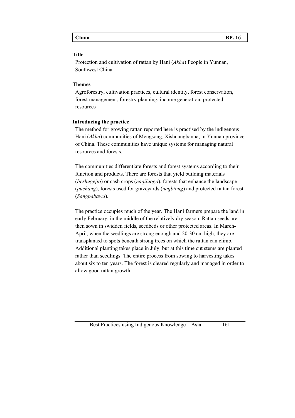#### **Title**

Protection and cultivation of rattan by Hani (*Akha*) People in Yunnan, Southwest China

# **Themes**

Agroforestry, cultivation practices, cultural identity, forest conservation, forest management, forestry planning, income generation, protected resources

# **Introducing the practice**

The method for growing rattan reported here is practised by the indigenous Hani (*Akha*) communities of Mengsong, Xishuangbanna, in Yunnan province of China. These communities have unique systems for managing natural resources and forests.

The communities differentiate forests and forest systems according to their function and products. There are forests that yield building materials (*lieshugejio*) or cash crops (*naqiluogo*), forests that enhance the landscape (*puchang*), forests used for graveyards (*nagbiong*) and protected rattan forest (*Sangpabawa*).

The practice occupies much of the year. The Hani farmers prepare the land in early February, in the middle of the relatively dry season. Rattan seeds are then sown in swidden fields, seedbeds or other protected areas. In March-April, when the seedlings are strong enough and 20-30 cm high, they are transplanted to spots beneath strong trees on which the rattan can climb. Additional planting takes place in July, but at this time cut stems are planted rather than seedlings. The entire process from sowing to harvesting takes about six to ten years. The forest is cleared regularly and managed in order to allow good rattan growth.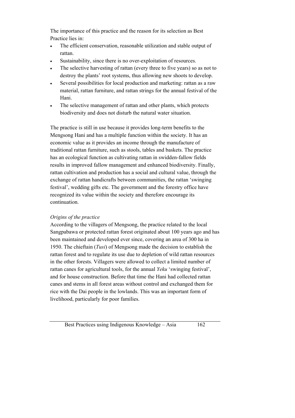The importance of this practice and the reason for its selection as Best Practice lies in:

- The efficient conservation, reasonable utilization and stable output of rattan.
- Sustainability, since there is no over-exploitation of resources.
- The selective harvesting of rattan (every three to five years) so as not to destroy the plants' root systems, thus allowing new shoots to develop.
- Several possibilities for local production and marketing: rattan as a raw material, rattan furniture, and rattan strings for the annual festival of the Hani.
- The selective management of rattan and other plants, which protects biodiversity and does not disturb the natural water situation.

The practice is still in use because it provides long-term benefits to the Mengsong Hani and has a multiple function within the society. It has an economic value as it provides an income through the manufacture of traditional rattan furniture, such as stools, tables and baskets. The practice has an ecological function as cultivating rattan in swidden-fallow fields results in improved fallow management and enhanced biodiversity. Finally, rattan cultivation and production has a social and cultural value, through the exchange of rattan handicrafts between communities, the rattan 'swinging festival', wedding gifts etc. The government and the forestry office have recognized its value within the society and therefore encourage its continuation.

# *Origins of the practice*

According to the villagers of Mengsong, the practice related to the local Sangpabawa or protected rattan forest originated about 100 years ago and has been maintained and developed ever since, covering an area of 300 ha in 1950. The chieftain (*Tusi*) of Mengsong made the decision to establish the rattan forest and to regulate its use due to depletion of wild rattan resources in the other forests. Villagers were allowed to collect a limited number of rattan canes for agricultural tools, for the annual *Yeku* 'swinging festival', and for house construction. Before that time the Hani had collected rattan canes and stems in all forest areas without control and exchanged them for rice with the Dai people in the lowlands. This was an important form of livelihood, particularly for poor families.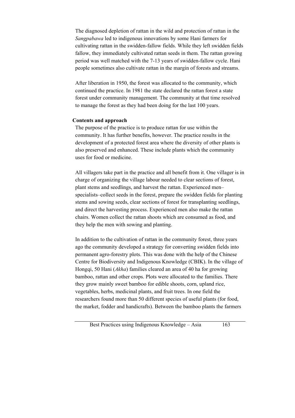The diagnosed depletion of rattan in the wild and protection of rattan in the *Sangpabawa* led to indigenous innovations by some Hani farmers for cultivating rattan in the swidden-fallow fields. While they left swidden fields fallow, they immediately cultivated rattan seeds in them. The rattan growing period was well matched with the 7-13 years of swidden-fallow cycle. Hani people sometimes also cultivate rattan in the margin of forests and streams.

After liberation in 1950, the forest was allocated to the community, which continued the practice. In 1981 the state declared the rattan forest a state forest under community management. The community at that time resolved to manage the forest as they had been doing for the last 100 years.

#### **Contents and approach**

The purpose of the practice is to produce rattan for use within the community. It has further benefits, however. The practice results in the development of a protected forest area where the diversity of other plants is also preserved and enhanced. These include plants which the community uses for food or medicine.

All villagers take part in the practice and all benefit from it. One villager is in charge of organizing the village labour needed to clear sections of forest, plant stems and seedlings, and harvest the rattan. Experienced men– specialists–collect seeds in the forest, prepare the swidden fields for planting stems and sowing seeds, clear sections of forest for transplanting seedlings, and direct the harvesting process. Experienced men also make the rattan chairs. Women collect the rattan shoots which are consumed as food, and they help the men with sowing and planting.

In addition to the cultivation of rattan in the community forest, three years ago the community developed a strategy for converting swidden fields into permanent agro-forestry plots. This was done with the help of the Chinese Centre for Biodiversity and Indigenous Knowledge (CBIK). In the village of Hongqi, 50 Hani (*Akha*) families cleared an area of 40 ha for growing bamboo, rattan and other crops. Plots were allocated to the families. There they grow mainly sweet bamboo for edible shoots, corn, upland rice, vegetables, herbs, medicinal plants, and fruit trees. In one field the researchers found more than 50 different species of useful plants (for food, the market, fodder and handicrafts). Between the bamboo plants the farmers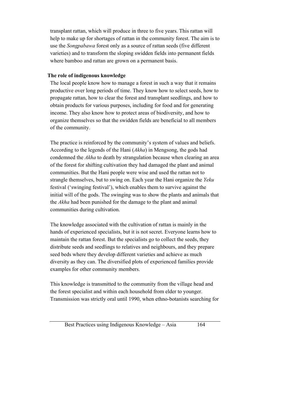transplant rattan, which will produce in three to five years. This rattan will help to make up for shortages of rattan in the community forest. The aim is to use the *Songpabawa* forest only as a source of rattan seeds (five different varieties) and to transform the sloping swidden fields into permanent fields where bamboo and rattan are grown on a permanent basis.

# **The role of indigenous knowledge**

The local people know how to manage a forest in such a way that it remains productive over long periods of time. They know how to select seeds, how to propagate rattan, how to clear the forest and transplant seedlings, and how to obtain products for various purposes, including for food and for generating income. They also know how to protect areas of biodiversity, and how to organize themselves so that the swidden fields are beneficial to all members of the community.

The practice is reinforced by the community's system of values and beliefs. According to the legends of the Hani (*Akha*) in Mengsong, the gods had condemned the *Akha* to death by strangulation because when clearing an area of the forest for shifting cultivation they had damaged the plant and animal communities. But the Hani people were wise and used the rattan not to strangle themselves, but to swing on. Each year the Hani organize the *Yeku* festival ('swinging festival'), which enables them to survive against the initial will of the gods. The swinging was to show the plants and animals that the *Akha* had been punished for the damage to the plant and animal communities during cultivation.

The knowledge associated with the cultivation of rattan is mainly in the hands of experienced specialists, but it is not secret. Everyone learns how to maintain the rattan forest. But the specialists go to collect the seeds, they distribute seeds and seedlings to relatives and neighbours, and they prepare seed beds where they develop different varieties and achieve as much diversity as they can. The diversified plots of experienced families provide examples for other community members.

This knowledge is transmitted to the community from the village head and the forest specialist and within each household from elder to younger. Transmission was strictly oral until 1990, when ethno-botanists searching for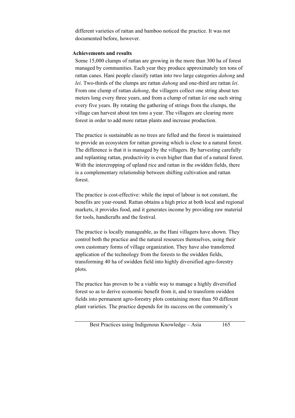different varieties of rattan and bamboo noticed the practice. It was not documented before, however.

#### **Achievements and results**

Some 15,000 clumps of rattan are growing in the more than 300 ha of forest managed by communities. Each year they produce approximately ten tons of rattan canes. Hani people classify rattan into two large categories *dahong* and *lei*. Two-thirds of the clumps are rattan *dahong* and one-third are rattan *lei*. From one clump of rattan *dahong*, the villagers collect one string about ten meters long every three years, and from a clump of rattan *lei* one such string every five years. By rotating the gathering of strings from the clumps, the village can harvest about ten tons a year. The villagers are clearing more forest in order to add more rattan plants and increase production.

The practice is sustainable as no trees are felled and the forest is maintained to provide an ecosystem for rattan growing which is close to a natural forest. The difference is that it is managed by the villagers. By harvesting carefully and replanting rattan, productivity is even higher than that of a natural forest. With the intercropping of upland rice and rattan in the swidden fields, there is a complementary relationship between shifting cultivation and rattan forest.

The practice is cost-effective: while the input of labour is not constant, the benefits are year-round. Rattan obtains a high price at both local and regional markets, it provides food, and it generates income by providing raw material for tools, handicrafts and the festival.

The practice is locally manageable, as the Hani villagers have shown. They control both the practice and the natural resources themselves, using their own customary forms of village organization. They have also transferred application of the technology from the forests to the swidden fields, transforming 40 ha of swidden field into highly diversified agro-forestry plots.

The practice has proven to be a viable way to manage a highly diversified forest so as to derive economic benefit from it, and to transform swidden fields into permanent agro-forestry plots containing more than 50 different plant varieties. The practice depends for its success on the community's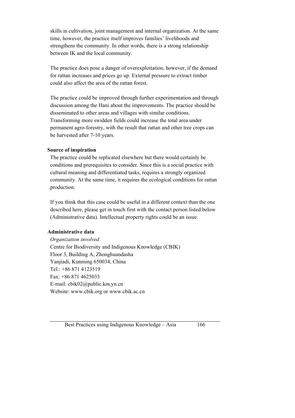skills in cultivation, joint management and internal organization. At the same time, however, the practice itself improves families' livelihoods and strengthens the community. In other words, there is a strong relationship between IK and the local community.

The practice does pose a danger of overexploitation, however, if the demand for rattan increases and prices go up. External pressure to extract timber could also affect the area of the rattan forest.

The practice could be improved through further experimentation and through discussion among the Hani about the improvements. The practice should be disseminated to other areas and villages with similar conditions. Transforming more swidden fields could increase the total area under permanent agro-forestry, with the result that rattan and other tree crops can be harvested after 7-10 years.

# **Source of inspiration**

The practice could be replicated elsewhere but there would certainly be conditions and prerequisites to consider. Since this is a social practice with cultural meaning and differentiated tasks, requires a strongly organized community. At the same time, it requires the ecological conditions for rattan production.

If you think that this case could be useful in a different context than the one described here, please get in touch first with the contact person listed below (Administrative data). Intellectual property rights could be an issue.

# **Administrative data**

*Organization involved*  Centre for Biodiversity and Indigenous Knowledge (CBIK) Floor 3, Building A, Zhonghuandasha Yanjiadi, Kunming 650034, China Tel.: +86 871 4123519 Fax: +86 871 4625033 E-mail: cbik02@public.km.yn.cn Website: www.cbik.org or www.cbik.ac.cn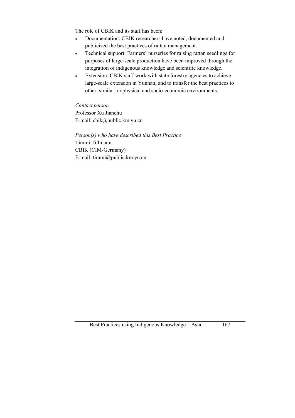The role of CBIK and its staff has been:

- Documentation: CBIK researchers have noted, documented and publicized the best practices of rattan management.
- Technical support: Farmers' nurseries for raising rattan seedlings for purposes of large-scale production have been improved through the integration of indigenous knowledge and scientific knowledge.
- Extension: CBIK staff work with state forestry agencies to achieve large-scale extension in Yunnan, and to transfer the best practices to other, similar biophysical and socio-economic environments.

*Contact person*  Professor Xu Jianchu E-mail: cbik@public.km.yn.cn

*Person(s) who have described this Best Practice*  Timmi Tillmann CBIK (CIM-Germany) E-mail: timmi@public.km.yn.cn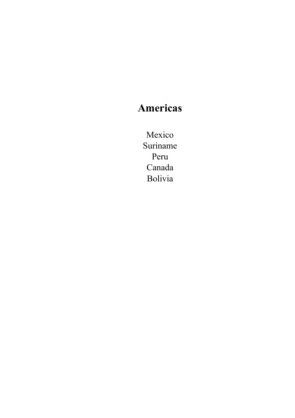# **Americas**

Mexico Suriname Peru Canada Bolivia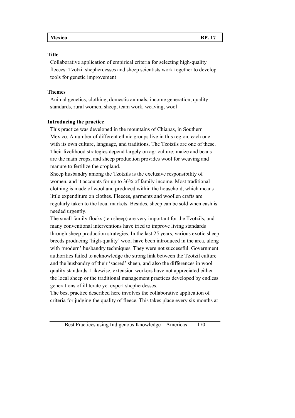#### **Title**

Collaborative application of empirical criteria for selecting high-quality fleeces: Tzotzil shepherdesses and sheep scientists work together to develop tools for genetic improvement

#### **Themes**

Animal genetics, clothing, domestic animals, income generation, quality standards, rural women, sheep, team work, weaving, wool

# **Introducing the practice**

This practice was developed in the mountains of Chiapas, in Southern Mexico. A number of different ethnic groups live in this region, each one with its own culture, language, and traditions. The Tzotzils are one of these. Their livelihood strategies depend largely on agriculture: maize and beans are the main crops, and sheep production provides wool for weaving and manure to fertilize the cropland.

Sheep husbandry among the Tzotzils is the exclusive responsibility of women, and it accounts for up to 36% of family income. Most traditional clothing is made of wool and produced within the household, which means little expenditure on clothes. Fleeces, garments and woollen crafts are regularly taken to the local markets. Besides, sheep can be sold when cash is needed urgently.

The small family flocks (ten sheep) are very important for the Tzotzils, and many conventional interventions have tried to improve living standards through sheep production strategies. In the last 25 years, various exotic sheep breeds producing 'high-quality' wool have been introduced in the area, along with 'modern' husbandry techniques. They were not successful. Government authorities failed to acknowledge the strong link between the Tzotzil culture and the husbandry of their 'sacred' sheep, and also the differences in wool quality standards. Likewise, extension workers have not appreciated either the local sheep or the traditional management practices developed by endless generations of illiterate yet expert shepherdesses.

The best practice described here involves the collaborative application of criteria for judging the quality of fleece. This takes place every six months at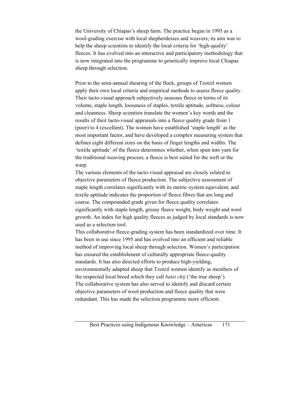the University of Chiapas's sheep farm. The practice began in 1995 as a wool-grading exercise with local shepherdesses and weavers; its aim was to help the sheep scientists to identify the local criteria for 'high-quality' fleeces. It has evolved into an interactive and participatory methodology that is now integrated into the programme to genetically improve local Chiapas sheep through selection.

Prior to the semi-annual shearing of the flock, groups of Tzotzil women apply their own local criteria and empirical methods to assess fleece quality. Their tacto-visual approach subjectively assesses fleece in terms of its volume, staple length, looseness of staples, textile aptitude, softness, colour and cleanness. Sheep scientists translate the women's key words and the results of their tacto-visual appraisals into a fleece quality grade from 1 (poor) to 4 (excellent). The women have established 'staple length' as the most important factor, and have developed a complex measuring system that defines eight different sizes on the basis of finger lengths and widths. The 'textile aptitude' of the fleece determines whether, when spun into yarn for the traditional weaving process, a fleece is best suited for the weft or the warp.

The various elements of the tacto-visual appraisal are closely related to objective parameters of fleece production. The subjective assessment of staple length correlates significantly with its metric-system equivalent, and textile aptitude indicates the proportion of fleece fibres that are long and coarse. The compounded grade given for fleece quality correlates significantly with staple length, greasy fleece weight, body weight and wool growth. An index for high quality fleeces as judged by local standards is now used as a selection tool.

This collaborative fleece-grading system has been standardized over time. It has been in use since 1995 and has evolved into an efficient and reliable method of improving local sheep through selection. Women's participation has ensured the establishment of culturally appropriate fleece-quality standards. It has also directed efforts to produce high-yielding, environmentally adapted sheep that Tzotzil women identify as members of the respected local breed which they call *batsi chij* ('the true sheep'). The collaborative system has also served to identify and discard certain objective parameters of wool production and fleece quality that were redundant. This has made the selection programme more efficient.

Best Practices using Indigenous Knowledge – Americas 171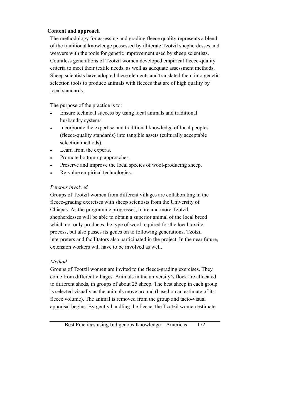# **Content and approach**

The methodology for assessing and grading fleece quality represents a blend of the traditional knowledge possessed by illiterate Tzotzil shepherdesses and weavers with the tools for genetic improvement used by sheep scientists. Countless generations of Tzotzil women developed empirical fleece-quality criteria to meet their textile needs, as well as adequate assessment methods. Sheep scientists have adopted these elements and translated them into genetic selection tools to produce animals with fleeces that are of high quality by local standards.

The purpose of the practice is to:

- Ensure technical success by using local animals and traditional husbandry systems.
- Incorporate the expertise and traditional knowledge of local peoples (fleece-quality standards) into tangible assets (culturally acceptable selection methods).
- Learn from the experts.
- Promote bottom-up approaches.
- Preserve and improve the local species of wool-producing sheep.
- Re-value empirical technologies.

# *Persons involved*

Groups of Tzotzil women from different villages are collaborating in the fleece-grading exercises with sheep scientists from the University of Chiapas. As the programme progresses, more and more Tzotzil shepherdesses will be able to obtain a superior animal of the local breed which not only produces the type of wool required for the local textile process, but also passes its genes on to following generations. Tzotzil interpreters and facilitators also participated in the project. In the near future, extension workers will have to be involved as well.

# *Method*

Groups of Tzotzil women are invited to the fleece-grading exercises. They come from different villages. Animals in the university's flock are allocated to different sheds, in groups of about 25 sheep. The best sheep in each group is selected visually as the animals move around (based on an estimate of its fleece volume). The animal is removed from the group and tacto-visual appraisal begins. By gently handling the fleece, the Tzotzil women estimate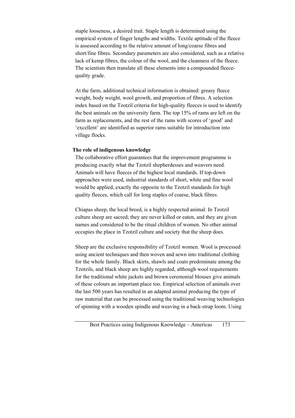staple looseness, a desired trait. Staple length is determined using the empirical system of finger lengths and widths. Textile aptitude of the fleece is assessed according to the relative amount of long/coarse fibres and short/fine fibres. Secondary parameters are also considered, such as a relative lack of kemp fibres, the colour of the wool, and the cleanness of the fleece. The scientists then translate all these elements into a compounded fleecequality grade.

At the farm, additional technical information is obtained: greasy fleece weight, body weight, wool growth, and proportion of fibres. A selection index based on the Tzotzil criteria for high-quality fleeces is used to identify the best animals on the university farm. The top 15% of rams are left on the farm as replacements, and the rest of the rams with scores of 'good' and 'excellent' are identified as superior rams suitable for introduction into village flocks.

#### **The role of indigenous knowledge**

The collaborative effort guarantees that the improvement programme is producing exactly what the Tzotzil shepherdesses and weavers need. Animals will have fleeces of the highest local standards. If top-down approaches were used, industrial standards of short, white and fine wool would be applied, exactly the opposite to the Tzotzil standards for high quality fleeces, which call for long staples of coarse, black fibres.

Chiapas sheep, the local breed, is a highly respected animal. In Tzotzil culture sheep are sacred; they are never killed or eaten, and they are given names and considered to be the ritual children of women. No other animal occupies the place in Tzotzil culture and society that the sheep does.

Sheep are the exclusive responsibility of Tzotzil women. Wool is processed using ancient techniques and then woven and sewn into traditional clothing for the whole family. Black skirts, shawls and coats predominate among the Tzotzils, and black sheep are highly regarded, although wool requirements for the traditional white jackets and brown ceremonial blouses give animals of these colours an important place too. Empirical selection of animals over the last 500 years has resulted in an adapted animal producing the type of raw material that can be processed using the traditional weaving technologies of spinning with a wooden spindle and weaving in a back-strap loom. Using

Best Practices using Indigenous Knowledge – Americas 173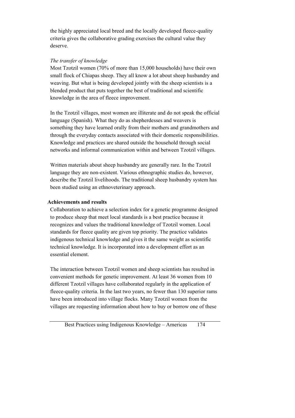the highly appreciated local breed and the locally developed fleece-quality criteria gives the collaborative grading exercises the cultural value they deserve.

# *The transfer of knowledge*

Most Tzotzil women (70% of more than 15,000 households) have their own small flock of Chiapas sheep. They all know a lot about sheep husbandry and weaving. But what is being developed jointly with the sheep scientists is a blended product that puts together the best of traditional and scientific knowledge in the area of fleece improvement.

In the Tzotzil villages, most women are illiterate and do not speak the official language (Spanish). What they do as shepherdesses and weavers is something they have learned orally from their mothers and grandmothers and through the everyday contacts associated with their domestic responsibilities. Knowledge and practices are shared outside the household through social networks and informal communication within and between Tzotzil villages.

Written materials about sheep husbandry are generally rare. In the Tzotzil language they are non-existent. Various ethnographic studies do, however, describe the Tzotzil livelihoods. The traditional sheep husbandry system has been studied using an ethnoveterinary approach.

# **Achievements and results**

Collaboration to achieve a selection index for a genetic programme designed to produce sheep that meet local standards is a best practice because it recognizes and values the traditional knowledge of Tzotzil women. Local standards for fleece quality are given top priority. The practice validates indigenous technical knowledge and gives it the same weight as scientific technical knowledge. It is incorporated into a development effort as an essential element.

The interaction between Tzotzil women and sheep scientists has resulted in convenient methods for genetic improvement. At least 36 women from 10 different Tzotzil villages have collaborated regularly in the application of fleece-quality criteria. In the last two years, no fewer than 130 superior rams have been introduced into village flocks. Many Tzotzil women from the villages are requesting information about how to buy or borrow one of these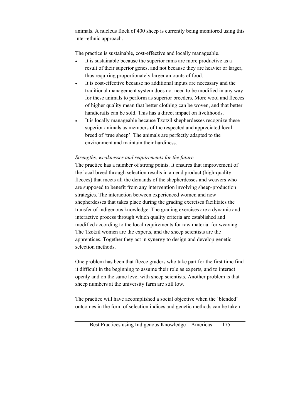animals. A nucleus flock of 400 sheep is currently being monitored using this inter-ethnic approach.

The practice is sustainable, cost-effective and locally manageable.

- It is sustainable because the superior rams are more productive as a result of their superior genes, and not because they are heavier or larger, thus requiring proportionately larger amounts of food.
- It is cost-effective because no additional inputs are necessary and the traditional management system does not need to be modified in any way for these animals to perform as superior breeders. More wool and fleeces of higher quality mean that better clothing can be woven, and that better handicrafts can be sold. This has a direct impact on livelihoods.
- It is locally manageable because Tzotzil shepherdesses recognize these superior animals as members of the respected and appreciated local breed of 'true sheep'. The animals are perfectly adapted to the environment and maintain their hardiness.

# *Strengths, weaknesses and requirements for the future*

The practice has a number of strong points. It ensures that improvement of the local breed through selection results in an end product (high-quality fleeces) that meets all the demands of the shepherdesses and weavers who are supposed to benefit from any intervention involving sheep-production strategies. The interaction between experienced women and new shepherdesses that takes place during the grading exercises facilitates the transfer of indigenous knowledge. The grading exercises are a dynamic and interactive process through which quality criteria are established and modified according to the local requirements for raw material for weaving. The Tzotzil women are the experts, and the sheep scientists are the apprentices. Together they act in synergy to design and develop genetic selection methods.

One problem has been that fleece graders who take part for the first time find it difficult in the beginning to assume their role as experts, and to interact openly and on the same level with sheep scientists. Another problem is that sheep numbers at the university farm are still low.

The practice will have accomplished a social objective when the 'blended' outcomes in the form of selection indices and genetic methods can be taken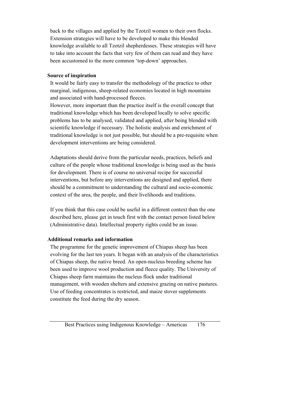back to the villages and applied by the Tzotzil women to their own flocks. Extension strategies will have to be developed to make this blended knowledge available to all Tzotzil shepherdesses. These strategies will have to take into account the facts that very few of them can read and they have been accustomed to the more common 'top-down' approaches.

# **Source of inspiration**

It would be fairly easy to transfer the methodology of the practice to other marginal, indigenous, sheep-related economies located in high mountains and associated with hand-processed fleeces.

However, more important than the practice itself is the overall concept that traditional knowledge which has been developed locally to solve specific problems has to be analysed, validated and applied, after being blended with scientific knowledge if necessary. The holistic analysis and enrichment of traditional knowledge is not just possible, but should be a pre-requisite when development interventions are being considered.

Adaptations should derive from the particular needs, practices, beliefs and culture of the people whose traditional knowledge is being used as the basis for development. There is of course no universal recipe for successful interventions, but before any interventions are designed and applied, there should be a commitment to understanding the cultural and socio-economic context of the area, the people, and their livelihoods and traditions.

If you think that this case could be useful in a different context than the one described here, please get in touch first with the contact person listed below (Administrative data). Intellectual property rights could be an issue.

# **Additional remarks and information**

The programme for the genetic improvement of Chiapas sheep has been evolving for the last ten years. It began with an analysis of the characteristics of Chiapas sheep, the native breed. An open-nucleus breeding scheme has been used to improve wool production and fleece quality. The University of Chiapas sheep farm maintains the nucleus flock under traditional management, with wooden shelters and extensive grazing on native pastures. Use of feeding concentrates is restricted, and maize stover supplements constitute the feed during the dry season.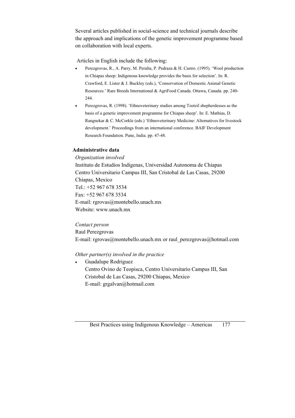Several articles published in social-science and technical journals describe the approach and implications of the genetic improvement programme based on collaboration with local experts.

Articles in English include the following:

- Perezgrovas, R., A. Parry, M. Peralta, P. Pedraza & H. Castro. (1995). 'Wool production in Chiapas sheep: Indigenous knowledge provides the basis for selection'. In: R. Crawford, E. Lister & J. Buckley (eds.), 'Conservation of Domestic Animal Genetic Resources.' Rare Breeds International & AgriFood Canada. Ottawa, Canada. pp. 240- 244.
- Perezgrovas, R. (1998). 'Ethnoveterinary studies among Tzotzil shepherdesses as the basis of a genetic improvement programme for Chiapas sheep'. In: E. Mathias, D. Rangnekar & C. McCorkle (eds.) 'Ethnoveterinary Medicine: Alternatives for livestock development.' Proceedings from an international conference. BAIF Development Research Foundation. Pune, India. pp. 47-48.

# **Administrative data**

*Organization involved* 

Instituto de Estudios Indigenas, Universidad Autonoma de Chiapas Centro Universitario Campus III, San Cristobal de Las Casas, 29200 Chiapas, Mexico Tel.: +52 967 678 3534 Fax: +52 967 678 3534 E-mail: rgrovas@montebello.unach.mx Website: www.unach.mx

# *Contact person*

Raul Perezgrovas E-mail: rgrovas@montebello.unach.mx or raul\_perezgrovas@hotmail.com

# *Other partner(s) involved in the practice*

• Guadalupe Rodriguez Centro Ovino de Teopisca, Centro Universitario Campus III, San Cristobal de Las Casas, 29200 Chiapas, Mexico E-mail: grgalvan@hotmail.com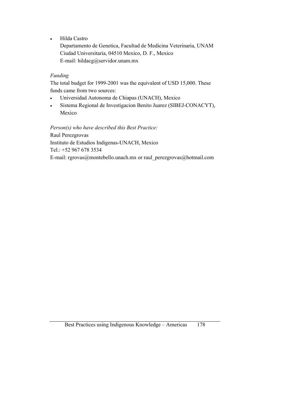• Hilda Castro

Departamento de Genetica, Facultad de Medicina Veterinaria, UNAM Ciudad Universitaria, 04510 Mexico, D. F., Mexico E-mail: hildacg@servidor.unam.mx

# *Funding*

The total budget for 1999-2001 was the equivalent of USD 15,000. These funds came from two sources:

- Universidad Autonoma de Chiapas (UNACH), Mexico
- Sistema Regional de Investigacion Benito Juarez (SIBEJ-CONACYT), Mexico

*Person(s) who have described this Best Practice:*  Raul Perezgrovas Instituto de Estudios Indigenas-UNACH, Mexico Tel.: +52 967 678 3534 E-mail: rgrovas@montebello.unach.mx or raul\_perezgrovas@hotmail.com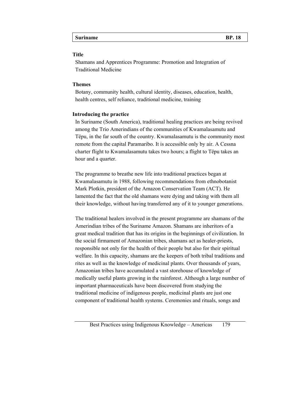#### **Title**

Shamans and Apprentices Programme: Promotion and Integration of Traditional Medicine

## **Themes**

Botany, community health, cultural identity, diseases, education, health, health centres, self reliance, traditional medicine, training

#### **Introducing the practice**

In Suriname (South America), traditional healing practices are being revived among the Trio Amerindians of the communities of Kwamalasamutu and Tëpu, in the far south of the country. Kwamalasamutu is the community most remote from the capital Paramaribo. It is accessible only by air. A Cessna charter flight to Kwamalasamutu takes two hours; a flight to Tëpu takes an hour and a quarter.

The programme to breathe new life into traditional practices began at Kwamalasamutu in 1988, following recommendations from ethnobotanist Mark Plotkin, president of the Amazon Conservation Team (ACT). He lamented the fact that the old shamans were dying and taking with them all their knowledge, without having transferred any of it to younger generations.

The traditional healers involved in the present programme are shamans of the Amerindian tribes of the Suriname Amazon. Shamans are inheritors of a great medical tradition that has its origins in the beginnings of civilization. In the social firmament of Amazonian tribes, shamans act as healer-priests, responsible not only for the health of their people but also for their spiritual welfare. In this capacity, shamans are the keepers of both tribal traditions and rites as well as the knowledge of medicinal plants. Over thousands of years, Amazonian tribes have accumulated a vast storehouse of knowledge of medically useful plants growing in the rainforest. Although a large number of important pharmaceuticals have been discovered from studying the traditional medicine of indigenous people, medicinal plants are just one component of traditional health systems. Ceremonies and rituals, songs and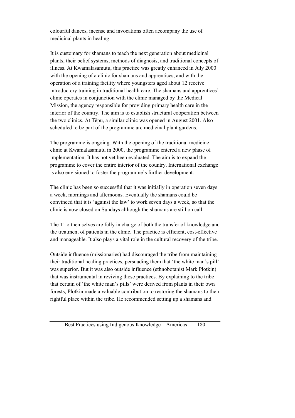colourful dances, incense and invocations often accompany the use of medicinal plants in healing.

It is customary for shamans to teach the next generation about medicinal plants, their belief systems, methods of diagnosis, and traditional concepts of illness. At Kwamalasamutu, this practice was greatly enhanced in July 2000 with the opening of a clinic for shamans and apprentices, and with the operation of a training facility where youngsters aged about 12 receive introductory training in traditional health care. The shamans and apprentices' clinic operates in conjunction with the clinic managed by the Medical Mission, the agency responsible for providing primary health care in the interior of the country. The aim is to establish structural cooperation between the two clinics. At Tëpu, a similar clinic was opened in August 2001. Also scheduled to be part of the programme are medicinal plant gardens.

The programme is ongoing. With the opening of the traditional medicine clinic at Kwamalasamutu in 2000, the programme entered a new phase of implementation. It has not yet been evaluated. The aim is to expand the programme to cover the entire interior of the country. International exchange is also envisioned to foster the programme's further development.

The clinic has been so successful that it was initially in operation seven days a week, mornings and afternoons. Eventually the shamans could be convinced that it is 'against the law' to work seven days a week, so that the clinic is now closed on Sundays although the shamans are still on call.

The Trio themselves are fully in charge of both the transfer of knowledge and the treatment of patients in the clinic. The practice is efficient, cost-effective and manageable. It also plays a vital role in the cultural recovery of the tribe.

Outside influence (missionaries) had discouraged the tribe from maintaining their traditional healing practices, persuading them that 'the white man's pill' was superior. But it was also outside influence (ethnobotanist Mark Plotkin) that was instrumental in reviving those practices. By explaining to the tribe that certain of 'the white man's pills' were derived from plants in their own forests, Plotkin made a valuable contribution to restoring the shamans to their rightful place within the tribe. He recommended setting up a shamans and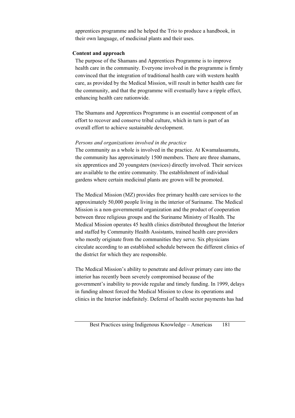apprentices programme and he helped the Trio to produce a handbook, in their own language, of medicinal plants and their uses.

### **Content and approach**

The purpose of the Shamans and Apprentices Programme is to improve health care in the community. Everyone involved in the programme is firmly convinced that the integration of traditional health care with western health care, as provided by the Medical Mission, will result in better health care for the community, and that the programme will eventually have a ripple effect, enhancing health care nationwide.

The Shamans and Apprentices Programme is an essential component of an effort to recover and conserve tribal culture, which in turn is part of an overall effort to achieve sustainable development.

### *Persons and organizations involved in the practice*

The community as a whole is involved in the practice. At Kwamalasamutu, the community has approximately 1500 members. There are three shamans, six apprentices and 20 youngsters (novices) directly involved. Their services are available to the entire community. The establishment of individual gardens where certain medicinal plants are grown will be promoted.

The Medical Mission (MZ) provides free primary health care services to the approximately 50,000 people living in the interior of Suriname. The Medical Mission is a non-governmental organization and the product of cooperation between three religious groups and the Suriname Ministry of Health. The Medical Mission operates 45 health clinics distributed throughout the Interior and staffed by Community Health Assistants, trained health care providers who mostly originate from the communities they serve. Six physicians circulate according to an established schedule between the different clinics of the district for which they are responsible.

The Medical Mission's ability to penetrate and deliver primary care into the interior has recently been severely compromised because of the government's inability to provide regular and timely funding. In 1999, delays in funding almost forced the Medical Mission to close its operations and clinics in the Interior indefinitely. Deferral of health sector payments has had

Best Practices using Indigenous Knowledge – Americas 181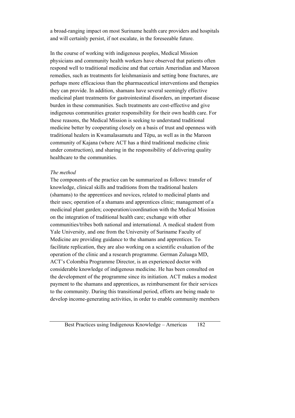a broad-ranging impact on most Suriname health care providers and hospitals and will certainly persist, if not escalate, in the foreseeable future.

In the course of working with indigenous peoples, Medical Mission physicians and community health workers have observed that patients often respond well to traditional medicine and that certain Amerindian and Maroon remedies, such as treatments for leishmaniasis and setting bone fractures, are perhaps more efficacious than the pharmaceutical interventions and therapies they can provide. In addition, shamans have several seemingly effective medicinal plant treatments for gastrointestinal disorders, an important disease burden in these communities. Such treatments are cost-effective and give indigenous communities greater responsibility for their own health care. For these reasons, the Medical Mission is seeking to understand traditional medicine better by cooperating closely on a basis of trust and openness with traditional healers in Kwamalasamutu and Tëpu, as well as in the Maroon community of Kajana (where ACT has a third traditional medicine clinic under construction), and sharing in the responsibility of delivering quality healthcare to the communities.

#### *The method*

The components of the practice can be summarized as follows: transfer of knowledge, clinical skills and traditions from the traditional healers (shamans) to the apprentices and novices, related to medicinal plants and their uses; operation of a shamans and apprentices clinic; management of a medicinal plant garden; cooperation/coordination with the Medical Mission on the integration of traditional health care; exchange with other communities/tribes both national and international. A medical student from Yale University, and one from the University of Suriname Faculty of Medicine are providing guidance to the shamans and apprentices. To facilitate replication, they are also working on a scientific evaluation of the operation of the clinic and a research programme. German Zuluaga MD, ACT's Colombia Programme Director, is an experienced doctor with considerable knowledge of indigenous medicine. He has been consulted on the development of the programme since its initiation. ACT makes a modest payment to the shamans and apprentices, as reimbursement for their services to the community. During this transitional period, efforts are being made to develop income-generating activities, in order to enable community members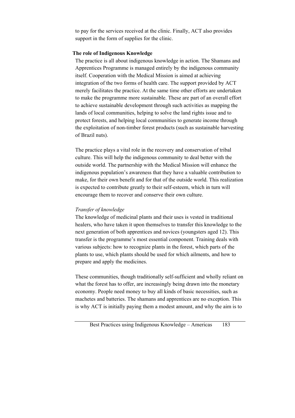to pay for the services received at the clinic. Finally, ACT also provides support in the form of supplies for the clinic.

#### **The role of Indigenous Knowledge**

The practice is all about indigenous knowledge in action. The Shamans and Apprentices Programme is managed entirely by the indigenous community itself. Cooperation with the Medical Mission is aimed at achieving integration of the two forms of health care. The support provided by ACT merely facilitates the practice. At the same time other efforts are undertaken to make the programme more sustainable. These are part of an overall effort to achieve sustainable development through such activities as mapping the lands of local communities, helping to solve the land rights issue and to protect forests, and helping local communities to generate income through the exploitation of non-timber forest products (such as sustainable harvesting of Brazil nuts).

The practice plays a vital role in the recovery and conservation of tribal culture. This will help the indigenous community to deal better with the outside world. The partnership with the Medical Mission will enhance the indigenous population's awareness that they have a valuable contribution to make, for their own benefit and for that of the outside world. This realization is expected to contribute greatly to their self-esteem, which in turn will encourage them to recover and conserve their own culture.

#### *Transfer of knowledge*

The knowledge of medicinal plants and their uses is vested in traditional healers, who have taken it upon themselves to transfer this knowledge to the next generation of both apprentices and novices (youngsters aged 12). This transfer is the programme's most essential component. Training deals with various subjects: how to recognize plants in the forest, which parts of the plants to use, which plants should be used for which ailments, and how to prepare and apply the medicines.

These communities, though traditionally self-sufficient and wholly reliant on what the forest has to offer, are increasingly being drawn into the monetary economy. People need money to buy all kinds of basic necessities, such as machetes and batteries. The shamans and apprentices are no exception. This is why ACT is initially paying them a modest amount, and why the aim is to

Best Practices using Indigenous Knowledge – Americas 183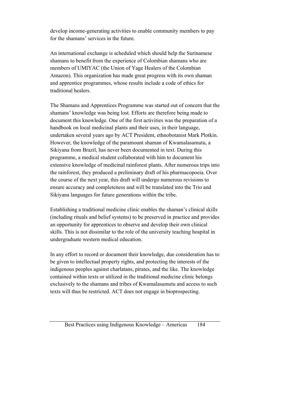develop income-generating activities to enable community members to pay for the shamans' services in the future.

An international exchange is scheduled which should help the Surinamese shamans to benefit from the experience of Colombian shamans who are members of UMIYAC (the Union of Yage Healers of the Colombian Amazon). This organization has made great progress with its own shaman and apprentice programmes, whose results include a code of ethics for traditional healers.

The Shamans and Apprentices Programme was started out of concern that the shamans' knowledge was being lost. Efforts are therefore being made to document this knowledge. One of the first activities was the preparation of a handbook on local medicinal plants and their uses, in their language, undertaken several years ago by ACT President, ethnobotanist Mark Plotkin. However, the knowledge of the paramount shaman of Kwamalasamutu, a Sikiyana from Brazil, has never been documented in text. During this programme, a medical student collaborated with him to document his extensive knowledge of medicinal rainforest plants. After numerous trips into the rainforest, they produced a preliminary draft of his pharmacopoeia. Over the course of the next year, this draft will undergo numerous revisions to ensure accuracy and completeness and will be translated into the Trio and Sikiyana languages for future generations within the tribe.

Establishing a traditional medicine clinic enables the shaman's clinical skills (including rituals and belief systems) to be preserved in practice and provides an opportunity for apprentices to observe and develop their own clinical skills. This is not dissimilar to the role of the university teaching hospital in undergraduate western medical education.

In any effort to record or document their knowledge, due consideration has to be given to intellectual property rights, and protecting the interests of the indigenous peoples against charlatans, pirates, and the like. The knowledge contained within texts or utilized in the traditional medicine clinic belongs exclusively to the shamans and tribes of Kwamalasamutu and access to such texts will thus be restricted. ACT does not engage in bioprospecting.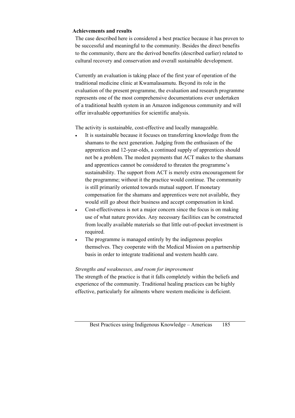### **Achievements and results**

The case described here is considered a best practice because it has proven to be successful and meaningful to the community. Besides the direct benefits to the community, there are the derived benefits (described earlier) related to cultural recovery and conservation and overall sustainable development.

Currently an evaluation is taking place of the first year of operation of the traditional medicine clinic at Kwamalasamutu. Beyond its role in the evaluation of the present programme, the evaluation and research programme represents one of the most comprehensive documentations ever undertaken of a traditional health system in an Amazon indigenous community and will offer invaluable opportunities for scientific analysis.

The activity is sustainable, cost-effective and locally manageable.

- It is sustainable because it focuses on transferring knowledge from the shamans to the next generation. Judging from the enthusiasm of the apprentices and 12-year-olds, a continued supply of apprentices should not be a problem. The modest payments that ACT makes to the shamans and apprentices cannot be considered to threaten the programme's sustainability. The support from ACT is merely extra encouragement for the programme; without it the practice would continue. The community is still primarily oriented towards mutual support. If monetary compensation for the shamans and apprentices were not available, they would still go about their business and accept compensation in kind.
- Cost-effectiveness is not a major concern since the focus is on making use of what nature provides. Any necessary facilities can be constructed from locally available materials so that little out-of-pocket investment is required.
- The programme is managed entirely by the indigenous peoples themselves. They cooperate with the Medical Mission on a partnership basis in order to integrate traditional and western health care.

## *Strengths and weaknesses, and room for improvement*

The strength of the practice is that it falls completely within the beliefs and experience of the community. Traditional healing practices can be highly effective, particularly for ailments where western medicine is deficient.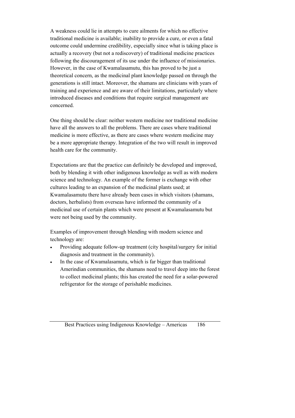A weakness could lie in attempts to cure ailments for which no effective traditional medicine is available; inability to provide a cure, or even a fatal outcome could undermine credibility, especially since what is taking place is actually a recovery (but not a rediscovery) of traditional medicine practices following the discouragement of its use under the influence of missionaries. However, in the case of Kwamalasamutu, this has proved to be just a theoretical concern, as the medicinal plant knowledge passed on through the generations is still intact. Moreover, the shamans are clinicians with years of training and experience and are aware of their limitations, particularly where introduced diseases and conditions that require surgical management are concerned.

One thing should be clear: neither western medicine nor traditional medicine have all the answers to all the problems. There are cases where traditional medicine is more effective, as there are cases where western medicine may be a more appropriate therapy. Integration of the two will result in improved health care for the community.

Expectations are that the practice can definitely be developed and improved, both by blending it with other indigenous knowledge as well as with modern science and technology. An example of the former is exchange with other cultures leading to an expansion of the medicinal plants used; at Kwamalasamutu there have already been cases in which visitors (shamans, doctors, herbalists) from overseas have informed the community of a medicinal use of certain plants which were present at Kwamalasamutu but were not being used by the community.

Examples of improvement through blending with modern science and technology are:

- Providing adequate follow-up treatment (city hospital/surgery for initial diagnosis and treatment in the community).
- In the case of Kwamalasamutu, which is far bigger than traditional Amerindian communities, the shamans need to travel deep into the forest to collect medicinal plants; this has created the need for a solar-powered refrigerator for the storage of perishable medicines.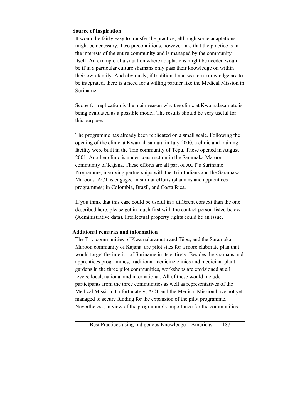### **Source of inspiration**

It would be fairly easy to transfer the practice, although some adaptations might be necessary. Two preconditions, however, are that the practice is in the interests of the entire community and is managed by the community itself. An example of a situation where adaptations might be needed would be if in a particular culture shamans only pass their knowledge on within their own family. And obviously, if traditional and western knowledge are to be integrated, there is a need for a willing partner like the Medical Mission in Suriname.

Scope for replication is the main reason why the clinic at Kwamalasamutu is being evaluated as a possible model. The results should be very useful for this purpose.

The programme has already been replicated on a small scale. Following the opening of the clinic at Kwamalasamutu in July 2000, a clinic and training facility were built in the Trio community of Tëpu. These opened in August 2001. Another clinic is under construction in the Saramaka Maroon community of Kajana. These efforts are all part of ACT's Suriname Programme, involving partnerships with the Trio Indians and the Saramaka Maroons. ACT is engaged in similar efforts (shamans and apprentices programmes) in Colombia, Brazil, and Costa Rica.

If you think that this case could be useful in a different context than the one described here, please get in touch first with the contact person listed below (Administrative data). Intellectual property rights could be an issue.

### **Additional remarks and information**

The Trio communities of Kwamalasamutu and Tëpu, and the Saramaka Maroon community of Kajana, are pilot sites for a more elaborate plan that would target the interior of Suriname in its entirety. Besides the shamans and apprentices programmes, traditional medicine clinics and medicinal plant gardens in the three pilot communities, workshops are envisioned at all levels: local, national and international. All of these would include participants from the three communities as well as representatives of the Medical Mission. Unfortunately, ACT and the Medical Mission have not yet managed to secure funding for the expansion of the pilot programme. Nevertheless, in view of the programme's importance for the communities,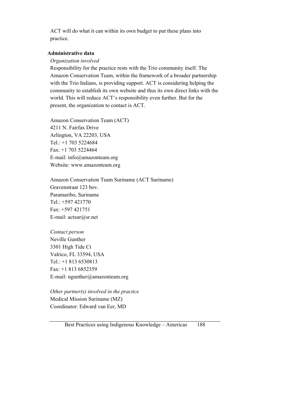ACT will do what it can within its own budget to put these plans into practice.

### **Administrative data**

### *Organization involved*

Responsibility for the practice rests with the Trio community itself. The Amazon Conservation Team, within the framework of a broader partnership with the Trio Indians, is providing support. ACT is considering helping the community to establish its own website and thus its own direct links with the world. This will reduce ACT's responsibility even further. But for the present, the organization to contact is ACT.

Amazon Conservation Team (ACT) 4211 N. Fairfax Drive Arlington, VA 22203, USA Tel.: +1 703 5224684 Fax: +1 703 5224464 E-mail: info@amazonteam.org Website: www.amazonteam.org

Amazon Conservation Team Suriname (ACT Suriname) Gravenstraat 123 bov. Paramaribo, Suriname Tel.: +597 421770 Fax: +597 421751 E-mail: actsur@sr.net

*Contact person*  Neville Gunther 3301 High Tide Ct Valrico, FL 33594, USA Tel.: +1 813 6530813 Fax: +1 813 6852359 E-mail: ngunther@amazonteam.org

*Other partner(s) involved in the practice*  Medical Mission Suriname (MZ) Coordinator: Edward van Eer, MD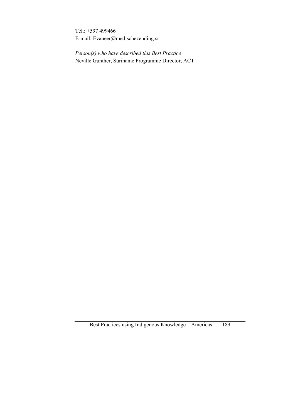Tel.: +597 499466 E-mail: Evaneer@medischezending.sr

*Person(s) who have described this Best Practice*  Neville Gunther, Suriname Programme Director, ACT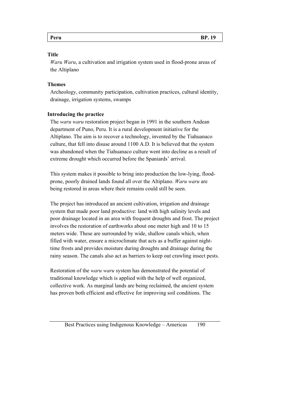| Peru | <b>BP.</b> 19 |
|------|---------------|
|      |               |

### **Title**

*Waru Waru*, a cultivation and irrigation system used in flood-prone areas of the Altiplano

## **Themes**

Archeology, community participation, cultivation practices, cultural identity, drainage, irrigation systems, swamps

### **Introducing the practice**

The *waru waru* restoration project began in 1991 in the southern Andean department of Puno, Peru. It is a rural development initiative for the Altiplano. The aim is to recover a technology, invented by the Tiahuanaco culture, that fell into disuse around 1100 A.D. It is believed that the system was abandoned when the Tiahuanaco culture went into decline as a result of extreme drought which occurred before the Spaniards' arrival.

This system makes it possible to bring into production the low-lying, floodprone, poorly drained lands found all over the Altiplano. *Waru waru* are being restored in areas where their remains could still be seen.

The project has introduced an ancient cultivation, irrigation and drainage system that made poor land productive: land with high salinity levels and poor drainage located in an area with frequent droughts and frost. The project involves the restoration of earthworks about one meter high and 10 to 15 meters wide. These are surrounded by wide, shallow canals which, when filled with water, ensure a microclimate that acts as a buffer against nighttime frosts and provides moisture during droughts and drainage during the rainy season. The canals also act as barriers to keep out crawling insect pests.

Restoration of the *waru waru* system has demonstrated the potential of traditional knowledge which is applied with the help of well organized, collective work. As marginal lands are being reclaimed, the ancient system has proven both efficient and effective for improving soil conditions. The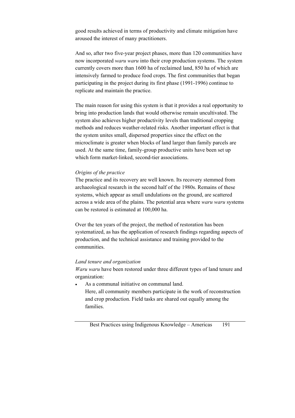good results achieved in terms of productivity and climate mitigation have aroused the interest of many practitioners.

And so, after two five-year project phases, more than 120 communities have now incorporated *waru waru* into their crop production systems. The system currently covers more than 1600 ha of reclaimed land, 850 ha of which are intensively farmed to produce food crops. The first communities that began participating in the project during its first phase (1991-1996) continue to replicate and maintain the practice.

The main reason for using this system is that it provides a real opportunity to bring into production lands that would otherwise remain uncultivated. The system also achieves higher productivity levels than traditional cropping methods and reduces weather-related risks. Another important effect is that the system unites small, dispersed properties since the effect on the microclimate is greater when blocks of land larger than family parcels are used. At the same time, family-group productive units have been set up which form market-linked, second-tier associations.

## *Origins of the practice*

The practice and its recovery are well known. Its recovery stemmed from archaeological research in the second half of the 1980s. Remains of these systems, which appear as small undulations on the ground, are scattered across a wide area of the plains. The potential area where *waru waru* systems can be restored is estimated at 100,000 ha.

Over the ten years of the project, the method of restoration has been systematized, as has the application of research findings regarding aspects of production, and the technical assistance and training provided to the communities.

## *Land tenure and organization*

*Waru waru* have been restored under three different types of land tenure and organization:

As a communal initiative on communal land.

Here, all community members participate in the work of reconstruction and crop production. Field tasks are shared out equally among the families.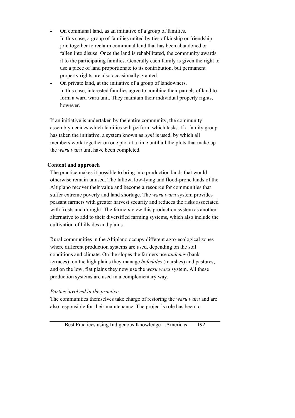- On communal land, as an initiative of a group of families. In this case, a group of families united by ties of kinship or friendship join together to reclaim communal land that has been abandoned or fallen into disuse. Once the land is rehabilitated, the community awards it to the participating families. Generally each family is given the right to use a piece of land proportionate to its contribution, but permanent property rights are also occasionally granted.
- On private land, at the initiative of a group of landowners. In this case, interested families agree to combine their parcels of land to form a waru waru unit. They maintain their individual property rights, however.

If an initiative is undertaken by the entire community, the community assembly decides which families will perform which tasks. If a family group has taken the initiative, a system known as *ayni* is used, by which all members work together on one plot at a time until all the plots that make up the *waru waru* unit have been completed.

# **Content and approach**

The practice makes it possible to bring into production lands that would otherwise remain unused. The fallow, low-lying and flood-prone lands of the Altiplano recover their value and become a resource for communities that suffer extreme poverty and land shortage. The *waru waru* system provides peasant farmers with greater harvest security and reduces the risks associated with frosts and drought. The farmers view this production system as another alternative to add to their diversified farming systems, which also include the cultivation of hillsides and plains.

Rural communities in the Altiplano occupy different agro-ecological zones where different production systems are used, depending on the soil conditions and climate. On the slopes the farmers use *andenes* (bank terraces); on the high plains they manage *bofedales* (marshes) and pastures; and on the low, flat plains they now use the *waru waru* system. All these production systems are used in a complementary way.

## *Parties involved in the practice*

The communities themselves take charge of restoring the *waru waru* and are also responsible for their maintenance. The project's role has been to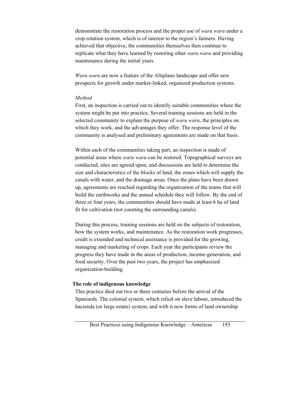demonstrate the restoration process and the proper use of *waru waru* under a crop rotation system, which is of interest to the region's farmers. Having achieved that objective, the communities themselves then continue to replicate what they have learned by restoring other *waru waru* and providing maintenance during the initial years.

*Waru waru* are now a feature of the Altiplano landscape and offer new prospects for growth under market-linked, organized production systems.

#### *Method*

First, an inspection is carried out to identify suitable communities where the system might be put into practice. Several training sessions are held in the selected community to explain the purpose of *waru waru*, the principles on which they work, and the advantages they offer. The response level of the community is analysed and preliminary agreements are made on that basis.

Within each of the communities taking part, an inspection is made of potential areas where *waru waru* can be restored. Topographical surveys are conducted, sites are agreed upon, and discussions are held to determine the size and characteristics of the blocks of land, the zones which will supply the canals with water, and the drainage areas. Once the plans have been drawn up, agreements are reached regarding the organization of the teams that will build the earthworks and the annual schedule they will follow. By the end of three or four years, the communities should have made at least 6 ha of land fit for cultivation (not counting the surrounding canals).

During this process, training sessions are held on the subjects of restoration, how the system works, and maintenance. As the restoration work progresses, credit is extended and technical assistance is provided for the growing, managing and marketing of crops. Each year the participants review the progress they have made in the areas of production, income-generation, and food security. Over the past two years, the project has emphasized organization-building.

#### **The role of indigenous knowledge**

This practice died out two or three centuries before the arrival of the Spaniards. The colonial system, which relied on slave labour, introduced the hacienda (or large estate) system, and with it new forms of land ownership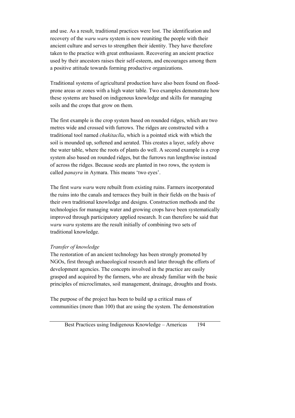and use. As a result, traditional practices were lost. The identification and recovery of the *waru waru* system is now reuniting the people with their ancient culture and serves to strengthen their identity. They have therefore taken to the practice with great enthusiasm. Recovering an ancient practice used by their ancestors raises their self-esteem, and encourages among them a positive attitude towards forming productive organizations.

Traditional systems of agricultural production have also been found on floodprone areas or zones with a high water table. Two examples demonstrate how these systems are based on indigenous knowledge and skills for managing soils and the crops that grow on them.

The first example is the crop system based on rounded ridges, which are two metres wide and crossed with furrows. The ridges are constructed with a traditional tool named *chakitaclla*, which is a pointed stick with which the soil is mounded up, softened and aerated. This creates a layer, safely above the water table, where the roots of plants do well. A second example is a crop system also based on rounded ridges, but the furrows run lengthwise instead of across the ridges. Because seeds are planted in two rows, the system is called *panayra* in Aymara. This means 'two eyes'.

The first *waru waru* were rebuilt from existing ruins. Farmers incorporated the ruins into the canals and terraces they built in their fields on the basis of their own traditional knowledge and designs. Construction methods and the technologies for managing water and growing crops have been systematically improved through participatory applied research. It can therefore be said that *waru waru* systems are the result initially of combining two sets of traditional knowledge.

## *Transfer of knowledge*

The restoration of an ancient technology has been strongly promoted by NGOs, first through archaeological research and later through the efforts of development agencies. The concepts involved in the practice are easily grasped and acquired by the farmers, who are already familiar with the basic principles of microclimates, soil management, drainage, droughts and frosts.

The purpose of the project has been to build up a critical mass of communities (more than 100) that are using the system. The demonstration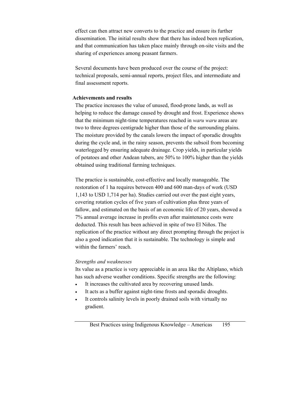effect can then attract new converts to the practice and ensure its further dissemination. The initial results show that there has indeed been replication, and that communication has taken place mainly through on-site visits and the sharing of experiences among peasant farmers.

Several documents have been produced over the course of the project: technical proposals, semi-annual reports, project files, and intermediate and final assessment reports.

### **Achievements and results**

The practice increases the value of unused, flood-prone lands, as well as helping to reduce the damage caused by drought and frost. Experience shows that the minimum night-time temperatures reached in *waru waru* areas are two to three degrees centigrade higher than those of the surrounding plains. The moisture provided by the canals lowers the impact of sporadic droughts during the cycle and, in the rainy season, prevents the subsoil from becoming waterlogged by ensuring adequate drainage. Crop yields, in particular yields of potatoes and other Andean tubers, are 50% to 100% higher than the yields obtained using traditional farming techniques.

The practice is sustainable, cost-effective and locally manageable. The restoration of 1 ha requires between 400 and 600 man-days of work (USD 1,143 to USD 1,714 per ha). Studies carried out over the past eight years, covering rotation cycles of five years of cultivation plus three years of fallow, and estimated on the basis of an economic life of 20 years, showed a 7% annual average increase in profits even after maintenance costs were deducted. This result has been achieved in spite of two El Niños. The replication of the practice without any direct prompting through the project is also a good indication that it is sustainable. The technology is simple and within the farmers' reach.

## *Strengths and weaknesses*

Its value as a practice is very appreciable in an area like the Altiplano, which has such adverse weather conditions. Specific strengths are the following:

- It increases the cultivated area by recovering unused lands.
- It acts as a buffer against night-time frosts and sporadic droughts.
- It controls salinity levels in poorly drained soils with virtually no gradient.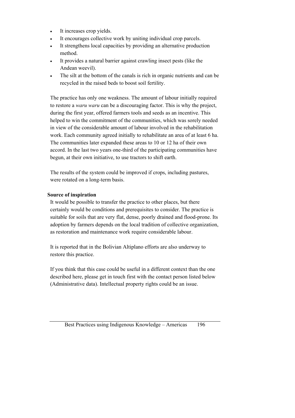- It increases crop yields.
- It encourages collective work by uniting individual crop parcels.
- It strengthens local capacities by providing an alternative production method.
- It provides a natural barrier against crawling insect pests (like the Andean weevil).
- The silt at the bottom of the canals is rich in organic nutrients and can be recycled in the raised beds to boost soil fertility.

The practice has only one weakness. The amount of labour initially required to restore a *waru waru* can be a discouraging factor. This is why the project, during the first year, offered farmers tools and seeds as an incentive. This helped to win the commitment of the communities, which was sorely needed in view of the considerable amount of labour involved in the rehabilitation work. Each community agreed initially to rehabilitate an area of at least 6 ha. The communities later expanded these areas to 10 or 12 ha of their own accord. In the last two years one-third of the participating communities have begun, at their own initiative, to use tractors to shift earth.

The results of the system could be improved if crops, including pastures, were rotated on a long-term basis.

## **Source of inspiration**

It would be possible to transfer the practice to other places, but there certainly would be conditions and prerequisites to consider. The practice is suitable for soils that are very flat, dense, poorly drained and flood-prone. Its adoption by farmers depends on the local tradition of collective organization, as restoration and maintenance work require considerable labour.

It is reported that in the Bolivian Altiplano efforts are also underway to restore this practice.

If you think that this case could be useful in a different context than the one described here, please get in touch first with the contact person listed below (Administrative data). Intellectual property rights could be an issue.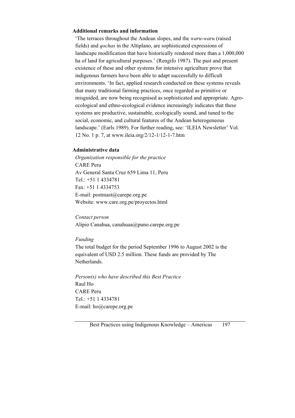#### **Additional remarks and information**

'The terraces throughout the Andean slopes, and the *waru*-*waru* (raised fields) and *qochas* in the Altiplano, are sophisticated expressions of landscape modification that have historically rendered more than a 1,000,000 ha of land for agricultural purposes.' (Rengifo 1987). The past and present existence of these and other systems for intensive agriculture prove that indigenous farmers have been able to adapt successfully to difficult environments. 'In fact, applied research conducted on these systems reveals that many traditional farming practices, once regarded as primitive or misguided, are now being recognised as sophisticated and appropriate. Agroecological and ethno-ecological evidence increasingly indicates that these systems are productive, sustainable, ecologically sound, and tuned to the social, economic, and cultural features of the Andean heterogeneous landscape.' (Earls 1989). For further reading, see: 'ILEIA Newsletter' Vol. 12 No. 1 p. 7, at www.ileia.org/2/12-1/12-1-7.htm

#### **Administrative data**

*Organization responsible for the practice*  CARE Peru Av General Santa Cruz 659 Lima 11, Peru Tel.: +51 1 4334781 Fax: +51 1 4334753 E-mail: postmast@carepe.org.pe Website: www.care.org.pe/proyectos.html

*Contact person* 

Alipio Canahua, canahuaa@puno.carepe.org.pe

#### *Funding*

The total budget for the period September 1996 to August 2002 is the equivalent of USD 2.5 million. These funds are provided by The Netherlands.

*Person(s) who have described this Best Practice*  Raul Ho CARE Peru Tel.: +51 1 4334781 E-mail: ho@carepe.org.pe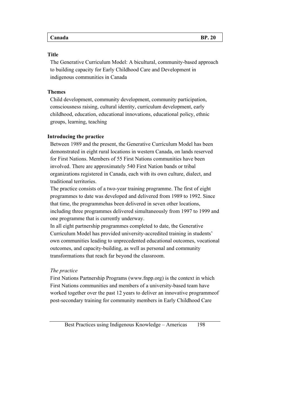| <b>BP. 20</b> |
|---------------|
|               |

#### **Title**

The Generative Curriculum Model: A bicultural, community-based approach to building capacity for Early Childhood Care and Development in indigenous communities in Canada

#### **Themes**

Child development, community development, community participation, consciousness raising, cultural identity, curriculum development, early childhood, education, educational innovations, educational policy, ethnic groups, learning, teaching

#### **Introducing the practice**

Between 1989 and the present, the Generative Curriculum Model has been demonstrated in eight rural locations in western Canada, on lands reserved for First Nations. Members of 55 First Nations communities have been involved. There are approximately 540 First Nation bands or tribal organizations registered in Canada, each with its own culture, dialect, and traditional territories.

The practice consists of a two-year training programme. The first of eight programmes to date was developed and delivered from 1989 to 1992. Since that time, the programmehas been delivered in seven other locations, including three programmes delivered simultaneously from 1997 to 1999 and one programme that is currently underway.

In all eight partnership programmes completed to date, the Generative Curriculum Model has provided university-accredited training in students' own communities leading to unprecedented educational outcomes, vocational outcomes, and capacity-building, as well as personal and community transformations that reach far beyond the classroom.

#### *The practice*

First Nations Partnership Programs (www.fnpp.org) is the context in which First Nations communities and members of a university-based team have worked together over the past 12 years to deliver an innovative programmeof post-secondary training for community members in Early Childhood Care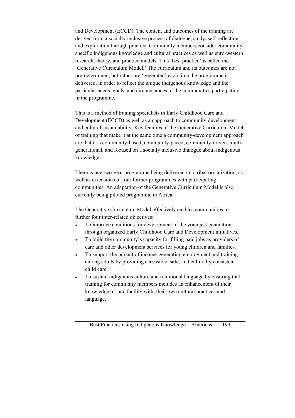and Development (ECCD). The content and outcomes of the training are derived from a socially inclusive process of dialogue, study, self-reflection, and exploration through practice. Community members consider communityspecific indigenous knowledge and cultural practices as well as euro-western research, theory, and practice models. This 'best practice' is called the 'Generative Curriculum Model.' The curriculum and its outcomes are not pre-determined, but rather are 'generated' each time the programme is delivered, in order to reflect the unique indigenous knowledge and the particular needs, goals, and circumstances of the communities participating in the programme.

This is a method of training specialists in Early Childhood Care and Development (ECCD) as well as an approach to community development and cultural sustainability. Key features of the Generative Curriculum Model of training that make it at the same time a community-development approach are that it is community-based, community-paced, community-driven, multigenerational, and focused on a socially inclusive dialogue about indigenous knowledge.

There is one two-year programme being delivered in a tribal organization, as well as extensions of four former programmes with participating communities. An adaptation of the Generative Curriculum Model is also currently being piloted programme in Africa.

The Generative Curriculum Model effectively enables communities to further four inter-related objectives:

- To improve conditions for development of the youngest generation through organized Early Childhood Care and Development initiatives.
- To build the community's capacity for filling paid jobs as providers of care and other development services for young children and families.
- To support the pursuit of income-generating employment and training among adults by providing accessible, safe, and culturally consistent child care.
- To sustain indigenous culture and traditional language by ensuring that training for community members includes an enhancement of their knowledge of, and facility with, their own cultural practices and language.

Best Practices using Indigenous Knowledge – Americas 199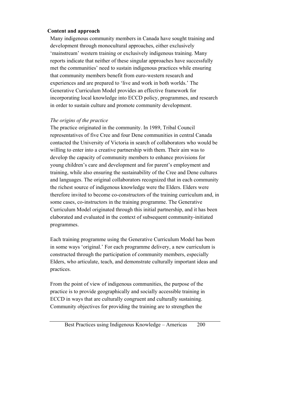## **Content and approach**

Many indigenous community members in Canada have sought training and development through monocultural approaches, either exclusively 'mainstream' western training or exclusively indigenous training. Many reports indicate that neither of these singular approaches have successfully met the communities' need to sustain indigenous practices while ensuring that community members benefit from euro-western research and experiences and are prepared to 'live and work in both worlds.' The Generative Curriculum Model provides an effective framework for incorporating local knowledge into ECCD policy, programmes, and research in order to sustain culture and promote community development.

### *The origins of the practice*

The practice originated in the community. In 1989, Tribal Council representatives of five Cree and four Dene communities in central Canada contacted the University of Victoria in search of collaborators who would be willing to enter into a creative partnership with them. Their aim was to develop the capacity of community members to enhance provisions for young children's care and development and for parent's employment and training, while also ensuring the sustainability of the Cree and Dene cultures and languages. The original collaborators recognized that in each community the richest source of indigenous knowledge were the Elders. Elders were therefore invited to become co-constructors of the training curriculum and, in some cases, co-instructors in the training programme. The Generative Curriculum Model originated through this initial partnership, and it has been elaborated and evaluated in the context of subsequent community-initiated programmes.

Each training programme using the Generative Curriculum Model has been in some ways 'original.' For each programme delivery, a new curriculum is constructed through the participation of community members, especially Elders, who articulate, teach, and demonstrate culturally important ideas and practices.

From the point of view of indigenous communities, the purpose of the practice is to provide geographically and socially accessible training in ECCD in ways that are culturally congruent and culturally sustaining. Community objectives for providing the training are to strengthen the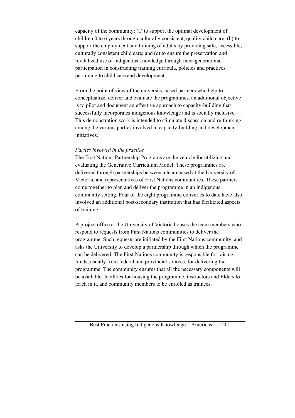capacity of the community: (a) to support the optimal development of children 0 to 6 years through culturally consistent, quality child care; (b) to support the employment and training of adults by providing safe, accessible, culturally consistent child care; and (c) to ensure the preservation and revitalized use of indigenous knowledge through inter-generational participation in constructing training curricula, policies and practices pertaining to child care and development.

From the point of view of the university-based partners who help to conceptualize, deliver and evaluate the programmes, an additional objective is to pilot and document an effective approach to capacity-building that successfully incorporates indigenous knowledge and is socially inclusive. This demonstration work is intended to stimulate discussion and re-thinking among the various parties involved in capacity-building and development initiatives.

#### *Parties involved in the practice*

The First Nations Partnership Programs are the vehicle for utilizing and evaluating the Generative Curriculum Model. These programmes are delivered through partnerships between a team based at the University of Victoria, and representatives of First Nations communities. These partners come together to plan and deliver the programme in an indigenous community setting. Four of the eight programme deliveries to date have also involved an additional post-secondary institution that has facilitated aspects of training.

A project office at the University of Victoria houses the team members who respond to requests from First Nations communities to deliver the programme. Such requests are initiated by the First Nations community, and asks the University to develop a partnership through which the programme can be delivered. The First Nations community is responsible for raising funds, usually from federal and provincial sources, for delivering the programme. The community ensures that all the necessary components will be available: facilities for housing the programme, instructors and Elders to teach in it, and community members to be enrolled as trainees.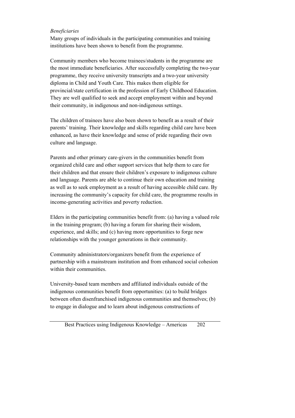### *Beneficiaries*

Many groups of individuals in the participating communities and training institutions have been shown to benefit from the programme.

Community members who become trainees/students in the programme are the most immediate beneficiaries. After successfully completing the two-year programme, they receive university transcripts and a two-year university diploma in Child and Youth Care. This makes them eligible for provincial/state certification in the profession of Early Childhood Education. They are well qualified to seek and accept employment within and beyond their community, in indigenous and non-indigenous settings.

The children of trainees have also been shown to benefit as a result of their parents' training. Their knowledge and skills regarding child care have been enhanced, as have their knowledge and sense of pride regarding their own culture and language.

Parents and other primary care-givers in the communities benefit from organized child care and other support services that help them to care for their children and that ensure their children's exposure to indigenous culture and language. Parents are able to continue their own education and training as well as to seek employment as a result of having accessible child care. By increasing the community's capacity for child care, the programme results in income-generating activities and poverty reduction.

Elders in the participating communities benefit from: (a) having a valued role in the training program; (b) having a forum for sharing their wisdom, experience, and skills; and (c) having more opportunities to forge new relationships with the younger generations in their community.

Community administrators/organizers benefit from the experience of partnership with a mainstream institution and from enhanced social cohesion within their communities.

University-based team members and affiliated individuals outside of the indigenous communities benefit from opportunities: (a) to build bridges between often disenfranchised indigenous communities and themselves; (b) to engage in dialogue and to learn about indigenous constructions of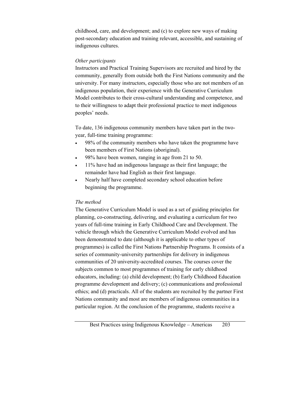childhood, care, and development; and (c) to explore new ways of making post-secondary education and training relevant, accessible, and sustaining of indigenous cultures.

## *Other participants*

Instructors and Practical Training Supervisors are recruited and hired by the community, generally from outside both the First Nations community and the university. For many instructors, especially those who are not members of an indigenous population, their experience with the Generative Curriculum Model contributes to their cross-cultural understanding and competence, and to their willingness to adapt their professional practice to meet indigenous peoples' needs.

To date, 136 indigenous community members have taken part in the twoyear, full-time training programme:

- 98% of the community members who have taken the programme have been members of First Nations (aboriginal).
- 98% have been women, ranging in age from 21 to 50.
- 11% have had an indigenous language as their first language; the remainder have had English as their first language.
- Nearly half have completed secondary school education before beginning the programme.

## *The method*

The Generative Curriculum Model is used as a set of guiding principles for planning, co-constructing, delivering, and evaluating a curriculum for two years of full-time training in Early Childhood Care and Development. The vehicle through which the Generative Curriculum Model evolved and has been demonstrated to date (although it is applicable to other types of programmes) is called the First Nations Partnership Programs. It consists of a series of community-university partnerships for delivery in indigenous communities of 20 university-accredited courses. The courses cover the subjects common to most programmes of training for early childhood educators, including: (a) child development; (b) Early Childhood Education programme development and delivery; (c) communications and professional ethics; and (d) practicals. All of the students are recruited by the partner First Nations community and most are members of indigenous communities in a particular region. At the conclusion of the programme, students receive a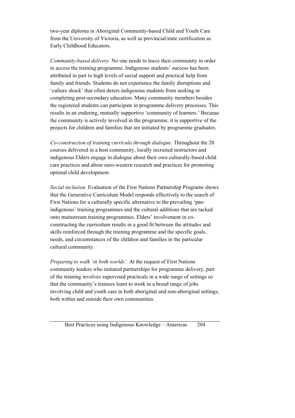two-year diploma in Aboriginal Community-based Child and Youth Care from the University of Victoria, as well as provincial/state certification as Early Childhood Educators.

*Community-based delivery.* No one needs to leave their community in order to access the training programme. Indigenous students' success has been attributed in part to high levels of social support and practical help from family and friends. Students do not experience the family disruptions and 'culture shock' that often deters indigenous students from seeking or completing post-secondary education. Many community members besides the registered students can participate in programme delivery processes. This results in an enduring, mutually supportive 'community of learners.' Because the community is actively involved in the programme, it is supportive of the projects for children and families that are initiated by programme graduates.

*Co-construction of training curricula through dialogue.* Throughout the 20 courses delivered in a host community, locally recruited instructors and indigenous Elders engage in dialogue about their own culturally-based child care practices and about euro-western research and practices for promoting optimal child development.

*Social inclusion.* Evaluation of the First Nations Partnership Programs shows that the Generative Curriculum Model responds effectively to the search of First Nations for a culturally specific alternative to the prevailing 'panindigenous' training programmes and the cultural additions that are tacked onto mainstream training programmes. Elders' involvement in coconstructing the curriculum results in a good fit between the attitudes and skills reinforced through the training programme and the specific goals, needs, and circumstances of the children and families in the particular cultural community.

*Preparing to walk 'in both worlds'.* At the request of First Nations community leaders who initiated partnerships for programme delivery, part of the training involves supervised practicals in a wide range of settings so that the community's trainees learn to work in a broad range of jobs involving child and youth care in both aboriginal and non-aboriginal settings, both within and outside their own communities.

Best Practices using Indigenous Knowledge – Americas 204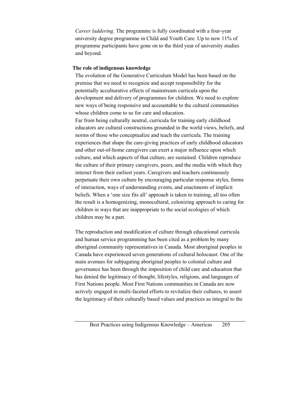*Career laddering.* The programme is fully coordinated with a four-year university degree programme in Child and Youth Care. Up to now 11% of programme participants have gone on to the third year of university studies and beyond.

### **The role of indigenous knowledge**

The evolution of the Generative Curriculum Model has been based on the premise that we need to recognize and accept responsibility for the potentially acculturative effects of mainstream curricula upon the development and delivery of programmes for children. We need to explore new ways of being responsive and accountable to the cultural communities whose children come to us for care and education.

Far from being culturally neutral, curricula for training early childhood educators are cultural constructions grounded in the world views, beliefs, and norms of those who conceptualize and teach the curricula. The training experiences that shape the care-giving practices of early childhood educators and other out-of-home caregivers can exert a major influence upon which culture, and which aspects of that culture, are sustained. Children reproduce the culture of their primary caregivers, peers, and the media with which they interact from their earliest years. Caregivers and teachers continuously perpetuate their own culture by encouraging particular response styles, forms of interaction, ways of understanding events, and enactments of implicit beliefs. When a 'one size fits all' approach is taken to training, all too often the result is a homogenizing, monocultural, colonizing approach to caring for children in ways that are inappropriate to the social ecologies of which children may be a part.

The reproduction and modification of culture through educational curricula and human service programming has been cited as a problem by many aboriginal community representatives in Canada. Most aboriginal peoples in Canada have experienced seven generations of cultural holocaust. One of the main avenues for subjugating aboriginal peoples to colonial culture and governance has been through the imposition of child care and education that has denied the legitimacy of thought, lifestyles, religions, and languages of First Nations people. Most First Nations communities in Canada are now actively engaged in multi-faceted efforts to revitalize their cultures, to assert the legitimacy of their culturally based values and practices as integral to the

Best Practices using Indigenous Knowledge – Americas 205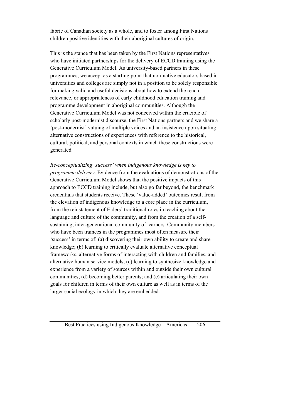fabric of Canadian society as a whole, and to foster among First Nations children positive identities with their aboriginal cultures of origin.

This is the stance that has been taken by the First Nations representatives who have initiated partnerships for the delivery of ECCD training using the Generative Curriculum Model. As university-based partners in these programmes, we accept as a starting point that non-native educators based in universities and colleges are simply not in a position to be solely responsible for making valid and useful decisions about how to extend the reach, relevance, or appropriateness of early childhood education training and programme development in aboriginal communities. Although the Generative Curriculum Model was not conceived within the crucible of scholarly post-modernist discourse, the First Nations partners and we share a 'post-modernist' valuing of multiple voices and an insistence upon situating alternative constructions of experiences with reference to the historical, cultural, political, and personal contexts in which these constructions were generated.

*Re-conceptualizing 'success' when indigenous knowledge is key to programme delivery*. Evidence from the evaluations of demonstrations of the Generative Curriculum Model shows that the positive impacts of this approach to ECCD training include, but also go far beyond, the benchmark credentials that students receive. These 'value-added' outcomes result from the elevation of indigenous knowledge to a core place in the curriculum, from the reinstatement of Elders' traditional roles in teaching about the language and culture of the community, and from the creation of a selfsustaining, inter-generational community of learners. Community members who have been trainees in the programmes most often measure their 'success' in terms of: (a) discovering their own ability to create and share knowledge; (b) learning to critically evaluate alternative conceptual frameworks, alternative forms of interacting with children and families, and alternative human service models; (c) learning to synthesize knowledge and experience from a variety of sources within and outside their own cultural communities; (d) becoming better parents; and (e) articulating their own goals for children in terms of their own culture as well as in terms of the larger social ecology in which they are embedded.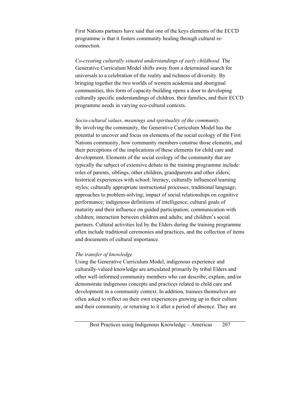First Nations partners have said that one of the keys elements of the ECCD programme is that it fosters community healing through cultural reconnection.

*Co-creating culturally situated understandings of early childhood.* The Generative Curriculum Model shifts away from a determined search for universals to a celebration of the reality and richness of diversity. By bringing together the two worlds of western academia and aboriginal communities, this form of capacity-building opens a door to developing culturally specific understandings of children, their families, and their ECCD programme needs in varying eco-cultural contexts.

*Socio-cultural values, meanings and spirituality of the community.*  By involving the community, the Generative Curriculum Model has the potential to uncover and focus on elements of the social ecology of the First Nations community, how community members construe those elements, and their perceptions of the implications of these elements for child care and development. Elements of the social ecology of the community that are typically the subject of extensive debate in the training programme include: roles of parents, siblings, other children, grandparents and other elders; historical experiences with school; literacy; culturally influenced learning styles; culturally appropriate instructional processes; traditional language; approaches to problem-solving; impact of social relationships on cognitive performance; indigenous definitions of intelligence; cultural goals of maturity and their influence on guided participation; communication with children; interaction between children and adults; and children's social partners. Cultural activities led by the Elders during the training programme often include traditional ceremonies and practices, and the collection of items and documents of cultural importance.

#### *The transfer of knowledge*

Using the Generative Curriculum Model, indigenous experience and culturally-valued knowledge are articulated primarily by tribal Elders and other well-informed community members who can describe, explain, and/or demonstrate indigenous concepts and practices related to child care and development in a community context. In addition, trainees themselves are often asked to reflect on their own experiences growing up in their culture and their community, or returning to it after a period of absence. They are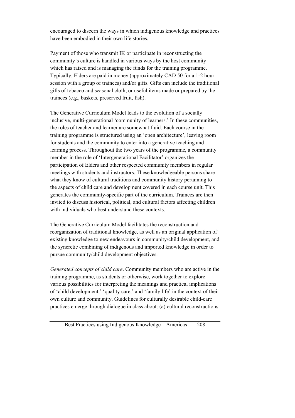encouraged to discern the ways in which indigenous knowledge and practices have been embodied in their own life stories.

Payment of those who transmit IK or participate in reconstructing the community's culture is handled in various ways by the host community which has raised and is managing the funds for the training programme. Typically, Elders are paid in money (approximately CAD 50 for a 1-2 hour session with a group of trainees) and/or gifts. Gifts can include the traditional gifts of tobacco and seasonal cloth, or useful items made or prepared by the trainees (e.g., baskets, preserved fruit, fish).

The Generative Curriculum Model leads to the evolution of a socially inclusive, multi-generational 'community of learners.' In these communities, the roles of teacher and learner are somewhat fluid. Each course in the training programme is structured using an 'open architecture', leaving room for students and the community to enter into a generative teaching and learning process. Throughout the two years of the programme, a community member in the role of 'Intergenerational Facilitator' organizes the participation of Elders and other respected community members in regular meetings with students and instructors. These knowledgeable persons share what they know of cultural traditions and community history pertaining to the aspects of child care and development covered in each course unit. This generates the community-specific part of the curriculum. Trainees are then invited to discuss historical, political, and cultural factors affecting children with individuals who best understand these contexts.

The Generative Curriculum Model facilitates the reconstruction and reorganization of traditional knowledge, as well as an original application of existing knowledge to new endeavours in community/child development, and the syncretic combining of indigenous and imported knowledge in order to pursue community/child development objectives.

*Generated concepts of child care*. Community members who are active in the training programme, as students or otherwise, work together to explore various possibilities for interpreting the meanings and practical implications of 'child development,' 'quality care,' and 'family life' in the context of their own culture and community. Guidelines for culturally desirable child-care practices emerge through dialogue in class about: (a) cultural reconstructions

Best Practices using Indigenous Knowledge – Americas 208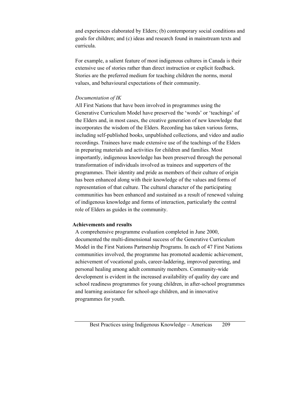and experiences elaborated by Elders; (b) contemporary social conditions and goals for children; and (c) ideas and research found in mainstream texts and curricula.

For example, a salient feature of most indigenous cultures in Canada is their extensive use of stories rather than direct instruction or explicit feedback. Stories are the preferred medium for teaching children the norms, moral values, and behavioural expectations of their community.

### *Documentation of IK*

All First Nations that have been involved in programmes using the Generative Curriculum Model have preserved the 'words' or 'teachings' of the Elders and, in most cases, the creative generation of new knowledge that incorporates the wisdom of the Elders. Recording has taken various forms, including self-published books, unpublished collections, and video and audio recordings. Trainees have made extensive use of the teachings of the Elders in preparing materials and activities for children and families. Most importantly, indigenous knowledge has been preserved through the personal transformation of individuals involved as trainees and supporters of the programmes. Their identity and pride as members of their culture of origin has been enhanced along with their knowledge of the values and forms of representation of that culture. The cultural character of the participating communities has been enhanced and sustained as a result of renewed valuing of indigenous knowledge and forms of interaction, particularly the central role of Elders as guides in the community.

#### **Achievements and results**

A comprehensive programme evaluation completed in June 2000, documented the multi-dimensional success of the Generative Curriculum Model in the First Nations Partnership Programs. In each of 47 First Nations communities involved, the programme has promoted academic achievement, achievement of vocational goals, career-laddering, improved parenting, and personal healing among adult community members. Community-wide development is evident in the increased availability of quality day care and school readiness programmes for young children, in after-school programmes and learning assistance for school-age children, and in innovative programmes for youth.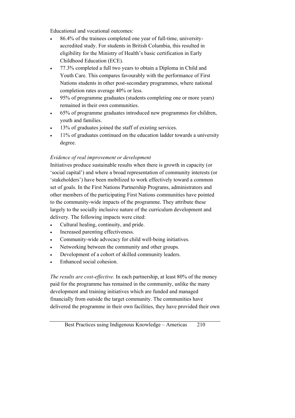Educational and vocational outcomes:

- 86.4% of the trainees completed one year of full-time, universityaccredited study. For students in British Columbia, this resulted in eligibility for the Ministry of Health's basic certification in Early Childhood Education (ECE).
- 77.3% completed a full two years to obtain a Diploma in Child and Youth Care. This compares favourably with the performance of First Nations students in other post-secondary programmes, where national completion rates average 40% or less.
- 95% of programme graduates (students completing one or more years) remained in their own communities.
- 65% of programme graduates introduced new programmes for children, youth and families.
- 13% of graduates joined the staff of existing services.
- 11% of graduates continued on the education ladder towards a university degree.

# *Evidence of real improvement or development*

Initiatives produce sustainable results when there is growth in capacity (or 'social capital') and where a broad representation of community interests (or 'stakeholders') have been mobilized to work effectively toward a common set of goals. In the First Nations Partnership Programs, administrators and other members of the participating First Nations communities have pointed to the community-wide impacts of the programme. They attribute these largely to the socially inclusive nature of the curriculum development and delivery. The following impacts were cited:

- Cultural healing, continuity, and pride.
- Increased parenting effectiveness.
- Community-wide advocacy for child well-being initiatives.
- Networking between the community and other groups.
- Development of a cohort of skilled community leaders.
- Enhanced social cohesion.

*The results are cost-effective.* In each partnership, at least 80% of the money paid for the programme has remained in the community, unlike the many development and training initiatives which are funded and managed financially from outside the target community. The communities have delivered the programme in their own facilities, they have provided their own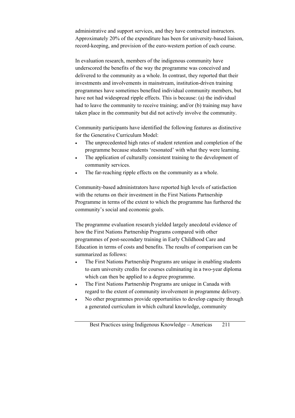administrative and support services, and they have contracted instructors. Approximately 20% of the expenditure has been for university-based liaison, record-keeping, and provision of the euro-western portion of each course.

In evaluation research, members of the indigenous community have underscored the benefits of the way the programme was conceived and delivered to the community as a whole. In contrast, they reported that their investments and involvements in mainstream, institution-driven training programmes have sometimes benefited individual community members, but have not had widespread ripple effects. This is because: (a) the individual had to leave the community to receive training; and/or (b) training may have taken place in the community but did not actively involve the community.

Community participants have identified the following features as distinctive for the Generative Curriculum Model:

- The unprecedented high rates of student retention and completion of the programme because students 'resonated' with what they were learning.
- The application of culturally consistent training to the development of community services.
- The far-reaching ripple effects on the community as a whole.

Community-based administrators have reported high levels of satisfaction with the returns on their investment in the First Nations Partnership Programme in terms of the extent to which the programme has furthered the community's social and economic goals.

The programme evaluation research yielded largely anecdotal evidence of how the First Nations Partnership Programs compared with other programmes of post-secondary training in Early Childhood Care and Education in terms of costs and benefits. The results of comparison can be summarized as follows:

- The First Nations Partnership Programs are unique in enabling students to earn university credits for courses culminating in a two-year diploma which can then be applied to a degree programme.
- The First Nations Partnership Programs are unique in Canada with regard to the extent of community involvement in programme delivery.
- No other programmes provide opportunities to develop capacity through a generated curriculum in which cultural knowledge, community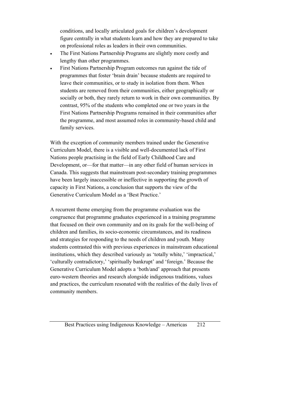conditions, and locally articulated goals for children's development figure centrally in what students learn and how they are prepared to take on professional roles as leaders in their own communities.

- The First Nations Partnership Programs are slightly more costly and lengthy than other programmes.
- First Nations Partnership Program outcomes run against the tide of programmes that foster 'brain drain' because students are required to leave their communities, or to study in isolation from them. When students are removed from their communities, either geographically or socially or both, they rarely return to work in their own communities. By contrast, 95% of the students who completed one or two years in the First Nations Partnership Programs remained in their communities after the programme, and most assumed roles in community-based child and family services.

With the exception of community members trained under the Generative Curriculum Model, there is a visible and well-documented lack of First Nations people practising in the field of Early Childhood Care and Development, or—for that matter—in any other field of human services in Canada. This suggests that mainstream post-secondary training programmes have been largely inaccessible or ineffective in supporting the growth of capacity in First Nations, a conclusion that supports the view of the Generative Curriculum Model as a 'Best Practice.'

A recurrent theme emerging from the programme evaluation was the congruence that programme graduates experienced in a training programme that focused on their own community and on its goals for the well-being of children and families, its socio-economic circumstances, and its readiness and strategies for responding to the needs of children and youth. Many students contrasted this with previous experiences in mainstream educational institutions, which they described variously as 'totally white,' 'impractical,' 'culturally contradictory,' 'spiritually bankrupt' and 'foreign.' Because the Generative Curriculum Model adopts a 'both/and' approach that presents euro-western theories and research alongside indigenous traditions, values and practices, the curriculum resonated with the realities of the daily lives of community members.

Best Practices using Indigenous Knowledge – Americas 212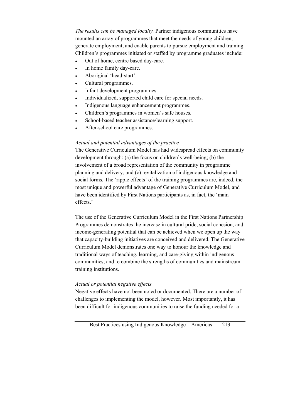*The results can be managed locally.* Partner indigenous communities have mounted an array of programmes that meet the needs of young children, generate employment, and enable parents to pursue employment and training. Children's programmes initiated or staffed by programme graduates include:

- Out of home, centre based day-care.
- In home family day-care.
- Aboriginal 'head-start'.
- Cultural programmes.
- Infant development programmes.
- Individualized, supported child care for special needs.
- Indigenous language enhancement programmes.
- Children's programmes in women's safe houses.
- School-based teacher assistance/learning support.
- After-school care programmes.

## *Actual and potential advantages of the practice*

The Generative Curriculum Model has had widespread effects on community development through: (a) the focus on children's well-being; (b) the involvement of a broad representation of the community in programme planning and delivery; and (c) revitalization of indigenous knowledge and social forms. The 'ripple effects' of the training programmes are, indeed, the most unique and powerful advantage of Generative Curriculum Model, and have been identified by First Nations participants as, in fact, the 'main effects.'

The use of the Generative Curriculum Model in the First Nations Partnership Programmes demonstrates the increase in cultural pride, social cohesion, and income-generating potential that can be achieved when we open up the way that capacity-building initiatives are conceived and delivered. The Generative Curriculum Model demonstrates one way to honour the knowledge and traditional ways of teaching, learning, and care-giving within indigenous communities, and to combine the strengths of communities and mainstream training institutions.

## *Actual or potential negative effects*

Negative effects have not been noted or documented. There are a number of challenges to implementing the model, however. Most importantly, it has been difficult for indigenous communities to raise the funding needed for a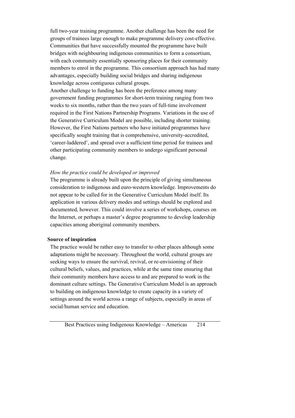full two-year training programme. Another challenge has been the need for groups of trainees large enough to make programme delivery cost-effective. Communities that have successfully mounted the programme have built bridges with neighbouring indigenous communities to form a consortium, with each community essentially sponsoring places for their community members to enrol in the programme. This consortium approach has had many advantages, especially building social bridges and sharing indigenous knowledge across contiguous cultural groups.

Another challenge to funding has been the preference among many government funding programmes for short-term training ranging from two weeks to six months, rather than the two years of full-time involvement required in the First Nations Partnership Programs. Variations in the use of the Generative Curriculum Model are possible, including shorter training. However, the First Nations partners who have initiated programmes have specifically sought training that is comprehensive, university-accredited, 'career-laddered', and spread over a sufficient time period for trainees and other participating community members to undergo significant personal change.

### *How the practice could be developed or improved*

The programme is already built upon the principle of giving simultaneous consideration to indigenous and euro-western knowledge. Improvements do not appear to be called for in the Generative Curriculum Model itself. Its application in various delivery modes and settings should be explored and documented, however. This could involve a series of workshops, courses on the Internet, or perhaps a master's degree programme to develop leadership capacities among aboriginal community members.

#### **Source of inspiration**

The practice would be rather easy to transfer to other places although some adaptations might be necessary. Throughout the world, cultural groups are seeking ways to ensure the survival, revival, or re-envisioning of their cultural beliefs, values, and practices, while at the same time ensuring that their community members have access to and are prepared to work in the dominant culture settings. The Generative Curriculum Model is an approach to building on indigenous knowledge to create capacity in a variety of settings around the world across a range of subjects, especially in areas of social/human service and education.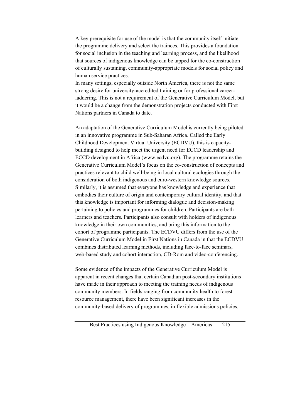A key prerequisite for use of the model is that the community itself initiate the programme delivery and select the trainees. This provides a foundation for social inclusion in the teaching and learning process, and the likelihood that sources of indigenous knowledge can be tapped for the co-construction of culturally sustaining, community-appropriate models for social policy and human service practices.

In many settings, especially outside North America, there is not the same strong desire for university-accredited training or for professional careerladdering. This is not a requirement of the Generative Curriculum Model, but it would be a change from the demonstration projects conducted with First Nations partners in Canada to date.

An adaptation of the Generative Curriculum Model is currently being piloted in an innovative programme in Sub-Saharan Africa. Called the Early Childhood Development Virtual University (ECDVU), this is capacitybuilding designed to help meet the urgent need for ECCD leadership and ECCD development in Africa (www.ecdvu.org). The programme retains the Generative Curriculum Model's focus on the co-construction of concepts and practices relevant to child well-being in local cultural ecologies through the consideration of both indigenous and euro-western knowledge sources. Similarly, it is assumed that everyone has knowledge and experience that embodies their culture of origin and contemporary cultural identity, and that this knowledge is important for informing dialogue and decision-making pertaining to policies and programmes for children. Participants are both learners and teachers. Participants also consult with holders of indigenous knowledge in their own communities, and bring this information to the cohort of programme participants. The ECDVU differs from the use of the Generative Curriculum Model in First Nations in Canada in that the ECDVU combines distributed learning methods, including face-to-face seminars, web-based study and cohort interaction, CD-Rom and video-conferencing.

Some evidence of the impacts of the Generative Curriculum Model is apparent in recent changes that certain Canadian post-secondary institutions have made in their approach to meeting the training needs of indigenous community members. In fields ranging from community health to forest resource management, there have been significant increases in the community-based delivery of programmes, in flexible admissions policies,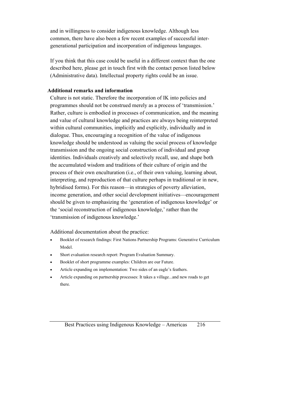and in willingness to consider indigenous knowledge. Although less common, there have also been a few recent examples of successful intergenerational participation and incorporation of indigenous languages.

If you think that this case could be useful in a different context than the one described here, please get in touch first with the contact person listed below (Administrative data). Intellectual property rights could be an issue.

## **Additional remarks and information**

Culture is not static. Therefore the incorporation of IK into policies and programmes should not be construed merely as a process of 'transmission.' Rather, culture is embodied in processes of communication, and the meaning and value of cultural knowledge and practices are always being reinterpreted within cultural communities, implicitly and explicitly, individually and in dialogue. Thus, encouraging a recognition of the value of indigenous knowledge should be understood as valuing the social process of knowledge transmission and the ongoing social construction of individual and group identities. Individuals creatively and selectively recall, use, and shape both the accumulated wisdom and traditions of their culture of origin and the process of their own enculturation (i.e., of their own valuing, learning about, interpreting, and reproduction of that culture perhaps in traditional or in new, hybridised forms). For this reason—in strategies of poverty alleviation, income generation, and other social development initiatives—encouragement should be given to emphasizing the 'generation of indigenous knowledge' or the 'social reconstruction of indigenous knowledge,' rather than the 'transmission of indigenous knowledge.'

Additional documentation about the practice:

- Booklet of research findings: First Nations Partnership Programs: Generative Curriculum Model.
- Short evaluation research report: Program Evaluation Summary.
- Booklet of short programme examples: Children are our Future.
- Article expanding on implementation: Two sides of an eagle's feathers.
- Article expanding on partnership processes: It takes a village...and new roads to get there.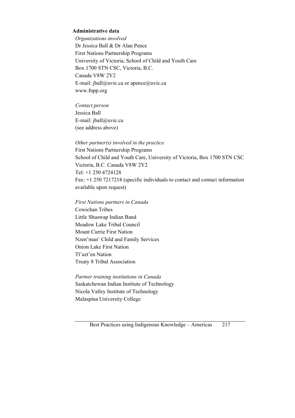# **Administrative data**

*Organizations involved*  Dr Jessica Ball & Dr Alan Pence First Nations Partnership Programs University of Victoria, School of Child and Youth Care Box 1700 STN CSC, Victoria, B.C. Canada V8W 2Y2 E-mail: jball@uvic.ca or apence@uvic.ca www.fnpp.org

*Contact person*  Jessica Ball E-mail: jball@uvic.ca (see address above)

# *Other partner(s) involved in the practice*

First Nations Partnership Programs School of Child and Youth Care, University of Victoria, Box 1700 STN CSC Victoria, B.C. Canada V8W 2Y2 Tel: +1 250 4724128 Fax: +1 250 7217218 (specific individuals to contact and contact information available upon request)

*First Nations partners in Canada*  Cowichan Tribes Little Shuswap Indian Band Meadow Lake Tribal Council Mount Currie First Nation Nzen'man' Child and Family Services Onion Lake First Nation Tl'azt'en Nation Treaty 8 Tribal Association

*Partner training institutions in Canada*  Saskatchewan Indian Institute of Technology Nicola Valley Institute of Technology Malaspina University College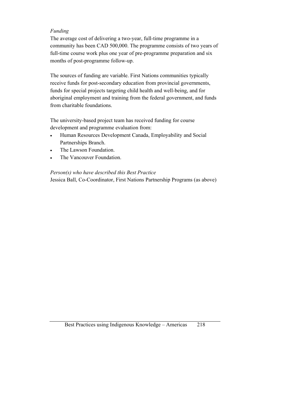# *Funding*

The average cost of delivering a two-year, full-time programme in a community has been CAD 500,000. The programme consists of two years of full-time course work plus one year of pre-programme preparation and six months of post-programme follow-up.

The sources of funding are variable. First Nations communities typically receive funds for post-secondary education from provincial governments, funds for special projects targeting child health and well-being, and for aboriginal employment and training from the federal government, and funds from charitable foundations.

The university-based project team has received funding for course development and programme evaluation from:

- Human Resources Development Canada, Employability and Social Partnerships Branch.
- The Lawson Foundation.
- The Vancouver Foundation.

# *Person(s) who have described this Best Practice*

Jessica Ball, Co-Coordinator, First Nations Partnership Programs (as above)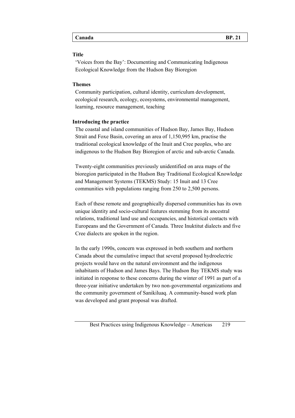#### **Title**

'Voices from the Bay': Documenting and Communicating Indigenous Ecological Knowledge from the Hudson Bay Bioregion

# **Themes**

Community participation, cultural identity, curriculum development, ecological research, ecology, ecosystems, environmental management, learning, resource management, teaching

# **Introducing the practice**

The coastal and island communities of Hudson Bay, James Bay, Hudson Strait and Foxe Basin, covering an area of 1,150,995 km, practise the traditional ecological knowledge of the Inuit and Cree peoples, who are indigenous to the Hudson Bay Bioregion of arctic and sub-arctic Canada.

Twenty-eight communities previously unidentified on area maps of the bioregion participated in the Hudson Bay Traditional Ecological Knowledge and Management Systems (TEKMS) Study: 15 Inuit and 13 Cree communities with populations ranging from 250 to 2,500 persons.

Each of these remote and geographically dispersed communities has its own unique identity and socio-cultural features stemming from its ancestral relations, traditional land use and occupancies, and historical contacts with Europeans and the Government of Canada. Three Inuktitut dialects and five Cree dialects are spoken in the region.

In the early 1990s, concern was expressed in both southern and northern Canada about the cumulative impact that several proposed hydroelectric projects would have on the natural environment and the indigenous inhabitants of Hudson and James Bays. The Hudson Bay TEKMS study was initiated in response to these concerns during the winter of 1991 as part of a three-year initiative undertaken by two non-governmental organizations and the community government of Sanikiluaq. A community-based work plan was developed and grant proposal was drafted.

Best Practices using Indigenous Knowledge – Americas 219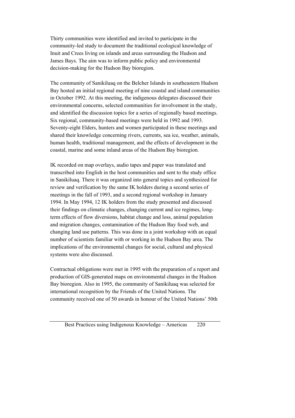Thirty communities were identified and invited to participate in the community-led study to document the traditional ecological knowledge of Inuit and Crees living on islands and areas surrounding the Hudson and James Bays. The aim was to inform public policy and environmental decision-making for the Hudson Bay bioregion.

The community of Sanikiluaq on the Belcher Islands in southeastern Hudson Bay hosted an initial regional meeting of nine coastal and island communities in October 1992. At this meeting, the indigenous delegates discussed their environmental concerns, selected communities for involvement in the study, and identified the discussion topics for a series of regionally based meetings. Six regional, community-based meetings were held in 1992 and 1993. Seventy-eight Elders, hunters and women participated in these meetings and shared their knowledge concerning rivers, currents, sea ice, weather, animals, human health, traditional management, and the effects of development in the coastal, marine and some inland areas of the Hudson Bay bioregion.

IK recorded on map overlays, audio tapes and paper was translated and transcribed into English in the host communities and sent to the study office in Sanikiluaq. There it was organized into general topics and synthesized for review and verification by the same IK holders during a second series of meetings in the fall of 1993, and a second regional workshop in January 1994. In May 1994, 12 IK holders from the study presented and discussed their findings on climatic changes, changing current and ice regimes, longterm effects of flow diversions, habitat change and loss, animal population and migration changes, contamination of the Hudson Bay food web, and changing land use patterns. This was done in a joint workshop with an equal number of scientists familiar with or working in the Hudson Bay area. The implications of the environmental changes for social, cultural and physical systems were also discussed.

Contractual obligations were met in 1995 with the preparation of a report and production of GIS-generated maps on environmental changes in the Hudson Bay bioregion. Also in 1995, the community of Sanikiluaq was selected for international recognition by the Friends of the United Nations. The community received one of 50 awards in honour of the United Nations' 50th

Best Practices using Indigenous Knowledge – Americas 220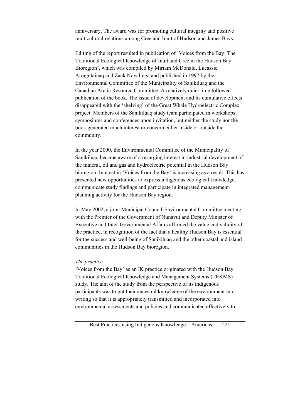anniversary. The award was for promoting cultural integrity and positive multicultural relations among Cree and Inuit of Hudson and James Bays.

Editing of the report resulted in publication of 'Voices from the Bay: The Traditional Ecological Knowledge of Inuit and Cree in the Hudson Bay Bioregion', which was compiled by Miriam McDonald, Lucassie Arragutainaq and Zack Novalinga and published in 1997 by the Environmental Committee of the Municipality of Sanikiluaq and the Canadian Arctic Resource Committee. A relatively quiet time followed publication of the book. The issue of development and its cumulative effects disappeared with the 'shelving' of the Great Whale Hydroelectric Complex project. Members of the Sanikiluaq study team participated in workshops; symposiums and conferences upon invitation, but neither the study nor the book generated much interest or concern either inside or outside the community.

In the year 2000, the Environmental Committee of the Municipality of Sanikiluaq became aware of a resurging interest in industrial development of the mineral, oil and gas and hydroelectric potential in the Hudson Bay bioregion. Interest in 'Voices from the Bay' is increasing as a result. This has presented new opportunities to express indigenous ecological knowledge, communicate study findings and participate in integrated managementplanning activity for the Hudson Bay region.

In May 2002, a joint Municipal Council-Environmental Committee meeting with the Premier of the Government of Nunavut and Deputy Minister of Executive and Inter-Governmental Affairs affirmed the value and validity of the practice, in recognition of the fact that a healthy Hudson Bay is essential for the success and well-being of Sanikiluaq and the other coastal and island communities in the Hudson Bay bioregion.

#### *The practice*

'Voices from the Bay' as an IK practice originated with the Hudson Bay Traditional Ecological Knowledge and Management Systems (TEKMS) study. The aim of the study from the perspective of its indigenous participants was to put their ancestral knowledge of the environment into writing so that it is appropriately transmitted and incorporated into environmental assessments and policies and communicated effectively to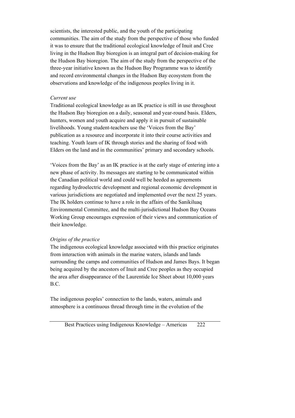scientists, the interested public, and the youth of the participating communities. The aim of the study from the perspective of those who funded it was to ensure that the traditional ecological knowledge of Inuit and Cree living in the Hudson Bay bioregion is an integral part of decision-making for the Hudson Bay bioregion. The aim of the study from the perspective of the three-year initiative known as the Hudson Bay Programme was to identify and record environmental changes in the Hudson Bay ecosystem from the observations and knowledge of the indigenous peoples living in it.

# *Current use*

Traditional ecological knowledge as an IK practice is still in use throughout the Hudson Bay bioregion on a daily, seasonal and year-round basis. Elders, hunters, women and youth acquire and apply it in pursuit of sustainable livelihoods. Young student-teachers use the 'Voices from the Bay' publication as a resource and incorporate it into their course activities and teaching. Youth learn of IK through stories and the sharing of food with Elders on the land and in the communities' primary and secondary schools.

'Voices from the Bay' as an IK practice is at the early stage of entering into a new phase of activity. Its messages are starting to be communicated within the Canadian political world and could well be heeded as agreements regarding hydroelectric development and regional economic development in various jurisdictions are negotiated and implemented over the next 25 years. The IK holders continue to have a role in the affairs of the Sanikiluaq Environmental Committee, and the multi-jurisdictional Hudson Bay Oceans Working Group encourages expression of their views and communication of their knowledge.

# *Origins of the practice*

The indigenous ecological knowledge associated with this practice originates from interaction with animals in the marine waters, islands and lands surrounding the camps and communities of Hudson and James Bays. It began being acquired by the ancestors of Inuit and Cree peoples as they occupied the area after disappearance of the Laurentide Ice Sheet about 10,000 years B.C.

The indigenous peoples' connection to the lands, waters, animals and atmosphere is a continuous thread through time in the evolution of the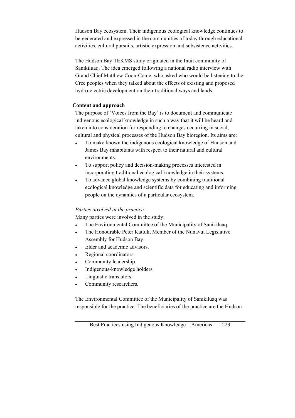Hudson Bay ecosystem. Their indigenous ecological knowledge continues to be generated and expressed in the communities of today through educational activities, cultural pursuits, artistic expression and subsistence activities.

The Hudson Bay TEKMS study originated in the Inuit community of Sanikiluaq. The idea emerged following a national radio interview with Grand Chief Matthew Coon-Come, who asked who would be listening to the Cree peoples when they talked about the effects of existing and proposed hydro-electric development on their traditional ways and lands.

# **Content and approach**

The purpose of 'Voices from the Bay' is to document and communicate indigenous ecological knowledge in such a way that it will be heard and taken into consideration for responding to changes occurring in social, cultural and physical processes of the Hudson Bay bioregion. Its aims are:

- To make known the indigenous ecological knowledge of Hudson and James Bay inhabitants with respect to their natural and cultural environments.
- To support policy and decision-making processes interested in incorporating traditional ecological knowledge in their systems.
- To advance global knowledge systems by combining traditional ecological knowledge and scientific data for educating and informing people on the dynamics of a particular ecosystem.

# *Parties involved in the practice*

Many parties were involved in the study:

- The Environmental Committee of the Municipality of Sanikiluaq.
- The Honourable Peter Kattuk, Member of the Nunavut Legislative Assembly for Hudson Bay.
- Elder and academic advisors.
- Regional coordinators.
- Community leadership.
- Indigenous-knowledge holders.
- Linguistic translators.
- Community researchers.

The Environmental Committee of the Municipality of Sanikiluaq was responsible for the practice. The beneficiaries of the practice are the Hudson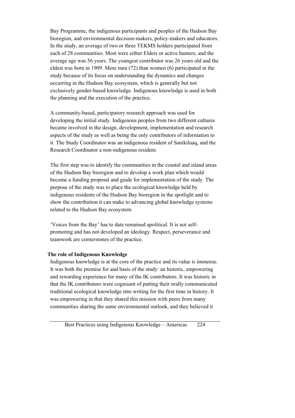Bay Programme, the indigenous participants and peoples of the Hudson Bay bioregion, and environmental decision-makers, policy-makers and educators. In the study, an average of two or three TEKMS holders participated from each of 28 communities. Most were either Elders or active hunters, and the average age was 56 years. The youngest contributor was 26 years old and the eldest was born in 1909. More men (72) than women (6) participated in the study because of its focus on understanding the dynamics and changes occurring in the Hudson Bay ecosystem, which is generally but not exclusively gender-based knowledge. Indigenous knowledge is used in both the planning and the execution of the practice.

A community-based, participatory research approach was used for developing the initial study. Indigenous peoples from two different cultures became involved in the design, development, implementation and research aspects of the study as well as being the only contributors of information to it. The Study Coordinator was an indigenous resident of Sanikiluaq, and the Research Coordinator a non-indigenous resident.

The first step was to identify the communities in the coastal and island areas of the Hudson Bay bioregion and to develop a work plan which would become a funding proposal and guide for implementation of the study. The purpose of the study was to place the ecological knowledge held by indigenous residents of the Hudson Bay bioregion in the spotlight and to show the contribution it can make to advancing global knowledge systems related to the Hudson Bay ecosystem.

'Voices from the Bay' has to date remained apolitical. It is not selfpromoting and has not developed an ideology. Respect, perseverance and teamwork are cornerstones of the practice.

# **The role of Indigenous Knowledge**

Indigenous knowledge is at the core of the practice and its value is immense. It was both the premise for and basis of the study: an historic, empowering and rewarding experience for many of the IK contributors. It was historic in that the IK contributors were cognisant of putting their orally communicated traditional ecological knowledge into writing for the first time in history. It was empowering in that they shared this mission with peers from many communities sharing the same environmental outlook, and they believed it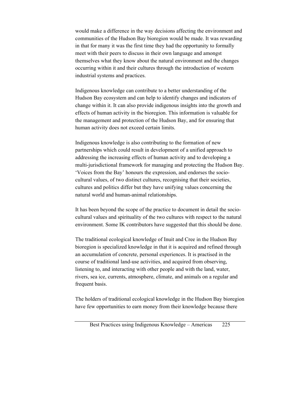would make a difference in the way decisions affecting the environment and communities of the Hudson Bay bioregion would be made. It was rewarding in that for many it was the first time they had the opportunity to formally meet with their peers to discuss in their own language and amongst themselves what they know about the natural environment and the changes occurring within it and their cultures through the introduction of western industrial systems and practices.

Indigenous knowledge can contribute to a better understanding of the Hudson Bay ecosystem and can help to identify changes and indicators of change within it. It can also provide indigenous insights into the growth and effects of human activity in the bioregion. This information is valuable for the management and protection of the Hudson Bay, and for ensuring that human activity does not exceed certain limits.

Indigenous knowledge is also contributing to the formation of new partnerships which could result in development of a unified approach to addressing the increasing effects of human activity and to developing a multi-jurisdictional framework for managing and protecting the Hudson Bay. 'Voices from the Bay' honours the expression, and endorses the sociocultural values, of two distinct cultures, recognising that their societies, cultures and politics differ but they have unifying values concerning the natural world and human-animal relationships.

It has been beyond the scope of the practice to document in detail the sociocultural values and spirituality of the two cultures with respect to the natural environment. Some IK contributors have suggested that this should be done.

The traditional ecological knowledge of Inuit and Cree in the Hudson Bay bioregion is specialized knowledge in that it is acquired and refined through an accumulation of concrete, personal experiences. It is practised in the course of traditional land-use activities, and acquired from observing, listening to, and interacting with other people and with the land, water, rivers, sea ice, currents, atmosphere, climate, and animals on a regular and frequent basis.

The holders of traditional ecological knowledge in the Hudson Bay bioregion have few opportunities to earn money from their knowledge because there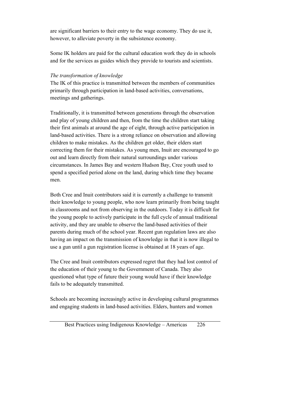are significant barriers to their entry to the wage economy. They do use it, however, to alleviate poverty in the subsistence economy.

Some IK holders are paid for the cultural education work they do in schools and for the services as guides which they provide to tourists and scientists.

# *The transformation of knowledge*

The IK of this practice is transmitted between the members of communities primarily through participation in land-based activities, conversations, meetings and gatherings.

Traditionally, it is transmitted between generations through the observation and play of young children and then, from the time the children start taking their first animals at around the age of eight, through active participation in land-based activities. There is a strong reliance on observation and allowing children to make mistakes. As the children get older, their elders start correcting them for their mistakes. As young men, Inuit are encouraged to go out and learn directly from their natural surroundings under various circumstances. In James Bay and western Hudson Bay, Cree youth used to spend a specified period alone on the land, during which time they became men.

Both Cree and Inuit contributors said it is currently a challenge to transmit their knowledge to young people, who now learn primarily from being taught in classrooms and not from observing in the outdoors. Today it is difficult for the young people to actively participate in the full cycle of annual traditional activity, and they are unable to observe the land-based activities of their parents during much of the school year. Recent gun regulation laws are also having an impact on the transmission of knowledge in that it is now illegal to use a gun until a gun registration license is obtained at 18 years of age.

The Cree and Inuit contributors expressed regret that they had lost control of the education of their young to the Government of Canada. They also questioned what type of future their young would have if their knowledge fails to be adequately transmitted.

Schools are becoming increasingly active in developing cultural programmes and engaging students in land-based activities. Elders, hunters and women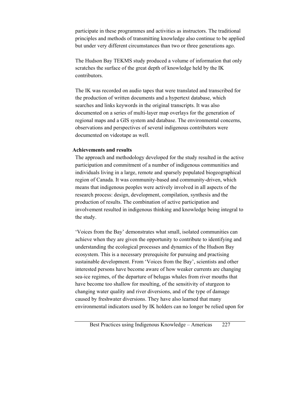participate in these programmes and activities as instructors. The traditional principles and methods of transmitting knowledge also continue to be applied but under very different circumstances than two or three generations ago.

The Hudson Bay TEKMS study produced a volume of information that only scratches the surface of the great depth of knowledge held by the IK contributors.

The IK was recorded on audio tapes that were translated and transcribed for the production of written documents and a hypertext database, which searches and links keywords in the original transcripts. It was also documented on a series of multi-layer map overlays for the generation of regional maps and a GIS system and database. The environmental concerns, observations and perspectives of several indigenous contributors were documented on videotape as well.

# **Achievements and results**

The approach and methodology developed for the study resulted in the active participation and commitment of a number of indigenous communities and individuals living in a large, remote and sparsely populated biogeographical region of Canada. It was community-based and community-driven, which means that indigenous peoples were actively involved in all aspects of the research process: design, development, compilation, synthesis and the production of results. The combination of active participation and involvement resulted in indigenous thinking and knowledge being integral to the study.

'Voices from the Bay' demonstrates what small, isolated communities can achieve when they are given the opportunity to contribute to identifying and understanding the ecological processes and dynamics of the Hudson Bay ecosystem. This is a necessary prerequisite for pursuing and practising sustainable development. From 'Voices from the Bay', scientists and other interested persons have become aware of how weaker currents are changing sea-ice regimes, of the departure of belugas whales from river mouths that have become too shallow for moulting, of the sensitivity of sturgeon to changing water quality and river diversions, and of the type of damage caused by freshwater diversions. They have also learned that many environmental indicators used by IK holders can no longer be relied upon for

Best Practices using Indigenous Knowledge – Americas 227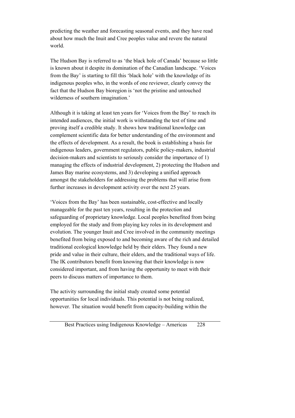predicting the weather and forecasting seasonal events, and they have read about how much the Inuit and Cree peoples value and revere the natural world.

The Hudson Bay is referred to as 'the black hole of Canada' because so little is known about it despite its domination of the Canadian landscape. 'Voices from the Bay' is starting to fill this 'black hole' with the knowledge of its indigenous peoples who, in the words of one reviewer, clearly convey the fact that the Hudson Bay bioregion is 'not the pristine and untouched wilderness of southern imagination.'

Although it is taking at least ten years for 'Voices from the Bay' to reach its intended audiences, the initial work is withstanding the test of time and proving itself a credible study. It shows how traditional knowledge can complement scientific data for better understanding of the environment and the effects of development. As a result, the book is establishing a basis for indigenous leaders, government regulators, public policy-makers, industrial decision-makers and scientists to seriously consider the importance of 1) managing the effects of industrial development, 2) protecting the Hudson and James Bay marine ecosystems, and 3) developing a unified approach amongst the stakeholders for addressing the problems that will arise from further increases in development activity over the next 25 years.

'Voices from the Bay' has been sustainable, cost-effective and locally manageable for the past ten years, resulting in the protection and safeguarding of proprietary knowledge. Local peoples benefited from being employed for the study and from playing key roles in its development and evolution. The younger Inuit and Cree involved in the community meetings benefited from being exposed to and becoming aware of the rich and detailed traditional ecological knowledge held by their elders. They found a new pride and value in their culture, their elders, and the traditional ways of life. The IK contributors benefit from knowing that their knowledge is now considered important, and from having the opportunity to meet with their peers to discuss matters of importance to them.

The activity surrounding the initial study created some potential opportunities for local individuals. This potential is not being realized, however. The situation would benefit from capacity-building within the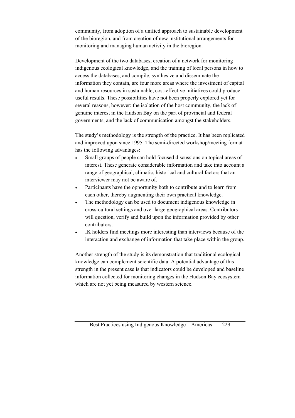community, from adoption of a unified approach to sustainable development of the bioregion, and from creation of new institutional arrangements for monitoring and managing human activity in the bioregion.

Development of the two databases, creation of a network for monitoring indigenous ecological knowledge, and the training of local persons in how to access the databases, and compile, synthesize and disseminate the information they contain, are four more areas where the investment of capital and human resources in sustainable, cost-effective initiatives could produce useful results. These possibilities have not been properly explored yet for several reasons, however: the isolation of the host community, the lack of genuine interest in the Hudson Bay on the part of provincial and federal governments, and the lack of communication amongst the stakeholders.

The study's methodology is the strength of the practice. It has been replicated and improved upon since 1995. The semi-directed workshop/meeting format has the following advantages:

- Small groups of people can hold focused discussions on topical areas of interest. These generate considerable information and take into account a range of geographical, climatic, historical and cultural factors that an interviewer may not be aware of.
- Participants have the opportunity both to contribute and to learn from each other, thereby augmenting their own practical knowledge.
- The methodology can be used to document indigenous knowledge in cross-cultural settings and over large geographical areas. Contributors will question, verify and build upon the information provided by other contributors.
- IK holders find meetings more interesting than interviews because of the interaction and exchange of information that take place within the group.

Another strength of the study is its demonstration that traditional ecological knowledge can complement scientific data. A potential advantage of this strength in the present case is that indicators could be developed and baseline information collected for monitoring changes in the Hudson Bay ecosystem which are not yet being measured by western science.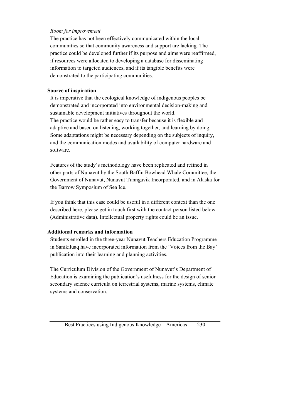# *Room for improvement*

The practice has not been effectively communicated within the local communities so that community awareness and support are lacking. The practice could be developed further if its purpose and aims were reaffirmed, if resources were allocated to developing a database for disseminating information to targeted audiences, and if its tangible benefits were demonstrated to the participating communities.

# **Source of inspiration**

It is imperative that the ecological knowledge of indigenous peoples be demonstrated and incorporated into environmental decision-making and sustainable development initiatives throughout the world. The practice would be rather easy to transfer because it is flexible and adaptive and based on listening, working together, and learning by doing. Some adaptations might be necessary depending on the subjects of inquiry, and the communication modes and availability of computer hardware and software.

Features of the study's methodology have been replicated and refined in other parts of Nunavut by the South Baffin Bowhead Whale Committee, the Government of Nunavut, Nunavut Tunngavik Incorporated, and in Alaska for the Barrow Symposium of Sea Ice.

If you think that this case could be useful in a different context than the one described here, please get in touch first with the contact person listed below (Administrative data). Intellectual property rights could be an issue.

# **Additional remarks and information**

Students enrolled in the three-year Nunavut Teachers Education Programme in Sanikiluaq have incorporated information from the 'Voices from the Bay' publication into their learning and planning activities.

The Curriculum Division of the Government of Nunavut's Department of Education is examining the publication's usefulness for the design of senior secondary science curricula on terrestrial systems, marine systems, climate systems and conservation.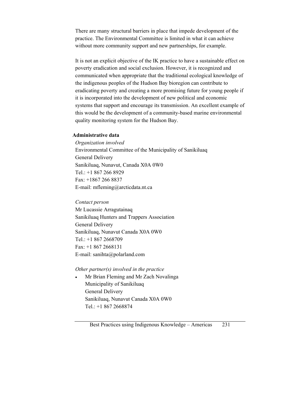There are many structural barriers in place that impede development of the practice. The Environmental Committee is limited in what it can achieve without more community support and new partnerships, for example.

It is not an explicit objective of the IK practice to have a sustainable effect on poverty eradication and social exclusion. However, it is recognized and communicated when appropriate that the traditional ecological knowledge of the indigenous peoples of the Hudson Bay bioregion can contribute to eradicating poverty and creating a more promising future for young people if it is incorporated into the development of new political and economic systems that support and encourage its transmission. An excellent example of this would be the development of a community-based marine environmental quality monitoring system for the Hudson Bay.

# **Administrative data**

*Organization involved*  Environmental Committee of the Municipality of Sanikiluaq General Delivery Sanikiluaq, Nunavut, Canada X0A 0W0 Tel.: +1 867 266 8929 Fax: +1867 266 8837 E-mail: mfleming@arcticdata.nt.ca

*Contact person*  Mr Lucassie Arragutainaq Sanikiluaq Hunters and Trappers Association General Delivery Sanikiluaq, Nunavut Canada X0A 0W0 Tel.: +1 867 2668709 Fax: +1 867 2668131 E-mail: sanihta@polarland.com

*Other partner(s) involved in the practice* 

• Mr Brian Fleming and Mr Zach Novalinga Municipality of Sanikiluaq General Delivery Sanikiluaq, Nunavut Canada X0A 0W0 Tel.: +1 867 2668874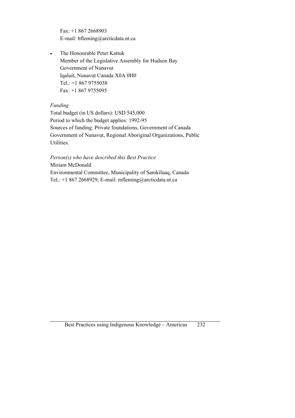Fax: +1 867 2668903 E-mail: bfleming@arcticdata.nt.ca

• The Honourable Peter Kattuk Member of the Legislative Assembly for Hudson Bay Government of Nunavut Iqaluit, Nunavut Canada X0A 0H0 Tel.: +1 867 9755038 Fax: +1 867 9755095

# *Funding*

Total budget (in US dollars): USD 545,000 Period to which the budget applies: 1992-95 Sources of funding: Private foundations, Government of Canada Government of Nunavut, Regional Aboriginal Organizations, Public Utilities.

*Person(s) who have described this Best Practice*  Miriam McDonald Environmental Committee, Municipality of Sanikiluaq, Canada Tel.: +1 867 2668929, E-mail: mfleming@arcticdata.nt.ca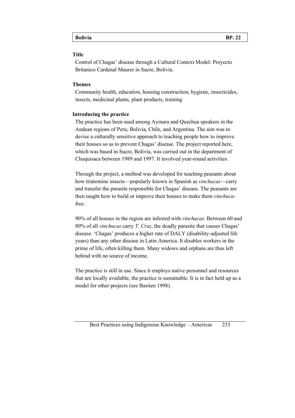#### **Title**

Control of Chagas' disease through a Cultural Context Model: Proyecto Britanico Cardenal Maurer in Sucre, Bolivia.

# **Themes**

Community health, education, housing construction, hygiene, insecticides, insects, medicinal plants, plant products, training

#### **Introducing the practice**

The practice has been used among Aymara and Quechua speakers in the Andean regions of Peru, Bolivia, Chile, and Argentina. The aim was to devise a culturally sensitive approach to teaching people how to improve their houses so as to prevent Chagas' disease. The project reported here, which was based in Sucre, Bolivia, was carried out in the department of Chuquisaca between 1989 and 1997. It involved year-round activities.

Through the project, a method was developed for teaching peasants about how triatomine insects—popularly known in Spanish as *vinchucas*—carry and transfer the parasite responsible for Chagas' disease. The peasants are then taught how to build or improve their houses to make them *vinchuca*free.

90% of all houses in the region are infested with *vinchucas*. Between 60 and 80% of all *vinchucas* carry *T. Cruz*, the deadly parasite that causes Chagas' disease. 'Chagas' produces a higher rate of DALY (disability-adjusted life years) than any other disease in Latin America. It disables workers in the prime of life, often killing them. Many widows and orphans are thus left behind with no source of income.

The practice is still in use. Since it employs native personnel and resources that are locally available, the practice is sustainable. It is in fact held up as a model for other projects (see Bastien 1998).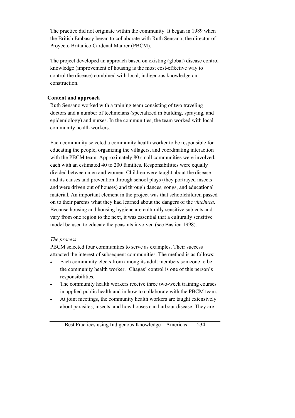The practice did not originate within the community. It began in 1989 when the British Embassy began to collaborate with Ruth Sensano, the director of Proyecto Britanico Cardenal Maurer (PBCM).

The project developed an approach based on existing (global) disease control knowledge (improvement of housing is the most cost-effective way to control the disease) combined with local, indigenous knowledge on construction.

# **Content and approach**

Ruth Sensano worked with a training team consisting of two traveling doctors and a number of technicians (specialized in building, spraying, and epidemiology) and nurses. In the communities, the team worked with local community health workers.

Each community selected a community health worker to be responsible for educating the people, organizing the villagers, and coordinating interaction with the PBCM team. Approximately 80 small communities were involved, each with an estimated 40 to 200 families. Responsibilities were equally divided between men and women. Children were taught about the disease and its causes and prevention through school plays (they portrayed insects and were driven out of houses) and through dances, songs, and educational material. An important element in the project was that schoolchildren passed on to their parents what they had learned about the dangers of the *vinchuca*. Because housing and housing hygiene are culturally sensitive subjects and vary from one region to the next, it was essential that a culturally sensitive model be used to educate the peasants involved (see Bastien 1998).

# *The process*

PBCM selected four communities to serve as examples. Their success attracted the interest of subsequent communities. The method is as follows:

- Each community elects from among its adult members someone to be the community health worker. 'Chagas' control is one of this person's responsibilities.
- The community health workers receive three two-week training courses in applied public health and in how to collaborate with the PBCM team.
- At joint meetings, the community health workers are taught extensively about parasites, insects, and how houses can harbour disease. They are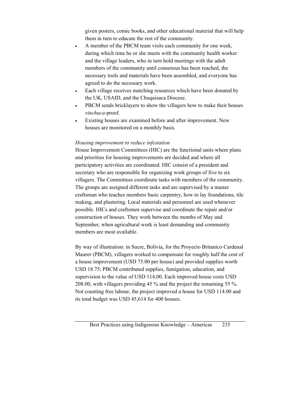given posters, comic books, and other educational material that will help them in turn to educate the rest of the community.

- A member of the PBCM team visits each community for one week, during which time he or she meets with the community health worker and the village leaders, who in turn hold meetings with the adult members of the community until consensus has been reached, the necessary tools and materials have been assembled, and everyone has agreed to do the necessary work.
- Each village receives matching resources which have been donated by the UK, USAID, and the Chuquisaca Diocese.
- PBCM sends bricklayers to show the villagers how to make their houses *vinchuca*-proof.
- Existing houses are examined before and after improvement. New houses are monitored on a monthly basis.

# *Housing improvement to reduce infestation*

House Improvement Committees (HIC) are the functional units where plans and priorities for housing improvements are decided and where all participatory activities are coordinated. HIC consist of a president and secretary who are responsible for organizing work groups of five to six villagers. The Committees coordinate tasks with members of the community. The groups are assigned different tasks and are supervised by a master craftsman who teaches members basic carpentry, how to lay foundations, tile making, and plastering. Local materials and personnel are used whenever possible. HICs and craftsmen supervise and coordinate the repair and/or construction of houses. They work between the months of May and September, when agricultural work is least demanding and community members are most available.

By way of illustration: in Sucre, Bolivia, for the Proyecto Britanico Cardenal Maurer (PBCM), villagers worked to compensate for roughly half the cost of a house improvement (USD 75.00 per house) and provided supplies worth USD 18.75; PBCM contributed supplies, fumigation, education, and supervision to the value of USD 114.00. Each improved house costs USD 208.00, with villagers providing 45 % and the project the remaining 55 %. Not counting free labour, the project improved a house for USD 114.00 and its total budget was USD 45,614 for 400 houses.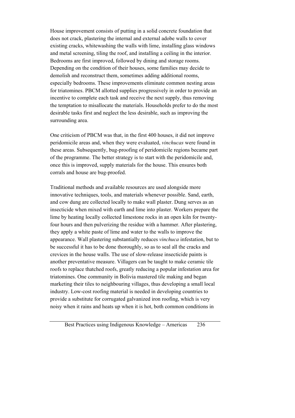House improvement consists of putting in a solid concrete foundation that does not crack, plastering the internal and external adobe walls to cover existing cracks, whitewashing the walls with lime, installing glass windows and metal screening, tiling the roof, and installing a ceiling in the interior. Bedrooms are first improved, followed by dining and storage rooms. Depending on the condition of their houses, some families may decide to demolish and reconstruct them, sometimes adding additional rooms, especially bedrooms. These improvements eliminate common nesting areas for triatomines. PBCM allotted supplies progressively in order to provide an incentive to complete each task and receive the next supply, thus removing the temptation to misallocate the materials. Households prefer to do the most desirable tasks first and neglect the less desirable, such as improving the surrounding area.

One criticism of PBCM was that, in the first 400 houses, it did not improve peridomicile areas and, when they were evaluated, *vinchucas* were found in these areas. Subsequently, bug-proofing of peridomicile regions became part of the programme. The better strategy is to start with the peridomicile and, once this is improved, supply materials for the house. This ensures both corrals and house are bug-proofed.

Traditional methods and available resources are used alongside more innovative techniques, tools, and materials whenever possible. Sand, earth, and cow dung are collected locally to make wall plaster. Dung serves as an insecticide when mixed with earth and lime into plaster. Workers prepare the lime by heating locally collected limestone rocks in an open kiln for twentyfour hours and then pulverizing the residue with a hammer. After plastering, they apply a white paste of lime and water to the walls to improve the appearance. Wall plastering substantially reduces *vinchuca* infestation, but to be successful it has to be done thoroughly, so as to seal all the cracks and crevices in the house walls. The use of slow-release insecticide paints is another preventative measure. Villagers can be taught to make ceramic tile roofs to replace thatched roofs, greatly reducing a popular infestation area for triatomines. One community in Bolivia mastered tile making and began marketing their tiles to neighbouring villages, thus developing a small local industry. Low-cost roofing material is needed in developing countries to provide a substitute for corrugated galvanized iron roofing, which is very noisy when it rains and heats up when it is hot, both common conditions in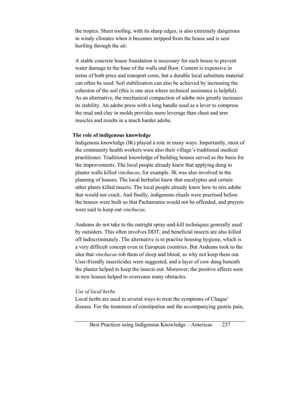the tropics. Sheet roofing, with its sharp edges, is also extremely dangerous in windy climates when it becomes stripped from the house and is sent hurtling through the air.

A stable concrete house foundation is necessary for each house to prevent water damage to the base of the walls and floor. Cement is expensive in terms of both price and transport costs, but a durable local substitute material can often be used. Soil stabilization can also be achieved by increasing the cohesion of the soil (this is one area where technical assistance is helpful). As an alternative, the mechanical compaction of adobe mix greatly increases its stability. An adobe press with a long handle used as a lever to compress the mud and clay in molds provides more leverage than chest and arm muscles and results in a much harder adobe.

#### **The role of indigenous knowledge**

Indigenous knowledge (IK) played a role in many ways. Importantly, most of the community health workers were also their village's traditional medical practitioner. Traditional knowledge of building houses served as the basis for the improvements. The local people already knew that applying dung to plaster walls killed *vinchucas*, for example. IK was also involved in the planning of houses. The local herbalist knew that eucalyptus and certain other plants killed insects. The local people already knew how to mix adobe that would not crack. And finally, indigenous rituals were practised before the houses were built so that Pachamama would not be offended, and prayers were said to keep out *vinchucas*.

Andeans do not take to the outright spray-and-kill techniques generally used by outsiders. This often involves DDT, and beneficial insects are also killed off indiscriminately. The alternative is to practise housing hygiene, which is a very difficult concept even in European countries. But Andeans took to the idea that *vinchucas* rob them of sleep and blood, so why not keep them out. User-friendly insecticides were suggested, and a layer of cow dung beneath the plaster helped to keep the insects out. Moreover, the positive effects seen in new houses helped to overcome many obstacles.

#### *Use of local herbs*

Local herbs are used in several ways to treat the symptoms of Chagas' disease. For the treatment of constipation and the accompanying gastric pain,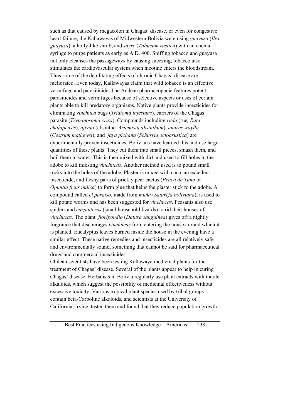such as that caused by megacolon in Chagas' disease, or even for congestive heart failure, the Kallawayas of Midwestern Bolivia were using *guayusa* (*Ilex guayusa*), a holly-like shrub, and *sayre* (*Tabucum rustica*) with an enema syringe to purge patients as early as A.D. 400. Sniffing tobacco and guayusa not only cleanses the passageways by causing sneezing, tobacco also stimulates the cardiovascular system when nicotine enters the bloodstream. Thus some of the debilitating effects of chronic Chagas' disease are meliorated. Even today, Kallawayas claim that wild tobacco is an effective vermifuge and parasiticide. The Andean pharmacopoeia features potent parasiticides and vermifuges because of selective aspects or uses of certain plants able to kill predatory organisms. Native plants provide insecticides for eliminating *vinchuca* bugs (*Triatoma infestans*), carriers of the Chagas parasite (*Trypanosoma cruzi*). Compounds including *ruda* (rue*, Ruta chalapensis*), *ajenjo* (absinthe*, Artemisia absinthum*), *andres waylla* (*Cestrum mathewsi*), and *jaya pichana* (*Schurria octoarustica*) are experimentally proven insecticides. Bolivians have learned this and use large quantities of these plants. They cut them into small pieces, smash them, and boil them in water. This is then mixed with dirt and used to fill holes in the adobe to kill infesting *vinchucas*. Another method used is to pound small rocks into the holes of the adobe. Plaster is mixed with coca, an excellent insecticide, and fleshy parts of prickly pear cactus (*Penca de Tuna* or *Opuntia ficus indica*) to form glue that helps the plaster stick to the adobe. A compound called *el paraiso*, made from *muña* (*Satureja boliviana*), is used to kill potato worms and has been suggested for *vinchucas*. Peasants also use spiders and *carpinteros* (small household lizards) to rid their houses of *vinchucas*. The plant *floripondio* (*Datura sanguinea*) gives off a nightly fragrance that discourages *vinchucas* from entering the house around which it is planted. Eucalyptus leaves burned inside the house in the evening have a similar effect. These native remedies and insecticides are all relatively safe and environmentally sound, something that cannot be said for pharmaceutical drugs and commercial insecticides.

Chilean scientists have been testing Kallawaya medicinal plants for the treatment of Chagas' disease. Several of the plants appear to help in curing Chagas' disease. Herbalists in Bolivia regularly use plant extracts with indole alkaloids, which suggest the possibility of medicinal effectiveness without excessive toxicity. Various tropical plant species used by tribal groups contain beta-Carboline alkaloids, and scientists at the University of California, Irvine, tested them and found that they reduce population growth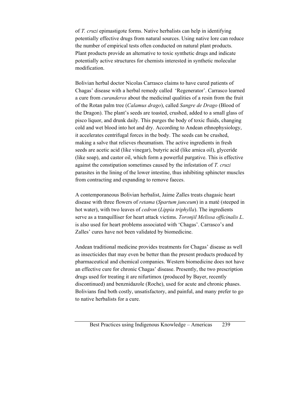of *T. cruzi* epimastigote forms. Native herbalists can help in identifying potentially effective drugs from natural sources. Using native lore can reduce the number of empirical tests often conducted on natural plant products. Plant products provide an alternative to toxic synthetic drugs and indicate potentially active structures for chemists interested in synthetic molecular modification.

Bolivian herbal doctor Nicolas Carrasco claims to have cured patients of Chagas' disease with a herbal remedy called 'Regenerator'. Carrasco learned a cure from *curanderos* about the medicinal qualities of a resin from the fruit of the Rotan palm tree (*Calamus drago*), called *Sangre de Drago* (Blood of the Dragon). The plant's seeds are toasted, crushed, added to a small glass of pisco liquor, and drunk daily. This purges the body of toxic fluids, changing cold and wet blood into hot and dry. According to Andean ethnophysiology, it accelerates centrifugal forces in the body. The seeds can be crushed, making a salve that relieves rheumatism. The active ingredients in fresh seeds are acetic acid (like vinegar), butyric acid (like arnica oil), glyceride (like soap), and castor oil, which form a powerful purgative. This is effective against the constipation sometimes caused by the infestation of *T. cruzi* parasites in the lining of the lower intestine, thus inhibiting sphincter muscles from contracting and expanding to remove faeces.

A contemporaneous Bolivian herbalist, Jaime Zalles treats chagasic heart disease with three flowers of *retama* (*Spartum junceum*) in a maté (steeped in hot water), with two leaves of *cedron* (*Lippia triphylla*). The ingredients serve as a tranquilliser for heart attack victims. *Toronjil Melissa officinalis L*. is also used for heart problems associated with 'Chagas'. Carrasco's and Zalles' cures have not been validated by biomedicine.

Andean traditional medicine provides treatments for Chagas' disease as well as insecticides that may even be better than the present products produced by pharmaceutical and chemical companies. Western biomedicine does not have an effective cure for chronic Chagas' disease. Presently, the two prescription drugs used for treating it are nifurtimox (produced by Bayer, recently discontinued) and benznidazole (Roche), used for acute and chronic phases. Bolivians find both costly, unsatisfactory, and painful, and many prefer to go to native herbalists for a cure.

Best Practices using Indigenous Knowledge – Americas 239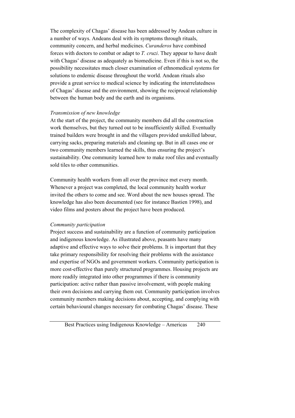The complexity of Chagas' disease has been addressed by Andean culture in a number of ways. Andeans deal with its symptoms through rituals, community concern, and herbal medicines. *Curanderos* have combined forces with doctors to combat or adapt to *T. cruzi*. They appear to have dealt with Chagas' disease as adequately as biomedicine. Even if this is not so, the possibility necessitates much closer examination of ethnomedical systems for solutions to endemic disease throughout the world. Andean rituals also provide a great service to medical science by indicating the interrelatedness of Chagas' disease and the environment, showing the reciprocal relationship between the human body and the earth and its organisms.

# *Transmission of new knowledge*

At the start of the project, the community members did all the construction work themselves, but they turned out to be insufficiently skilled. Eventually trained builders were brought in and the villagers provided unskilled labour, carrying sacks, preparing materials and cleaning up. But in all cases one or two community members learned the skills, thus ensuring the project's sustainability. One community learned how to make roof tiles and eventually sold tiles to other communities.

Community health workers from all over the province met every month. Whenever a project was completed, the local community health worker invited the others to come and see. Word about the new houses spread. The knowledge has also been documented (see for instance Bastien 1998), and video films and posters about the project have been produced.

# *Community participation*

Project success and sustainability are a function of community participation and indigenous knowledge. As illustrated above, peasants have many adaptive and effective ways to solve their problems. It is important that they take primary responsibility for resolving their problems with the assistance and expertise of NGOs and government workers. Community participation is more cost-effective than purely structured programmes. Housing projects are more readily integrated into other programmes if there is community participation: active rather than passive involvement, with people making their own decisions and carrying them out. Community participation involves community members making decisions about, accepting, and complying with certain behavioural changes necessary for combating Chagas' disease. These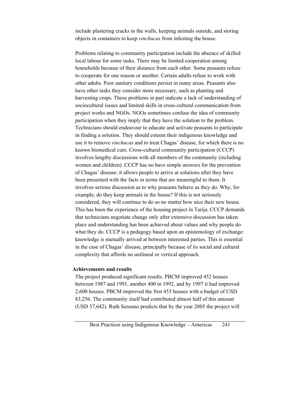include plastering cracks in the walls, keeping animals outside, and storing objects in containers to keep *vinchucas* from infesting the house.

Problems relating to community participation include the absence of skilled local labour for some tasks. There may be limited cooperation among households because of their distance from each other. Some peasants refuse to cooperate for one reason or another. Certain adults refuse to work with other adults. Poor sanitary conditions persist in many areas. Peasants also have other tasks they consider more necessary, such as planting and harvesting crops. These problems in part indicate a lack of understanding of sociocultural issues and limited skills in cross-cultural communication from project works and NGOs. NGOs sometimes confuse the idea of community participation when they imply that they have the solution to the problem. Technicians should endeavour to educate and activate peasants to participate in finding a solution. They should esteem their indigenous knowledge and use it to remove *vinchucas* and to treat Chagas' disease, for which there is no known biomedical cure. Cross-cultural community participation (CCCP) involves lengthy discussions with all members of the community (including women and children). CCCP has no have simple answers for the prevention of Chagas' disease; it allows people to arrive at solutions after they have been presented with the facts in terms that are meaningful to them. It involves serious discussion as to why peasants behave as they do. Why, for example, do they keep animals in the house? If this is not seriously considered, they will continue to do so no matter how nice their new house. This has been the experience of the housing project in Tarija. CCCP demands that technicians negotiate change only after extensive discussion has taken place and understanding has been achieved about values and why people do what they do. CCCP is a pedagogy based upon an epistemology of exchange: knowledge is mutually arrived at between interested parties. This is essential in the case of Chagas' disease, principally because of its social and cultural complexity that affords no unilineal or vertical approach.

# **Achievements and results**

The project produced significant results. PBCM improved 452 houses between 1987 and 1991, another 400 in 1992, and by 1997 it had improved 2,600 houses. PBCM improved the first 453 houses with a budget of USD 83,256. The community itself had contributed almost half of this amount (USD 37,642). Ruth Sensano predicts that by the year 2005 the project will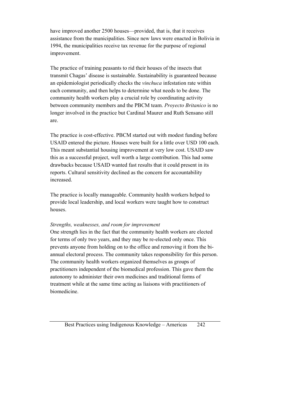have improved another 2500 houses—provided, that is, that it receives assistance from the municipalities. Since new laws were enacted in Bolivia in 1994, the municipalities receive tax revenue for the purpose of regional improvement.

The practice of training peasants to rid their houses of the insects that transmit Chagas' disease is sustainable. Sustainability is guaranteed because an epidemiologist periodically checks the *vinchuca* infestation rate within each community, and then helps to determine what needs to be done. The community health workers play a crucial role by coordinating activity between community members and the PBCM team. *Proyecto Britanico* is no longer involved in the practice but Cardinal Maurer and Ruth Sensano still are.

The practice is cost-effective. PBCM started out with modest funding before USAID entered the picture. Houses were built for a little over USD 100 each. This meant substantial housing improvement at very low cost. USAID saw this as a successful project, well worth a large contribution. This had some drawbacks because USAID wanted fast results that it could present in its reports. Cultural sensitivity declined as the concern for accountability increased.

The practice is locally manageable. Community health workers helped to provide local leadership, and local workers were taught how to construct houses.

# *Strengths, weaknesses, and room for improvement*

One strength lies in the fact that the community health workers are elected for terms of only two years, and they may be re-elected only once. This prevents anyone from holding on to the office and removing it from the biannual electoral process. The community takes responsibility for this person. The community health workers organized themselves as groups of practitioners independent of the biomedical profession. This gave them the autonomy to administer their own medicines and traditional forms of treatment while at the same time acting as liaisons with practitioners of biomedicine.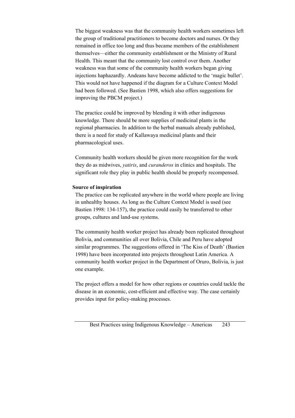The biggest weakness was that the community health workers sometimes left the group of traditional practitioners to become doctors and nurses. Or they remained in office too long and thus became members of the establishment themselves—either the community establishment or the Ministry of Rural Health. This meant that the community lost control over them. Another weakness was that some of the community health workers began giving injections haphazardly. Andeans have become addicted to the 'magic bullet'. This would not have happened if the diagram for a Culture Context Model had been followed. (See Bastien 1998, which also offers suggestions for improving the PBCM project.)

The practice could be improved by blending it with other indigenous knowledge. There should be more supplies of medicinal plants in the regional pharmacies. In addition to the herbal manuals already published, there is a need for study of Kallawaya medicinal plants and their pharmacological uses.

Community health workers should be given more recognition for the work they do as midwives, *yatiris*, and *curanderos* in clinics and hospitals. The significant role they play in public health should be properly recompensed.

# **Source of inspiration**

The practice can be replicated anywhere in the world where people are living in unhealthy houses. As long as the Culture Context Model is used (see Bastien 1998: 134-157), the practice could easily be transferred to other groups, cultures and land-use systems.

The community health worker project has already been replicated throughout Bolivia, and communities all over Bolivia, Chile and Peru have adopted similar programmes. The suggestions offered in 'The Kiss of Death' (Bastien 1998) have been incorporated into projects throughout Latin America. A community health worker project in the Department of Oruro, Bolivia, is just one example.

The project offers a model for how other regions or countries could tackle the disease in an economic, cost-efficient and effective way. The case certainly provides input for policy-making processes.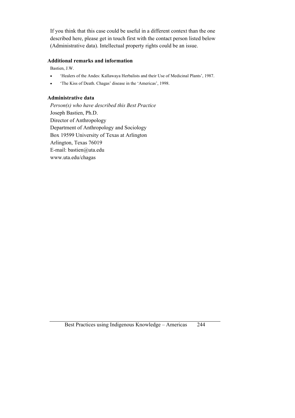If you think that this case could be useful in a different context than the one described here, please get in touch first with the contact person listed below (Administrative data). Intellectual property rights could be an issue.

# **Additional remarks and information**

Bastien, J.W.

- 'Healers of the Andes: Kallawaya Herbalists and their Use of Medicinal Plants', 1987.
- 'The Kiss of Death. Chagas' disease in the 'Americas', 1998.

# **Administrative data**

*Person(s) who have described this Best Practice*  Joseph Bastien, Ph.D. Director of Anthropology Department of Anthropology and Sociology Box 19599 University of Texas at Arlington Arlington, Texas 76019 E-mail: bastien@uta.edu www.uta.edu/chagas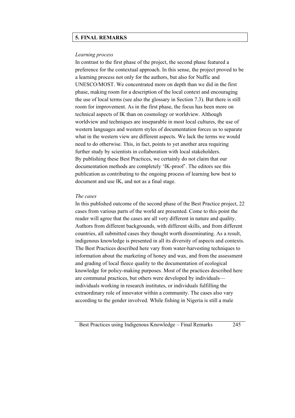## **5. FINAL REMARKS**

#### *Learning process*

In contrast to the first phase of the project, the second phase featured a preference for the contextual approach. In this sense, the project proved to be a learning process not only for the authors, but also for Nuffic and UNESCO/MOST. We concentrated more on depth than we did in the first phase, making room for a description of the local context and encouraging the use of local terms (see also the glossary in Section 7.3). But there is still room for improvement. As in the first phase, the focus has been more on technical aspects of IK than on cosmology or worldview. Although worldview and techniques are inseparable in most local cultures, the use of western languages and western styles of documentation forces us to separate what in the western view are different aspects. We lack the terms we would need to do otherwise. This, in fact, points to yet another area requiring further study by scientists in collaboration with local stakeholders. By publishing these Best Practices, we certainly do not claim that our documentation methods are completely 'IK-proof'. The editors see this publication as contributing to the ongoing process of learning how best to document and use IK, and not as a final stage.

#### *The cases*

In this published outcome of the second phase of the Best Practice project, 22 cases from various parts of the world are presented. Come to this point the reader will agree that the cases are all very different in nature and quality. Authors from different backgrounds, with different skills, and from different countries, all submitted cases they thought worth disseminating. As a result, indigenous knowledge is presented in all its diversity of aspects and contexts. The Best Practices described here vary from water-harvesting techniques to information about the marketing of honey and wax, and from the assessment and grading of local fleece quality to the documentation of ecological knowledge for policy-making purposes. Most of the practices described here are communal practices, but others were developed by individuals individuals working in research institutes, or individuals fulfilling the extraordinary role of innovator within a community. The cases also vary according to the gender involved. While fishing in Nigeria is still a male

# Best Practices using Indigenous Knowledge – Final Remarks 245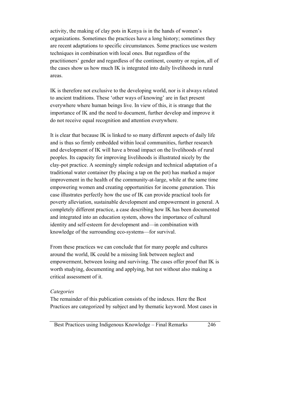activity, the making of clay pots in Kenya is in the hands of women's organizations. Sometimes the practices have a long history; sometimes they are recent adaptations to specific circumstances. Some practices use western techniques in combination with local ones. But regardless of the practitioners' gender and regardless of the continent, country or region, all of the cases show us how much IK is integrated into daily livelihoods in rural areas.

IK is therefore not exclusive to the developing world, nor is it always related to ancient traditions. These 'other ways of knowing' are in fact present everywhere where human beings live. In view of this, it is strange that the importance of IK and the need to document, further develop and improve it do not receive equal recognition and attention everywhere.

It is clear that because IK is linked to so many different aspects of daily life and is thus so firmly embedded within local communities, further research and development of IK will have a broad impact on the livelihoods of rural peoples. Its capacity for improving livelihoods is illustrated nicely by the clay-pot practice. A seemingly simple redesign and technical adaptation of a traditional water container (by placing a tap on the pot) has marked a major improvement in the health of the community-at-large, while at the same time empowering women and creating opportunities for income generation. This case illustrates perfectly how the use of IK can provide practical tools for poverty alleviation, sustainable development and empowerment in general. A completely different practice, a case describing how IK has been documented and integrated into an education system, shows the importance of cultural identity and self-esteem for development and—in combination with knowledge of the surrounding eco-systems—for survival.

From these practices we can conclude that for many people and cultures around the world, IK could be a missing link between neglect and empowerment, between losing and surviving. The cases offer proof that IK is worth studying, documenting and applying, but not without also making a critical assessment of it.

# *Categories*

The remainder of this publication consists of the indexes. Here the Best Practices are categorized by subject and by thematic keyword. Most cases in

Best Practices using Indigenous Knowledge – Final Remarks 246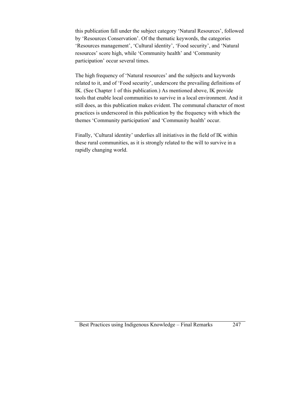this publication fall under the subject category 'Natural Resources', followed by 'Resources Conservation'. Of the thematic keywords, the categories 'Resources management', 'Cultural identity', 'Food security', and 'Natural resources' score high, while 'Community health' and 'Community participation' occur several times.

The high frequency of 'Natural resources' and the subjects and keywords related to it, and of 'Food security', underscore the prevailing definitions of IK. (See Chapter 1 of this publication.) As mentioned above, IK provide tools that enable local communities to survive in a local environment. And it still does, as this publication makes evident. The communal character of most practices is underscored in this publication by the frequency with which the themes 'Community participation' and 'Community health' occur.

Finally, 'Cultural identity' underlies all initiatives in the field of IK within these rural communities, as it is strongly related to the will to survive in a rapidly changing world.

Best Practices using Indigenous Knowledge – Final Remarks 247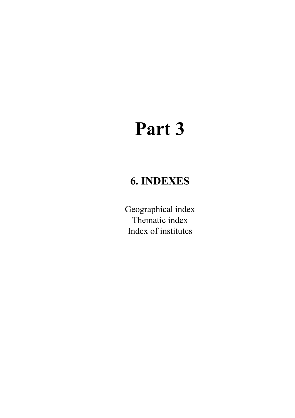# **Part 3**

# **6. INDEXES**

Geographical index Thematic index Index of institutes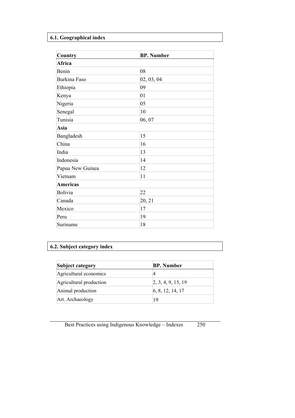# **6.1. Geographical index**

| Country             | <b>BP. Number</b> |  |
|---------------------|-------------------|--|
| Africa              |                   |  |
| Benin               | 08                |  |
| <b>Burkina Faso</b> | 02, 03, 04        |  |
| Ethiopia            | 09                |  |
| Kenya               | 01                |  |
| Nigeria             | 05                |  |
| Senegal             | 10                |  |
| Tunisia             | 06, 07            |  |
| Asia                |                   |  |
| Bangladesh          | 15                |  |
| China               | 16                |  |
| India               | 13                |  |
| Indonesia           | 14                |  |
| Papua New Guinea    | 12                |  |
| Vietnam             | 11                |  |
| <b>Americas</b>     |                   |  |
| Bolivia             | 22                |  |
| Canada              | 20, 21            |  |
| Mexico              | 17                |  |
| Peru                | 19                |  |
| Suriname            | 18                |  |

# **6.2. Subject category index**

| Subject category        | BP. Number                       |
|-------------------------|----------------------------------|
| Agricultural economics  |                                  |
| Agricultural production | $\vert 2, 3, 4, 9, 15, 19 \vert$ |
| Animal production       | $\vert 6, 8, 12, 14, 17 \vert$   |
| Art. Archaeology        | 19                               |

Best Practices using Indigenous Knowledge – Indexes 250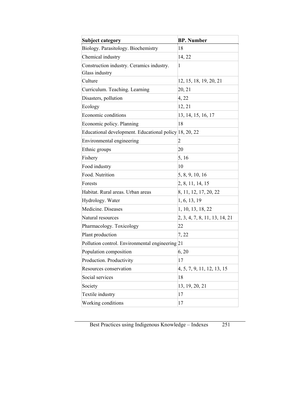| <b>Subject category</b>                                | <b>BP. Number</b>             |
|--------------------------------------------------------|-------------------------------|
| Biology. Parasitology. Biochemistry                    | 18                            |
| Chemical industry                                      | 14, 22                        |
| Construction industry. Ceramics industry.              | 1                             |
| Glass industry                                         |                               |
| Culture                                                | 12, 15, 18, 19, 20, 21        |
| Curriculum. Teaching. Learning                         | 20, 21                        |
| Disasters, pollution                                   | 4, 22                         |
| Ecology                                                | 12, 21                        |
| Economic conditions                                    | 13, 14, 15, 16, 17            |
| Economic policy. Planning                              | 18                            |
| Educational development. Educational policy 18, 20, 22 |                               |
| Environmental engineering                              | 2                             |
| Ethnic groups                                          | 20                            |
| Fishery                                                | 5, 16                         |
| Food industry                                          | 10                            |
| Food. Nutrition                                        | 5, 8, 9, 10, 16               |
| Forests                                                | 2, 8, 11, 14, 15              |
| Habitat. Rural areas. Urban areas                      | 8, 11, 12, 17, 20, 22         |
| Hydrology. Water                                       | 1, 6, 13, 19                  |
| Medicine. Diseases                                     | 1, 10, 13, 18, 22             |
| Natural resources                                      | 2, 3, 4, 7, 8, 11, 13, 14, 21 |
| Pharmacology. Toxicology                               | 22                            |
| Plant production                                       | 7, 22                         |
| Pollution control. Environmental engineering 21        |                               |
| Population composition                                 | 6, 20                         |
| Production. Productivity                               | 17                            |
| Resources conservation                                 | 4, 5, 7, 9, 11, 12, 13, 15    |
| Social services                                        | 18                            |
| Society                                                | 13, 19, 20, 21                |
| Textile industry                                       | 17                            |
| Working conditions                                     | 17                            |

Best Practices using Indigenous Knowledge – Indexes 251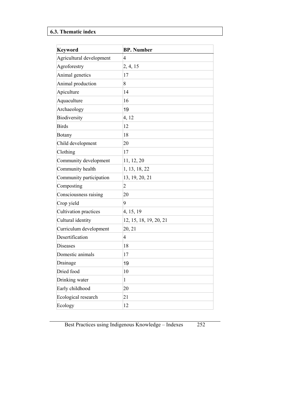# **6.3. Thematic index**

| <b>Keyword</b>           | <b>BP.</b> Number       |
|--------------------------|-------------------------|
| Agricultural development | $\overline{4}$          |
| Agroforestry             | 2, 4, 15                |
| Animal genetics          | 17                      |
| Animal production        | 8                       |
| Apiculture               | 14                      |
| Aquaculture              | 16                      |
| Archaeology              | 19                      |
| Biodiversity             | 4, 12                   |
| <b>Birds</b>             | 12                      |
| Botany                   | 18                      |
| Child development        | 20                      |
| Clothing                 | 17                      |
| Community development    | 11, 12, 20              |
| Community health         | 1, 13, 18, 22           |
| Community participation  | 13, 19, 20, 21          |
| Composting               | $\overline{\mathbf{c}}$ |
| Consciousness raising    | 20                      |
| Crop yield               | 9                       |
| Cultivation practices    | 4, 15, 19               |
| Cultural identity        | 12, 15, 18, 19, 20, 21  |
| Curriculum development   | 20, 21                  |
| Desertification          | 4                       |
| Diseases                 | 18                      |
| Domestic animals         | 17                      |
| Drainage                 | 19                      |
| Dried food               | 10                      |
| Drinking water           | 1                       |
| Early childhood          | 20                      |
| Ecological research      | 21                      |
| Ecology                  | 12                      |

Best Practices using Indigenous Knowledge – Indexes 252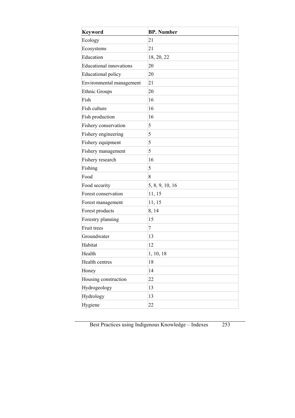| <b>Keyword</b>                 | <b>BP.</b> Number |
|--------------------------------|-------------------|
| Ecology                        | 21                |
| Ecosystems                     | 21                |
| Education                      | 18, 20, 22        |
| <b>Educational innovations</b> | 20                |
| <b>Educational policy</b>      | 20                |
| Environmental management       | 21                |
| <b>Ethnic Groups</b>           | 20                |
| Fish                           | 16                |
| Fish culture                   | 16                |
| Fish production                | 16                |
| Fishery conservation           | 5                 |
| Fishery engineering            | 5                 |
| Fishery equipment              | 5                 |
| Fishery management             | 5                 |
| Fishery research               | 16                |
| Fishing                        | 5                 |
| Food                           | 8                 |
| Food security                  | 5, 8, 9, 10, 16   |
| Forest conservation            | 11, 15            |
| Forest management              | 11, 15            |
| Forest products                | 8, 14             |
| Forestry planning              | 15                |
| Fruit trees                    | 7                 |
| Groundwater                    | 13                |
| Habitat                        | 12                |
| Health                         | 1, 10, 18         |
| Health centres                 | 18                |
| Honey                          | 14                |
| Housing construction           | 22                |
| Hydrogeology                   | 13                |
| Hydrology                      | 13                |
| Hygiene                        | 22                |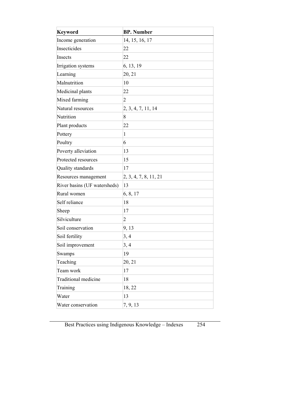| <b>Keyword</b>               | <b>BP. Number</b>     |
|------------------------------|-----------------------|
| Income generation            | 14, 15, 16, 17        |
| Insecticides                 | 22                    |
| Insects                      | 22                    |
| Irrigation systems           | 6, 13, 19             |
| Learning                     | 20, 21                |
| Malnutrition                 | 10                    |
| Medicinal plants             | 22                    |
| Mixed farming                | $\overline{2}$        |
| Natural resources            | 2, 3, 4, 7, 11, 14    |
| Nutrition                    | 8                     |
| Plant products               | 22                    |
| Pottery                      | 1                     |
| Poultry                      | 6                     |
| Poverty alleviation          | 13                    |
| Protected resources          | 15                    |
| Quality standards            | 17                    |
| Resources management         | 2, 3, 4, 7, 8, 11, 21 |
| River basins (UF watersheds) | 13                    |
| Rural women                  | 6, 8, 17              |
| Self reliance                | 18                    |
| Sheep                        | 17                    |
| Silviculture                 | $\overline{c}$        |
| Soil conservation            | 9, 13                 |
| Soil fertility               | 3, 4                  |
| Soil improvement             | 3, 4                  |
| Swamps                       | 19                    |
| Teaching                     | 20, 21                |
| Team work                    | 17                    |
| Traditional medicine         | 18                    |
| Training                     | 18, 22                |
| Water                        | 13                    |
| Water conservation           | 7, 9, 13              |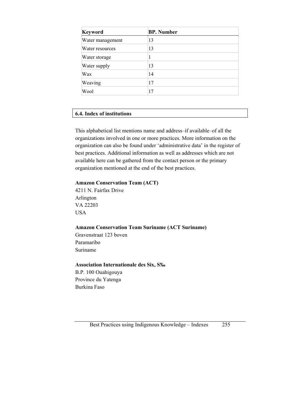| Keyword          | <b>BP.</b> Number |
|------------------|-------------------|
| Water management | 13                |
| Water resources  | 13                |
| Water storage    |                   |
| Water supply     | 13                |
| Wax              | 14                |
| Weaving          | 17                |
| Wool             | 17                |

## **6.4. Index of institutions**

This alphabetical list mentions name and address–if available–of all the organizations involved in one or more practices. More information on the organization can also be found under 'administrative data' in the register of best practices. Additional information as well as addresses which are not available here can be gathered from the contact person or the primary organization mentioned at the end of the best practices.

#### **Amazon Conservation Team (ACT)**

4211 N. Fairfax Drive Arlington VA 22203 USA

#### **Amazon Conservation Team Suriname (ACT Suriname)**

Gravenstraat 123 boven Paramaribo Suriname

#### **Association Internationale des Six, S‰**

B.P. 100 Ouahigouya Province du Yatenga Burkina Faso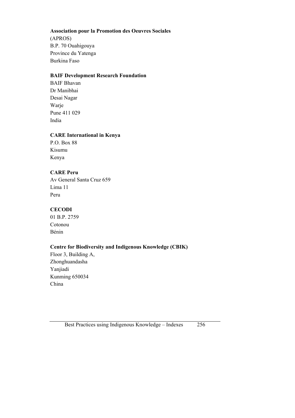#### **Association pour la Promotion des Oeuvres Sociales**

(APROS) B.P. 70 Ouahigouya Province du Yatenga Burkina Faso

## **BAIF Development Research Foundation**

BAIF Bhavan Dr Manibhai Desai Nagar Warje Pune 411 029 India

#### **CARE International in Kenya**

P.O. Box 88 Kisumu Kenya

# **CARE Peru**

Av General Santa Cruz 659 Lima 11 Peru

## **CECODI**

01 B.P. 2759 Cotonou Bénin

## **Centre for Biodiversity and Indigenous Knowledge (CBIK)**

Floor 3, Building A, Zhonghuandasha Yanjiadi Kunming 650034 China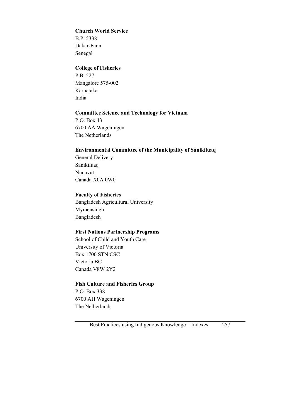## **Church World Service**

B.P. 5338 Dakar-Fann Senegal

## **College of Fisheries**

P.B. 527 Mangalore 575-002 Karnataka India

#### **Committee Science and Technology for Vietnam**

P.O. Box 43 6700 AA Wageningen The Netherlands

## **Environmental Committee of the Municipality of Sanikiluaq**

General Delivery Sanikiluaq Nunavut Canada X0A 0W0

## **Faculty of Fisheries**

Bangladesh Agricultural University Mymensingh Bangladesh

## **First Nations Partnership Programs**

School of Child and Youth Care University of Victoria Box 1700 STN CSC Victoria BC Canada V8W 2Y2

#### **Fish Culture and Fisheries Group**

P.O. Box 338 6700 AH Wageningen The Netherlands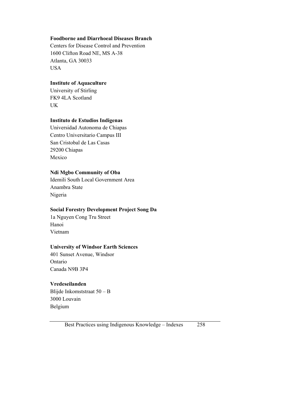# **Foodborne and Diarrhoeal Diseases Branch**

Centers for Disease Control and Prevention 1600 Clifton Road NE, MS A-38 Atlanta, GA 30033 USA

## **Institute of Aquaculture**

University of Stirling FK9 4LA Scotland UK

## **Instituto de Estudios Indigenas**

Universidad Autonoma de Chiapas Centro Universitario Campus III San Cristobal de Las Casas 29200 Chiapas Mexico

#### **Ndi Mgbo Community of Oba**

Idemili South Local Government Area Anambra State Nigeria

#### **Social Forestry Development Project Song Da**

1a Nguyen Cong Tru Street Hanoi Vietnam

## **University of Windsor Earth Sciences**

401 Sunset Avenue, Windsor Ontario Canada N9B 3P4

## **Vredeseilanden**

Blijde Inkomststraat 50 – B 3000 Louvain Belgium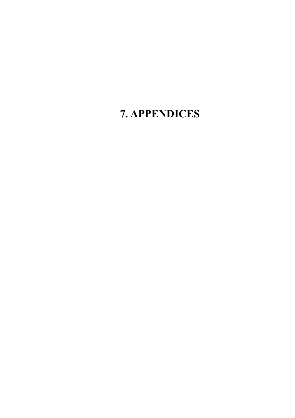# **7. APPENDICES**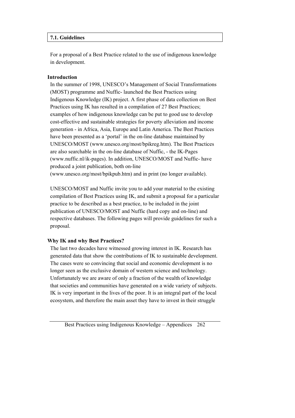#### **7.1. Guidelines**

For a proposal of a Best Practice related to the use of indigenous knowledge in development.

#### **Introduction**

In the summer of 1998, UNESCO's Management of Social Transformations (MOST) programme and Nuffic- launched the Best Practices using Indigenous Knowledge (IK) project. A first phase of data collection on Best Practices using IK has resulted in a compilation of 27 Best Practices; examples of how indigenous knowledge can be put to good use to develop cost-effective and sustainable strategies for poverty alleviation and income generation - in Africa, Asia, Europe and Latin America. The Best Practices have been presented as a 'portal' in the on-line database maintained by UNESCO/MOST (www.unesco.org/most/bpikreg.htm). The Best Practices are also searchable in the on-line database of Nuffic, - the IK-Pages (www.nuffic.nl/ik-pages). In addition, UNESCO/MOST and Nuffic- have produced a joint publication, both on-line (www.unesco.org/most/bpikpub.htm) and in print (no longer available).

UNESCO/MOST and Nuffic invite you to add your material to the existing compilation of Best Practices using IK, and submit a proposal for a particular practice to be described as a best practice, to be included in the joint publication of UNESCO/MOST and Nuffic (hard copy and on-line) and respective databases. The following pages will provide guidelines for such a proposal.

#### **Why IK and why Best Practices?**

The last two decades have witnessed growing interest in IK. Research has generated data that show the contributions of IK to sustainable development. The cases were so convincing that social and economic development is no longer seen as the exclusive domain of western science and technology. Unfortunately we are aware of only a fraction of the wealth of knowledge that societies and communities have generated on a wide variety of subjects. IK is very important in the lives of the poor. It is an integral part of the local ecosystem, and therefore the main asset they have to invest in their struggle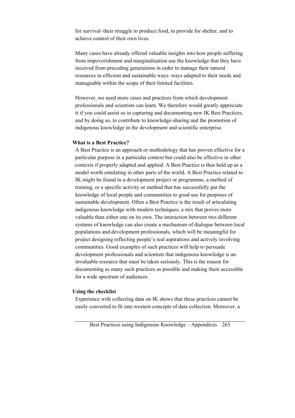for survival–their struggle to produce food, to provide for shelter, and to achieve control of their own lives.

Many cases have already offered valuable insights into how people suffering from impoverishment and marginalisation use the knowledge that they have received from preceding generations in order to manage their natural resources in efficient and sustainable ways–ways adapted to their needs and manageable within the scope of their limited facilities.

However, we need more cases and practices from which development professionals and scientists can learn. We therefore would greatly appreciate it if you could assist us in capturing and documenting new IK Best Practices, and by doing so, to contribute to knowledge-sharing and the promotion of indigenous knowledge in the development and scientific enterprise.

#### **What is a Best Practice?**

A Best Practice is an approach or methodology that has proven effective for a particular purpose in a particular context but could also be effective in other contexts if properly adapted and applied. A Best Practice is thus held up as a model worth emulating in other parts of the world. A Best Practice related to IK might be found in a development project or programme, a method of training, or a specific activity or method that has successfully put the knowledge of local people and communities to good use for purposes of sustainable development. Often a Best Practice is the result of articulating indigenous knowledge with modern techniques; a mix that proves more valuable than either one on its own. The interaction between two different systems of knowledge can also create a mechanism of dialogue between local populations and development professionals, which will be meaningful for project designing reflecting people's real aspirations and actively involving communities. Good examples of such practices will help to persuade development professionals and scientists that indigenous knowledge is an invaluable resource that must be taken seriously. This is the reason for documenting as many such practices as possible and making them accessible for a wide spectrum of audiences.

#### **Using the checklist**

Experience with collecting data on IK shows that these practices cannot be easily converted to fit into western concepts of data collection. Moreover, a

Best Practices using Indigenous Knowledge – Appendices 263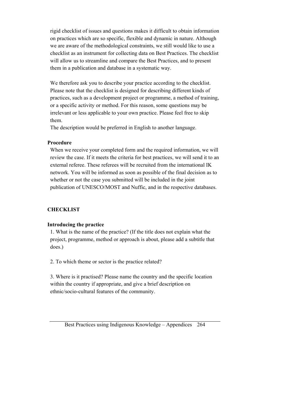rigid checklist of issues and questions makes it difficult to obtain information on practices which are so specific, flexible and dynamic in nature. Although we are aware of the methodological constraints, we still would like to use a checklist as an instrument for collecting data on Best Practices. The checklist will allow us to streamline and compare the Best Practices, and to present them in a publication and database in a systematic way.

We therefore ask you to describe your practice according to the checklist. Please note that the checklist is designed for describing different kinds of practices, such as a development project or programme, a method of training, or a specific activity or method. For this reason, some questions may be irrelevant or less applicable to your own practice. Please feel free to skip them.

The description would be preferred in English to another language.

#### **Procedure**

When we receive your completed form and the required information, we will review the case. If it meets the criteria for best practices, we will send it to an external referee. These referees will be recruited from the international IK network. You will be informed as soon as possible of the final decision as to whether or not the case you submitted will be included in the joint publication of UNESCO/MOST and Nuffic, and in the respective databases.

## **CHECKLIST**

## **Introducing the practice**

1. What is the name of the practice? (If the title does not explain what the project, programme, method or approach is about, please add a subtitle that does.)

2. To which theme or sector is the practice related?

3. Where is it practised? Please name the country and the specific location within the country if appropriate, and give a brief description on ethnic/socio-cultural features of the community.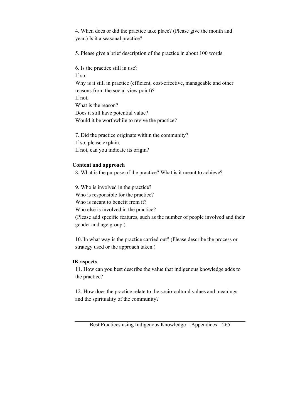4. When does or did the practice take place? (Please give the month and year.) Is it a seasonal practice?

5. Please give a brief description of the practice in about 100 words.

6. Is the practice still in use? If so, Why is it still in practice (efficient, cost-effective, manageable and other reasons from the social view point)? If not, What is the reason? Does it still have potential value? Would it be worthwhile to revive the practice?

7. Did the practice originate within the community? If so, please explain. If not, can you indicate its origin?

#### **Content and approach**

8. What is the purpose of the practice? What is it meant to achieve?

9. Who is involved in the practice? Who is responsible for the practice? Who is meant to benefit from it? Who else is involved in the practice? (Please add specific features, such as the number of people involved and their gender and age group.)

10. In what way is the practice carried out? (Please describe the process or strategy used or the approach taken.)

#### **IK aspects**

11. How can you best describe the value that indigenous knowledge adds to the practice?

12. How does the practice relate to the socio-cultural values and meanings and the spirituality of the community?

Best Practices using Indigenous Knowledge – Appendices 265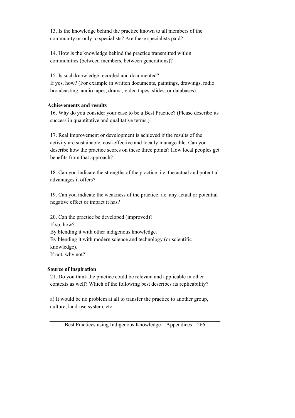13. Is the knowledge behind the practice known to all members of the community or only to specialists? Are these specialists paid?

14. How is the knowledge behind the practice transmitted within communities (between members, between generations)?

15. Is such knowledge recorded and documented?

If yes, how? (For example in written documents, paintings, drawings, radio broadcasting, audio tapes, drama, video tapes, slides, or databases).

## **Achievements and results**

16. Why do you consider your case to be a Best Practice? (Please describe its success in quantitative and qualitative terms.)

17. Real improvement or development is achieved if the results of the activity are sustainable, cost-effective and locally manageable. Can you describe how the practice scores on these three points? How local peoples get benefits from that approach?

18. Can you indicate the strengths of the practice: i.e. the actual and potential advantages it offers?

19. Can you indicate the weakness of the practice: i.e. any actual or potential negative effect or impact it has?

20. Can the practice be developed (improved)? If so, how? By blending it with other indigenous knowledge. By blending it with modern science and technology (or scientific knowledge). If not, why not?

## **Source of inspiration**

21. Do you think the practice could be relevant and applicable in other contexts as well? Which of the following best describes its replicability?

a) It would be no problem at all to transfer the practice to another group, culture, land-use system, etc.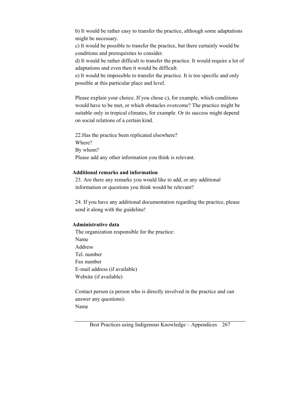b) It would be rather easy to transfer the practice, although some adaptations might be necessary.

c) It would be possible to transfer the practice, but there certainly would be conditions and prerequisites to consider.

d) It would be rather difficult to transfer the practice. It would require a lot of adaptations and even then it would be difficult.

e) It would be impossible to transfer the practice. It is too specific and only possible at this particular place and level.

Please explain your choice. If you chose c), for example, which conditions would have to be met, or which obstacles overcome? The practice might be suitable only in tropical climates, for example. Or its success might depend on social relations of a certain kind.

22.Has the practice been replicated elsewhere? Where? By whom? Please add any other information you think is relevant.

## **Additional remarks and information**

23. Are there any remarks you would like to add, or any additional information or questions you think would be relevant?

24. If you have any additional documentation regarding the practice, please send it along with the guideline!

## **Administrative data**

The organization responsible for the practice: Name Address Tel. number Fax number E-mail address (if available) Website (if available)

Contact person (a person who is directly involved in the practice and can answer any questions): Name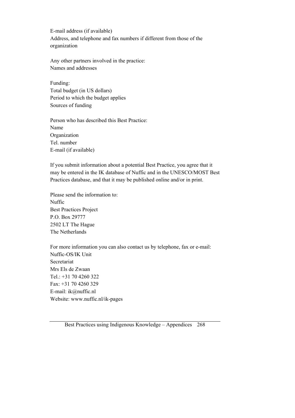E-mail address (if available) Address, and telephone and fax numbers if different from those of the organization

Any other partners involved in the practice: Names and addresses

Funding: Total budget (in US dollars) Period to which the budget applies Sources of funding

Person who has described this Best Practice: Name Organization Tel. number E-mail (if available)

If you submit information about a potential Best Practice, you agree that it may be entered in the IK database of Nuffic and in the UNESCO/MOST Best Practices database, and that it may be published online and/or in print.

Please send the information to: Nuffic Best Practices Project P.O. Box 29777 2502 LT The Hague The Netherlands

For more information you can also contact us by telephone, fax or e-mail: Nuffic-OS/IK Unit Secretariat Mrs Els de Zwaan Tel.: +31 70 4260 322 Fax: +31 70 4260 329 E-mail: ik@nuffic.nl Website: www.nuffic.nl/ik-pages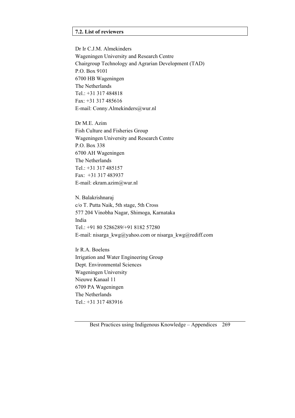#### **7.2. List of reviewers**

Dr Ir C.J.M. Almekinders Wageningen University and Research Centre Chairgroup Technology and Agrarian Development (TAD) P.O. Box 9101 6700 HB Wageningen The Netherlands Tel.: +31 317 484818 Fax: +31 317 485616 E-mail: Conny.Almekinders@wur.nl

Dr M.E. Azim Fish Culture and Fisheries Group Wageningen University and Research Centre P.O. Box 338 6700 AH Wageningen The Netherlands Tel.: +31 317 485157 Fax: +31 317 483937 E-mail: ekram.azim@wur.nl

N. Balakrishnaraj c/o T. Putta Naik, 5th stage, 5th Cross 577 204 Vinobha Nagar, Shimoga, Karnataka India Tel.: +91 80 5286289/+91 8182 57280 E-mail: nisarga\_kwg@yahoo.com or nisarga\_kwg@rediff.com

Ir R.A. Boelens Irrigation and Water Engineering Group Dept. Environmental Sciences Wageningen University Nieuwe Kanaal 11 6709 PA Wageningen The Netherlands Tel.: +31 317 483916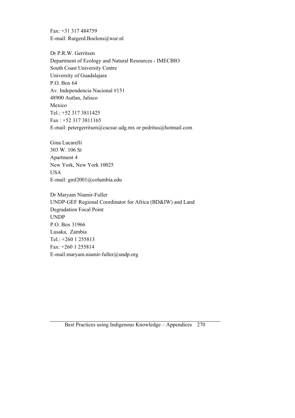Fax: +31 317 484759 E-mail: Rutgerd.Boelens@wur.nl

Dr P.R.W. Gerritsen Department of Ecology and Natural Resources - IMECBIO South Coast University Centre University of Guadalajara P.O. Box 64 Av. Independencia Nacional #151 48900 Autlan, Jalisco Mexico Tel.: +52 317 3811425 Fax : +52 317 3811165 E-mail: petergerritsen@cucsur.udg.mx or pedritus@hotmail.com

Gina Lucarelli 303 W. 106 St Apartment 4 New York, New York 10025 USA E-mail: gml2001@columbia.edu

Dr Maryam Niamir-Fuller UNDP-GEF Regional Coordinator for Africa (BD&IW) and Land Degradation Focal Point UNDP P.O. Box 31966 Lusaka, Zambia Tel.: +260 1 255813 Fax: +260 1 255814 E-mail:maryam.niamir-fuller@undp.org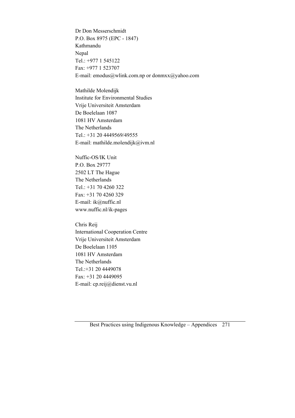Dr Don Messerschmidt P.O. Box 8975 (EPC - 1847) Kathmandu Nepal Tel.: +977 1 545122 Fax: +977 1 523707 E-mail: emodus@wlink.com.np or donmxx@yahoo.com

Mathilde Molendijk Institute for Environmental Studies Vrije Universiteit Amsterdam De Boelelaan 1087 1081 HV Amsterdam The Netherlands Tel.: +31 20 4449569/49555 E-mail: mathilde.molendijk@ivm.nl

Nuffic-OS/IK Unit P.O. Box 29777 2502 LT The Hague The Netherlands Tel.: +31 70 4260 322 Fax: +31 70 4260 329 E-mail: ik@nuffic.nl www.nuffic.nl/ik-pages

Chris Reij International Cooperation Centre Vrije Universiteit Amsterdam De Boelelaan 1105 1081 HV Amsterdam The Netherlands Tel.:+31 20 4449078 Fax: +31 20 4449095 E-mail: cp.reij@dienst.vu.nl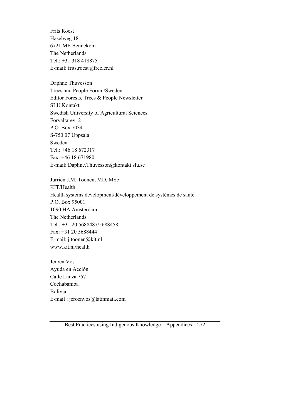Frits Roest Haselweg 18 6721 ME Bennekom The Netherlands Tel.: +31 318 418875 E-mail: frits.roest@freeler.nl

Daphne Thuvesson Trees and People Forum/Sweden Editor Forests, Trees & People Newsletter SLU Kontakt Swedish University of Agricultural Sciences Forvaltarev. 2 P.O. Box 7034 S-750 07 Uppsala Sweden Tel.: +46 18 672317 Fax: +46 18 671980 E-mail: Daphne.Thuvesson@kontakt.slu.se

Jurrien J.M. Toonen, MD, MSc KIT/Health Health systems development/développement de systèmes de santé P.O. Box 95001 1090 HA Amsterdam The Netherlands Tel.: +31 20 5688487/5688458 Fax: +31 20 5688444 E-mail: j.toonen@kit.nl www.kit.nl/health

Jeroen Vos Ayuda en Acción Calle Lanza 757 Cochabamba Bolivia E-mail : jeroenvos@latinmail.com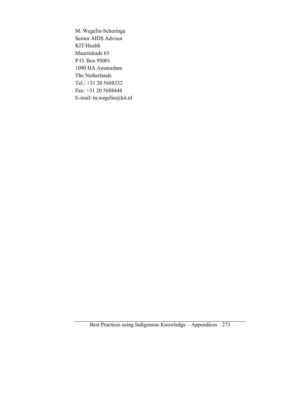M. Wegelin-Schuringa Senior AIDS Advisor KIT/Health Mauritskade 63 P.O. Box 95001 1090 HA Amsterdam The Netherlands Tel.: +31 20 5688332 Fax: +31 20 5688444 E-mail: m.wegelin@kit.nl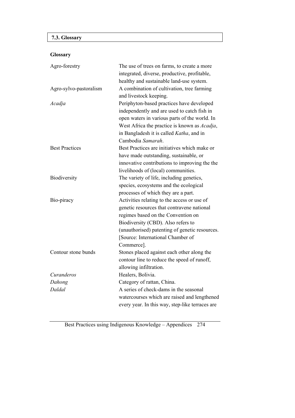# **7.3. Glossary**

# **Glossary**

| Agro-forestry          | The use of trees on farms, to create a more     |
|------------------------|-------------------------------------------------|
|                        | integrated, diverse, productive, profitable,    |
|                        | healthy and sustainable land-use system.        |
| Agro-sylvo-pastoralism | A combination of cultivation, tree farming      |
|                        | and livestock keeping.                          |
| Acadja                 | Periphyton-based practices have developed       |
|                        | independently and are used to catch fish in     |
|                        | open waters in various parts of the world. In   |
|                        | West Africa the practice is known as Acadja,    |
|                        | in Bangladesh it is called Katha, and in        |
|                        | Cambodia Samarah.                               |
| <b>Best Practices</b>  | Best Practices are initiatives which make or    |
|                        | have made outstanding, sustainable, or          |
|                        | innovative contributions to improving the the   |
|                        | livelihoods of (local) communities.             |
| Biodiversity           | The variety of life, including genetics,        |
|                        | species, ecosystems and the ecological          |
|                        | processes of which they are a part.             |
| Bio-piracy             | Activities relating to the access or use of     |
|                        | genetic resources that contravene national      |
|                        | regimes based on the Convention on              |
|                        | Biodiversity (CBD). Also refers to              |
|                        | (unauthorised) patenting of genetic resources.  |
|                        | [Source: International Chamber of               |
|                        | Commerce].                                      |
| Contour stone bunds    | Stones placed against each other along the      |
|                        | contour line to reduce the speed of runoff,     |
|                        | allowing infiltration.                          |
| Curanderos             | Healers, Bolivia.                               |
| Dahong                 | Category of rattan, China.                      |
| Daldal                 | A series of check-dams in the seasonal          |
|                        | watercourses which are raised and lengthened    |
|                        | every year. In this way, step-like terraces are |
|                        |                                                 |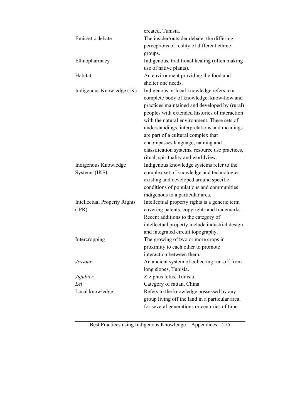|                                     | created, Tunisia.                               |
|-------------------------------------|-------------------------------------------------|
| Emic/etic debate                    | The insider/outsider debate; the differing      |
|                                     | perceptions of reality of different ethnic      |
|                                     | groups.                                         |
| Ethnopharmacy                       | Indigenous, traditional healing (often making   |
|                                     | use of native plants).                          |
| Habitat                             | An environment providing the food and           |
|                                     | shelter one needs.                              |
| Indigenous Knowledge (IK)           | Indigenous or local knowledge refers to a       |
|                                     | complete body of knowledge, know-how and        |
|                                     | practices maintained and developed by (rural)   |
|                                     | peoples with extended histories of interaction  |
|                                     | with the natural environment. These sets of     |
|                                     | understandings, interpretations and meanings    |
|                                     | are part of a cultural complex that             |
|                                     | encompasses language, naming and                |
|                                     | classification systems, resource use practices, |
|                                     | ritual, spirituality and worldview.             |
| Indigenous Knowledge                | Indigenous knowledge systems refer to the       |
| Systems (IKS)                       | complex set of knowledge and technologies       |
|                                     | existing and developed around specific          |
|                                     | conditions of populations and communities       |
|                                     | indigenous to a particular area.                |
| <b>Intellectual Property Rights</b> | Intellectual property rights is a generic term  |
| (IPR)                               | covering patents, copyrights and trademarks.    |
|                                     | Recent additions to the category of             |
|                                     | intellectual property include industrial design |
|                                     | and integrated circuit topography.              |
| Intercropping                       | The growing of two or more crops in             |
|                                     | proximity to each other to promote              |
|                                     | interaction between them.                       |
| <i>Jessour</i>                      | An ancient system of collecting run-off from    |
|                                     | long slopes, Tunisia.                           |
| Jujubier                            | Ziziphus lotus, Tunisia.                        |
| Lei                                 | Category of rattan, China.                      |
| Local knowledge                     | Refers to the knowledge possessed by any        |
|                                     | group living off the land in a particular area, |
|                                     | for several generations or centuries of time.   |
|                                     |                                                 |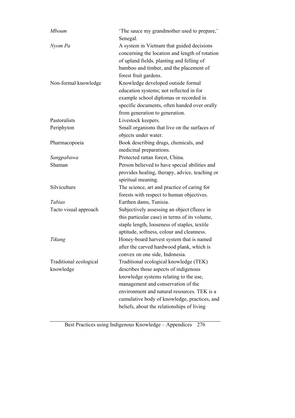| Mboum                  | 'The sauce my grandmother used to prepare,'<br>Senegal.                                                                                                                                                                                                            |
|------------------------|--------------------------------------------------------------------------------------------------------------------------------------------------------------------------------------------------------------------------------------------------------------------|
| Nyom Pa                | A system in Vietnam that guided decisions<br>concerning the location and length of rotation<br>of upland fields, planting and felling of<br>bamboo and timber, and the placement of<br>forest fruit gardens.                                                       |
| Non-formal knowledge   | Knowledge developed outside formal<br>education systems; not reflected in for<br>example school diplomas or recorded in<br>specific documents, often handed over orally<br>from generation to generation.                                                          |
| Pastoralists           | Livestock keepers.                                                                                                                                                                                                                                                 |
| Periphyton             | Small organisms that live on the surfaces of<br>objects under water.                                                                                                                                                                                               |
| Pharmacopoeia          | Book describing drugs, chemicals, and<br>medicinal preparations.                                                                                                                                                                                                   |
| Sangpabawa             | Protected rattan forest, China.                                                                                                                                                                                                                                    |
| Shaman                 | Person believed to have special abilities and<br>provides healing, therapy, advice, teaching or<br>spiritual meaning.                                                                                                                                              |
| Silviculture           | The science, art and practice of caring for<br>forests with respect to human objectives.                                                                                                                                                                           |
| Tabias                 | Earthen dams, Tunisia.                                                                                                                                                                                                                                             |
| Tacto visual approach  | Subjectively assessing an object (fleece in<br>this particular case) in terms of its volume,<br>staple length, looseness of staples, textile<br>aptitude, softness, colour and cleanness.                                                                          |
| Tikung                 | Honey-board harvest system that is named<br>after the carved hardwood plank, which is<br>convex on one side, Indonesia.                                                                                                                                            |
| Traditional ecological | Traditional ecological knowledge (TEK)                                                                                                                                                                                                                             |
| knowledge              | describes those aspects of indigenous<br>knowledge systems relating to the use,<br>management and conservation of the<br>environment and natural resources. TEK is a<br>cumulative body of knowledge, practices, and<br>beliefs, about the relationships of living |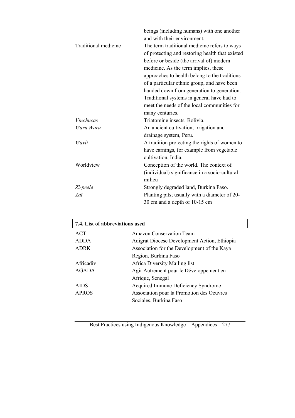|                             | beings (including humans) with one another      |
|-----------------------------|-------------------------------------------------|
|                             | and with their environment.                     |
| <b>Traditional medicine</b> | The term traditional medicine refers to ways    |
|                             | of protecting and restoring health that existed |
|                             | before or beside (the arrival of) modern        |
|                             | medicine. As the term implies, these            |
|                             | approaches to health belong to the traditions   |
|                             | of a particular ethnic group, and have been     |
|                             | handed down from generation to generation.      |
|                             | Traditional systems in general have had to      |
|                             | meet the needs of the local communities for     |
|                             | many centuries.                                 |
| Vinchucas                   | Triatomine insects, Bolivia.                    |
| Waru Waru                   | An ancient cultivation, irrigation and          |
|                             | drainage system, Peru.                          |
| Wavli                       | A tradition protecting the rights of women to   |
|                             | have earnings, for example from vegetable       |
|                             | cultivation, India.                             |
| Worldview                   | Conception of the world. The context of         |
|                             | (individual) significance in a socio-cultural   |
|                             | milieu                                          |
| Zî-peele                    | Strongly degraded land, Burkina Faso.           |
| Zaï                         | Planting pits; usually with a diameter of 20-   |
|                             | 30 cm and a depth of 10-15 cm                   |
|                             |                                                 |

| 7.4. List of abbreviations used |                                              |
|---------------------------------|----------------------------------------------|
| ACT                             | <b>Amazon Conservation Team</b>              |
| <b>ADDA</b>                     | Adigrat Diocese Development Action, Ethiopia |
| <b>ADRK</b>                     | Association for the Development of the Kaya  |
|                                 | Region, Burkina Faso                         |
| Africadiv                       | Africa Diversity Mailing list                |
| <b>AGADA</b>                    | Agir Autrement pour le Développement en      |
|                                 | Afrique, Senegal                             |
| <b>AIDS</b>                     | Acquired Immune Deficiency Syndrome          |
| APROS                           | Association pour la Promotion des Oeuvres    |
|                                 | Sociales, Burkina Faso                       |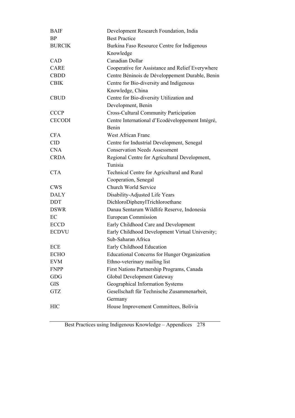| <b>BAIF</b>   | Development Research Foundation, India              |
|---------------|-----------------------------------------------------|
| <b>BP</b>     | <b>Best Practice</b>                                |
| <b>BURCIK</b> | Burkina Faso Resource Centre for Indigenous         |
|               | Knowledge                                           |
| CAD           | Canadian Dollar                                     |
| <b>CARE</b>   | Cooperative for Assistance and Relief Everywhere    |
| <b>CBDD</b>   | Centre Béninois de Développement Durable, Benin     |
| <b>CBIK</b>   | Centre for Bio-diversity and Indigenous             |
|               | Knowledge, China                                    |
| <b>CBUD</b>   | Centre for Bio-diversity Utilization and            |
|               | Development, Benin                                  |
| <b>CCCP</b>   | <b>Cross-Cultural Community Participation</b>       |
| <b>CECODI</b> | Centre International d'Ecodéveloppement Intégré,    |
|               | Benin                                               |
| <b>CFA</b>    | <b>West African Franc</b>                           |
| <b>CID</b>    | Centre for Industrial Development, Senegal          |
| <b>CNA</b>    | <b>Conservation Needs Assessment</b>                |
| <b>CRDA</b>   | Regional Centre for Agricultural Development,       |
|               | Tunisia                                             |
| <b>CTA</b>    | Technical Centre for Agricultural and Rural         |
|               | Cooperation, Senegal                                |
| <b>CWS</b>    | Church World Service                                |
| <b>DALY</b>   | Disability-Adjusted Life Years                      |
| <b>DDT</b>    | DichloroDiphenylTrichloroethane                     |
| <b>DSWR</b>   | Danau Sentarum Wildlife Reserve, Indonesia          |
| EC            | <b>European Commission</b>                          |
| <b>ECCD</b>   | Early Childhood Care and Development                |
| <b>ECDVU</b>  | Early Childhood Development Virtual University;     |
|               | Sub-Saharan Africa                                  |
| ECE           | Early Childhood Education                           |
| <b>ECHO</b>   | <b>Educational Concerns for Hunger Organization</b> |
| <b>EVM</b>    | Ethno-veterinary mailing list                       |
| <b>FNPP</b>   | First Nations Partnership Programs, Canada          |
| <b>GDG</b>    | Global Development Gateway                          |
| <b>GIS</b>    | Geographical Information Systems                    |
| <b>GTZ</b>    | Gesellschaft für Technische Zusammenarbeit,         |
|               | Germany                                             |
| <b>HIC</b>    | House Improvement Committees, Bolivia               |
|               |                                                     |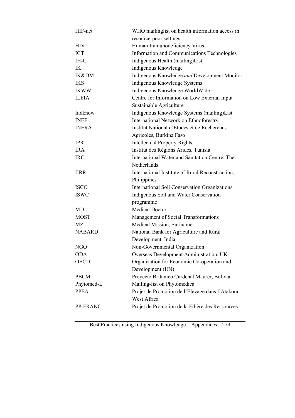| HIF-net          | WHO mailinglist on health information access in      |
|------------------|------------------------------------------------------|
|                  | resource-poor settings                               |
| <b>HIV</b>       | Human Immunodeficiency Virus                         |
| <b>ICT</b>       | Information and Communications Technologies          |
| <b>IH-L</b>      | Indigenous Health (mailing)List                      |
| IK               | Indigenous Knowledge                                 |
| <b>IK&amp;DM</b> | Indigenous Knowledge and Development Monitor         |
| <b>IKS</b>       | Indigenous Knowledge Systems                         |
| <b>IKWW</b>      | Indigenous Knowledge WorldWide                       |
| <b>ILEIA</b>     | Centre for Information on Low External Input         |
|                  | Sustainable Agriculture                              |
| Indknow          | Indigenous Knowledge Systems (mailing)List           |
| <b>INEF</b>      | International Network on Ethnoforestry               |
| <b>INERA</b>     | Institut National d'Etudes et de Recherches          |
|                  | Agricoles, Burkina Faso                              |
| <b>IPR</b>       | <b>Intellectual Property Rights</b>                  |
| <b>IRA</b>       | Institut des Régions Arides, Tunisia                 |
| <b>IRC</b>       | International Water and Sanitation Centre, The       |
|                  | Netherlands                                          |
| <b>IIRR</b>      | International Institute of Rural Reconstruction,     |
|                  | Philippines                                          |
| <b>ISCO</b>      | <b>International Soil Conservation Organizations</b> |
| <b>ISWC</b>      | Indigenous Soil and Water Conservation               |
|                  | programme                                            |
| MD               | <b>Medical Doctor</b>                                |
| <b>MOST</b>      | Management of Social Transformations                 |
| MZ               | Medical Mission, Suriname                            |
| <b>NABARD</b>    | National Bank for Agriculture and Rural              |
|                  | Development, India                                   |
| <b>NGO</b>       | Non-Governmental Organization                        |
| <b>ODA</b>       | Overseas Development Administration, UK              |
| <b>OECD</b>      | Organization for Economic Co-operation and           |
|                  | Development (UN)                                     |
| <b>PBCM</b>      | Proyecto Britanico Cardenal Maurer, Bolivia          |
| Phytomed-L       | Mailing-list on Phytomedica                          |
| <b>PPEA</b>      | Projet de Promotion de l'Elevage dans l'Atakora,     |
|                  | West Africa                                          |
| <b>PP-FRANC</b>  | Projet de Promotion de la Filière des Ressources     |
|                  |                                                      |